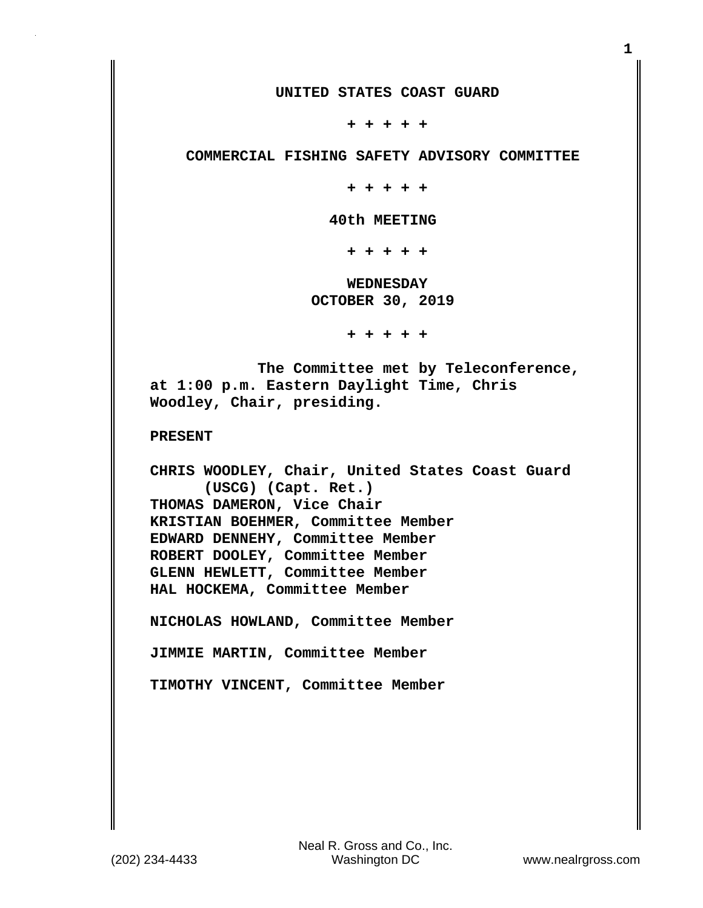**UNITED STATES COAST GUARD**

 **+ + + + +**

 **COMMERCIAL FISHING SAFETY ADVISORY COMMITTEE**

 **+ + + + +**

 **40th MEETING**

 **+ + + + +**

 **WEDNESDAY OCTOBER 30, 2019**

 **+ + + + +**

 **The Committee met by Teleconference, at 1:00 p.m. Eastern Daylight Time, Chris Woodley, Chair, presiding.**

**PRESENT**

**CHRIS WOODLEY, Chair, United States Coast Guard (USCG) (Capt. Ret.) THOMAS DAMERON, Vice Chair KRISTIAN BOEHMER, Committee Member EDWARD DENNEHY, Committee Member ROBERT DOOLEY, Committee Member GLENN HEWLETT, Committee Member HAL HOCKEMA, Committee Member**

**NICHOLAS HOWLAND, Committee Member**

**JIMMIE MARTIN, Committee Member**

**TIMOTHY VINCENT, Committee Member**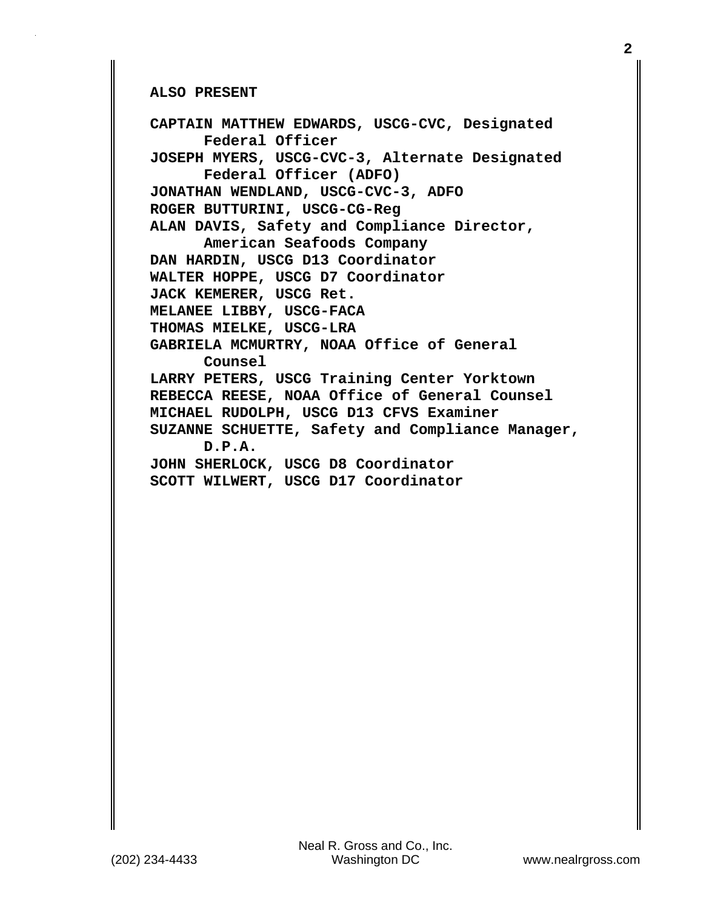**ALSO PRESENT**

**CAPTAIN MATTHEW EDWARDS, USCG-CVC, Designated Federal Officer JOSEPH MYERS, USCG-CVC-3, Alternate Designated Federal Officer (ADFO) JONATHAN WENDLAND, USCG-CVC-3, ADFO ROGER BUTTURINI, USCG-CG-Reg ALAN DAVIS, Safety and Compliance Director, American Seafoods Company DAN HARDIN, USCG D13 Coordinator WALTER HOPPE, USCG D7 Coordinator JACK KEMERER, USCG Ret. MELANEE LIBBY, USCG-FACA THOMAS MIELKE, USCG-LRA GABRIELA MCMURTRY, NOAA Office of General Counsel LARRY PETERS, USCG Training Center Yorktown REBECCA REESE, NOAA Office of General Counsel MICHAEL RUDOLPH, USCG D13 CFVS Examiner SUZANNE SCHUETTE, Safety and Compliance Manager, D.P.A. JOHN SHERLOCK, USCG D8 Coordinator SCOTT WILWERT, USCG D17 Coordinator**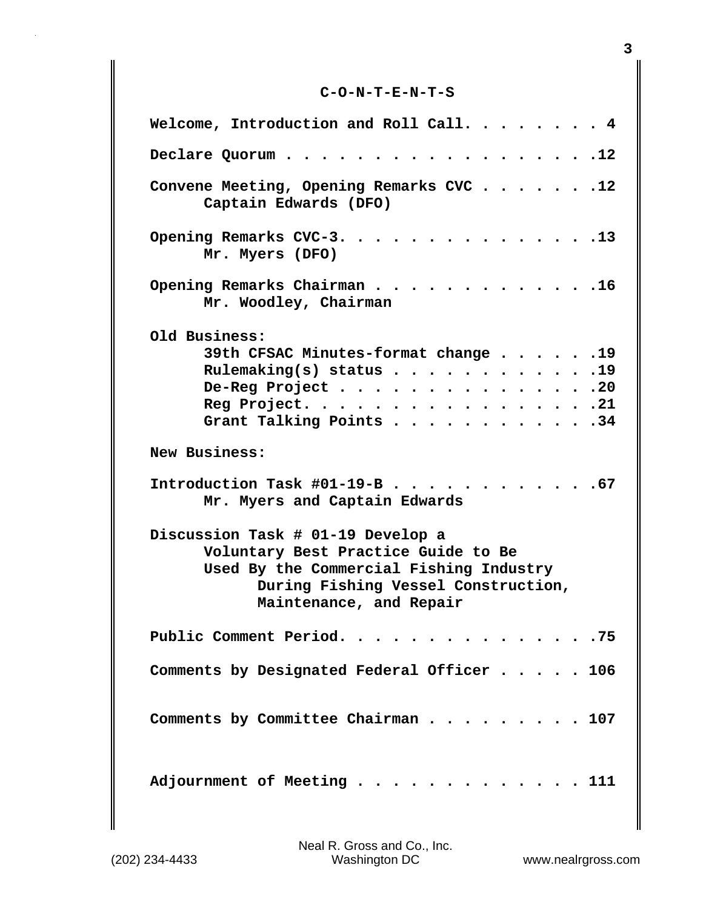## **C-O-N-T-E-N-T-S**

| Welcome, Introduction and Roll Call. $\ldots$ 4                                                                                                                                       |
|---------------------------------------------------------------------------------------------------------------------------------------------------------------------------------------|
| Declare Quorum 12                                                                                                                                                                     |
| Convene Meeting, Opening Remarks CVC 12<br>Captain Edwards (DFO)                                                                                                                      |
| Opening Remarks CVC-3. 13<br>Mr. Myers (DFO)                                                                                                                                          |
| Opening Remarks Chairman 16<br>Mr. Woodley, Chairman                                                                                                                                  |
| Old Business:                                                                                                                                                                         |
| 39th CFSAC Minutes-format change 19                                                                                                                                                   |
| Rulemaking(s) status $\cdots$ $\cdots$ $\cdots$ $\cdots$ $\cdots$ $\cdots$                                                                                                            |
| De-Reg Project 20                                                                                                                                                                     |
| Reg Project. 21                                                                                                                                                                       |
| Grant Talking Points $\cdots$ $\cdots$ $\cdots$ $\cdots$ $\cdots$ $\cdots$                                                                                                            |
| New Business:                                                                                                                                                                         |
| Introduction Task #01-19-B 67<br>Mr. Myers and Captain Edwards                                                                                                                        |
| Discussion Task # 01-19 Develop a<br>Voluntary Best Practice Guide to Be<br>Used By the Commercial Fishing Industry<br>During Fishing Vessel Construction,<br>Maintenance, and Repair |
| Public Comment Period. 75                                                                                                                                                             |
| Comments by Designated Federal Officer 106                                                                                                                                            |
| Comments by Committee Chairman 107                                                                                                                                                    |
| Adjournment of Meeting 111                                                                                                                                                            |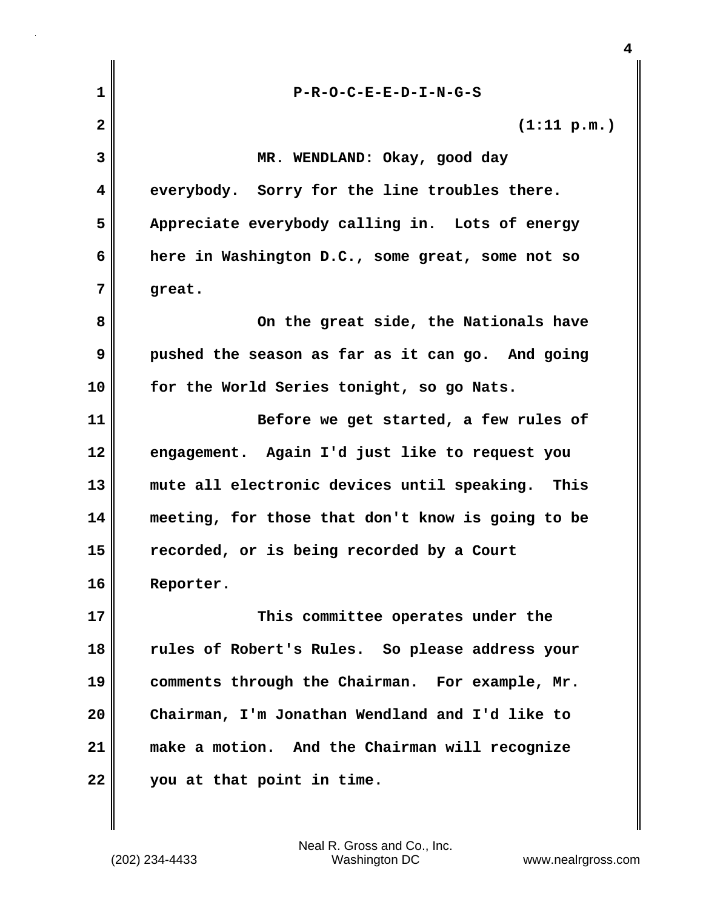| $\mathbf{1}$ | $P-R-O-C-E-E-D-I-N-G-S$                           |
|--------------|---------------------------------------------------|
| $\mathbf{2}$ | (1:11 p.m.)                                       |
| 3            | MR. WENDLAND: Okay, good day                      |
| 4            | everybody. Sorry for the line troubles there.     |
| 5            | Appreciate everybody calling in. Lots of energy   |
| 6            | here in Washington D.C., some great, some not so  |
| 7            | great.                                            |
| 8            | On the great side, the Nationals have             |
| 9            | pushed the season as far as it can go. And going  |
| 10           | for the World Series tonight, so go Nats.         |
| 11           | Before we get started, a few rules of             |
| 12           | engagement. Again I'd just like to request you    |
| 13           | mute all electronic devices until speaking. This  |
| 14           | meeting, for those that don't know is going to be |
| 15           | recorded, or is being recorded by a Court         |
| 16           | Reporter.                                         |
| 17           | This committee operates under the                 |
| 18           | rules of Robert's Rules. So please address your   |
| 19           | comments through the Chairman. For example, Mr.   |
| 20           | Chairman, I'm Jonathan Wendland and I'd like to   |
| 21           | make a motion. And the Chairman will recognize    |
| 22           | you at that point in time.                        |

 $\mathbf{I}$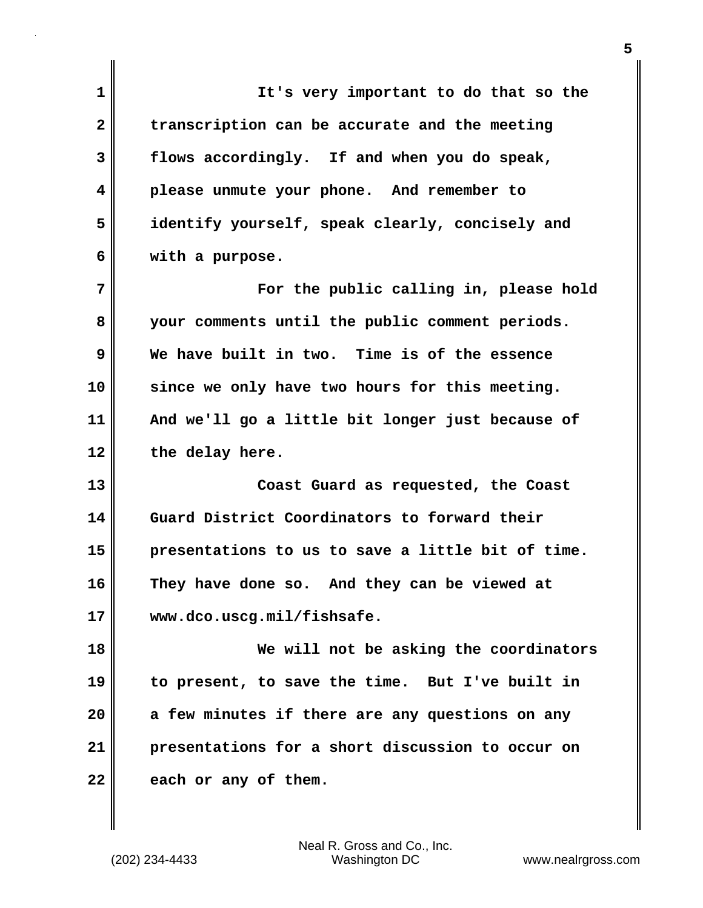**1 It's very important to do that so the 2 transcription can be accurate and the meeting 3 flows accordingly. If and when you do speak, 4 please unmute your phone. And remember to 5 identify yourself, speak clearly, concisely and 6 with a purpose. 7 For the public calling in, please hold 8 your comments until the public comment periods. 9 We have built in two. Time is of the essence 10 since we only have two hours for this meeting. 11 And we'll go a little bit longer just because of 12 the delay here. 13 Coast Guard as requested, the Coast 14 Guard District Coordinators to forward their 15 presentations to us to save a little bit of time. 16 They have done so. And they can be viewed at 17 www.dco.uscg.mil/fishsafe. 18 We will not be asking the coordinators 19 to present, to save the time. But I've built in 20 a few minutes if there are any questions on any 21 presentations for a short discussion to occur on** 22 each or any of them.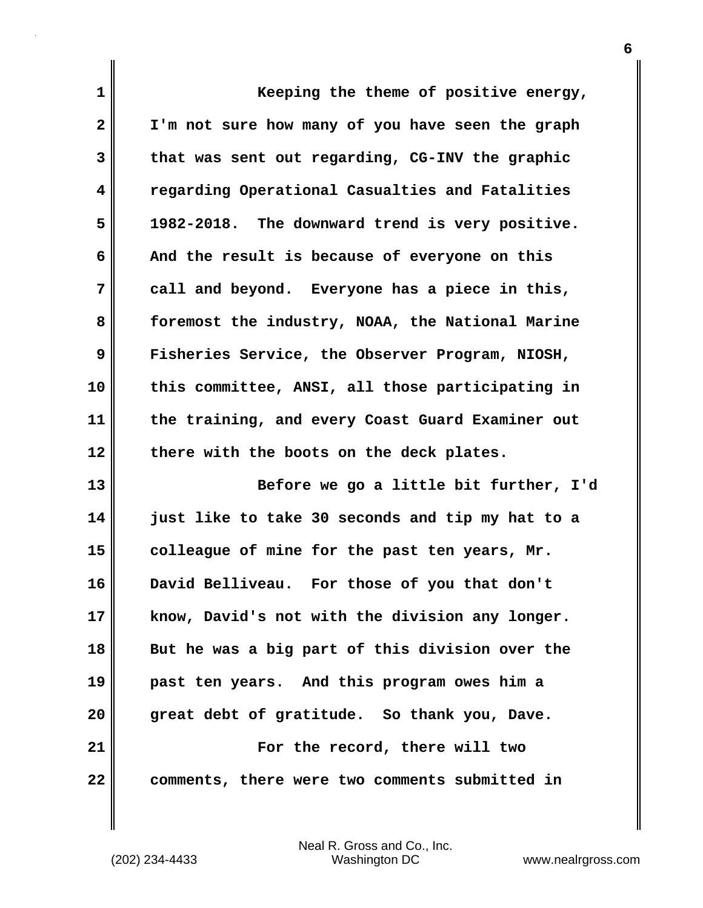| 1              | Keeping the theme of positive energy,            |
|----------------|--------------------------------------------------|
| $\overline{2}$ | I'm not sure how many of you have seen the graph |
| 3              | that was sent out regarding, CG-INV the graphic  |
| 4              | regarding Operational Casualties and Fatalities  |
| 5              | 1982-2018. The downward trend is very positive.  |
| 6              | And the result is because of everyone on this    |
| 7              | call and beyond. Everyone has a piece in this,   |
| 8              | foremost the industry, NOAA, the National Marine |
| 9              | Fisheries Service, the Observer Program, NIOSH,  |
| 10             | this committee, ANSI, all those participating in |
| 11             | the training, and every Coast Guard Examiner out |
| 12             | there with the boots on the deck plates.         |
| 13             | Before we go a little bit further, I'd           |
| 14             | just like to take 30 seconds and tip my hat to a |
| 15             | colleague of mine for the past ten years, Mr.    |
| 16             | David Belliveau. For those of you that don't     |
| 17             | know, David's not with the division any longer.  |
| 18             | But he was a big part of this division over the  |
| 19             | past ten years. And this program owes him a      |
| 20             | great debt of gratitude. So thank you, Dave.     |
| 21             | For the record, there will two                   |
| 22             | comments, there were two comments submitted in   |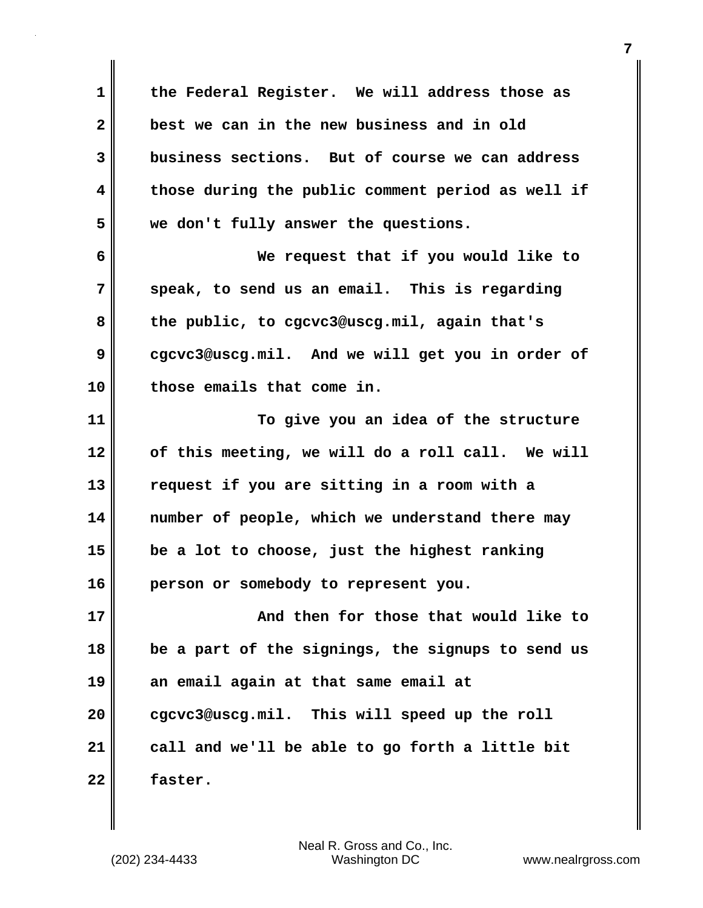**1 the Federal Register. We will address those as 2 best we can in the new business and in old 3 business sections. But of course we can address 4 those during the public comment period as well if 5 we don't fully answer the questions. 6 We request that if you would like to 7 speak, to send us an email. This is regarding 8 the public, to cgcvc3@uscg.mil, again that's 9 cgcvc3@uscg.mil. And we will get you in order of 10 those emails that come in. 11 To give you an idea of the structure 12 of this meeting, we will do a roll call. We will 13 request if you are sitting in a room with a 14 number of people, which we understand there may 15 be a lot to choose, just the highest ranking 16 person or somebody to represent you. 17 And then for those that would like to 18 be a part of the signings, the signups to send us 19 an email again at that same email at 20 cgcvc3@uscg.mil. This will speed up the roll 21 call and we'll be able to go forth a little bit 22 faster.**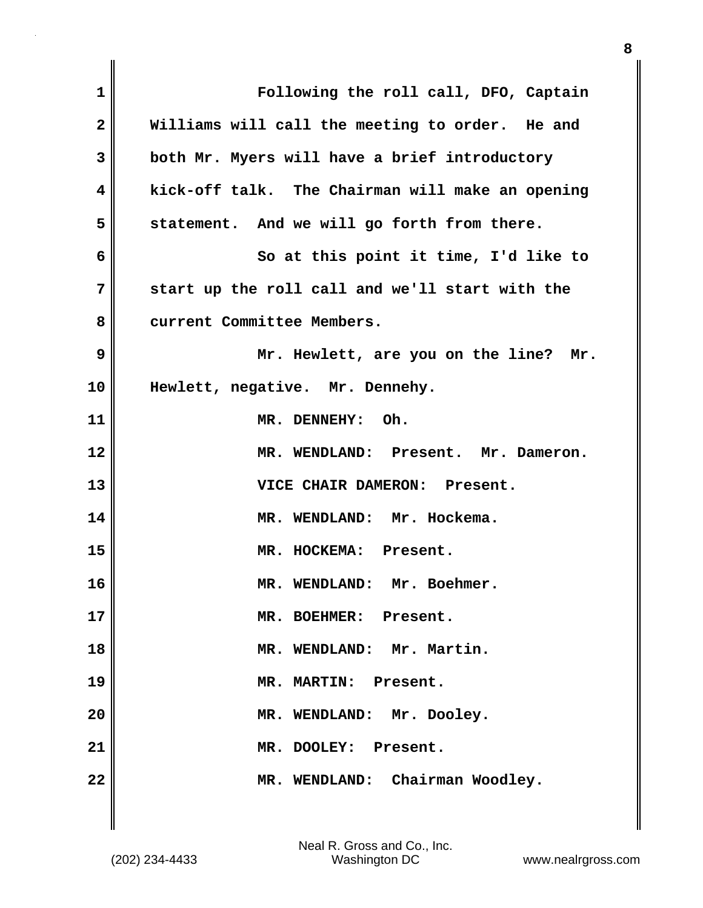| 1            | Following the roll call, DFO, Captain            |
|--------------|--------------------------------------------------|
| $\mathbf{2}$ | Williams will call the meeting to order. He and  |
| 3            | both Mr. Myers will have a brief introductory    |
| 4            | kick-off talk. The Chairman will make an opening |
| 5            | statement. And we will go forth from there.      |
| 6            | So at this point it time, I'd like to            |
| 7            | start up the roll call and we'll start with the  |
| 8            | current Committee Members.                       |
| 9            | Mr. Hewlett, are you on the line? Mr.            |
| 10           | Hewlett, negative. Mr. Dennehy.                  |
| 11           | MR. DENNEHY: Oh.                                 |
| 12           | MR. WENDLAND: Present. Mr. Dameron.              |
| 13           | VICE CHAIR DAMERON: Present.                     |
| 14           | MR. WENDLAND: Mr. Hockema.                       |
| 15           | MR. HOCKEMA: Present.                            |
| 16           | MR. WENDLAND: Mr. Boehmer.                       |
| 17           | MR. BOEHMER: Present.                            |
| 18           | MR. WENDLAND: Mr. Martin.                        |
| 19           | MR. MARTIN: Present.                             |
| 20           | MR. WENDLAND: Mr. Dooley.                        |
| 21           | MR. DOOLEY: Present.                             |
| 22           | MR. WENDLAND: Chairman Woodley.                  |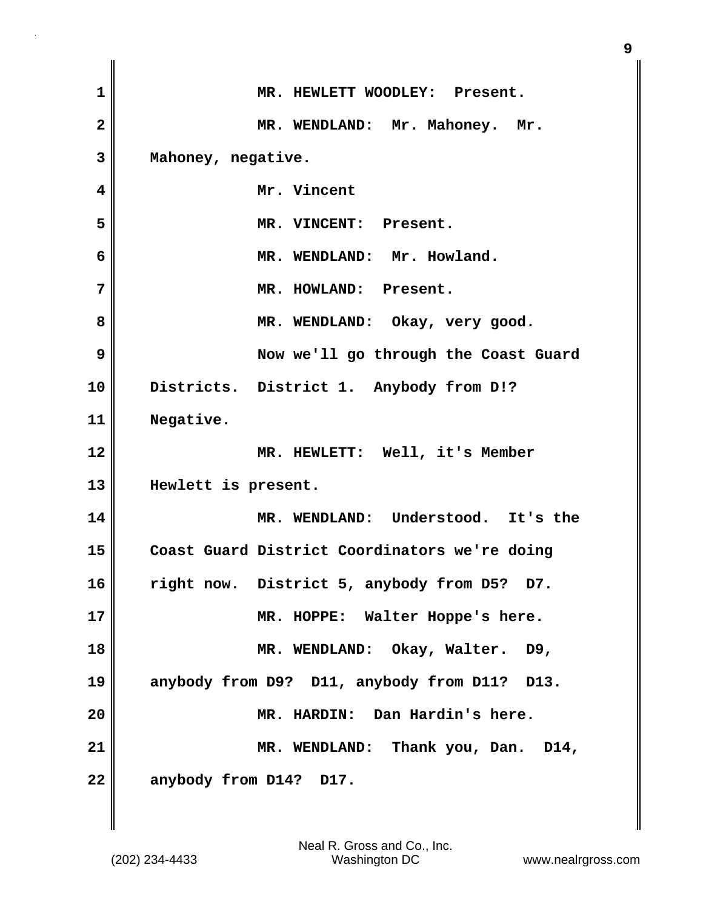| $\mathbf{1}$            | MR. HEWLETT WOODLEY: Present.                 |
|-------------------------|-----------------------------------------------|
| $\overline{\mathbf{2}}$ | MR. WENDLAND: Mr. Mahoney. Mr.                |
| 3                       | Mahoney, negative.                            |
| 4                       | Mr. Vincent                                   |
| 5                       | MR. VINCENT: Present.                         |
| 6                       | MR. WENDLAND: Mr. Howland.                    |
| 7                       | MR. HOWLAND: Present.                         |
| 8                       | MR. WENDLAND: Okay, very good.                |
| 9                       | Now we'll go through the Coast Guard          |
| 10                      | Districts. District 1. Anybody from D!?       |
| 11                      | Negative.                                     |
| 12                      | MR. HEWLETT: Well, it's Member                |
| 13                      | Hewlett is present.                           |
| 14                      | MR. WENDLAND: Understood. It's the            |
| 15                      | Coast Guard District Coordinators we're doing |
| 16                      | right now. District 5, anybody from D5? D7.   |
| 17                      | MR. HOPPE: Walter Hoppe's here.               |
| 18                      | MR. WENDLAND: Okay, Walter. D9,               |
| 19                      | anybody from D9? D11, anybody from D11? D13.  |
|                         |                                               |
| 20                      | MR. HARDIN: Dan Hardin's here.                |
| 21                      | MR. WENDLAND: Thank you, Dan. D14,            |

 $\mathbf{I}$ 

(202) 234-4433 Washington DC www.nealrgross.com Neal R. Gross and Co., Inc.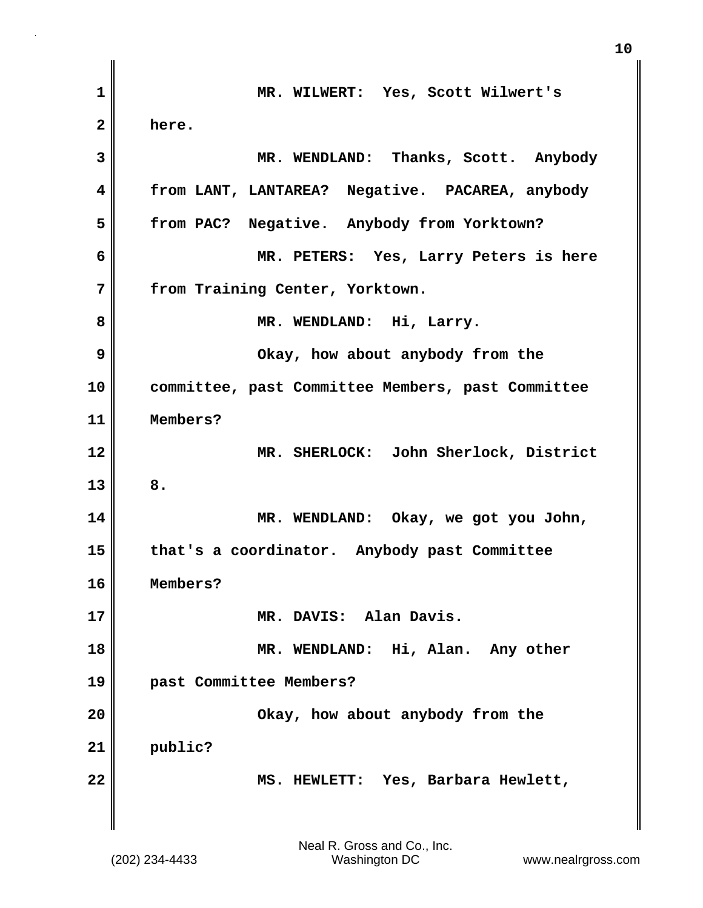| 1            | MR. WILWERT: Yes, Scott Wilwert's                 |
|--------------|---------------------------------------------------|
| $\mathbf{2}$ | here.                                             |
| 3            | MR. WENDLAND: Thanks, Scott. Anybody              |
| 4            | from LANT, LANTAREA? Negative. PACAREA, anybody   |
| 5            | from PAC? Negative. Anybody from Yorktown?        |
| 6            | MR. PETERS: Yes, Larry Peters is here             |
| 7            | from Training Center, Yorktown.                   |
| 8            | MR. WENDLAND: Hi, Larry.                          |
| 9            | Okay, how about anybody from the                  |
| 10           | committee, past Committee Members, past Committee |
| 11           | Members?                                          |
| 12           | MR. SHERLOCK: John Sherlock, District             |
| 13           | 8.                                                |
| 14           | MR. WENDLAND: Okay, we got you John,              |
| 15           | that's a coordinator. Anybody past Committee      |
| 16           | Members?                                          |
| 17           | MR. DAVIS: Alan Davis.                            |
| 18           | MR. WENDLAND: Hi, Alan. Any other                 |
| 19           | past Committee Members?                           |
| 20           | Okay, how about anybody from the                  |
| 21           | public?                                           |
| 22           | MS. HEWLETT: Yes, Barbara Hewlett,                |
|              |                                                   |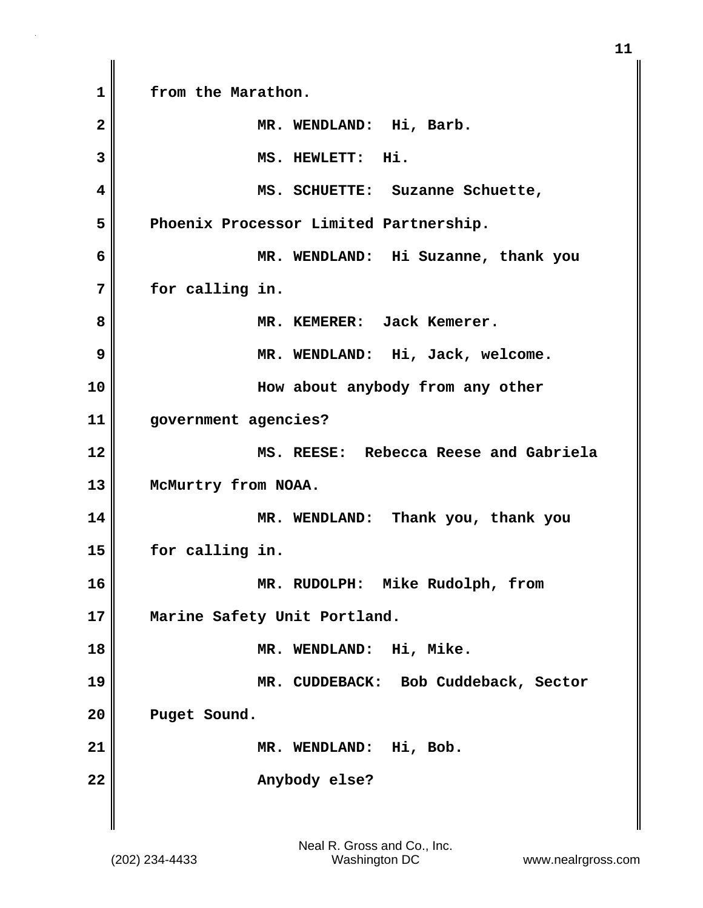**1 from the Marathon. 2 MR. WENDLAND: Hi, Barb. 3 MS. HEWLETT: Hi. 4 MS. SCHUETTE: Suzanne Schuette, 5 Phoenix Processor Limited Partnership. 6 MR. WENDLAND: Hi Suzanne, thank you 7 for calling in. 8 MR. KEMERER: Jack Kemerer. 9 MR. WENDLAND: Hi, Jack, welcome. 10 How about anybody from any other 11 government agencies? 12 MS. REESE: Rebecca Reese and Gabriela** 13 McMurtry from NOAA. **14 MR. WENDLAND: Thank you, thank you 15 for calling in. 16 MR. RUDOLPH: Mike Rudolph, from 17 Marine Safety Unit Portland. 18 MR. WENDLAND: Hi, Mike. 19 MR. CUDDEBACK: Bob Cuddeback, Sector 20 Puget Sound. 21 MR. WENDLAND: Hi, Bob.** 22 **Anybody else?**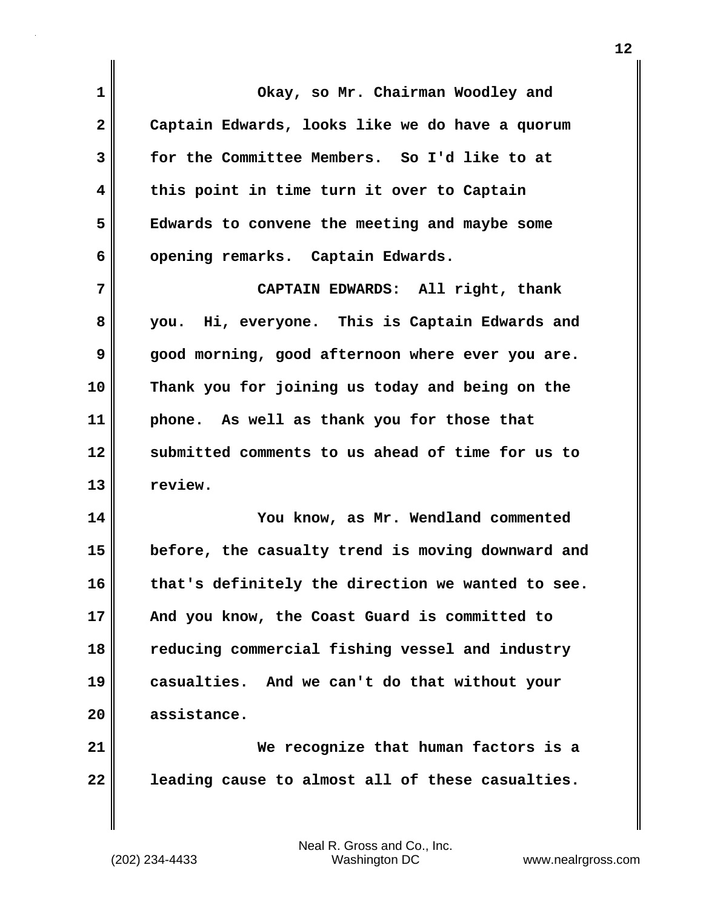| $\mathbf 1$             | Okay, so Mr. Chairman Woodley and                 |
|-------------------------|---------------------------------------------------|
| $\mathbf{2}$            | Captain Edwards, looks like we do have a quorum   |
| 3                       | for the Committee Members. So I'd like to at      |
| $\overline{\mathbf{4}}$ | this point in time turn it over to Captain        |
| 5                       | Edwards to convene the meeting and maybe some     |
| 6                       | opening remarks. Captain Edwards.                 |
| 7                       | CAPTAIN EDWARDS: All right, thank                 |
| 8                       | you. Hi, everyone. This is Captain Edwards and    |
| 9                       | good morning, good afternoon where ever you are.  |
| 10                      | Thank you for joining us today and being on the   |
| 11                      | phone. As well as thank you for those that        |
| 12                      | submitted comments to us ahead of time for us to  |
| 13                      | review.                                           |
| 14                      | You know, as Mr. Wendland commented               |
| 15                      | before, the casualty trend is moving downward and |
| 16                      | that's definitely the direction we wanted to see. |
| 17                      | And you know, the Coast Guard is committed to     |
| 18                      | reducing commercial fishing vessel and industry   |
| 19                      | casualties. And we can't do that without your     |
| 20                      | assistance.                                       |
| 21                      | We recognize that human factors is a              |
| 22                      | leading cause to almost all of these casualties.  |

 $\mathbf{I}$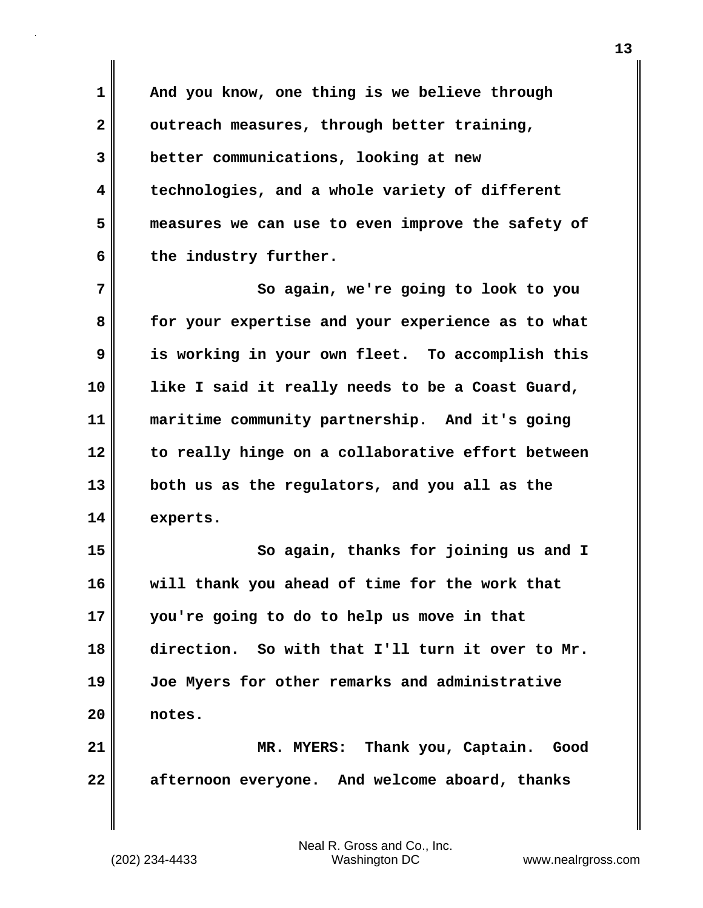**1 And you know, one thing is we believe through** 2 outreach measures, through better training, **3 better communications, looking at new 4 technologies, and a whole variety of different 5 measures we can use to even improve the safety of** 6 the industry further.

**7** So again, we're going to look to you **8 for your expertise and your experience as to what 9 is working in your own fleet. To accomplish this 10 like I said it really needs to be a Coast Guard, 11 maritime community partnership. And it's going 12 to really hinge on a collaborative effort between 13 both us as the regulators, and you all as the 14 experts.**

**15 So again, thanks for joining us and I 16 will thank you ahead of time for the work that 17 you're going to do to help us move in that 18 direction. So with that I'll turn it over to Mr. 19 Joe Myers for other remarks and administrative 20 notes.**

**21 MR. MYERS: Thank you, Captain. Good 22 afternoon everyone. And welcome aboard, thanks**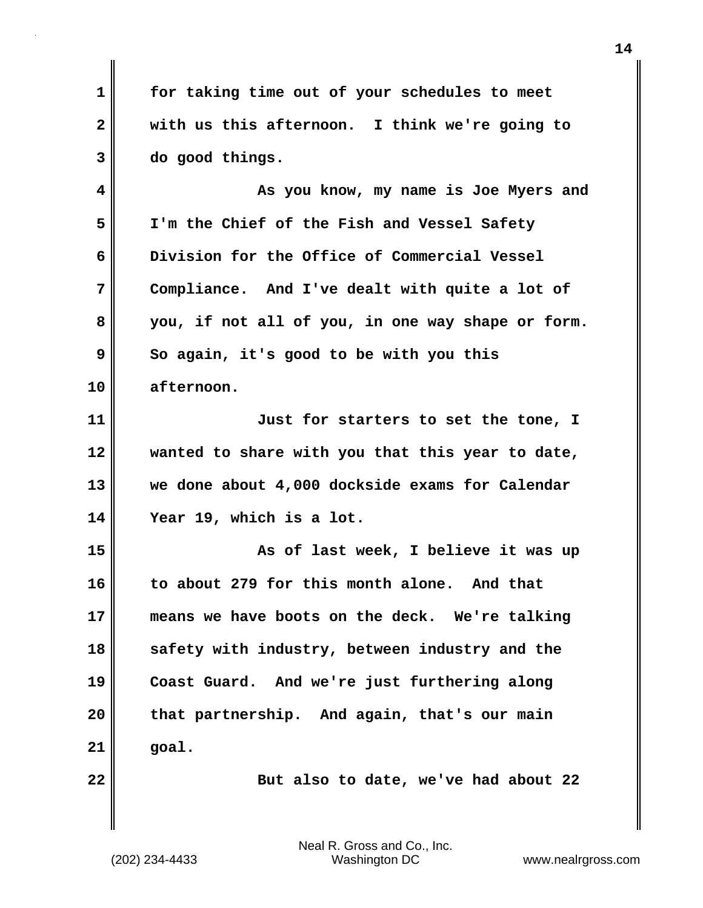**1 for taking time out of your schedules to meet 2 with us this afternoon. I think we're going to 3 do good things.**

**4 As you know, my name is Joe Myers and 5 I'm the Chief of the Fish and Vessel Safety 6 Division for the Office of Commercial Vessel 7 Compliance. And I've dealt with quite a lot of 8 you, if not all of you, in one way shape or form. 9** So again, it's good to be with you this **10 afternoon.**

**11 Just for starters to set the tone, I 12 wanted to share with you that this year to date, 13 we done about 4,000 dockside exams for Calendar 14 Year 19, which is a lot.**

**15 As of last week, I believe it was up 16 to about 279 for this month alone. And that 17 means we have boots on the deck. We're talking 18 safety with industry, between industry and the 19 Coast Guard. And we're just furthering along 20 that partnership. And again, that's our main 21 goal.**

**22 But also to date, we've had about 22**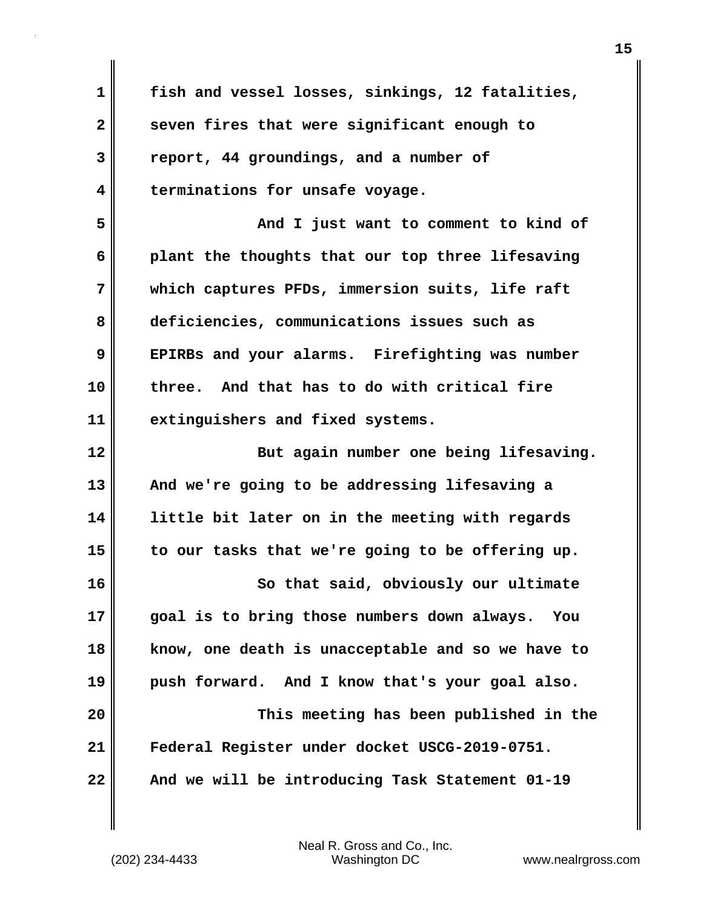**1 fish and vessel losses, sinkings, 12 fatalities, 2 seven fires that were significant enough to 3 report, 44 groundings, and a number of 4 terminations for unsafe voyage. 5 And I just want to comment to kind of 6 plant the thoughts that our top three lifesaving 7 which captures PFDs, immersion suits, life raft 8 deficiencies, communications issues such as 9 EPIRBs and your alarms. Firefighting was number 10 three. And that has to do with critical fire 11 extinguishers and fixed systems. 12 But again number one being lifesaving. 13 And we're going to be addressing lifesaving a 14 little bit later on in the meeting with regards 15 to our tasks that we're going to be offering up. 16 So that said, obviously our ultimate 17 goal is to bring those numbers down always. You 18 know, one death is unacceptable and so we have to 19 push forward. And I know that's your goal also. 20 This meeting has been published in the 21 Federal Register under docket USCG-2019-0751. 22 And we will be introducing Task Statement 01-19**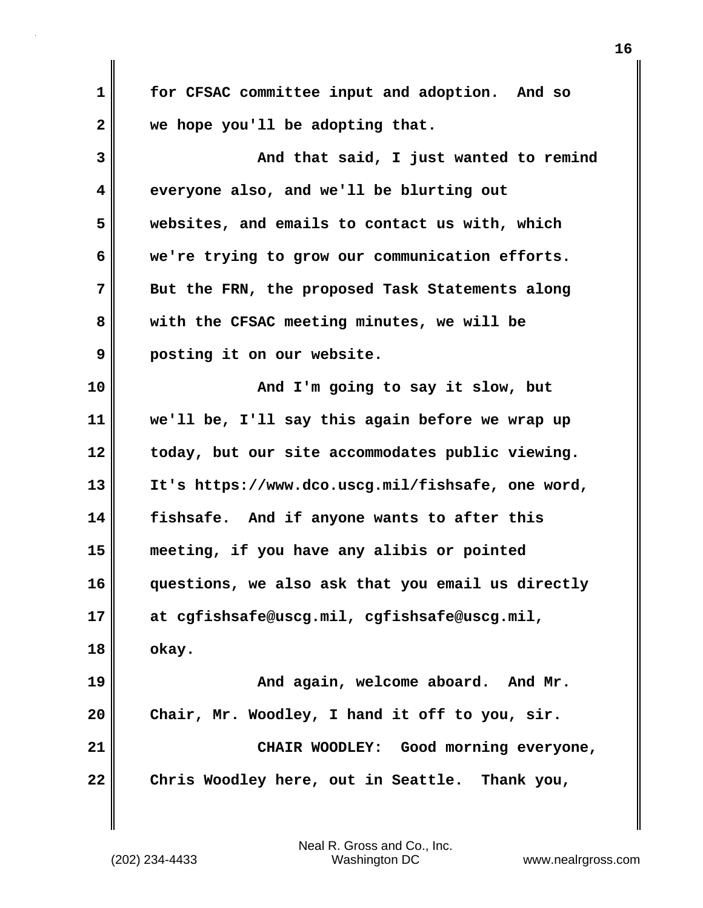**1 for CFSAC committee input and adoption. And so 2 we hope you'll be adopting that. 3** And that said, I just wanted to remind **4 everyone also, and we'll be blurting out 5 websites, and emails to contact us with, which 6 we're trying to grow our communication efforts. 7 But the FRN, the proposed Task Statements along 8 with the CFSAC meeting minutes, we will be 9 posting it on our website.** 10 || **10 || And I'm going to say it slow, but 11 we'll be, I'll say this again before we wrap up 12 today, but our site accommodates public viewing. 13 It's https://www.dco.uscg.mil/fishsafe, one word, 14 fishsafe. And if anyone wants to after this 15 meeting, if you have any alibis or pointed 16 questions, we also ask that you email us directly 17 at cgfishsafe@uscg.mil, cgfishsafe@uscg.mil, 18 okay. 19 And again, welcome aboard. And Mr. 20 Chair, Mr. Woodley, I hand it off to you, sir. 21 CHAIR WOODLEY: Good morning everyone, 22 Chris Woodley here, out in Seattle. Thank you,**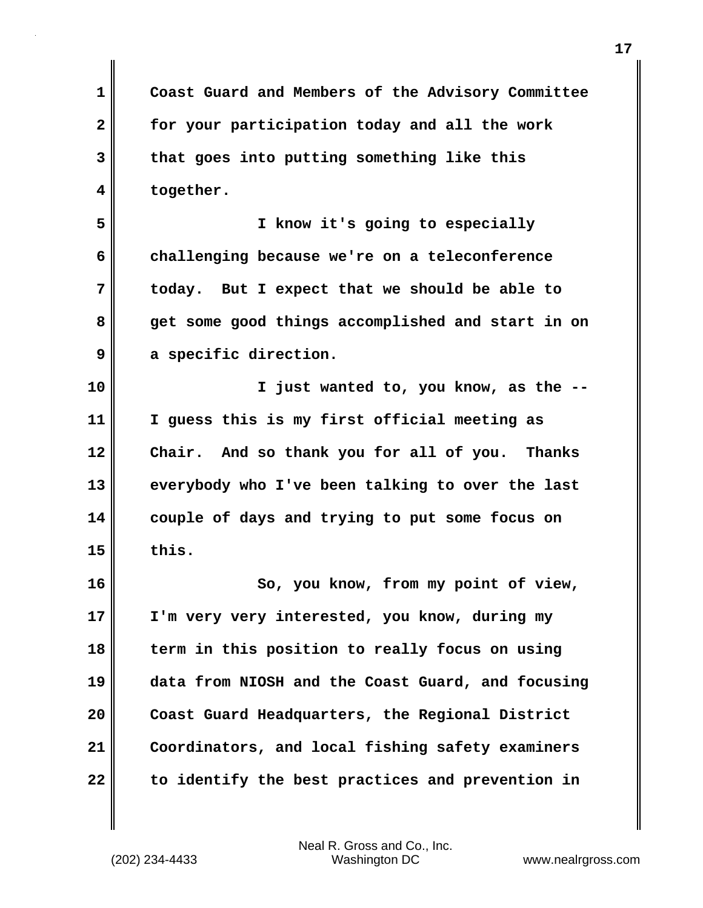**1 Coast Guard and Members of the Advisory Committee 2 for your participation today and all the work 3 that goes into putting something like this 4 together.**

**5 I know it's going to especially 6 challenging because we're on a teleconference 7 today. But I expect that we should be able to 8 get some good things accomplished and start in on 9 a specific direction.**

**10 I just wanted to, you know, as the -- 11 I guess this is my first official meeting as 12 Chair. And so thank you for all of you. Thanks 13 everybody who I've been talking to over the last 14 couple of days and trying to put some focus on 15 this.**

**16 So, you know, from my point of view, 17 I'm very very interested, you know, during my 18 term in this position to really focus on using 19 data from NIOSH and the Coast Guard, and focusing 20 Coast Guard Headquarters, the Regional District 21 Coordinators, and local fishing safety examiners 22 to identify the best practices and prevention in**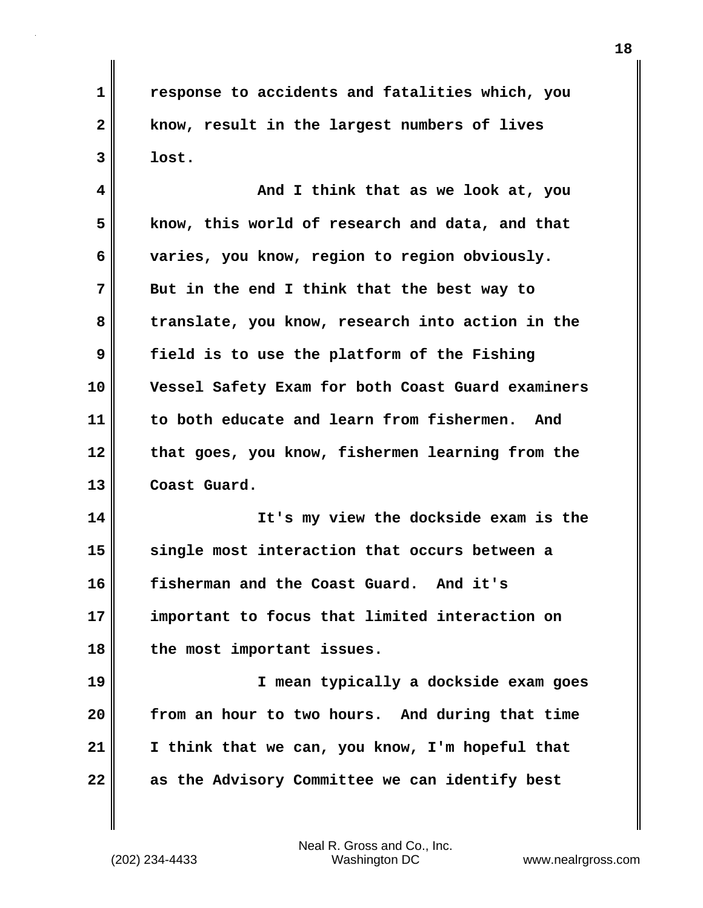**1 response to accidents and fatalities which, you 2 know, result in the largest numbers of lives 3 lost.**

**4 And I think that as we look at, you 5 know, this world of research and data, and that 6 varies, you know, region to region obviously. 7 But in the end I think that the best way to 8 translate, you know, research into action in the 9 field is to use the platform of the Fishing 10 Vessel Safety Exam for both Coast Guard examiners 11 to both educate and learn from fishermen. And 12 that goes, you know, fishermen learning from the 13 Coast Guard.**

**14 It's my view the dockside exam is the 15 single most interaction that occurs between a 16 fisherman and the Coast Guard. And it's 17 important to focus that limited interaction on 18 the most important issues.**

**19 I mean typically a dockside exam goes 20 from an hour to two hours. And during that time 21 I think that we can, you know, I'm hopeful that 22 as the Advisory Committee we can identify best**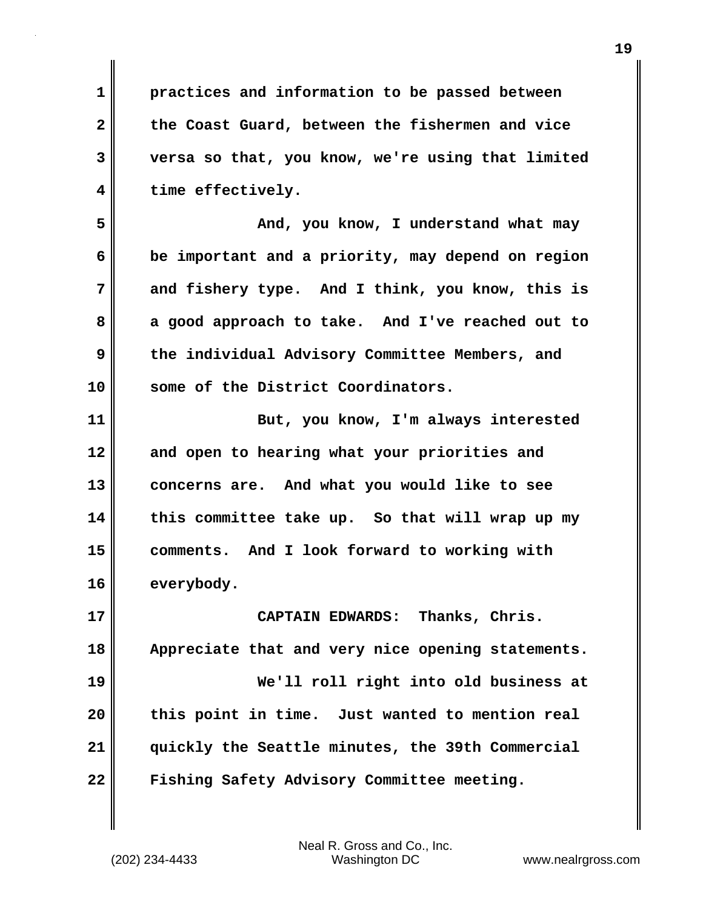**1 practices and information to be passed between 2 the Coast Guard, between the fishermen and vice 3 versa so that, you know, we're using that limited 4 time effectively.**

**5 And, you know, I understand what may 6 be important and a priority, may depend on region 7 and fishery type. And I think, you know, this is 8 a good approach to take. And I've reached out to 9 the individual Advisory Committee Members, and 10 some of the District Coordinators.**

**11 But, you know, I'm always interested 12 and open to hearing what your priorities and 13 concerns are. And what you would like to see 14 this committee take up. So that will wrap up my 15 comments. And I look forward to working with 16 everybody.**

**17 CAPTAIN EDWARDS: Thanks, Chris. 18 Appreciate that and very nice opening statements. 19 We'll roll right into old business at 20 this point in time. Just wanted to mention real 21 quickly the Seattle minutes, the 39th Commercial 22 Fishing Safety Advisory Committee meeting.**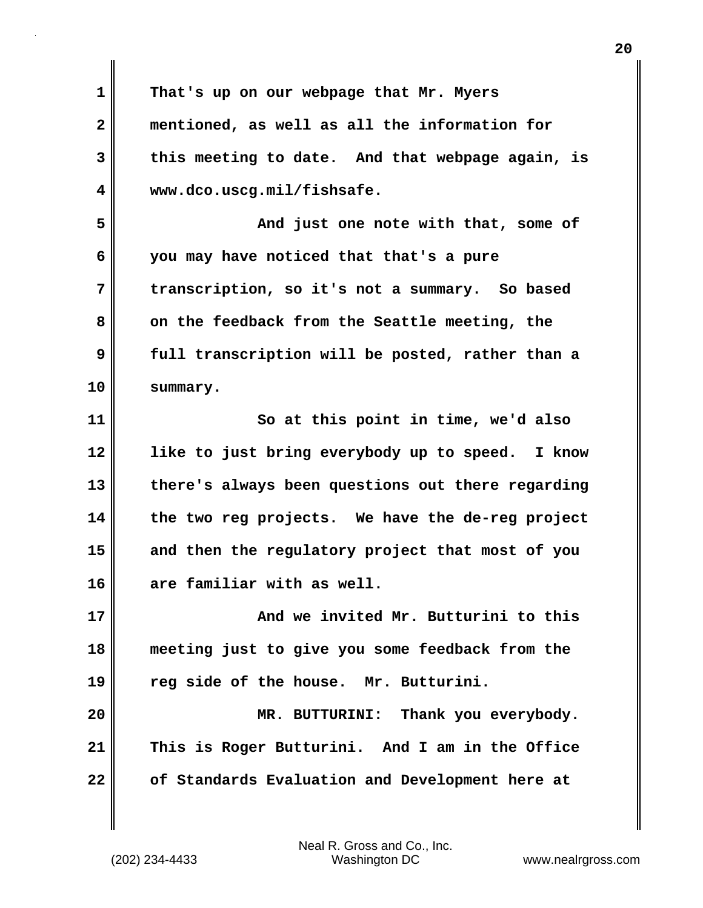**1 That's up on our webpage that Mr. Myers 2 mentioned, as well as all the information for 3 this meeting to date. And that webpage again, is 4 www.dco.uscg.mil/fishsafe. 5 And just one note with that, some of 6 you may have noticed that that's a pure 7 transcription, so it's not a summary. So based** 8 on the feedback from the Seattle meeting, the **9 full transcription will be posted, rather than a 10 summary. 11 So at this point in time, we'd also 12 like to just bring everybody up to speed. I know 13 there's always been questions out there regarding 14 the two reg projects. We have the de-reg project 15 and then the regulatory project that most of you 16 are familiar with as well. 17 And we invited Mr. Butturini to this 18 meeting just to give you some feedback from the 19 reg side of the house. Mr. Butturini. 20 MR. BUTTURINI: Thank you everybody. 21 This is Roger Butturini. And I am in the Office 22 of Standards Evaluation and Development here at**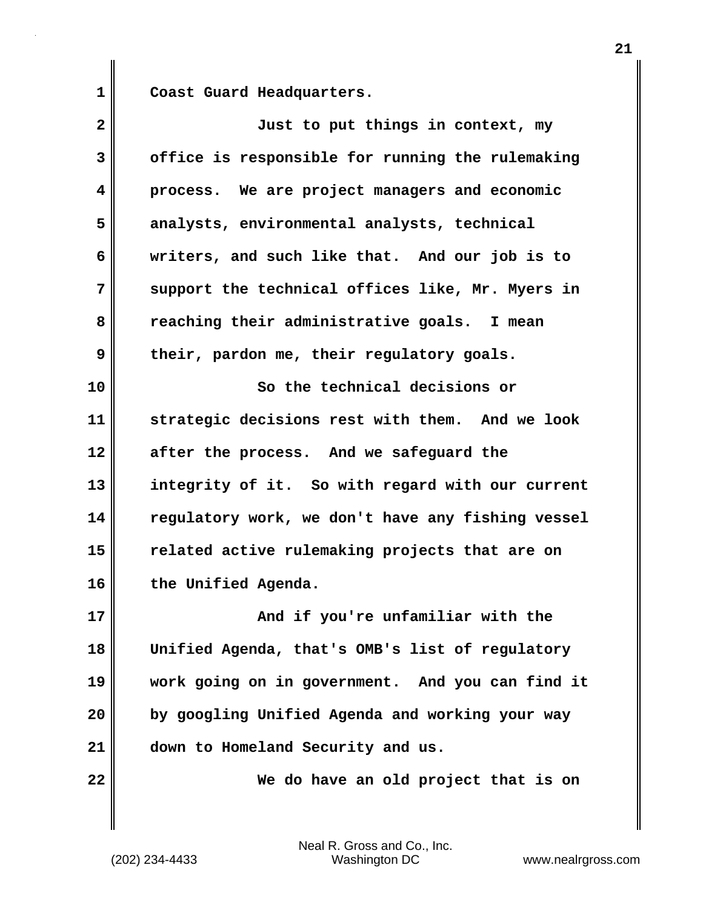**1 Coast Guard Headquarters.**

| $\mathbf{2}$ | Just to put things in context, my                 |
|--------------|---------------------------------------------------|
| 3            | office is responsible for running the rulemaking  |
| 4            | process. We are project managers and economic     |
| 5            | analysts, environmental analysts, technical       |
| 6            | writers, and such like that. And our job is to    |
| 7            | support the technical offices like, Mr. Myers in  |
| 8            | reaching their administrative goals. I mean       |
| 9            | their, pardon me, their regulatory goals.         |
| 10           | So the technical decisions or                     |
| 11           | strategic decisions rest with them. And we look   |
| 12           | after the process. And we safeguard the           |
| 13           | integrity of it. So with regard with our current  |
| 14           | regulatory work, we don't have any fishing vessel |
| 15           | related active rulemaking projects that are on    |
| 16           | the Unified Agenda.                               |
| 17           | And if you're unfamiliar with the                 |
| 18           | Unified Agenda, that's OMB's list of regulatory   |
| 19           | work going on in government. And you can find it  |
| 20           | by googling Unified Agenda and working your way   |
| 21           | down to Homeland Security and us.                 |
| 22           | We do have an old project that is on              |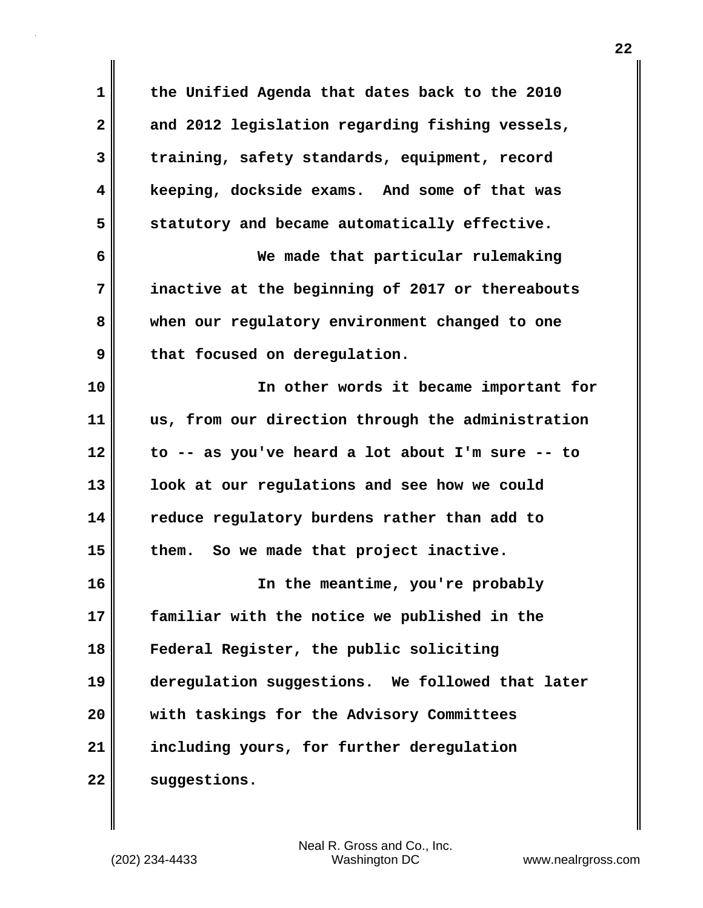**1 the Unified Agenda that dates back to the 2010 2 and 2012 legislation regarding fishing vessels, 3 training, safety standards, equipment, record 4 keeping, dockside exams. And some of that was 5 statutory and became automatically effective. 6 We made that particular rulemaking 7 inactive at the beginning of 2017 or thereabouts 8 when our regulatory environment changed to one 9 that focused on deregulation. 10 In other words it became important for 11 us, from our direction through the administration 12 to -- as you've heard a lot about I'm sure -- to 13 look at our regulations and see how we could 14 reduce regulatory burdens rather than add to 15 them. So we made that project inactive. 16 In the meantime, you're probably 17 familiar with the notice we published in the 18 Federal Register, the public soliciting 19 deregulation suggestions. We followed that later 20 with taskings for the Advisory Committees 21 including yours, for further deregulation 22 suggestions.**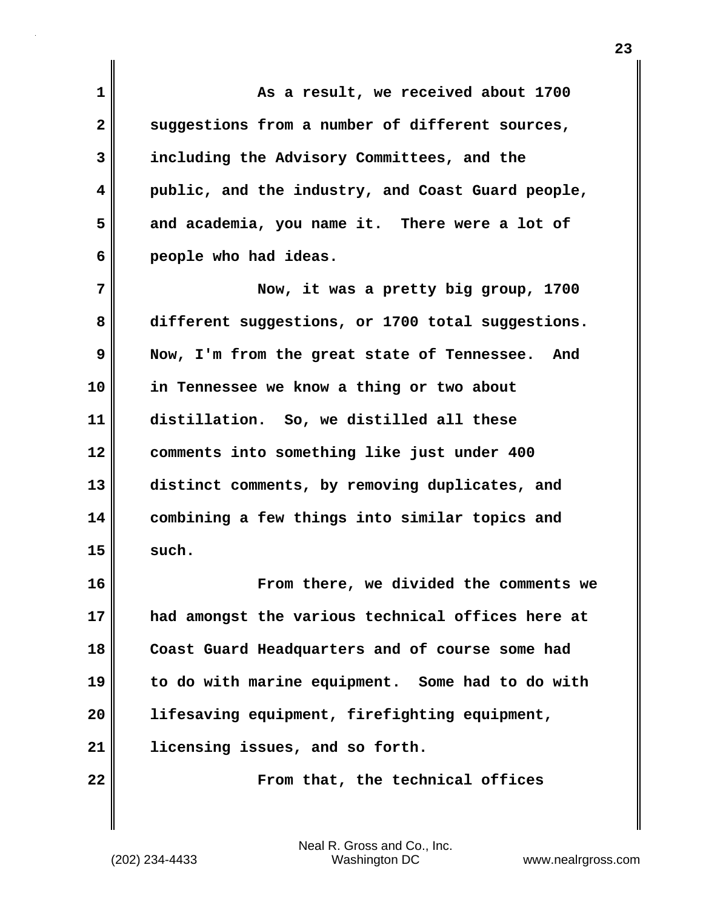**1 As a result, we received about 1700 2 suggestions from a number of different sources, 3 including the Advisory Committees, and the 4 public, and the industry, and Coast Guard people, 5 and academia, you name it. There were a lot of 6 people who had ideas. 7 Now, it was a pretty big group, 1700 8 different suggestions, or 1700 total suggestions. 9 Now, I'm from the great state of Tennessee. And 10 in Tennessee we know a thing or two about 11 distillation. So, we distilled all these 12 comments into something like just under 400 13 distinct comments, by removing duplicates, and 14 combining a few things into similar topics and**  $15 \parallel$  such. **16 From there, we divided the comments we 17 had amongst the various technical offices here at 18 Coast Guard Headquarters and of course some had 19 to do with marine equipment. Some had to do with 20 lifesaving equipment, firefighting equipment, 21 licensing issues, and so forth.**

**22 From that, the technical offices**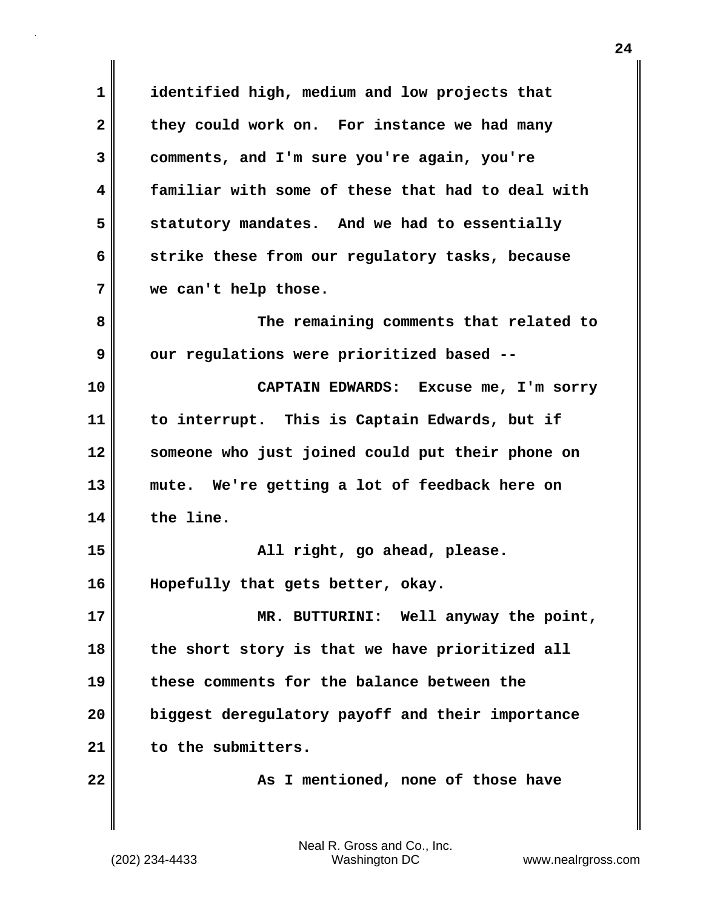**1 identified high, medium and low projects that 2 they could work on. For instance we had many 3 comments, and I'm sure you're again, you're 4 familiar with some of these that had to deal with 5 statutory mandates. And we had to essentially 6 strike these from our regulatory tasks, because 7 we can't help those. 8 The remaining comments that related to** 9 our regulations were prioritized based --**10 CAPTAIN EDWARDS: Excuse me, I'm sorry 11 to interrupt. This is Captain Edwards, but if 12 someone who just joined could put their phone on 13 mute. We're getting a lot of feedback here on 14 the line. 15 All right, go ahead, please. 16 Hopefully that gets better, okay. 17 MR. BUTTURINI: Well anyway the point, 18 the short story is that we have prioritized all 19 these comments for the balance between the 20 biggest deregulatory payoff and their importance 21 to the submitters. 22 As I mentioned, none of those have**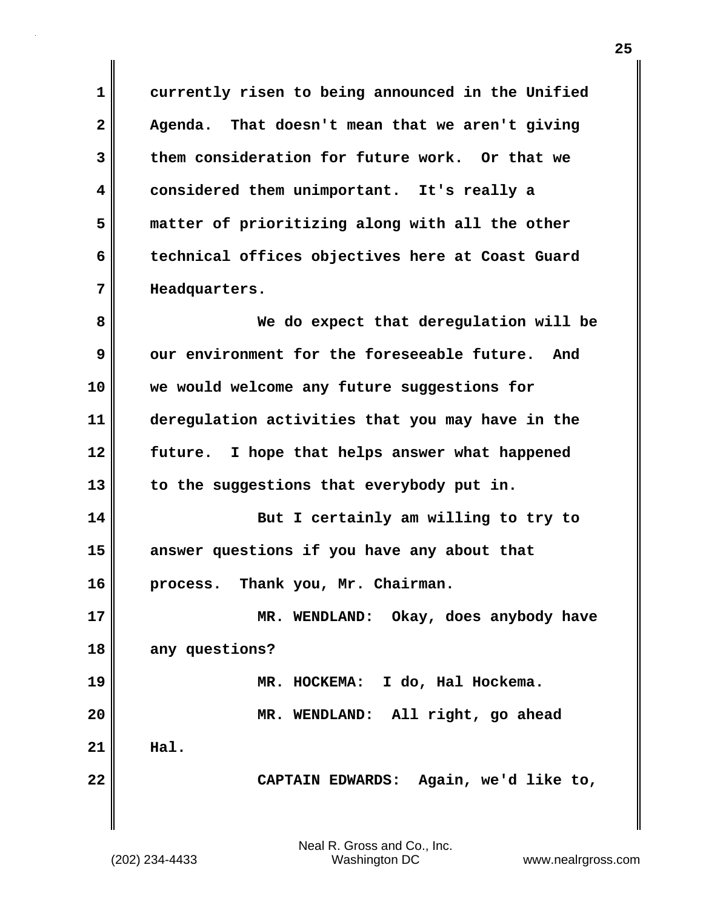**1 currently risen to being announced in the Unified 2 Agenda. That doesn't mean that we aren't giving 3 them consideration for future work. Or that we 4 considered them unimportant. It's really a 5 matter of prioritizing along with all the other 6 technical offices objectives here at Coast Guard 7 Headquarters. 8 We do expect that deregulation will be 9** our environment for the foreseeable future. And **10 we would welcome any future suggestions for 11 deregulation activities that you may have in the 12 future. I hope that helps answer what happened 13 to the suggestions that everybody put in. 14 But I certainly am willing to try to 15 answer questions if you have any about that 16 process. Thank you, Mr. Chairman. 17 MR. WENDLAND: Okay, does anybody have 18 any questions? 19 MR. HOCKEMA: I do, Hal Hockema. 20 MR. WENDLAND: All right, go ahead 21 Hal. 22 CAPTAIN EDWARDS: Again, we'd like to,**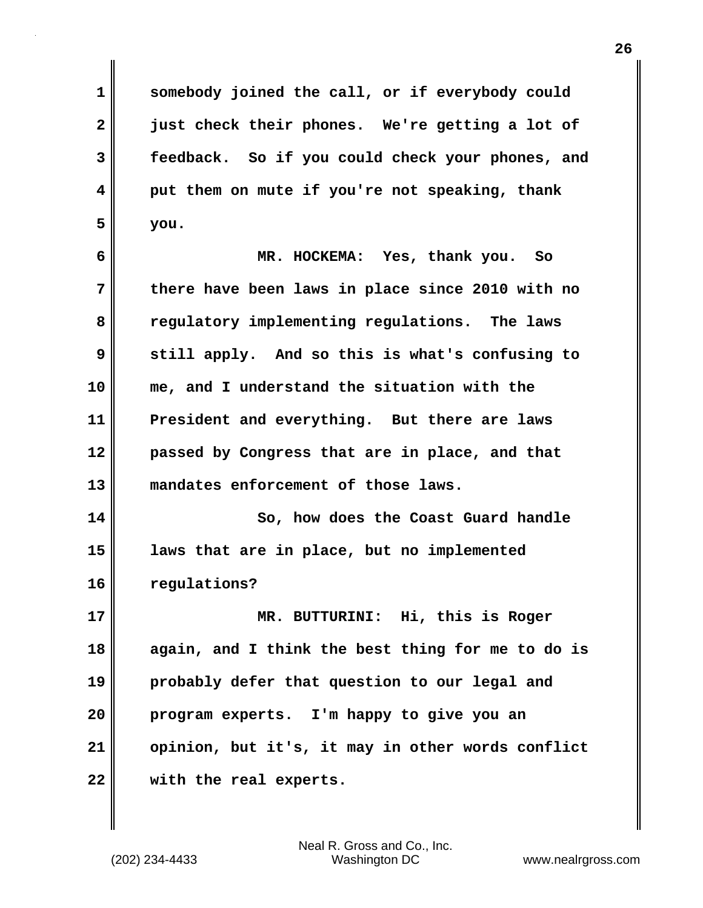**1 somebody joined the call, or if everybody could 2 just check their phones. We're getting a lot of 3 feedback. So if you could check your phones, and 4 put them on mute if you're not speaking, thank 5 you.**

**6 MR. HOCKEMA: Yes, thank you. So 7 there have been laws in place since 2010 with no 8 regulatory implementing regulations. The laws 9 still apply. And so this is what's confusing to 10 me, and I understand the situation with the 11 President and everything. But there are laws 12 passed by Congress that are in place, and that 13 mandates enforcement of those laws.**

**14 So, how does the Coast Guard handle 15 laws that are in place, but no implemented 16 regulations?**

**17 MR. BUTTURINI: Hi, this is Roger 18 again, and I think the best thing for me to do is 19 probably defer that question to our legal and 20 program experts. I'm happy to give you an 21 opinion, but it's, it may in other words conflict 22 with the real experts.**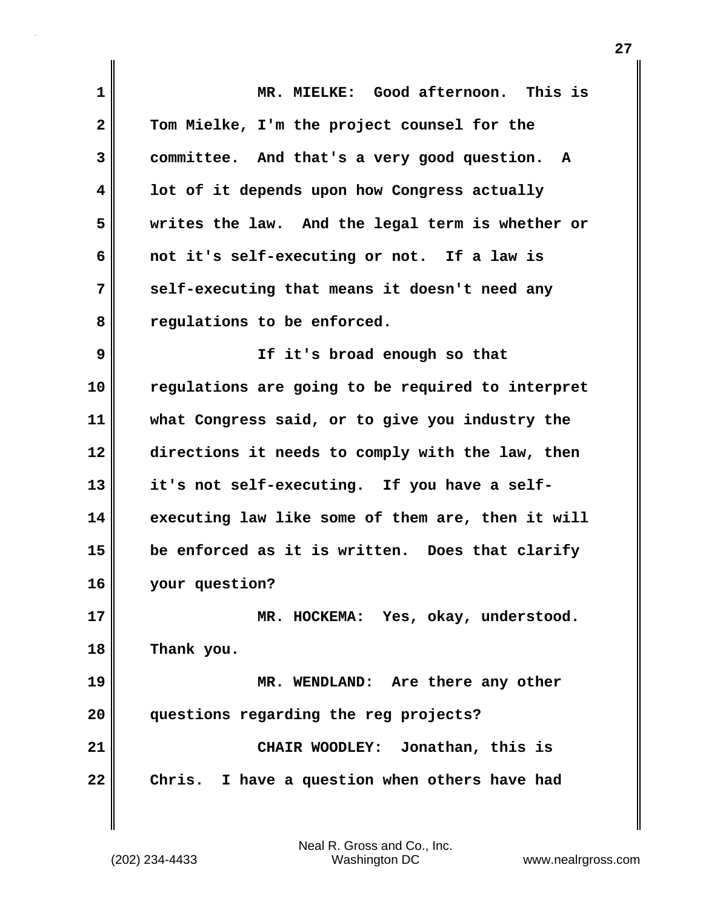| $\mathbf 1$  | MR. MIELKE: Good afternoon. This is               |
|--------------|---------------------------------------------------|
| $\mathbf{2}$ | Tom Mielke, I'm the project counsel for the       |
| 3            | committee. And that's a very good question. A     |
| 4            | lot of it depends upon how Congress actually      |
| 5            | writes the law. And the legal term is whether or  |
| 6            | not it's self-executing or not. If a law is       |
| 7            | self-executing that means it doesn't need any     |
| 8            | regulations to be enforced.                       |
| 9            | If it's broad enough so that                      |
| 10           | regulations are going to be required to interpret |
| 11           | what Congress said, or to give you industry the   |
| 12           | directions it needs to comply with the law, then  |
| 13           | it's not self-executing. If you have a self-      |
| 14           | executing law like some of them are, then it will |
| 15           | be enforced as it is written. Does that clarify   |
| 16           | your question?                                    |
| 17           | MR. HOCKEMA: Yes, okay, understood.               |
| 18           | Thank you.                                        |
| 19           | MR. WENDLAND: Are there any other                 |
| 20           | questions regarding the reg projects?             |
| 21           | CHAIR WOODLEY: Jonathan, this is                  |
| 22           | Chris. I have a question when others have had     |
|              |                                                   |

 $\mathsf I$ 

 $\mathbf{I}$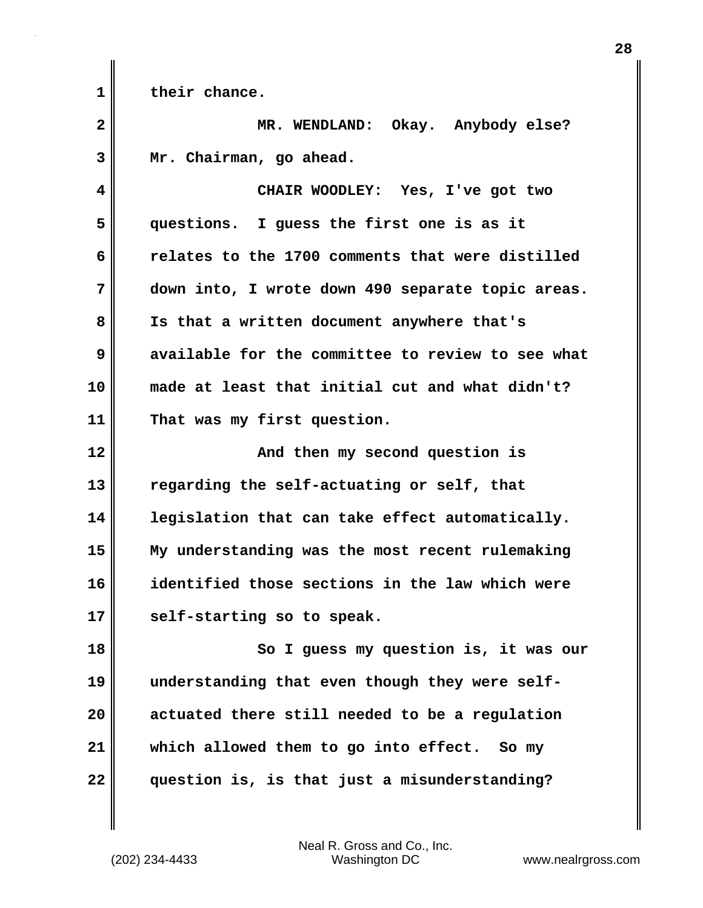**1 their chance.**

**2 MR. WENDLAND: Okay. Anybody else? 3 Mr. Chairman, go ahead.**

**4 CHAIR WOODLEY: Yes, I've got two 5 questions. I guess the first one is as it 6 relates to the 1700 comments that were distilled 7 down into, I wrote down 490 separate topic areas. 8 Is that a written document anywhere that's 9 available for the committee to review to see what 10 made at least that initial cut and what didn't? 11 That was my first question.**

**12 And then my second question is 13 regarding the self-actuating or self, that 14 legislation that can take effect automatically. 15 My understanding was the most recent rulemaking 16 identified those sections in the law which were 17 self-starting so to speak.**

**18 So I guess my question is, it was our 19 understanding that even though they were self-20 actuated there still needed to be a regulation 21 which allowed them to go into effect. So my 22 question is, is that just a misunderstanding?**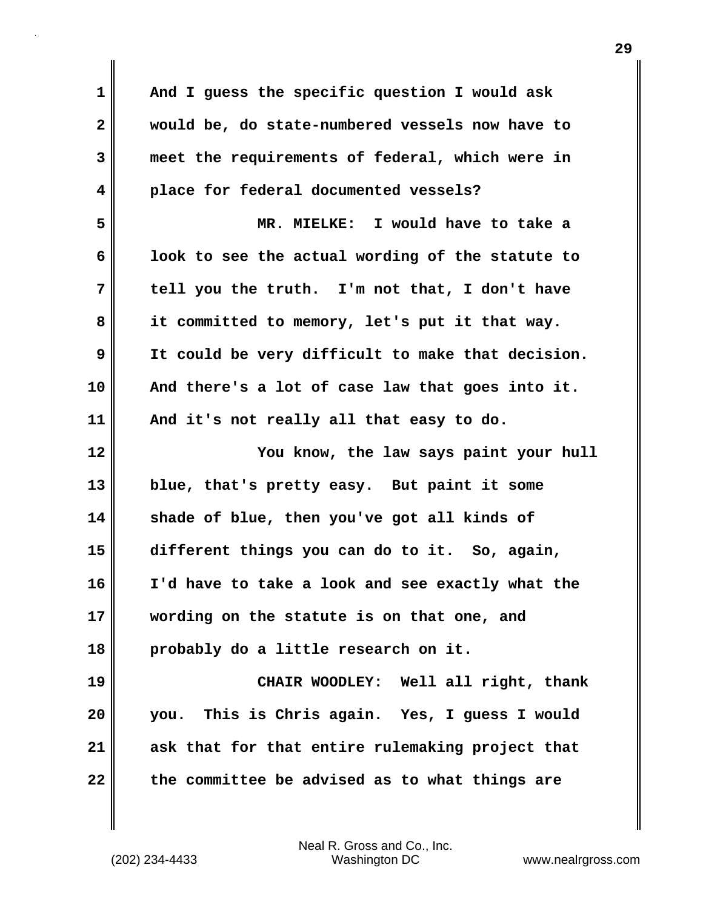| $\mathbf 1$  | And I guess the specific question I would ask     |
|--------------|---------------------------------------------------|
| $\mathbf{2}$ | would be, do state-numbered vessels now have to   |
| 3            | meet the requirements of federal, which were in   |
| 4            | place for federal documented vessels?             |
| 5            | MR. MIELKE: I would have to take a                |
| 6            | look to see the actual wording of the statute to  |
| 7            | tell you the truth. I'm not that, I don't have    |
| 8            | it committed to memory, let's put it that way.    |
| 9            | It could be very difficult to make that decision. |
| 10           | And there's a lot of case law that goes into it.  |
| 11           | And it's not really all that easy to do.          |
|              |                                                   |
| 12           | You know, the law says paint your hull            |
| 13           | blue, that's pretty easy. But paint it some       |
| 14           | shade of blue, then you've got all kinds of       |
| 15           | different things you can do to it. So, again,     |
| 16           | I'd have to take a look and see exactly what the  |
| 17           | wording on the statute is on that one, and        |
| 18           | probably do a little research on it.              |
| 19           | CHAIR WOODLEY: Well all right, thank              |
| 20           | This is Chris again. Yes, I guess I would<br>you. |
| 21           | ask that for that entire rulemaking project that  |

(202) 234-4433 Washington DC www.nealrgross.com Neal R. Gross and Co., Inc.

 $\mathbf{l}$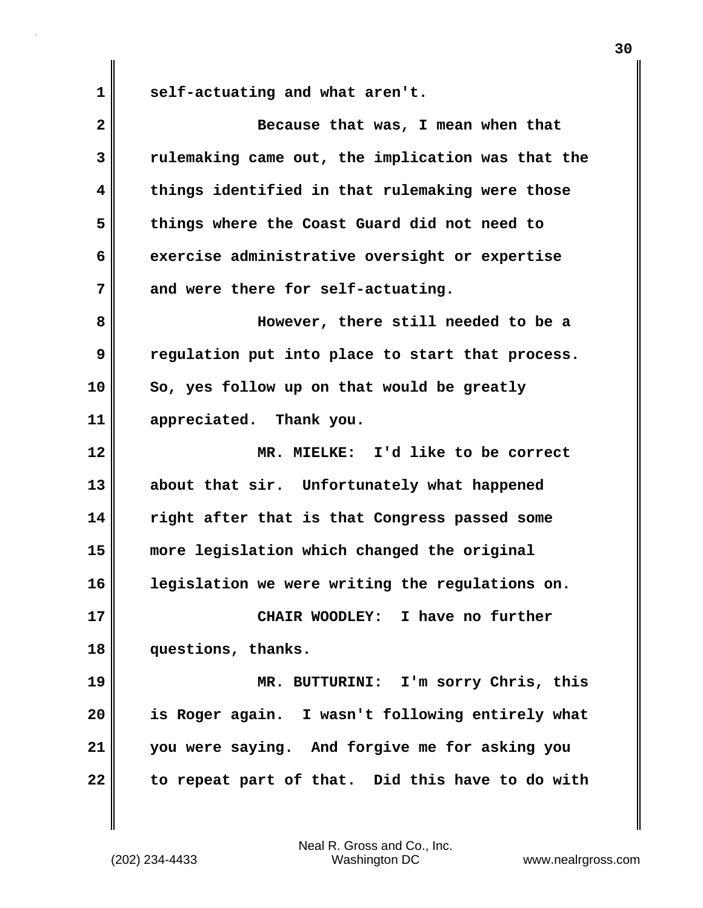1 self-actuating and what aren't.

| $\mathbf{2}$ | Because that was, I mean when that                |
|--------------|---------------------------------------------------|
| 3            | rulemaking came out, the implication was that the |
| 4            | things identified in that rulemaking were those   |
| 5            | things where the Coast Guard did not need to      |
| 6            | exercise administrative oversight or expertise    |
| 7            | and were there for self-actuating.                |
| 8            | However, there still needed to be a               |
| 9            | regulation put into place to start that process.  |
| 10           | So, yes follow up on that would be greatly        |
| 11           | appreciated. Thank you.                           |
| 12           | MR. MIELKE: I'd like to be correct                |
| 13           | about that sir. Unfortunately what happened       |
| 14           | right after that is that Congress passed some     |
| 15           | more legislation which changed the original       |
| 16           | legislation we were writing the regulations on.   |
| 17           | CHAIR WOODLEY: I have no further                  |
| 18           | questions, thanks.                                |
| 19           | MR. BUTTURINI: I'm sorry Chris, this              |
| 20           | is Roger again. I wasn't following entirely what  |
| 21           | you were saying. And forgive me for asking you    |
| 22           | to repeat part of that. Did this have to do with  |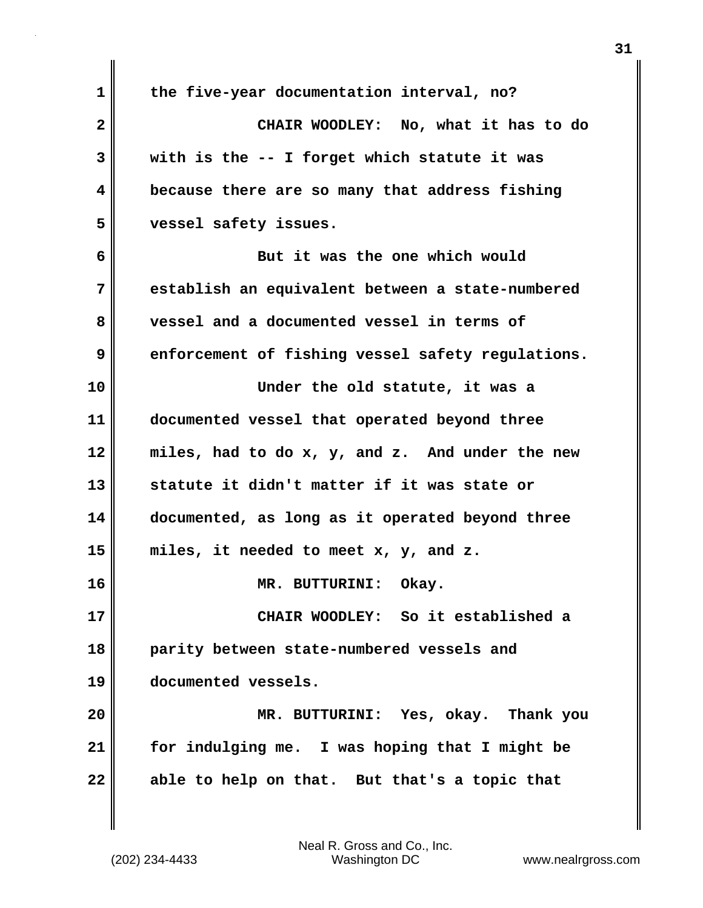**1 the five-year documentation interval, no? 2 CHAIR WOODLEY: No, what it has to do 3 with is the -- I forget which statute it was 4 because there are so many that address fishing 5 vessel safety issues. 6 But it was the one which would 7 establish an equivalent between a state-numbered 8 vessel and a documented vessel in terms of 9** enforcement of fishing vessel safety regulations. **10 Under the old statute, it was a 11 documented vessel that operated beyond three 12 miles, had to do x, y, and z. And under the new 13 statute it didn't matter if it was state or 14 documented, as long as it operated beyond three 15 miles, it needed to meet x, y, and z. 16 MR. BUTTURINI: Okay. 17 CHAIR WOODLEY: So it established a 18 parity between state-numbered vessels and 19 documented vessels. 20 MR. BUTTURINI: Yes, okay. Thank you 21 for indulging me. I was hoping that I might be 22 able to help on that. But that's a topic that**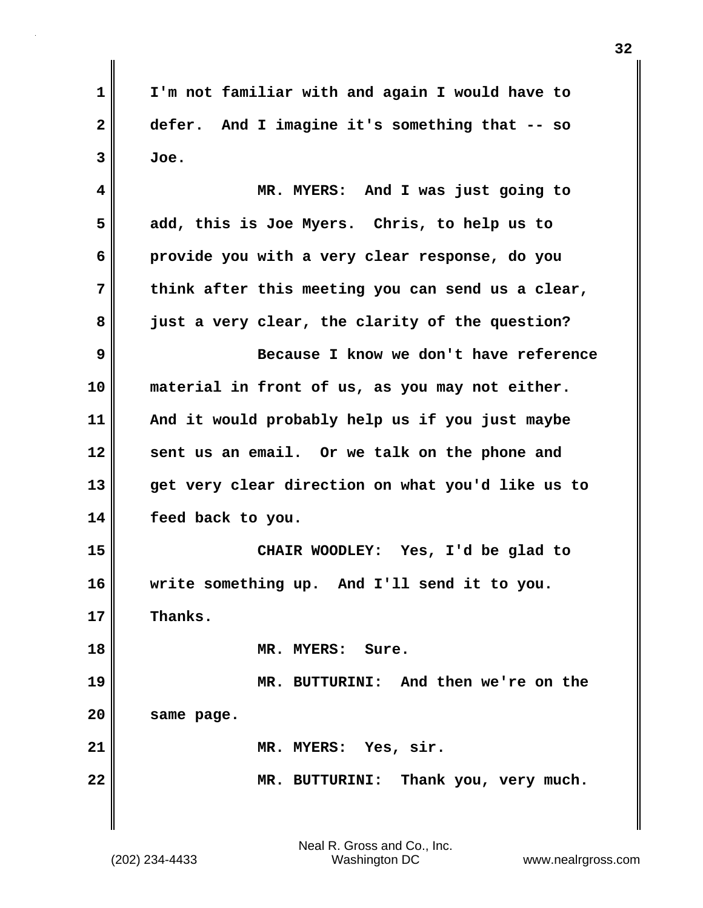**1 I'm not familiar with and again I would have to 2 defer. And I imagine it's something that -- so**  $3$  Joe. **4 MR. MYERS: And I was just going to 5 add, this is Joe Myers. Chris, to help us to 6 provide you with a very clear response, do you 7 think after this meeting you can send us a clear, 8 just a very clear, the clarity of the question? 9 Because I know we don't have reference 10 material in front of us, as you may not either. 11 And it would probably help us if you just maybe 12 sent us an email. Or we talk on the phone and 13 get very clear direction on what you'd like us to 14 feed back to you. 15 CHAIR WOODLEY: Yes, I'd be glad to 16 write something up. And I'll send it to you. 17 Thanks. 18 MR. MYERS: Sure. 19 MR. BUTTURINI: And then we're on the 20 same page. 21 MR. MYERS: Yes, sir. 22 MR. BUTTURINI: Thank you, very much.**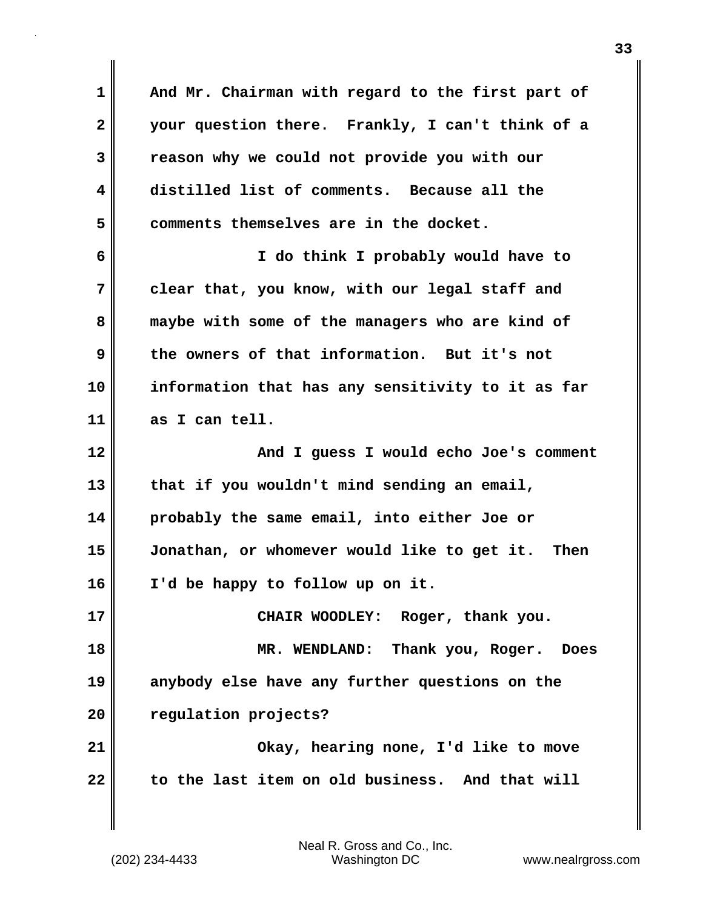**1 And Mr. Chairman with regard to the first part of 2 your question there. Frankly, I can't think of a 3 reason why we could not provide you with our 4 distilled list of comments. Because all the 5 comments themselves are in the docket. 6 I do think I probably would have to 7 clear that, you know, with our legal staff and 8 maybe with some of the managers who are kind of 9 the owners of that information. But it's not 10 information that has any sensitivity to it as far 11 as I can tell. 12 And I guess I would echo Joe's comment 13 that if you wouldn't mind sending an email, 14 probably the same email, into either Joe or 15 Jonathan, or whomever would like to get it. Then 16 I'd be happy to follow up on it. 17 CHAIR WOODLEY: Roger, thank you. 18 MR. WENDLAND: Thank you, Roger. Does 19 anybody else have any further questions on the 20 regulation projects? 21 Okay, hearing none, I'd like to move 22 to the last item on old business. And that will**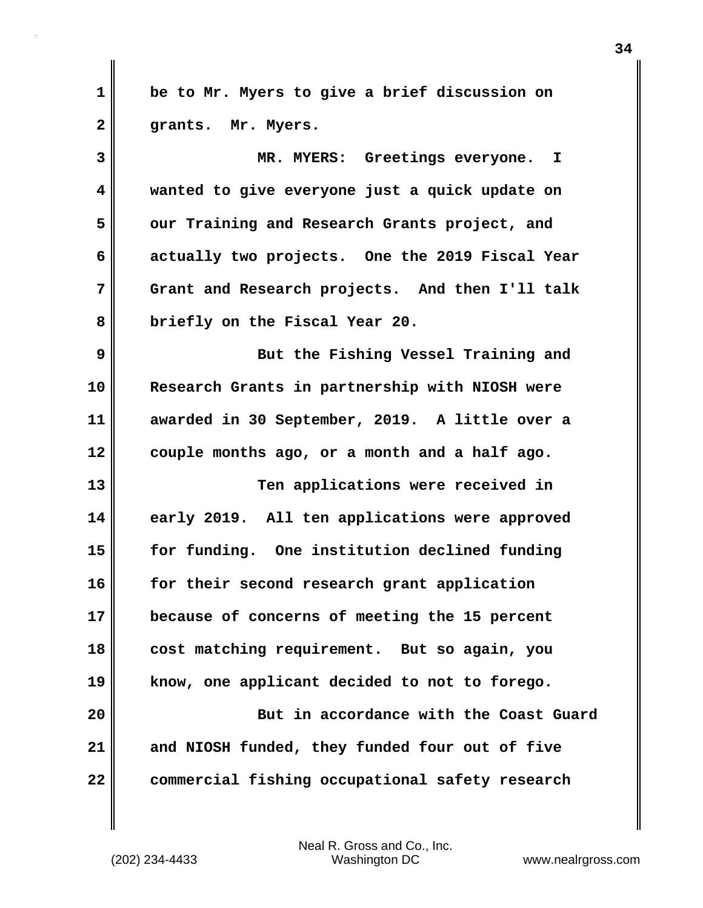**1 be to Mr. Myers to give a brief discussion on 2 grants. Mr. Myers. 3 MR. MYERS: Greetings everyone. I 4 wanted to give everyone just a quick update on 5 our Training and Research Grants project, and 6 actually two projects. One the 2019 Fiscal Year 7 Grant and Research projects. And then I'll talk 8 briefly on the Fiscal Year 20. 9 But the Fishing Vessel Training and 10 Research Grants in partnership with NIOSH were 11 awarded in 30 September, 2019. A little over a 12 couple months ago, or a month and a half ago. 13 Ten applications were received in 14 early 2019. All ten applications were approved 15 for funding. One institution declined funding 16 for their second research grant application 17 because of concerns of meeting the 15 percent 18 cost matching requirement. But so again, you 19 know, one applicant decided to not to forego. 20 But in accordance with the Coast Guard 21 and NIOSH funded, they funded four out of five 22 commercial fishing occupational safety research**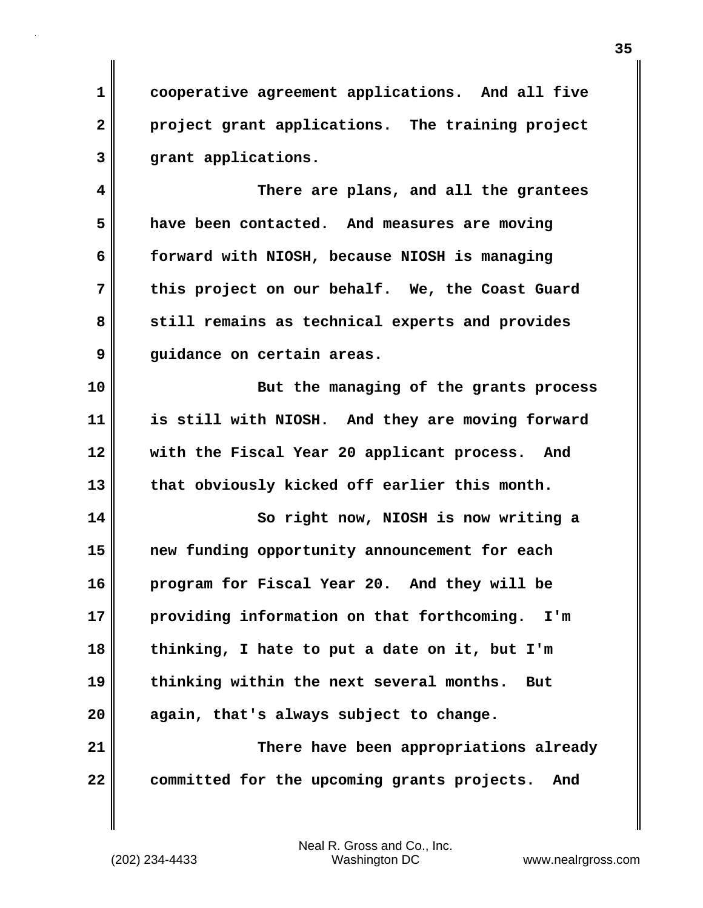**1 cooperative agreement applications. And all five 2 project grant applications. The training project 3 grant applications.**

**4 There are plans, and all the grantees 5 have been contacted. And measures are moving 6 forward with NIOSH, because NIOSH is managing 7 this project on our behalf. We, the Coast Guard 8 still remains as technical experts and provides 9 guidance on certain areas.**

**10 But the managing of the grants process 11 is still with NIOSH. And they are moving forward 12 with the Fiscal Year 20 applicant process. And 13 that obviously kicked off earlier this month.**

**14 So right now, NIOSH is now writing a 15 new funding opportunity announcement for each 16 program for Fiscal Year 20. And they will be 17 providing information on that forthcoming. I'm 18 thinking, I hate to put a date on it, but I'm 19 thinking within the next several months. But 20 again, that's always subject to change. 21 There have been appropriations already**

**22 committed for the upcoming grants projects. And**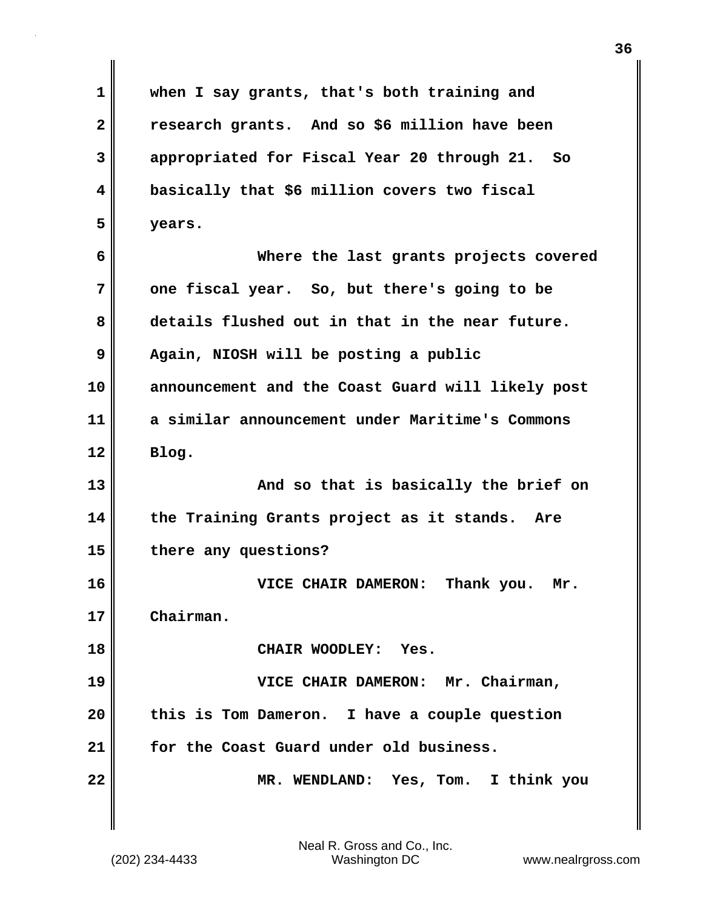| 1            | when I say grants, that's both training and       |
|--------------|---------------------------------------------------|
| $\mathbf{2}$ | research grants. And so \$6 million have been     |
| 3            | appropriated for Fiscal Year 20 through 21. So    |
| 4            | basically that \$6 million covers two fiscal      |
| 5            | years.                                            |
| 6            | Where the last grants projects covered            |
| 7            | one fiscal year. So, but there's going to be      |
| 8            | details flushed out in that in the near future.   |
| 9            | Again, NIOSH will be posting a public             |
| 10           | announcement and the Coast Guard will likely post |
| 11           | a similar announcement under Maritime's Commons   |
| 12           | Blog.                                             |
| 13           | And so that is basically the brief on             |
| 14           | the Training Grants project as it stands. Are     |
| 15           | there any questions?                              |
| 16           | VICE CHAIR DAMERON:<br>Thank you.<br>Mr.          |
| 17           | Chairman.                                         |
| 18           | CHAIR WOODLEY: Yes.                               |
| 19           | VICE CHAIR DAMERON: Mr. Chairman,                 |
| 20           | this is Tom Dameron. I have a couple question     |
| 21           | for the Coast Guard under old business.           |
| 22           | MR. WENDLAND: Yes, Tom. I think you               |
|              |                                                   |

 $\mathbf{I}$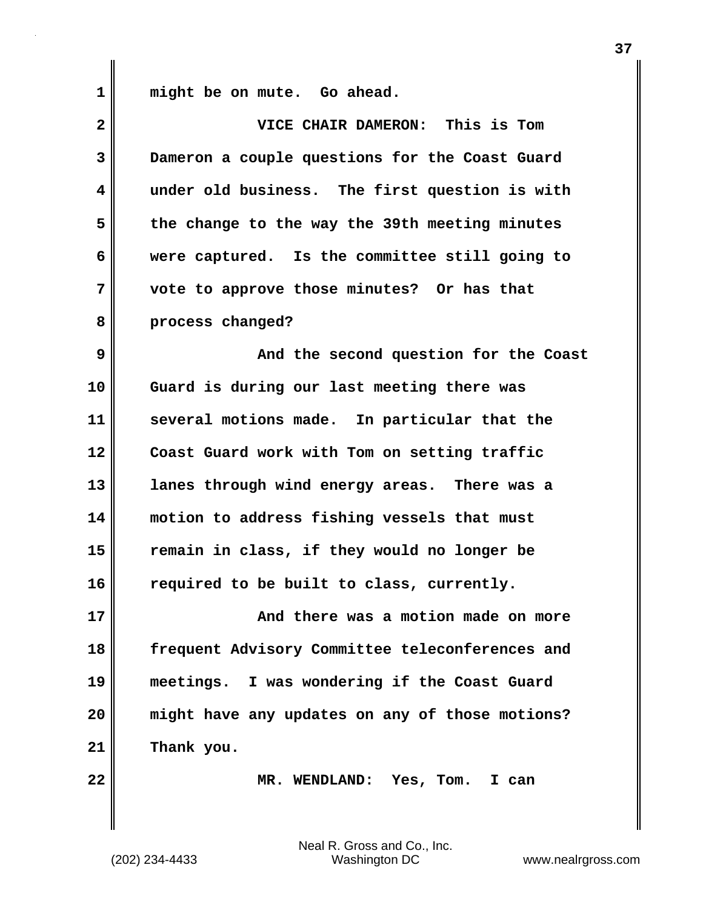**1 might be on mute. Go ahead.**

| $\mathbf{2}$ | VICE CHAIR DAMERON: This is Tom                 |
|--------------|-------------------------------------------------|
| 3            | Dameron a couple questions for the Coast Guard  |
| 4            | under old business. The first question is with  |
| 5            | the change to the way the 39th meeting minutes  |
| 6            | were captured. Is the committee still going to  |
| 7            | vote to approve those minutes? Or has that      |
| 8            | process changed?                                |
| 9            | And the second question for the Coast           |
| 10           | Guard is during our last meeting there was      |
| 11           | several motions made. In particular that the    |
| 12           | Coast Guard work with Tom on setting traffic    |
| 13           | lanes through wind energy areas. There was a    |
| 14           | motion to address fishing vessels that must     |
| 15           | remain in class, if they would no longer be     |
| 16           | required to be built to class, currently.       |
| 17           | And there was a motion made on more             |
| 18           | frequent Advisory Committee teleconferences and |
| 19           | meetings. I was wondering if the Coast Guard    |
| 20           | might have any updates on any of those motions? |
| 21           | Thank you.                                      |
| 22           | MR. WENDLAND: Yes, Tom. I can                   |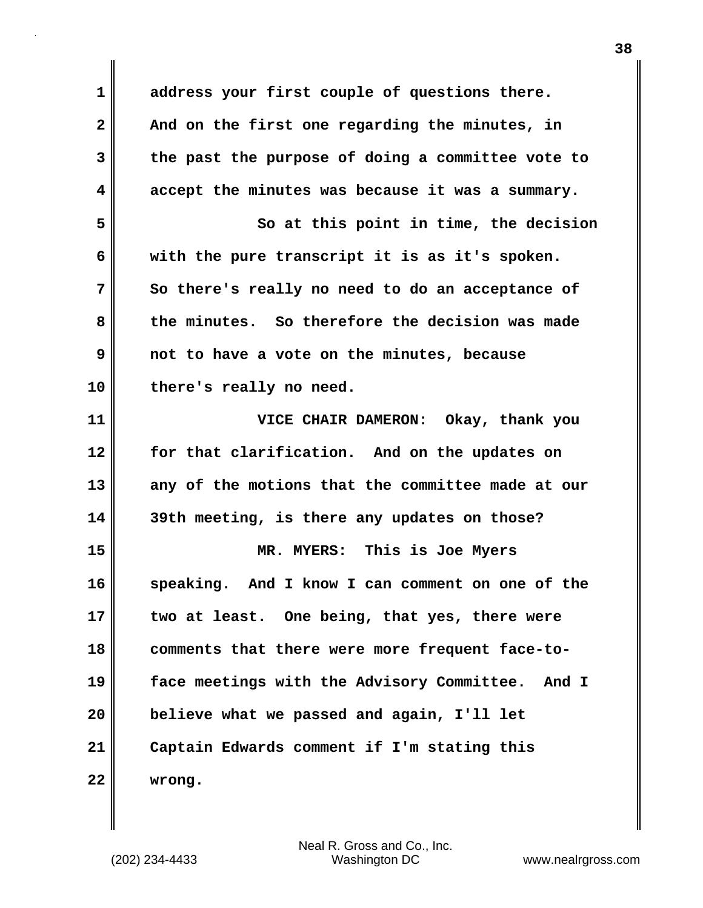**1 address your first couple of questions there. 2 And on the first one regarding the minutes, in 3 the past the purpose of doing a committee vote to 4 accept the minutes was because it was a summary. 5 So at this point in time, the decision 6 with the pure transcript it is as it's spoken. 7 So there's really no need to do an acceptance of 8 the minutes. So therefore the decision was made 9 not to have a vote on the minutes, because 10 there's really no need. 11 VICE CHAIR DAMERON: Okay, thank you 12 for that clarification. And on the updates on 13 any of the motions that the committee made at our 14 39th meeting, is there any updates on those? 15 MR. MYERS: This is Joe Myers 16 speaking. And I know I can comment on one of the 17 two at least. One being, that yes, there were 18 comments that there were more frequent face-to-19 face meetings with the Advisory Committee. And I 20 believe what we passed and again, I'll let 21 Captain Edwards comment if I'm stating this 22 wrong.**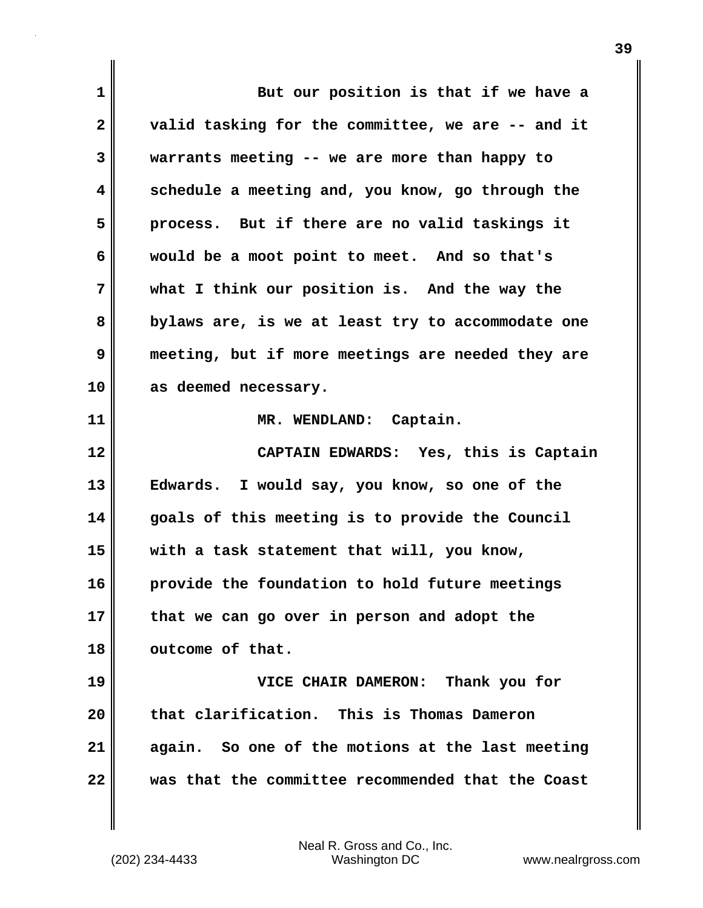| 1            | But our position is that if we have a             |
|--------------|---------------------------------------------------|
| $\mathbf{2}$ | valid tasking for the committee, we are -- and it |
| 3            | warrants meeting -- we are more than happy to     |
| 4            | schedule a meeting and, you know, go through the  |
| 5            | process. But if there are no valid taskings it    |
| 6            | would be a moot point to meet. And so that's      |
| 7            | what I think our position is. And the way the     |
| 8            | bylaws are, is we at least try to accommodate one |
| 9            | meeting, but if more meetings are needed they are |
| 10           | as deemed necessary.                              |
| 11           | MR. WENDLAND: Captain.                            |
| 12           | CAPTAIN EDWARDS: Yes, this is Captain             |
|              |                                                   |
| 13           | Edwards. I would say, you know, so one of the     |
| 14           | goals of this meeting is to provide the Council   |
| 15           | with a task statement that will, you know,        |
| 16           | provide the foundation to hold future meetings    |
| 17           | that we can go over in person and adopt the       |
| 18           | outcome of that.                                  |
| 19           | VICE CHAIR DAMERON: Thank you for                 |
| 20           | that clarification. This is Thomas Dameron        |
| 21           | again. So one of the motions at the last meeting  |

 $\mathbf{I}$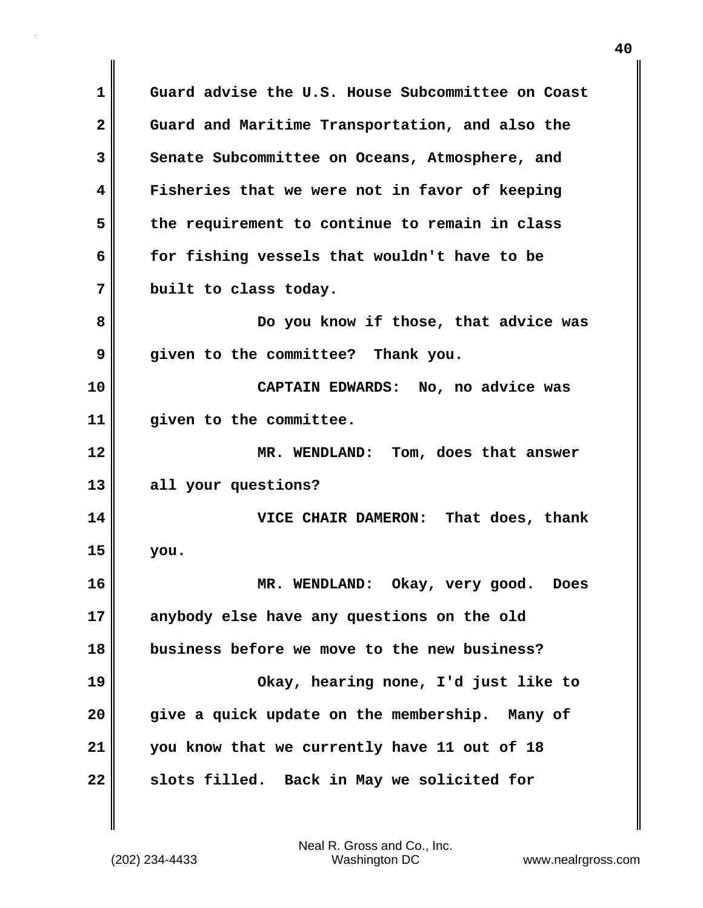**1 Guard advise the U.S. House Subcommittee on Coast 2 Guard and Maritime Transportation, and also the 3 Senate Subcommittee on Oceans, Atmosphere, and 4 Fisheries that we were not in favor of keeping 5 the requirement to continue to remain in class 6 for fishing vessels that wouldn't have to be 7 built to class today. 8 Do you know if those, that advice was 9 given to the committee? Thank you. 10 CAPTAIN EDWARDS: No, no advice was 11 given to the committee. 12 MR. WENDLAND: Tom, does that answer 13 all your questions? 14 VICE CHAIR DAMERON: That does, thank 15 you. 16 MR. WENDLAND: Okay, very good. Does 17 anybody else have any questions on the old 18 business before we move to the new business? 19 Okay, hearing none, I'd just like to 20 give a quick update on the membership. Many of 21 you know that we currently have 11 out of 18 22 slots filled. Back in May we solicited for**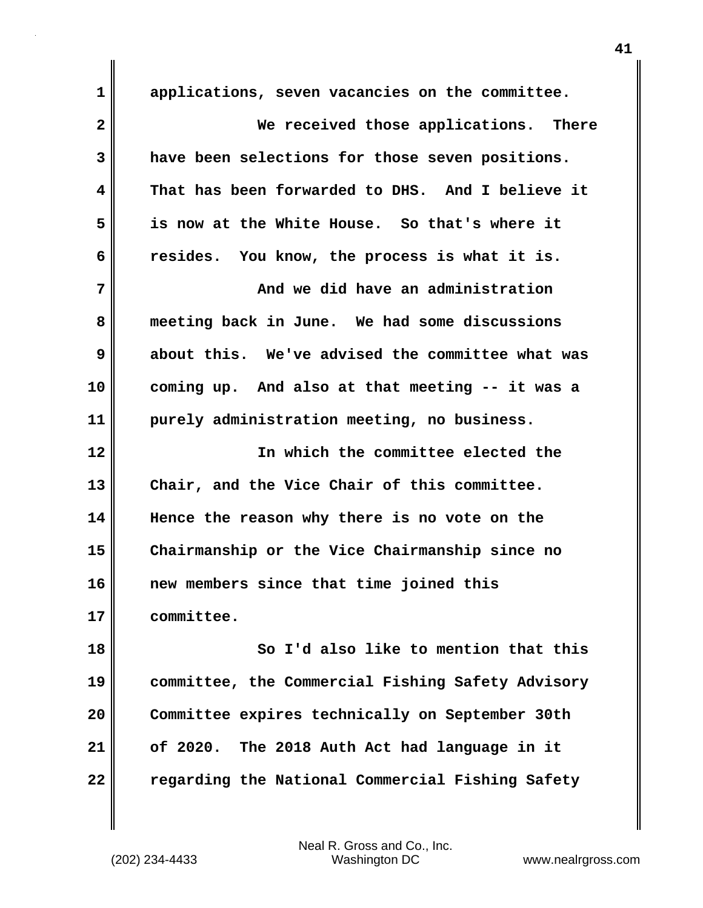**1 applications, seven vacancies on the committee. 2 We received those applications. There 3 have been selections for those seven positions. 4 That has been forwarded to DHS. And I believe it 5 is now at the White House. So that's where it 6 resides. You know, the process is what it is. 7 And we did have an administration 8 meeting back in June. We had some discussions 9 about this. We've advised the committee what was 10 coming up. And also at that meeting -- it was a 11 purely administration meeting, no business. 12 In which the committee elected the 13 Chair, and the Vice Chair of this committee. 14 Hence the reason why there is no vote on the 15 Chairmanship or the Vice Chairmanship since no 16 new members since that time joined this 17 committee. 18 So I'd also like to mention that this 19 committee, the Commercial Fishing Safety Advisory 20 Committee expires technically on September 30th 21 of 2020. The 2018 Auth Act had language in it 22 regarding the National Commercial Fishing Safety**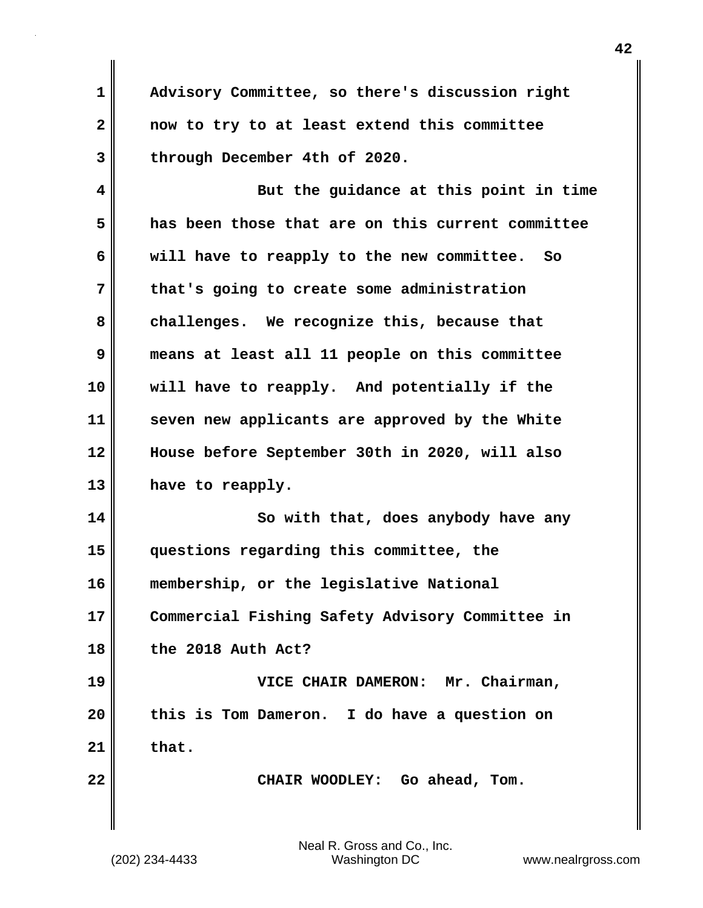**1 Advisory Committee, so there's discussion right 2 now to try to at least extend this committee 3 through December 4th of 2020.**

**4 But the guidance at this point in time 5 has been those that are on this current committee 6 will have to reapply to the new committee. So 7 that's going to create some administration 8 challenges. We recognize this, because that 9 means at least all 11 people on this committee 10 will have to reapply. And potentially if the 11 seven new applicants are approved by the White 12 House before September 30th in 2020, will also 13 have to reapply.**

**14** So with that, does any body have any **15 questions regarding this committee, the 16 membership, or the legislative National 17 Commercial Fishing Safety Advisory Committee in 18 the 2018 Auth Act?**

**19 VICE CHAIR DAMERON: Mr. Chairman, 20 this is Tom Dameron. I do have a question on 21 that.**

**22 CHAIR WOODLEY: Go ahead, Tom.**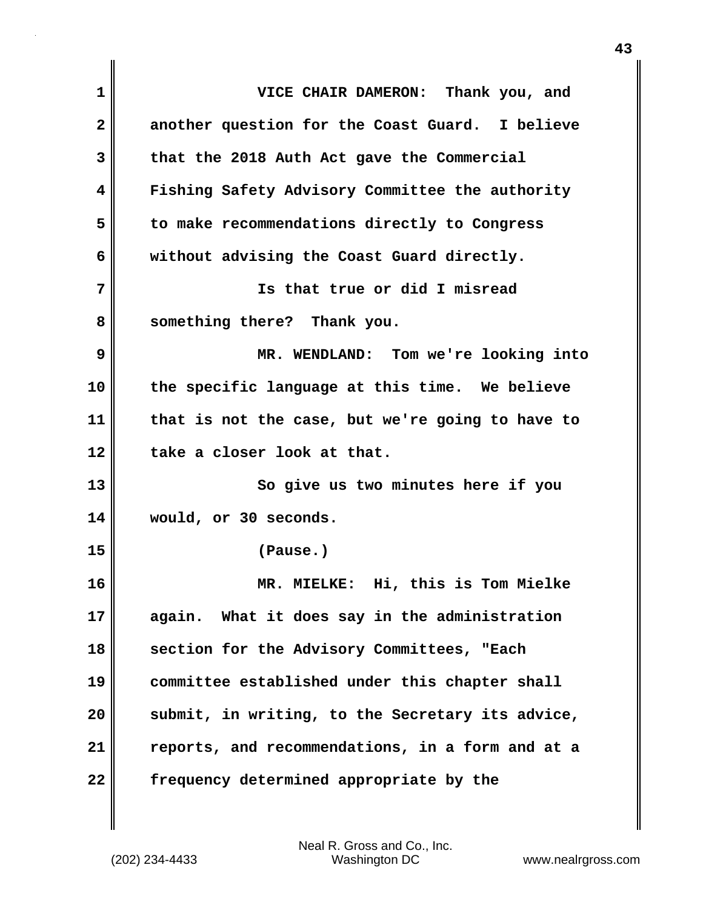| 1            | VICE CHAIR DAMERON: Thank you, and               |
|--------------|--------------------------------------------------|
| $\mathbf{2}$ | another question for the Coast Guard. I believe  |
| 3            | that the 2018 Auth Act gave the Commercial       |
| 4            | Fishing Safety Advisory Committee the authority  |
| 5            | to make recommendations directly to Congress     |
| 6            | without advising the Coast Guard directly.       |
| 7            | Is that true or did I misread                    |
| 8            | something there? Thank you.                      |
| 9            | MR. WENDLAND: Tom we're looking into             |
| 10           | the specific language at this time. We believe   |
| 11           | that is not the case, but we're going to have to |
| 12           | take a closer look at that.                      |
| 13           | So give us two minutes here if you               |
| 14           | would, or 30 seconds.                            |
| 15           | (Pause.)                                         |
| 16           | Hi, this is Tom Mielke<br>MR. MIELKE:            |
| 17           | What it does say in the administration<br>again. |
| 18           | section for the Advisory Committees, "Each       |
| 19           | committee established under this chapter shall   |
| 20           | submit, in writing, to the Secretary its advice, |
| 21           | reports, and recommendations, in a form and at a |
| 22           | frequency determined appropriate by the          |

(202) 234-4433 Washington DC www.nealrgross.com Neal R. Gross and Co., Inc.

 $\mathbf{I}$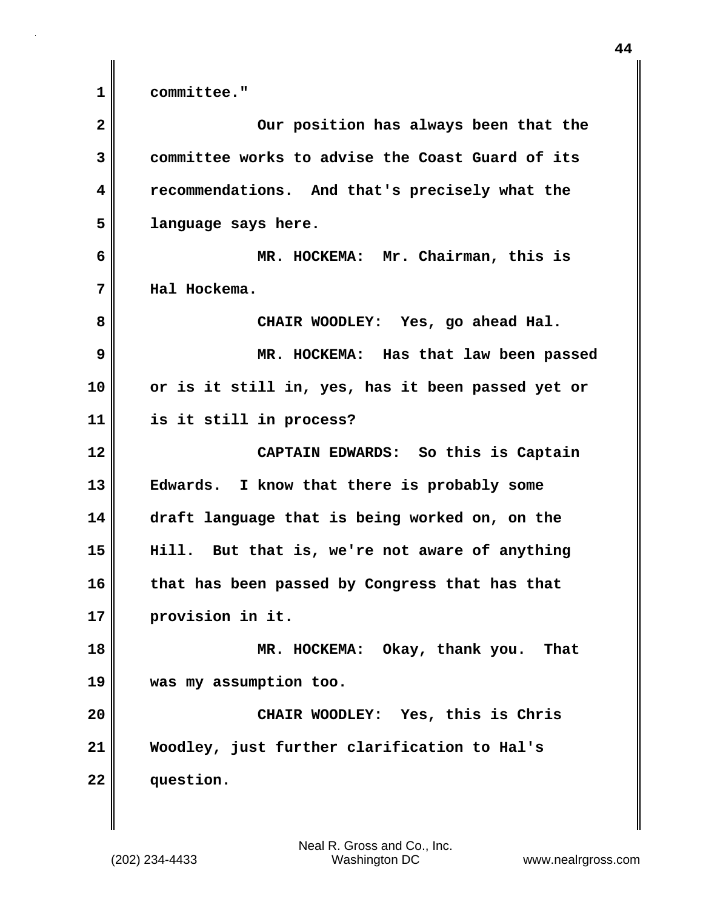**1 committee."**

| $\mathbf{2}$ | Our position has always been that the             |
|--------------|---------------------------------------------------|
| 3            | committee works to advise the Coast Guard of its  |
| 4            | recommendations. And that's precisely what the    |
| 5            | language says here.                               |
| 6            | MR. HOCKEMA: Mr. Chairman, this is                |
| 7            | Hal Hockema.                                      |
| 8            | CHAIR WOODLEY: Yes, go ahead Hal.                 |
| 9            | MR. HOCKEMA: Has that law been passed             |
| 10           | or is it still in, yes, has it been passed yet or |
| 11           | is it still in process?                           |
| 12           | CAPTAIN EDWARDS: So this is Captain               |
| 13           | Edwards. I know that there is probably some       |
| 14           | draft language that is being worked on, on the    |
| 15           | Hill. But that is, we're not aware of anything    |
| 16           | that has been passed by Congress that has that    |
| 17           | provision in it.                                  |
| 18           | MR. HOCKEMA: Okay, thank you.<br>That             |
| 19           | was my assumption too.                            |
| 20           | CHAIR WOODLEY: Yes, this is Chris                 |
| 21           | Woodley, just further clarification to Hal's      |
| 22           | question.                                         |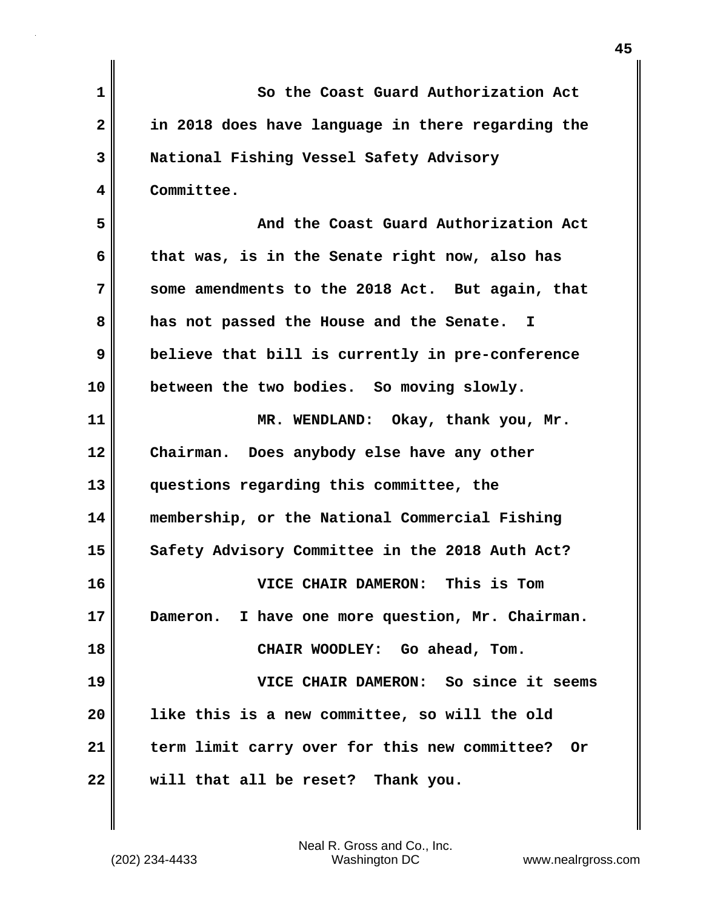| $\mathbf 1$  | So the Coast Guard Authorization Act              |
|--------------|---------------------------------------------------|
| $\mathbf{2}$ | in 2018 does have language in there regarding the |
| 3            | National Fishing Vessel Safety Advisory           |
| 4            | Committee.                                        |
| 5            | And the Coast Guard Authorization Act             |
| 6            | that was, is in the Senate right now, also has    |
| 7            | some amendments to the 2018 Act. But again, that  |
| 8            | has not passed the House and the Senate. I        |
| 9            | believe that bill is currently in pre-conference  |
| 10           | between the two bodies. So moving slowly.         |
| 11           | MR. WENDLAND: Okay, thank you, Mr.                |
| 12           | Chairman. Does anybody else have any other        |
| 13           | questions regarding this committee, the           |
| 14           | membership, or the National Commercial Fishing    |
| 15           | Safety Advisory Committee in the 2018 Auth Act?   |
| 16           | VICE CHAIR DAMERON: This is Tom                   |
| 17           | Dameron. I have one more question, Mr. Chairman.  |
| 18           | CHAIR WOODLEY: Go ahead, Tom.                     |
| 19           | VICE CHAIR DAMERON: So since it seems             |
| 20           | like this is a new committee, so will the old     |
| 21           | term limit carry over for this new committee? Or  |
| 22           | will that all be reset? Thank you.                |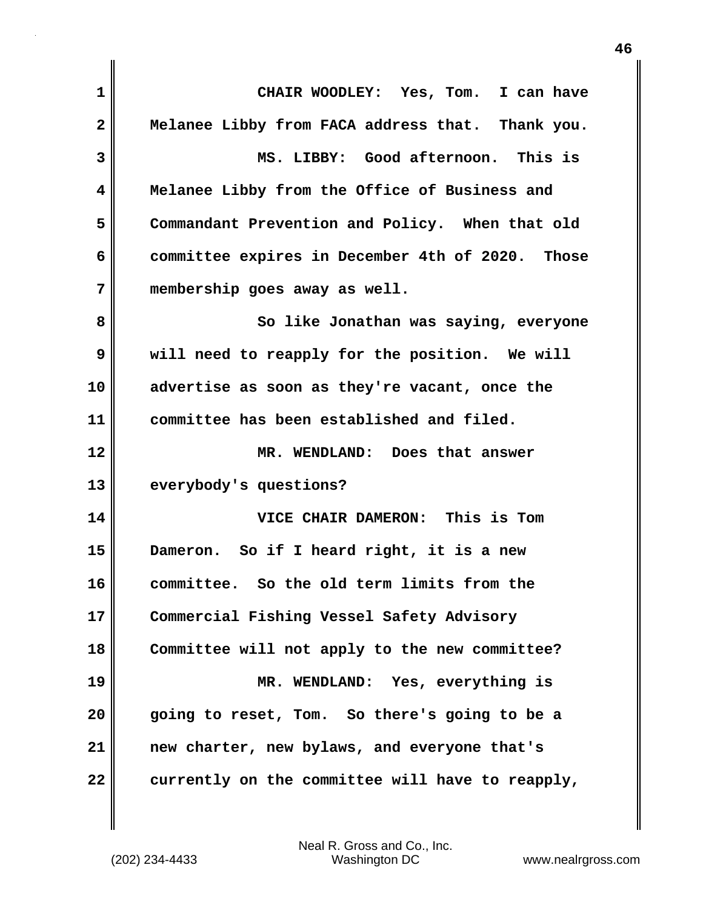| 1            | CHAIR WOODLEY: Yes, Tom. I can have              |
|--------------|--------------------------------------------------|
| $\mathbf{2}$ | Melanee Libby from FACA address that. Thank you. |
| 3            | MS. LIBBY: Good afternoon. This is               |
| 4            | Melanee Libby from the Office of Business and    |
| 5            | Commandant Prevention and Policy. When that old  |
| 6            | committee expires in December 4th of 2020. Those |
| 7            | membership goes away as well.                    |
| 8            | So like Jonathan was saying, everyone            |
| 9            | will need to reapply for the position. We will   |
| 10           | advertise as soon as they're vacant, once the    |
| 11           | committee has been established and filed.        |
| 12           | MR. WENDLAND: Does that answer                   |
| 13           | everybody's questions?                           |
| 14           | VICE CHAIR DAMERON: This is Tom                  |
| 15           | Dameron. So if I heard right, it is a new        |
| 16           | committee. So the old term limits from the       |
| 17           | Commercial Fishing Vessel Safety Advisory        |
| 18           | Committee will not apply to the new committee?   |
| 19           | MR. WENDLAND: Yes, everything is                 |
| 20           | going to reset, Tom. So there's going to be a    |
| 21           | new charter, new bylaws, and everyone that's     |
| 22           | currently on the committee will have to reapply, |

 $\mathbf{I}$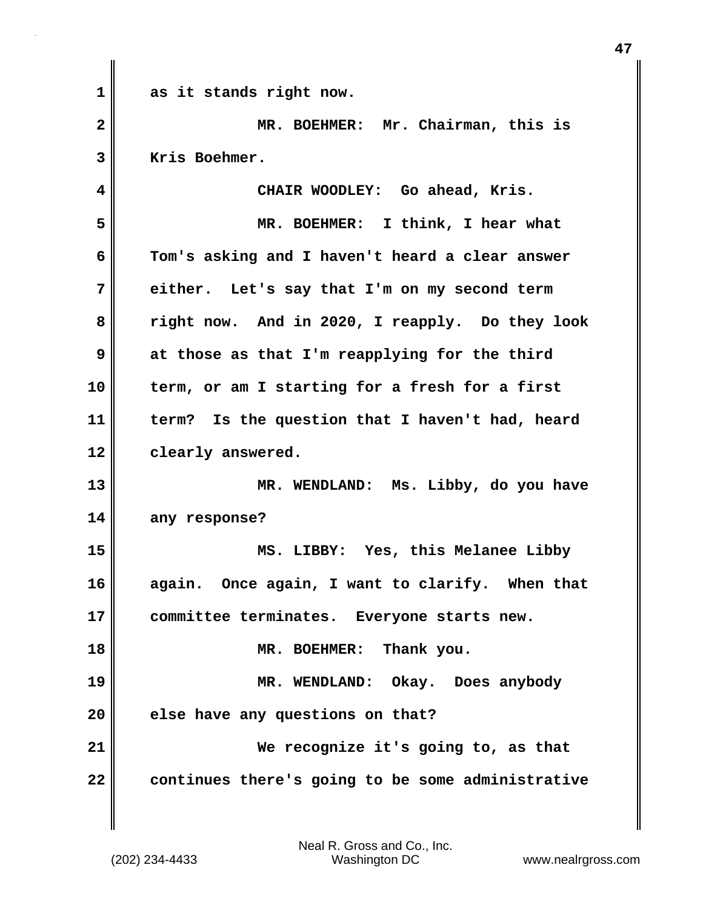**1 as it stands right now. 2 MR. BOEHMER: Mr. Chairman, this is 3 Kris Boehmer. 4 CHAIR WOODLEY: Go ahead, Kris. 5 MR. BOEHMER: I think, I hear what 6 Tom's asking and I haven't heard a clear answer 7 either. Let's say that I'm on my second term 8 right now. And in 2020, I reapply. Do they look 9 at those as that I'm reapplying for the third 10 term, or am I starting for a fresh for a first 11 term? Is the question that I haven't had, heard 12 clearly answered. 13 MR. WENDLAND: Ms. Libby, do you have 14 any response? 15 MS. LIBBY: Yes, this Melanee Libby 16 again. Once again, I want to clarify. When that 17 committee terminates. Everyone starts new. 18 MR. BOEHMER: Thank you. 19 MR. WENDLAND: Okay. Does anybody 20 else have any questions on that? 21 We recognize it's going to, as that 22 continues there's going to be some administrative**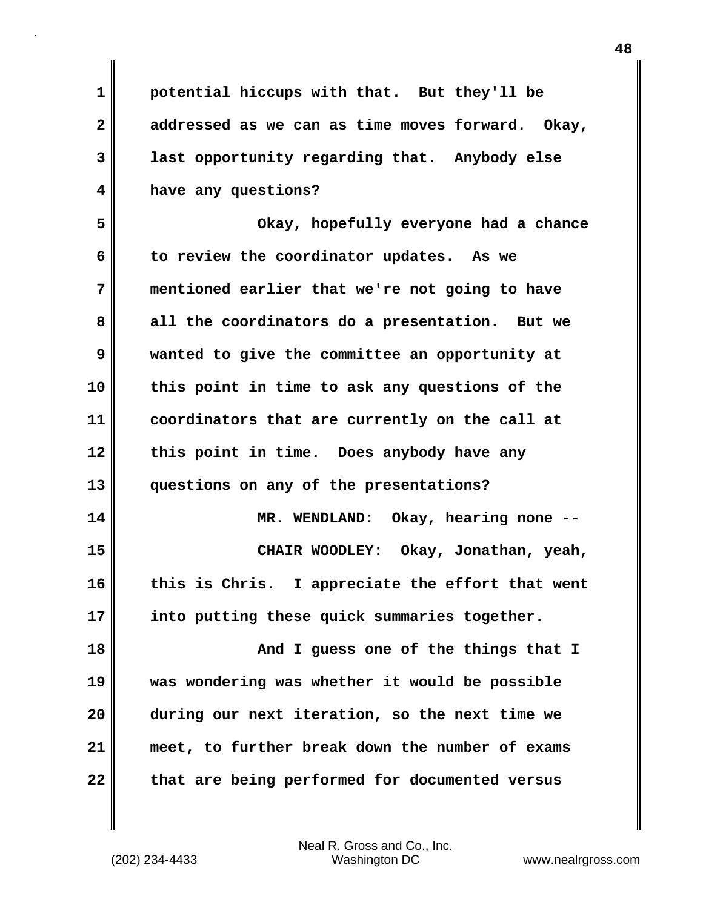**1 potential hiccups with that. But they'll be 2 addressed as we can as time moves forward. Okay, 3 last opportunity regarding that. Anybody else 4 have any questions? 5 Okay, hopefully everyone had a chance**

**6 to review the coordinator updates. As we 7 mentioned earlier that we're not going to have 8 all the coordinators do a presentation. But we 9 wanted to give the committee an opportunity at 10 this point in time to ask any questions of the 11 coordinators that are currently on the call at 12 this point in time. Does anybody have any 13 questions on any of the presentations? 14 MR. WENDLAND: Okay, hearing none -- 15 CHAIR WOODLEY: Okay, Jonathan, yeah,**

**16 this is Chris. I appreciate the effort that went 17 into putting these quick summaries together.** 

**18 And I guess one of the things that I 19 was wondering was whether it would be possible 20 during our next iteration, so the next time we 21 meet, to further break down the number of exams 22 that are being performed for documented versus**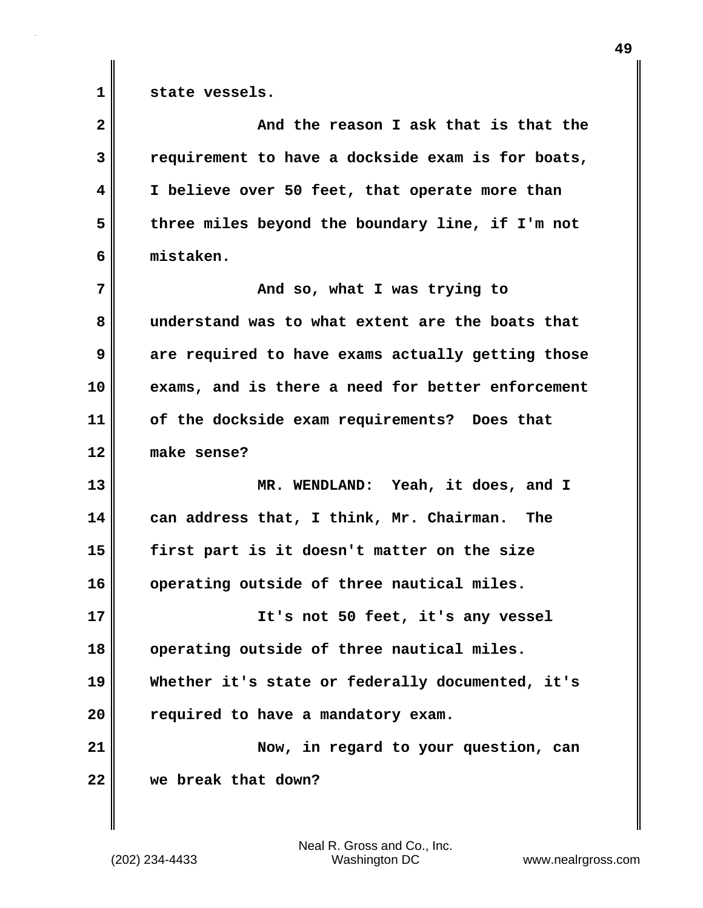**1 state vessels.** 

| $\overline{\mathbf{2}}$ | And the reason I ask that is that the             |
|-------------------------|---------------------------------------------------|
| 3                       | requirement to have a dockside exam is for boats, |
| 4                       | I believe over 50 feet, that operate more than    |
| 5                       | three miles beyond the boundary line, if I'm not  |
| 6                       | mistaken.                                         |
| 7                       | And so, what I was trying to                      |
| 8                       | understand was to what extent are the boats that  |
| 9                       | are required to have exams actually getting those |
| 10                      | exams, and is there a need for better enforcement |
| 11                      | of the dockside exam requirements? Does that      |
| 12                      | make sense?                                       |
| 13                      | MR. WENDLAND: Yeah, it does, and I                |
| 14                      | can address that, I think, Mr. Chairman.<br>The   |
| 15                      | first part is it doesn't matter on the size       |
| 16                      | operating outside of three nautical miles.        |
| 17                      | It's not 50 feet, it's any vessel                 |
| 18                      | operating outside of three nautical miles.        |
| 19                      | Whether it's state or federally documented, it's  |
| 20                      | required to have a mandatory exam.                |
| 21                      | Now, in regard to your question, can              |
| 22                      | we break that down?                               |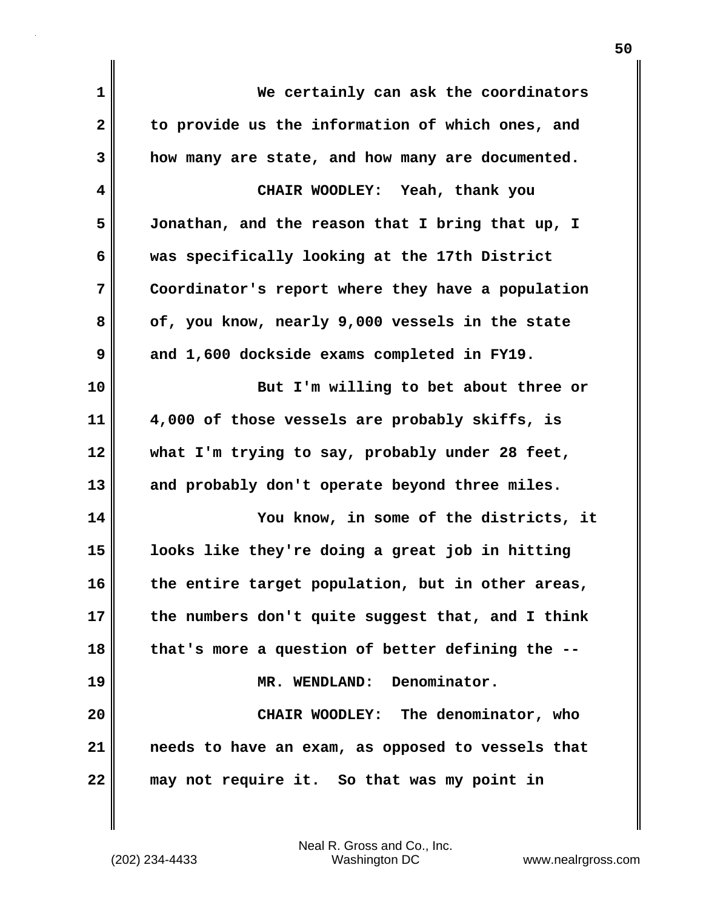| 1            | We certainly can ask the coordinators             |
|--------------|---------------------------------------------------|
| $\mathbf{2}$ | to provide us the information of which ones, and  |
| 3            | how many are state, and how many are documented.  |
| 4            | CHAIR WOODLEY: Yeah, thank you                    |
| 5            | Jonathan, and the reason that I bring that up, I  |
| 6            | was specifically looking at the 17th District     |
| 7            | Coordinator's report where they have a population |
| 8            | of, you know, nearly 9,000 vessels in the state   |
| 9            | and 1,600 dockside exams completed in FY19.       |
| 10           | But I'm willing to bet about three or             |
| 11           | 4,000 of those vessels are probably skiffs, is    |
| 12           | what I'm trying to say, probably under 28 feet,   |
| 13           | and probably don't operate beyond three miles.    |
| 14           | You know, in some of the districts, it            |
| 15           | looks like they're doing a great job in hitting   |
| 16           | the entire target population, but in other areas  |
| 17           | the numbers don't quite suggest that, and I think |
| 18           | that's more a question of better defining the --  |
| 19           | MR. WENDLAND: Denominator.                        |
| 20           | CHAIR WOODLEY: The denominator, who               |
| 21           | needs to have an exam, as opposed to vessels that |
| 22           | may not require it. So that was my point in       |

(202) 234-4433 Washington DC www.nealrgross.com Neal R. Gross and Co., Inc.

 $\mathbf{I}$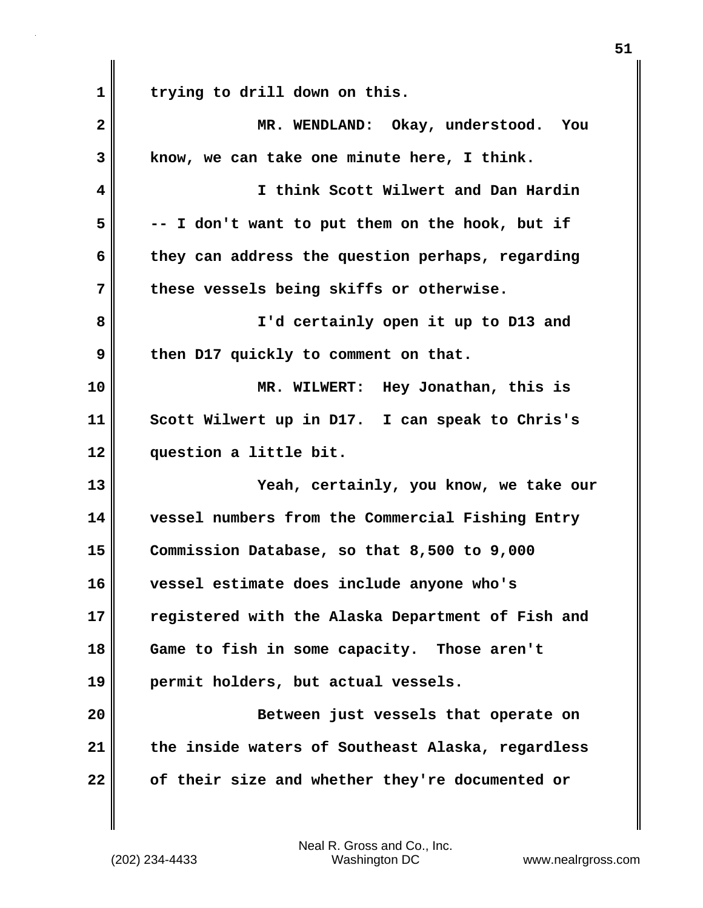**1 trying to drill down on this. 2 MR. WENDLAND: Okay, understood. You 3 know, we can take one minute here, I think. 4 I think Scott Wilwert and Dan Hardin 5 -- I don't want to put them on the hook, but if 6 they can address the question perhaps, regarding 7 these vessels being skiffs or otherwise. 8 I'd certainly open it up to D13 and** 9 then D17 quickly to comment on that. **10 MR. WILWERT: Hey Jonathan, this is 11 Scott Wilwert up in D17. I can speak to Chris's 12 question a little bit. 13 Yeah, certainly, you know, we take our 14 vessel numbers from the Commercial Fishing Entry 15 Commission Database, so that 8,500 to 9,000 16 vessel estimate does include anyone who's 17 registered with the Alaska Department of Fish and 18 Game to fish in some capacity. Those aren't 19 permit holders, but actual vessels. 20 Between just vessels that operate on 21 the inside waters of Southeast Alaska, regardless 22 of their size and whether they're documented or**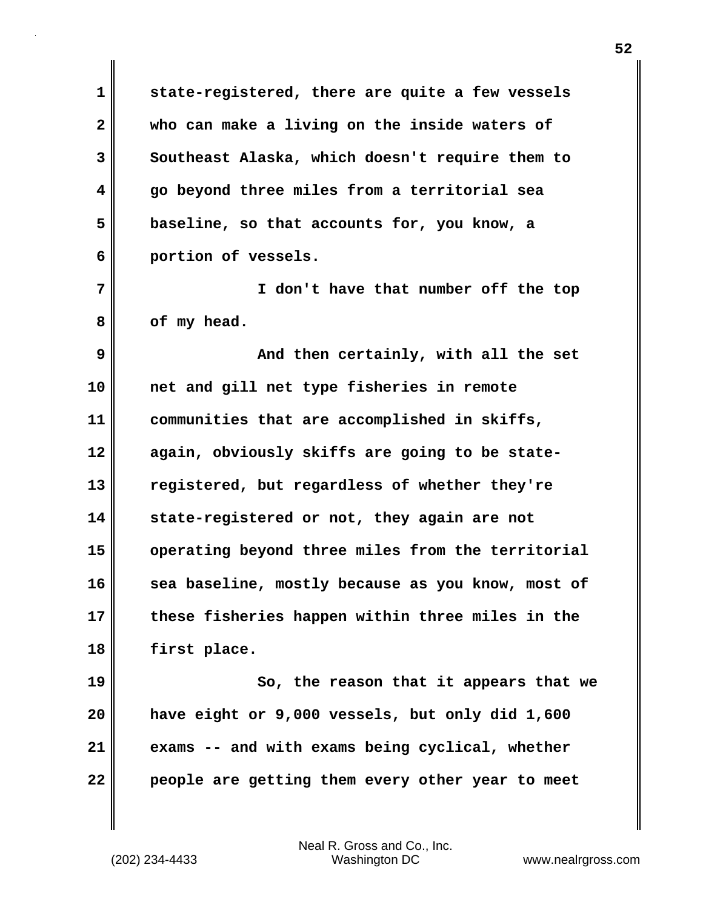**1 state-registered, there are quite a few vessels 2 who can make a living on the inside waters of 3** Southeast Alaska, which doesn't require them to **4 go beyond three miles from a territorial sea 5 baseline, so that accounts for, you know, a 6 portion of vessels. 7 I don't have that number off the top 8 of my head. 9 And then certainly, with all the set 10 net and gill net type fisheries in remote 11 communities that are accomplished in skiffs, 12 again, obviously skiffs are going to be state-13 registered, but regardless of whether they're 14 state-registered or not, they again are not 15 operating beyond three miles from the territorial 16 sea baseline, mostly because as you know, most of 17 these fisheries happen within three miles in the 18 first place. 19 So, the reason that it appears that we 20 have eight or 9,000 vessels, but only did 1,600 21 exams -- and with exams being cyclical, whether**

**22 people are getting them every other year to meet**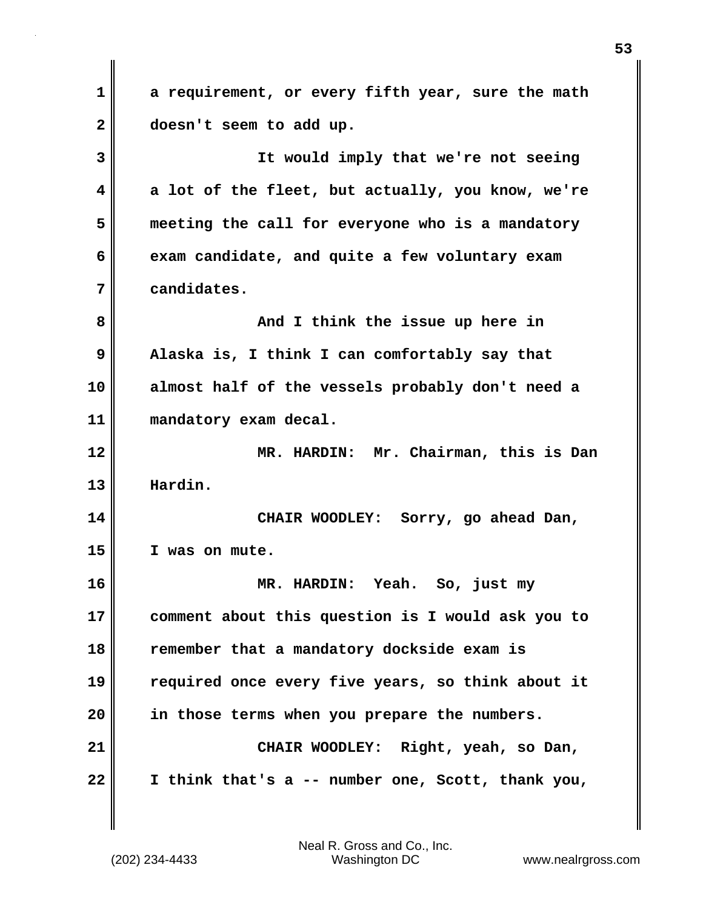**1 a requirement, or every fifth year, sure the math 2 doesn't seem to add up. 3 It would imply that we're not seeing 4 a lot of the fleet, but actually, you know, we're 5 meeting the call for everyone who is a mandatory 6 exam candidate, and quite a few voluntary exam 7 candidates. 8 And I think the issue up here in 9 Alaska is, I think I can comfortably say that 10 almost half of the vessels probably don't need a 11 mandatory exam decal. 12 MR. HARDIN: Mr. Chairman, this is Dan 13 Hardin. 14 CHAIR WOODLEY: Sorry, go ahead Dan, 15 I was on mute. 16 MR. HARDIN: Yeah. So, just my 17 comment about this question is I would ask you to 18 remember that a mandatory dockside exam is 19 required once every five years, so think about it 20 in those terms when you prepare the numbers. 21 CHAIR WOODLEY: Right, yeah, so Dan, 22 I think that's a -- number one, Scott, thank you,**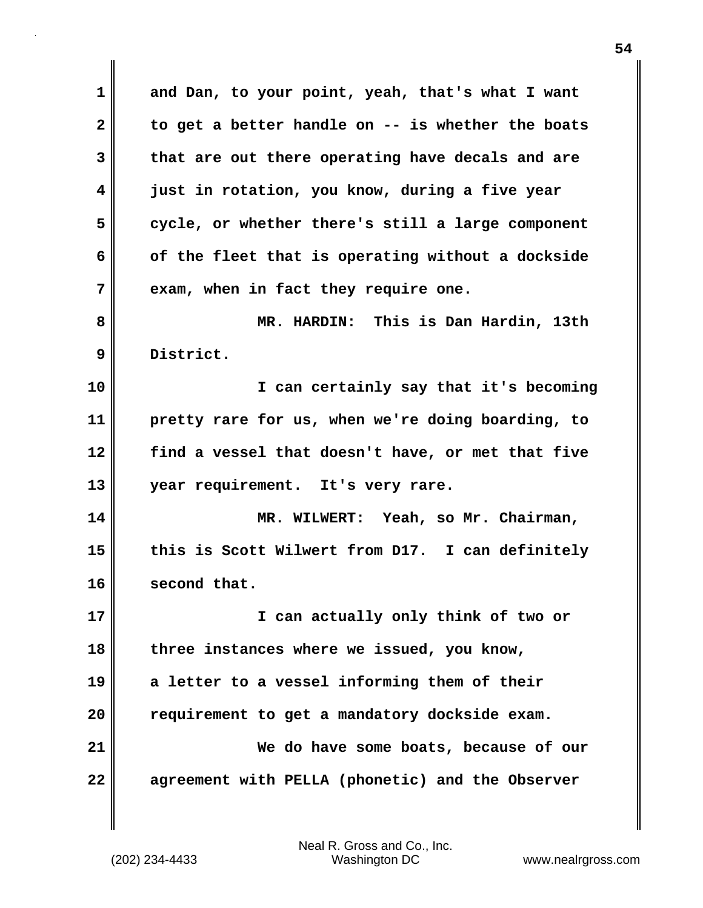**1 and Dan, to your point, yeah, that's what I want 2 to get a better handle on -- is whether the boats 3 that are out there operating have decals and are 4 just in rotation, you know, during a five year 5 cycle, or whether there's still a large component 6 of the fleet that is operating without a dockside 7 exam, when in fact they require one. 8 MR. HARDIN: This is Dan Hardin, 13th 9 District. 10 I can certainly say that it's becoming 11 pretty rare for us, when we're doing boarding, to 12 find a vessel that doesn't have, or met that five 13 year requirement. It's very rare. 14 MR. WILWERT: Yeah, so Mr. Chairman, 15 this is Scott Wilwert from D17. I can definitely 16 second that. 17 I can actually only think of two or 18 three instances where we issued, you know, 19 a letter to a vessel informing them of their 20 requirement to get a mandatory dockside exam. 21 We do have some boats, because of our 22 agreement with PELLA (phonetic) and the Observer**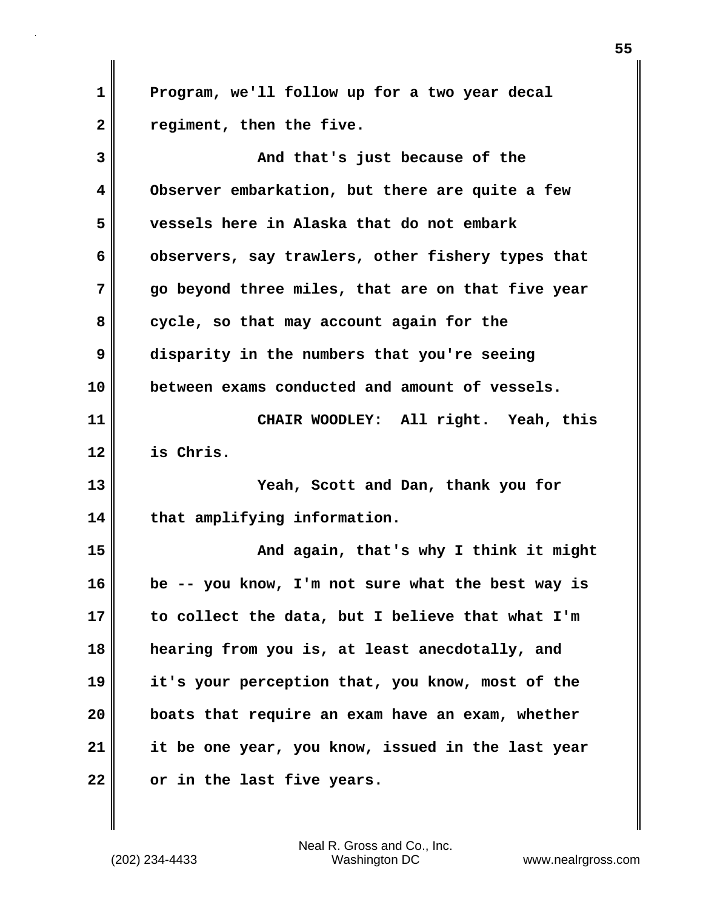**1 Program, we'll follow up for a two year decal 2 regiment, then the five. 3 And that's just because of the 4 Observer embarkation, but there are quite a few 5 vessels here in Alaska that do not embark 6 observers, say trawlers, other fishery types that 7 go beyond three miles, that are on that five year 8 cycle, so that may account again for the 9 disparity in the numbers that you're seeing 10 between exams conducted and amount of vessels. 11 CHAIR WOODLEY: All right. Yeah, this 12 is Chris. 13 Yeah, Scott and Dan, thank you for 14 that amplifying information. 15 And again, that's why I think it might 16 be -- you know, I'm not sure what the best way is 17 to collect the data, but I believe that what I'm 18 hearing from you is, at least anecdotally, and 19 it's your perception that, you know, most of the**

**21 it be one year, you know, issued in the last year 22 or in the last five years.**

**20 boats that require an exam have an exam, whether**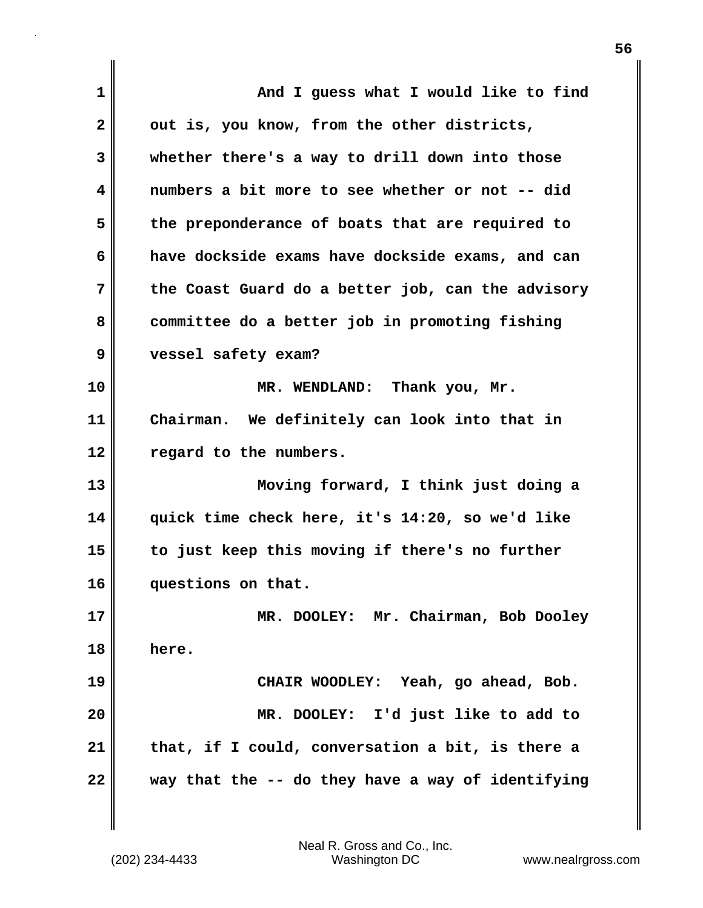| $\mathbf 1$  | And I guess what I would like to find             |
|--------------|---------------------------------------------------|
| $\mathbf{2}$ | out is, you know, from the other districts,       |
| 3            | whether there's a way to drill down into those    |
| 4            | numbers a bit more to see whether or not -- did   |
| 5            | the preponderance of boats that are required to   |
| 6            | have dockside exams have dockside exams, and can  |
| 7            | the Coast Guard do a better job, can the advisory |
| 8            | committee do a better job in promoting fishing    |
| 9            | vessel safety exam?                               |
| 10           | MR. WENDLAND: Thank you, Mr.                      |
| 11           | Chairman. We definitely can look into that in     |
| 12           | regard to the numbers.                            |
| 13           | Moving forward, I think just doing a              |
| 14           | quick time check here, it's 14:20, so we'd like   |
| 15           | to just keep this moving if there's no further    |
| 16           | questions on that.                                |
| 17           | MR. DOOLEY: Mr. Chairman, Bob Dooley              |
| 18           | here.                                             |
| 19           | CHAIR WOODLEY: Yeah, go ahead, Bob.               |
| 20           | MR. DOOLEY: I'd just like to add to               |
| 21           | that, if I could, conversation a bit, is there a  |
| 22           | way that the -- do they have a way of identifying |

 $\mathbf{I}$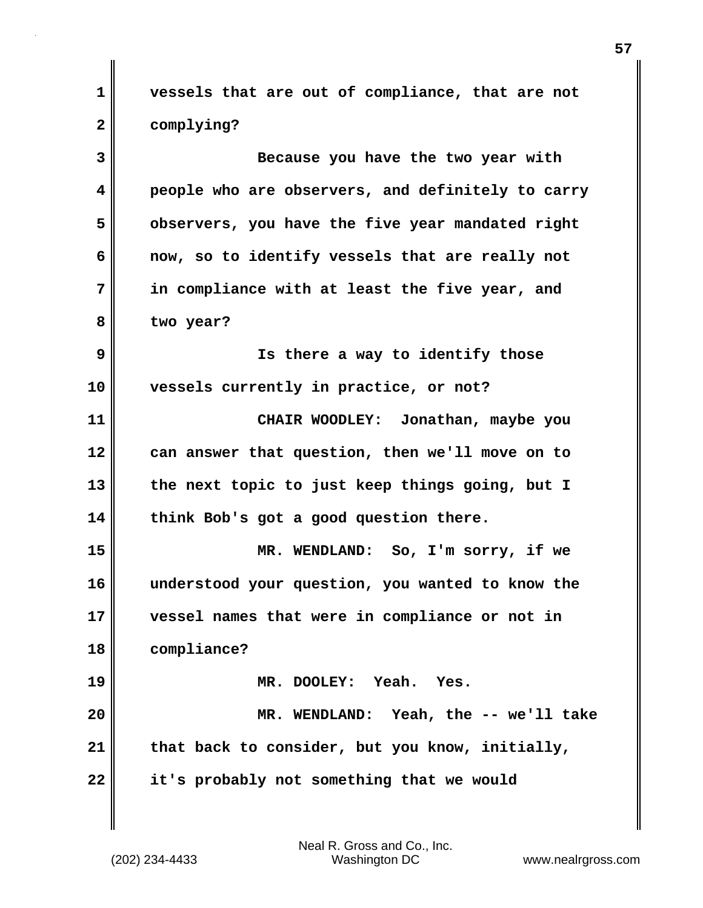**1 vessels that are out of compliance, that are not 2 complying?**

**3 Because you have the two year with 4 people who are observers, and definitely to carry 5 observers, you have the five year mandated right 6 now, so to identify vessels that are really not 7 in compliance with at least the five year, and 8 two year? 9 Is there a way to identify those 10 vessels currently in practice, or not? 11 CHAIR WOODLEY: Jonathan, maybe you 12 can answer that question, then we'll move on to 13 the next topic to just keep things going, but I 14 think Bob's got a good question there. 15 MR. WENDLAND: So, I'm sorry, if we 16 understood your question, you wanted to know the 17 vessel names that were in compliance or not in 18 compliance? 19 MR. DOOLEY: Yeah. Yes. 20 MR. WENDLAND: Yeah, the -- we'll take 21 that back to consider, but you know, initially, 22 it's probably not something that we would**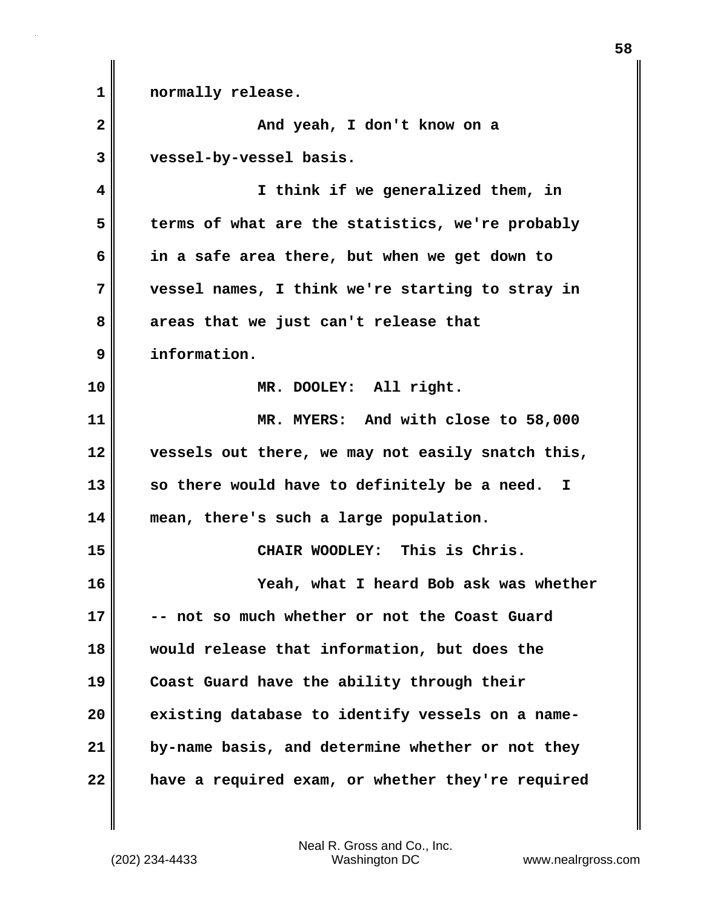**1 normally release. 2 And yeah, I don't know on a 3 vessel-by-vessel basis. 4 I think if we generalized them, in 5 terms of what are the statistics, we're probably 6 in a safe area there, but when we get down to 7 vessel names, I think we're starting to stray in 8 areas that we just can't release that 9 information. 10 MR. DOOLEY: All right. 11 MR. MYERS: And with close to 58,000 12 vessels out there, we may not easily snatch this, 13 so there would have to definitely be a need. I 14 mean, there's such a large population. 15 CHAIR WOODLEY: This is Chris. 16 Yeah, what I heard Bob ask was whether 17 -- not so much whether or not the Coast Guard 18 would release that information, but does the 19 Coast Guard have the ability through their 20 existing database to identify vessels on a name-21 by-name basis, and determine whether or not they 22 have a required exam, or whether they're required**

(202) 234-4433 Washington DC www.nealrgross.com Neal R. Gross and Co., Inc.

**58**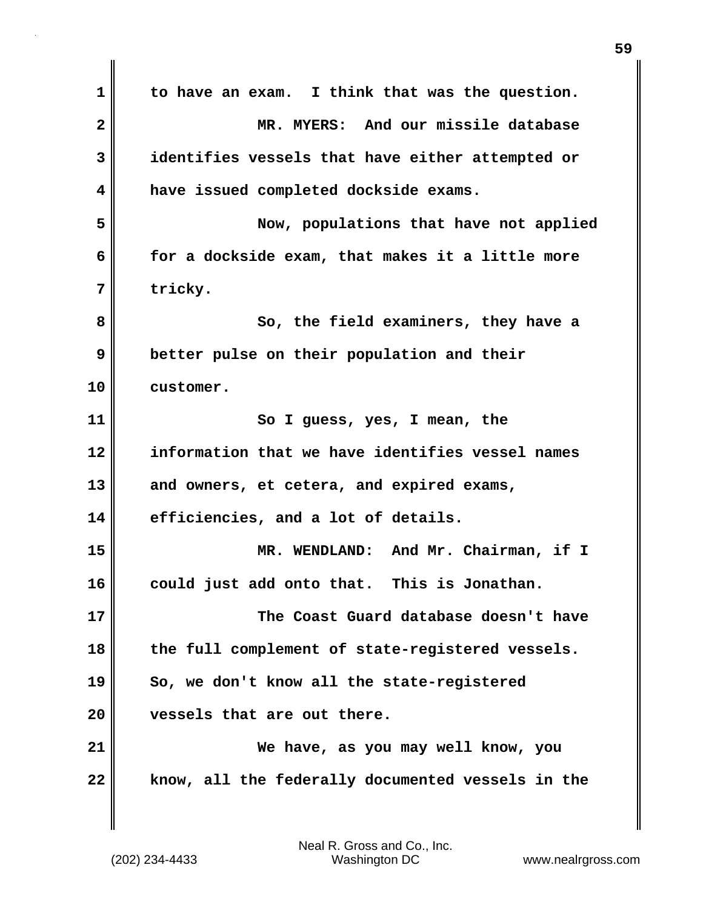**1 to have an exam. I think that was the question. 2 MR. MYERS: And our missile database 3 identifies vessels that have either attempted or 4 have issued completed dockside exams. 5 Now, populations that have not applied 6 for a dockside exam, that makes it a little more 7 tricky. 8 So, the field examiners, they have a 9 better pulse on their population and their 10 customer. 11 So I guess, yes, I mean, the 12 information that we have identifies vessel names 13 and owners, et cetera, and expired exams, 14 efficiencies, and a lot of details. 15 MR. WENDLAND: And Mr. Chairman, if I 16 could just add onto that. This is Jonathan. 17 The Coast Guard database doesn't have 18 the full complement of state-registered vessels. 19 So, we don't know all the state-registered 20 vessels that are out there. 21 We have, as you may well know, you 22 know, all the federally documented vessels in the**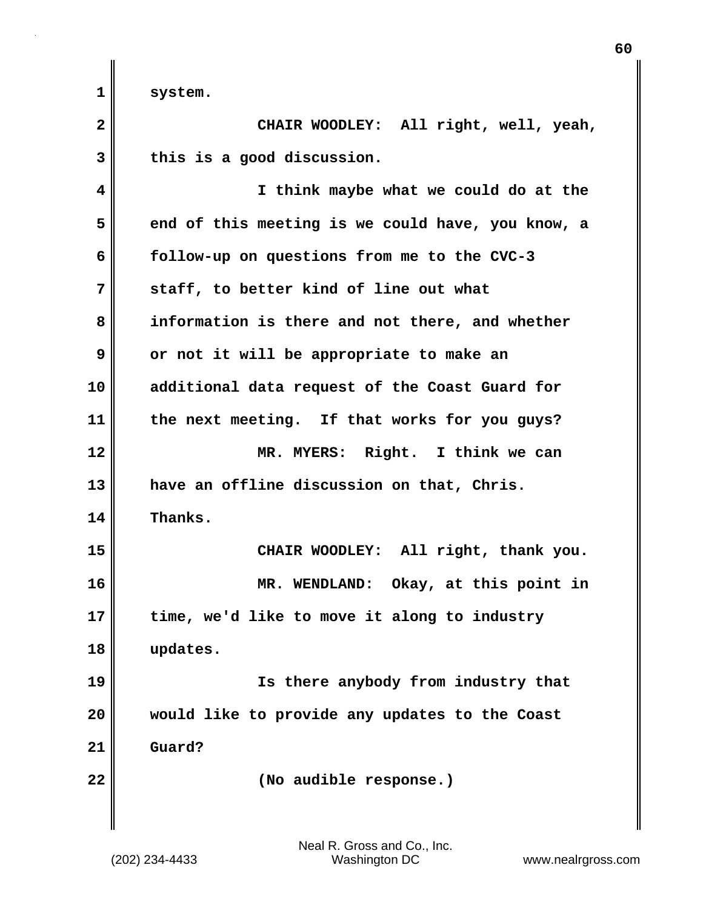1 system.

| $\mathbf{2}$ | CHAIR WOODLEY: All right, well, yeah,             |
|--------------|---------------------------------------------------|
| 3            | this is a good discussion.                        |
| 4            | I think maybe what we could do at the             |
| 5            | end of this meeting is we could have, you know, a |
| 6            | follow-up on questions from me to the CVC-3       |
| 7            | staff, to better kind of line out what            |
| 8            | information is there and not there, and whether   |
| 9            | or not it will be appropriate to make an          |
| 10           | additional data request of the Coast Guard for    |
| 11           | the next meeting. If that works for you guys?     |
| 12           | MR. MYERS: Right. I think we can                  |
| 13           | have an offline discussion on that, Chris.        |
| 14           | Thanks.                                           |
| 15           | CHAIR WOODLEY: All right, thank you.              |
| 16           | MR. WENDLAND: Okay, at this point in              |
| 17           | time, we'd like to move it along to industry      |
| 18           | updates.                                          |
| 19           | Is there anybody from industry that               |
| 20           | would like to provide any updates to the Coast    |
| 21           | Guard?                                            |
| 22           | (No audible response.)                            |
|              |                                                   |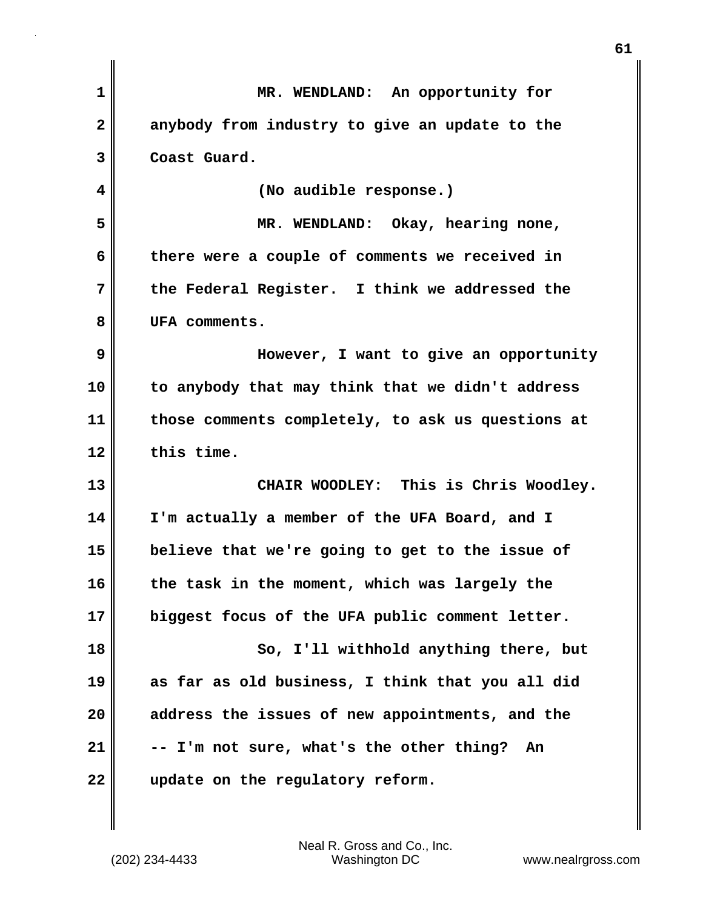| 1            | MR. WENDLAND: An opportunity for                  |
|--------------|---------------------------------------------------|
| $\mathbf{2}$ | anybody from industry to give an update to the    |
| 3            | Coast Guard.                                      |
| 4            | (No audible response.)                            |
| 5            | MR. WENDLAND: Okay, hearing none,                 |
| 6            | there were a couple of comments we received in    |
| 7            | the Federal Register. I think we addressed the    |
| 8            | UFA comments.                                     |
| 9            | However, I want to give an opportunity            |
| 10           | to anybody that may think that we didn't address  |
| 11           | those comments completely, to ask us questions at |
| 12           | this time.                                        |
| 13           | CHAIR WOODLEY: This is Chris Woodley.             |
| 14           | I'm actually a member of the UFA Board, and I     |
| 15           | believe that we're going to get to the issue of   |
| 16           | the task in the moment, which was largely the     |
| 17           | biggest focus of the UFA public comment letter.   |
| 18           | So, I'll withhold anything there, but             |
| 19           | as far as old business, I think that you all did  |
| 20           | address the issues of new appointments, and the   |
| 21           | -- I'm not sure, what's the other thing? An       |
| 22           | update on the regulatory reform.                  |

**61**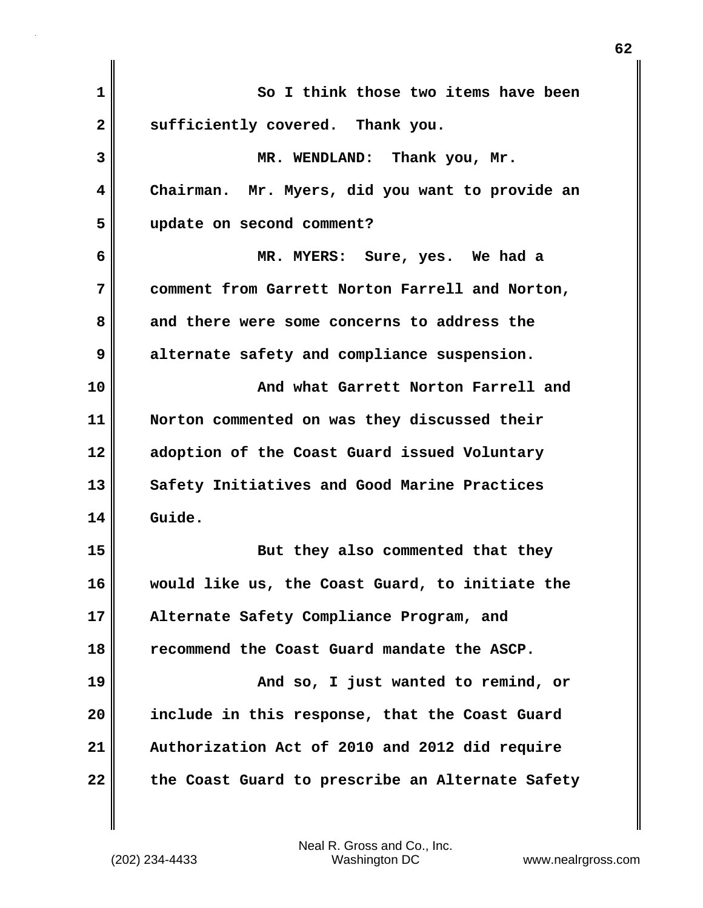| $\mathbf 1$  | So I think those two items have been             |
|--------------|--------------------------------------------------|
| $\mathbf{2}$ | sufficiently covered. Thank you.                 |
| 3            | MR. WENDLAND: Thank you, Mr.                     |
| 4            | Chairman. Mr. Myers, did you want to provide an  |
| 5            | update on second comment?                        |
| 6            | MR. MYERS: Sure, yes. We had a                   |
| 7            | comment from Garrett Norton Farrell and Norton,  |
| 8            | and there were some concerns to address the      |
| 9            | alternate safety and compliance suspension.      |
| 10           | And what Garrett Norton Farrell and              |
| 11           | Norton commented on was they discussed their     |
| 12           | adoption of the Coast Guard issued Voluntary     |
| 13           | Safety Initiatives and Good Marine Practices     |
| 14           | Guide.                                           |
| 15           | But they also commented that they                |
| 16           | would like us, the Coast Guard, to initiate the  |
| 17           | Alternate Safety Compliance Program, and         |
| 18           | recommend the Coast Guard mandate the ASCP.      |
| 19           | And so, I just wanted to remind, or              |
| 20           | include in this response, that the Coast Guard   |
| 21           | Authorization Act of 2010 and 2012 did require   |
| 22           | the Coast Guard to prescribe an Alternate Safety |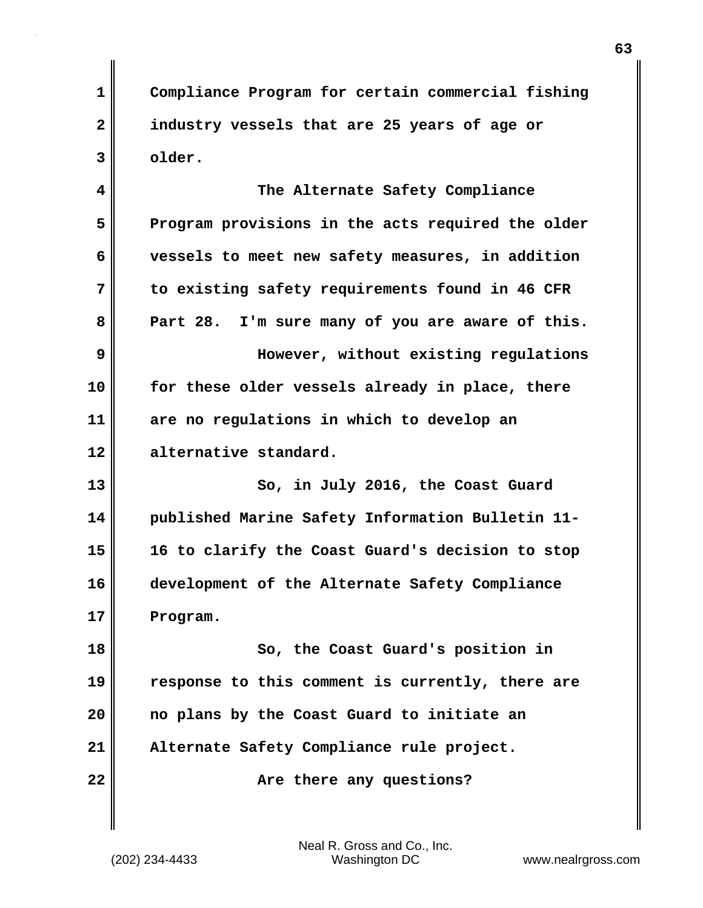**1 Compliance Program for certain commercial fishing 2 industry vessels that are 25 years of age or 3 older.**

**4 The Alternate Safety Compliance 5 Program provisions in the acts required the older 6 vessels to meet new safety measures, in addition 7 to existing safety requirements found in 46 CFR 8 Part 28. I'm sure many of you are aware of this. 9 However, without existing regulations 10 for these older vessels already in place, there 11 are no regulations in which to develop an 12 alternative standard. 13** So, in July 2016, the Coast Guard **14 published Marine Safety Information Bulletin 11- 15 16 to clarify the Coast Guard's decision to stop 16 development of the Alternate Safety Compliance 17 Program.**

**18 So, the Coast Guard's position in 19 response to this comment is currently, there are 20 no plans by the Coast Guard to initiate an 21 Alternate Safety Compliance rule project.**

**22**  $\parallel$  **Are there any questions?**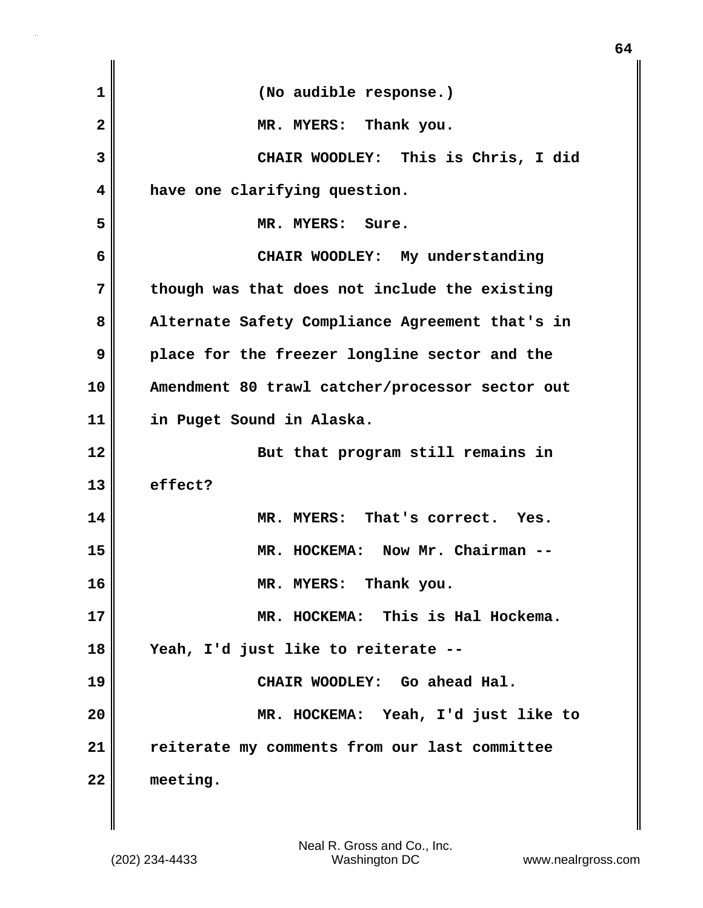| $\mathbf 1$  | (No audible response.)                          |
|--------------|-------------------------------------------------|
| $\mathbf{2}$ | MR. MYERS: Thank you.                           |
| 3            | CHAIR WOODLEY: This is Chris, I did             |
| 4            | have one clarifying question.                   |
| 5            | MR. MYERS: Sure.                                |
| 6            | CHAIR WOODLEY: My understanding                 |
| 7            | though was that does not include the existing   |
| 8            | Alternate Safety Compliance Agreement that's in |
| 9            | place for the freezer longline sector and the   |
| 10           | Amendment 80 trawl catcher/processor sector out |
| 11           | in Puget Sound in Alaska.                       |
| 12           | But that program still remains in               |
| 13           | effect?                                         |
| 14           | MR. MYERS: That's correct. Yes.                 |
| 15           | MR. HOCKEMA: Now Mr. Chairman --                |
| 16           | MR. MYERS: Thank you.                           |
| 17           | MR. HOCKEMA: This is Hal Hockema.               |
| 18           | Yeah, I'd just like to reiterate --             |
| 19           | CHAIR WOODLEY: Go ahead Hal.                    |
| 20           | MR. HOCKEMA: Yeah, I'd just like to             |
| 21           | reiterate my comments from our last committee   |
| 22           | meeting.                                        |

**64**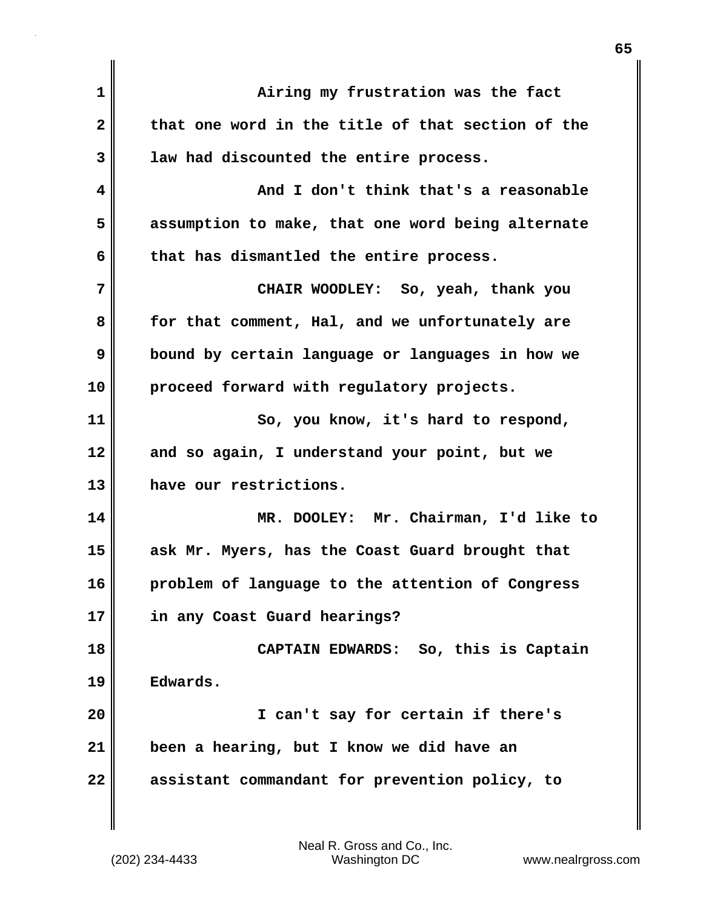| $\mathbf{1}$            | Airing my frustration was the fact                |
|-------------------------|---------------------------------------------------|
| $\overline{\mathbf{2}}$ | that one word in the title of that section of the |
| 3                       | law had discounted the entire process.            |
| 4                       | And I don't think that's a reasonable             |
| 5                       | assumption to make, that one word being alternate |
| 6                       | that has dismantled the entire process.           |
| 7                       | CHAIR WOODLEY: So, yeah, thank you                |
| 8                       | for that comment, Hal, and we unfortunately are   |
| 9                       | bound by certain language or languages in how we  |
| 10                      | proceed forward with regulatory projects.         |
| 11                      | So, you know, it's hard to respond,               |
| 12                      | and so again, I understand your point, but we     |
| 13                      | have our restrictions.                            |
| 14                      | MR. DOOLEY: Mr. Chairman, I'd like to             |
| 15                      | ask Mr. Myers, has the Coast Guard brought that   |
| 16                      | problem of language to the attention of Congress  |
| 17                      | in any Coast Guard hearings?                      |
| 18                      | CAPTAIN EDWARDS: So, this is Captain              |
| 19                      | Edwards.                                          |
| 20                      | I can't say for certain if there's                |
| 21                      | been a hearing, but I know we did have an         |
| 22                      | assistant commandant for prevention policy, to    |
|                         |                                                   |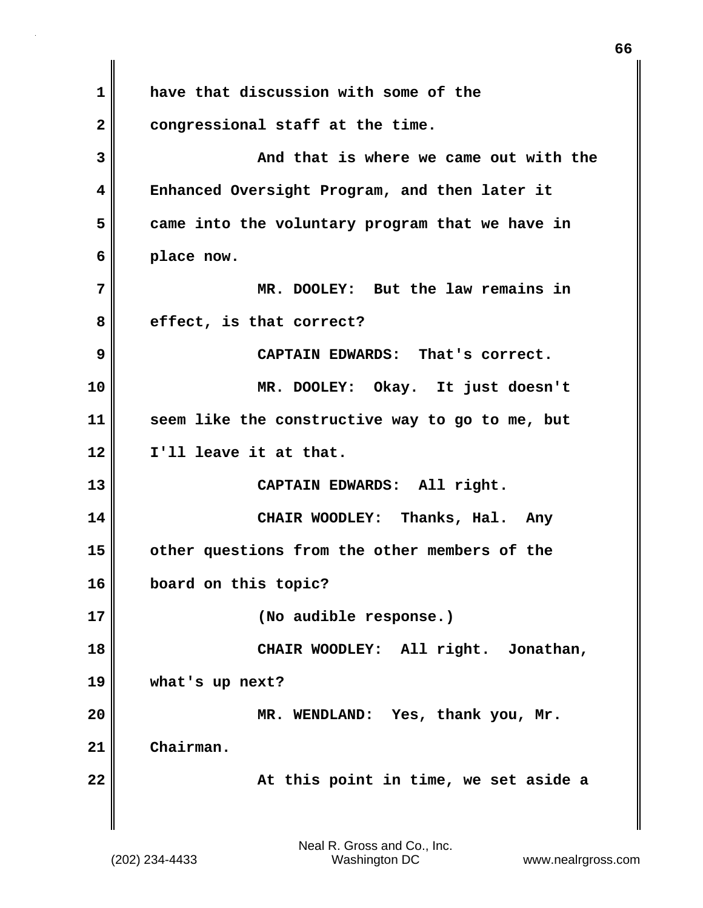**1 have that discussion with some of the 2 congressional staff at the time. 3 And that is where we came out with the 4 Enhanced Oversight Program, and then later it 5 came into the voluntary program that we have in 6 place now. 7 MR. DOOLEY: But the law remains in 8 effect, is that correct? 9 CAPTAIN EDWARDS: That's correct. 10 MR. DOOLEY: Okay. It just doesn't 11 seem like the constructive way to go to me, but 12 I'll leave it at that. 13 CAPTAIN EDWARDS: All right. 14 CHAIR WOODLEY: Thanks, Hal. Any 15 other questions from the other members of the 16 board on this topic? 17 (No audible response.) 18 CHAIR WOODLEY: All right. Jonathan, 19 what's up next? 20 MR. WENDLAND: Yes, thank you, Mr. 21 Chairman. 22 At this point in time, we set aside a**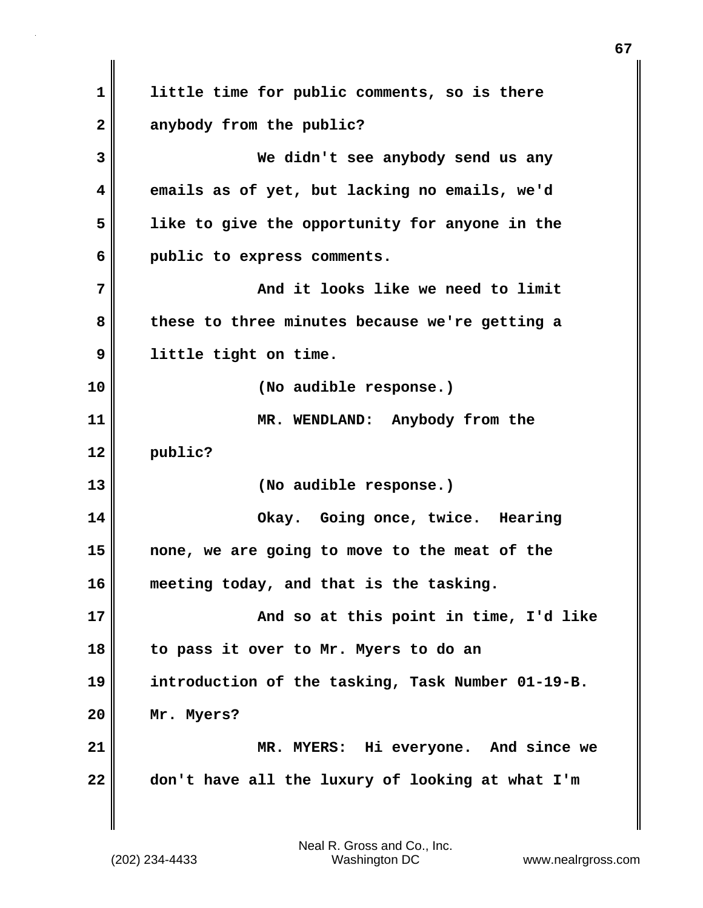**1 little time for public comments, so is there 2 anybody from the public? 3 We didn't see anybody send us any 4 emails as of yet, but lacking no emails, we'd 5 like to give the opportunity for anyone in the 6 public to express comments. 7 And it looks like we need to limit 8 these to three minutes because we're getting a 9 little tight on time. 10 (No audible response.) 11 MR. WENDLAND: Anybody from the 12 public? 13 (No audible response.) 14 Okay. Going once, twice. Hearing 15 none, we are going to move to the meat of the 16 meeting today, and that is the tasking. 17 And so at this point in time, I'd like 18 to pass it over to Mr. Myers to do an 19 introduction of the tasking, Task Number 01-19-B. 20 Mr. Myers? 21 MR. MYERS: Hi everyone. And since we 22 don't have all the luxury of looking at what I'm**

(202) 234-4433 Washington DC www.nealrgross.com Neal R. Gross and Co., Inc.

**67**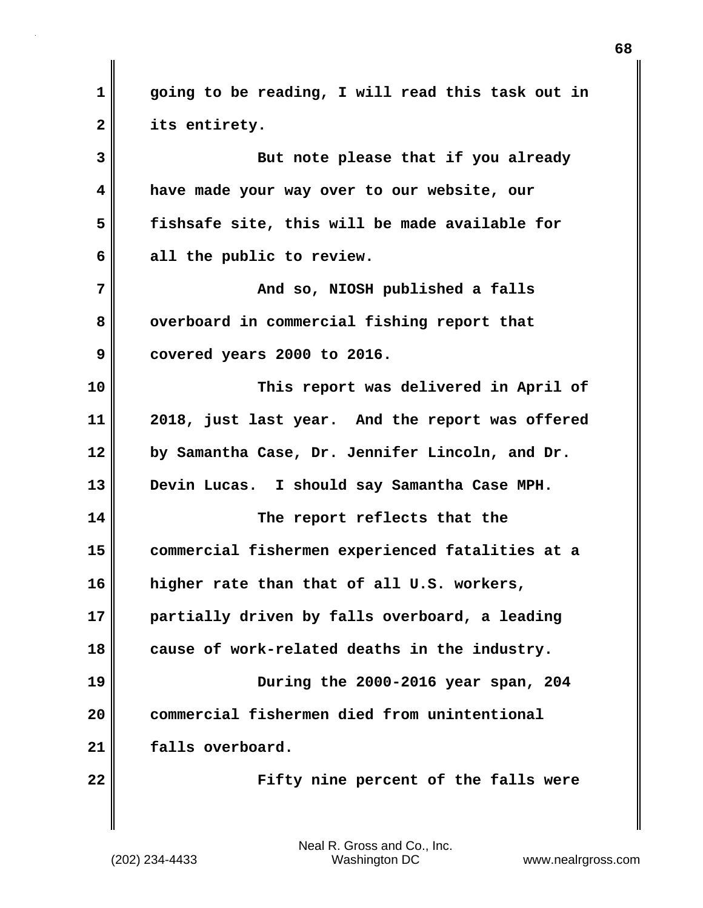**1 going to be reading, I will read this task out in 2 its entirety. 3 But note please that if you already 4 have made your way over to our website, our 5 fishsafe site, this will be made available for 6 all the public to review. 7 And so, NIOSH published a falls** 8 overboard in commercial fishing report that **9 covered years 2000 to 2016. 10 This report was delivered in April of 11 2018, just last year. And the report was offered 12 by Samantha Case, Dr. Jennifer Lincoln, and Dr. 13 Devin Lucas. I should say Samantha Case MPH. 14 The report reflects that the 15 commercial fishermen experienced fatalities at a 16 higher rate than that of all U.S. workers, 17 partially driven by falls overboard, a leading 18 cause of work-related deaths in the industry. 19 During the 2000-2016 year span, 204 20 commercial fishermen died from unintentional 21 falls overboard. 22 Fifty nine percent of the falls were**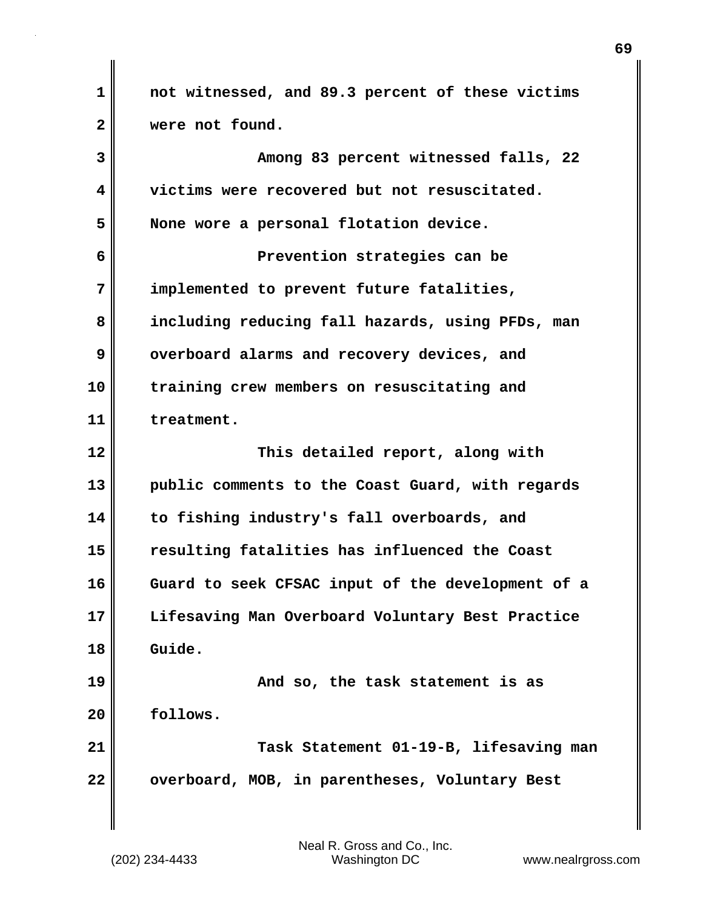**1 not witnessed, and 89.3 percent of these victims 2 were not found. 3 Among 83 percent witnessed falls, 22 4 victims were recovered but not resuscitated. 5 None wore a personal flotation device. 6 Prevention strategies can be 7 implemented to prevent future fatalities, 8 including reducing fall hazards, using PFDs, man 9** overboard alarms and recovery devices, and **10 training crew members on resuscitating and 11 treatment. 12 This detailed report, along with 13 public comments to the Coast Guard, with regards 14 to fishing industry's fall overboards, and 15 resulting fatalities has influenced the Coast 16 Guard to seek CFSAC input of the development of a 17 Lifesaving Man Overboard Voluntary Best Practice 18 Guide. 19 And so, the task statement is as 20 follows. 21 Task Statement 01-19-B, lifesaving man 22 overboard, MOB, in parentheses, Voluntary Best**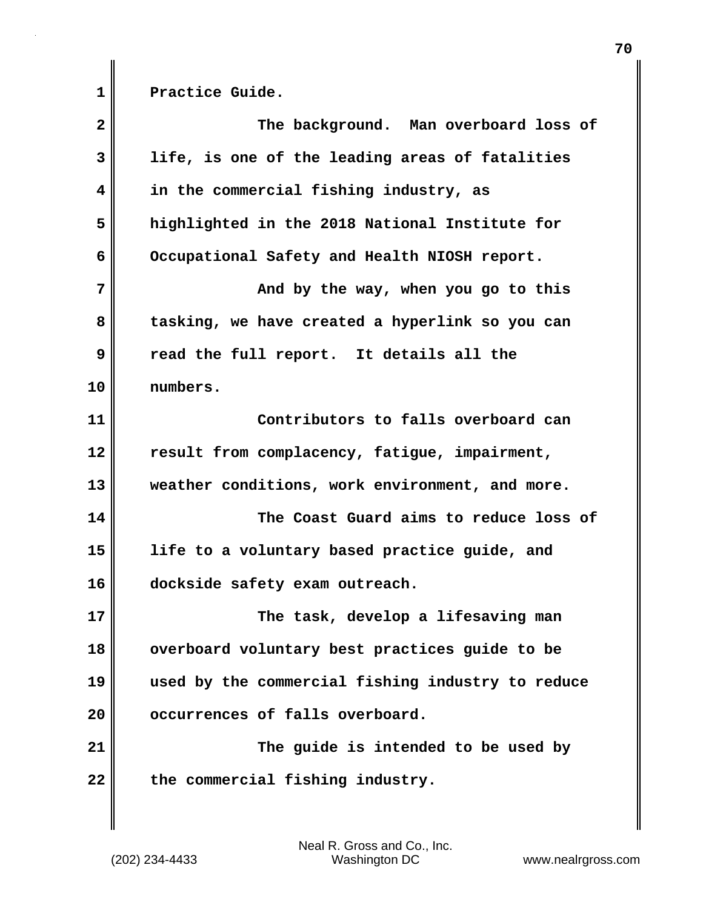1 Practice Guide.

| $\overline{\mathbf{2}}$ | The background. Man overboard loss of             |
|-------------------------|---------------------------------------------------|
| 3                       | life, is one of the leading areas of fatalities   |
| 4                       | in the commercial fishing industry, as            |
| 5                       | highlighted in the 2018 National Institute for    |
| 6                       | Occupational Safety and Health NIOSH report.      |
| 7                       | And by the way, when you go to this               |
| 8                       | tasking, we have created a hyperlink so you can   |
| 9                       | read the full report. It details all the          |
| 10                      | numbers.                                          |
| 11                      | Contributors to falls overboard can               |
| 12                      | result from complacency, fatigue, impairment,     |
| 13                      | weather conditions, work environment, and more.   |
| 14                      | The Coast Guard aims to reduce loss of            |
| 15                      | life to a voluntary based practice guide, and     |
| 16                      | dockside safety exam outreach.                    |
| 17                      | The task, develop a lifesaving man                |
| 18                      | overboard voluntary best practices guide to be    |
| 19                      | used by the commercial fishing industry to reduce |
| 20                      | occurrences of falls overboard.                   |
| 21                      | The guide is intended to be used by               |
| 22                      | the commercial fishing industry.                  |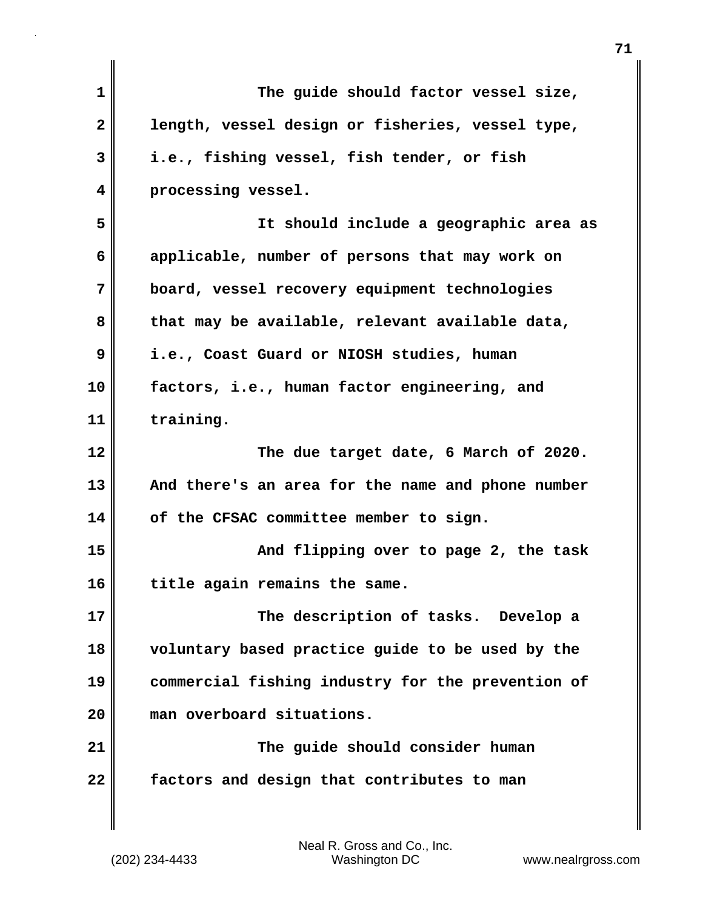| 1  | The guide should factor vessel size,              |
|----|---------------------------------------------------|
| 2  | length, vessel design or fisheries, vessel type,  |
| 3  | i.e., fishing vessel, fish tender, or fish        |
| 4  | processing vessel.                                |
| 5  | It should include a geographic area as            |
| 6  | applicable, number of persons that may work on    |
| 7  | board, vessel recovery equipment technologies     |
| 8  | that may be available, relevant available data,   |
| 9  | i.e., Coast Guard or NIOSH studies, human         |
| 10 | factors, i.e., human factor engineering, and      |
| 11 | training.                                         |
| 12 | The due target date, 6 March of 2020.             |
| 13 | And there's an area for the name and phone number |
| 14 | of the CFSAC committee member to sign.            |
| 15 | And flipping over to page 2, the task             |
| 16 | title again remains the same.                     |
| 17 | The description of tasks. Develop a               |
| 18 | voluntary based practice guide to be used by the  |
| 19 | commercial fishing industry for the prevention of |
| 20 | man overboard situations.                         |
| 21 | The guide should consider human                   |
| 22 | factors and design that contributes to man        |
|    |                                                   |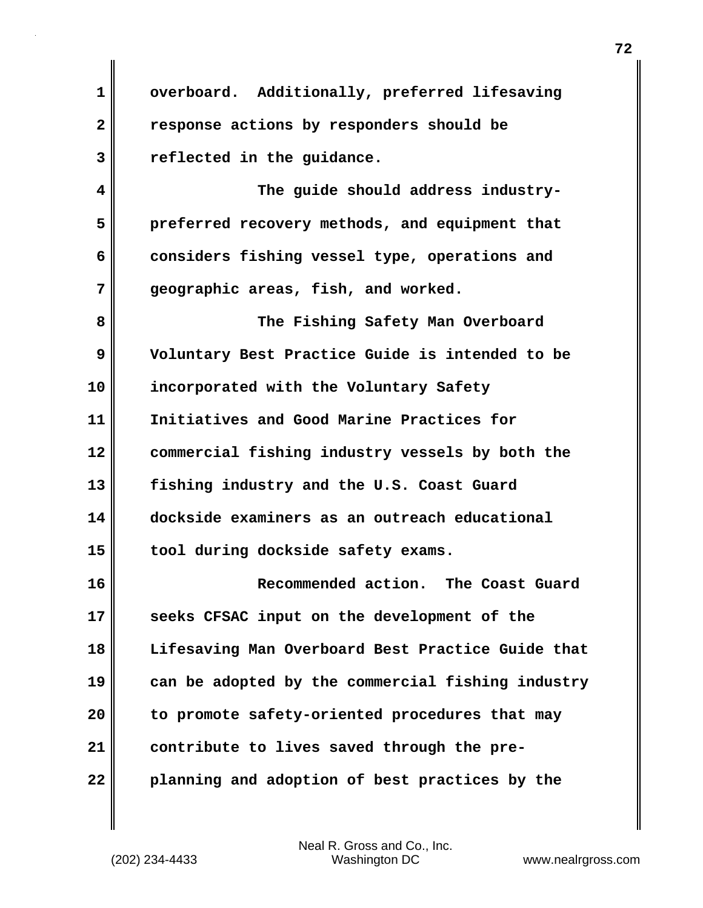**1 overboard. Additionally, preferred lifesaving 2 response actions by responders should be 3 reflected in the guidance.** 

**4 The guide should address industry-5 preferred recovery methods, and equipment that 6 considers fishing vessel type, operations and 7 geographic areas, fish, and worked.**

**8 The Fishing Safety Man Overboard 9 Voluntary Best Practice Guide is intended to be 10 incorporated with the Voluntary Safety 11 Initiatives and Good Marine Practices for 12 commercial fishing industry vessels by both the 13 fishing industry and the U.S. Coast Guard 14 dockside examiners as an outreach educational 15 tool during dockside safety exams.**

**16 Recommended action. The Coast Guard 17 seeks CFSAC input on the development of the 18 Lifesaving Man Overboard Best Practice Guide that 19 can be adopted by the commercial fishing industry 20 to promote safety-oriented procedures that may 21 contribute to lives saved through the pre-22 planning and adoption of best practices by the**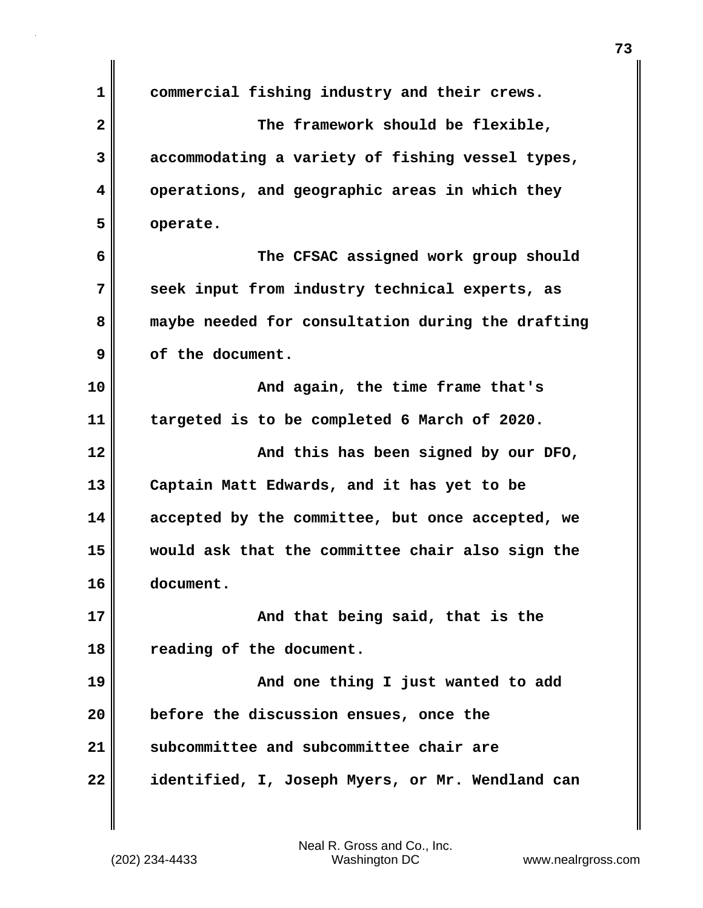| $\mathbf 1$  | commercial fishing industry and their crews.      |
|--------------|---------------------------------------------------|
| $\mathbf{2}$ | The framework should be flexible,                 |
| 3            | accommodating a variety of fishing vessel types,  |
| 4            | operations, and geographic areas in which they    |
| 5            | operate.                                          |
| 6            | The CFSAC assigned work group should              |
| 7            | seek input from industry technical experts, as    |
| 8            | maybe needed for consultation during the drafting |
| 9            | of the document.                                  |
| 10           | And again, the time frame that's                  |
| 11           | targeted is to be completed 6 March of 2020.      |
| 12           | And this has been signed by our DFO,              |
| 13           | Captain Matt Edwards, and it has yet to be        |
| 14           | accepted by the committee, but once accepted, we  |
| 15           | would ask that the committee chair also sign the  |
| 16           | document.                                         |
| 17           | And that being said, that is the                  |
| 18           | reading of the document.                          |
| 19           | And one thing I just wanted to add                |
| 20           | before the discussion ensues, once the            |
| 21           | subcommittee and subcommittee chair are           |
| 22           | identified, I, Joseph Myers, or Mr. Wendland can  |

(202) 234-4433 Washington DC www.nealrgross.com Neal R. Gross and Co., Inc.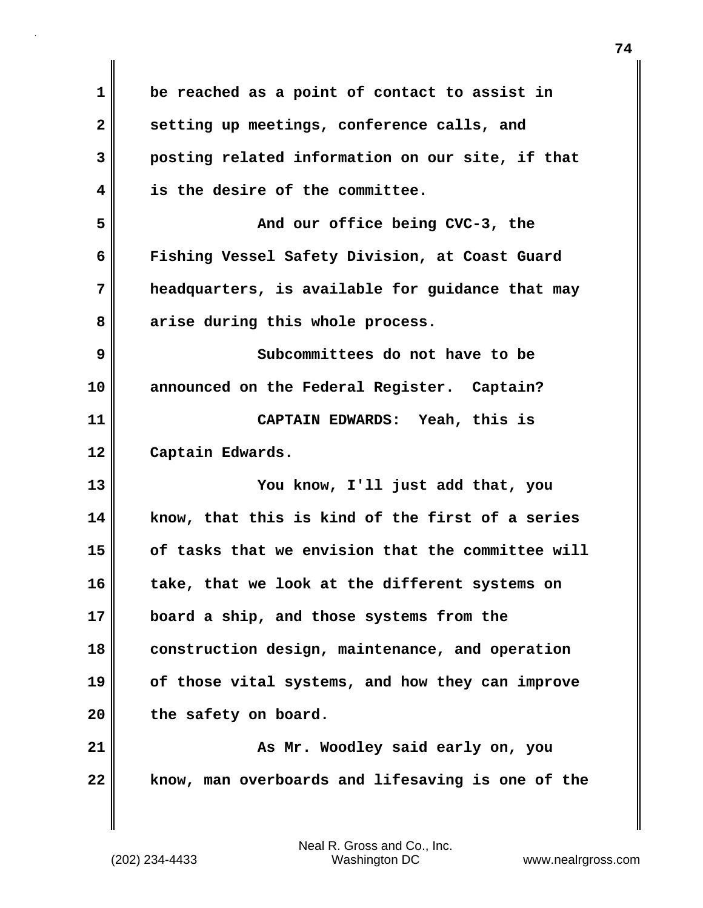| $\mathbf 1$  | be reached as a point of contact to assist in     |
|--------------|---------------------------------------------------|
| $\mathbf{2}$ | setting up meetings, conference calls, and        |
| 3            | posting related information on our site, if that  |
| 4            | is the desire of the committee.                   |
| 5            | And our office being CVC-3, the                   |
| 6            | Fishing Vessel Safety Division, at Coast Guard    |
| 7            | headquarters, is available for guidance that may  |
| 8            | arise during this whole process.                  |
| 9            | Subcommittees do not have to be                   |
| 10           | announced on the Federal Register. Captain?       |
| 11           | CAPTAIN EDWARDS: Yeah, this is                    |
| 12           | Captain Edwards.                                  |
| 13           | You know, I'll just add that, you                 |
| 14           | know, that this is kind of the first of a series  |
| 15           | of tasks that we envision that the committee will |
| 16           | take, that we look at the different systems on    |
| 17           | board a ship, and those systems from the          |
| 18           | construction design, maintenance, and operation   |
| 19           | of those vital systems, and how they can improve  |
| 20           | the safety on board.                              |
| 21           | As Mr. Woodley said early on, you                 |
| 22           | know, man overboards and lifesaving is one of the |
|              |                                                   |

 $\mathbf{I}$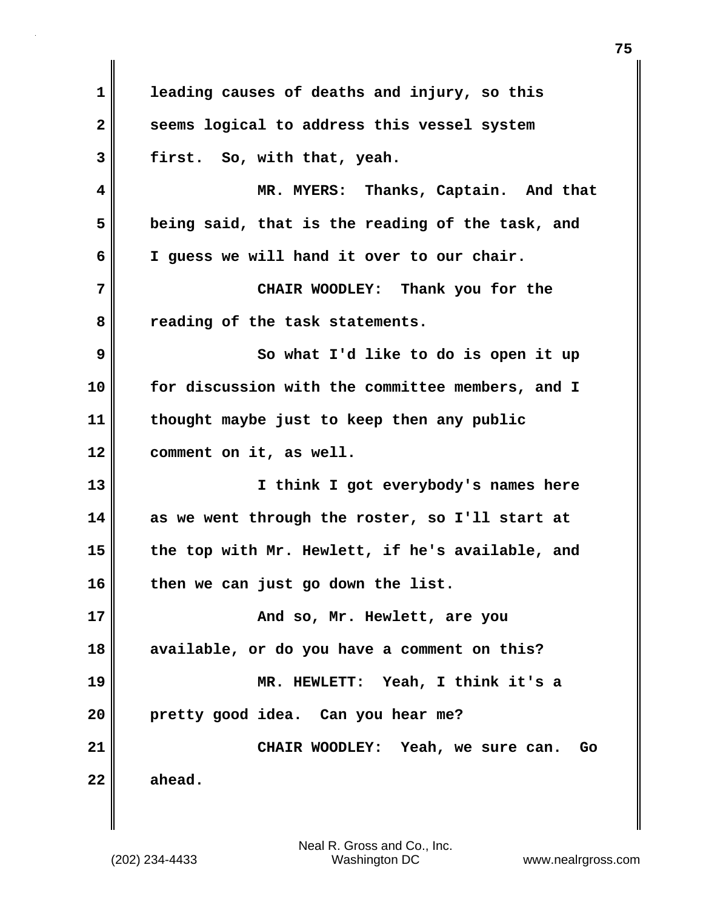**1 leading causes of deaths and injury, so this** 2 seems logical to address this vessel system **3 first. So, with that, yeah. 4 MR. MYERS: Thanks, Captain. And that 5 being said, that is the reading of the task, and 6 I guess we will hand it over to our chair. 7 CHAIR WOODLEY: Thank you for the 8 reading of the task statements. 9** So what I'd like to do is open it up **10 for discussion with the committee members, and I 11 thought maybe just to keep then any public 12 comment on it, as well. 13 I think I got everybody's names here 14 as we went through the roster, so I'll start at 15 the top with Mr. Hewlett, if he's available, and 16 then we can just go down the list. 17 And so, Mr. Hewlett, are you 18 available, or do you have a comment on this? 19 MR. HEWLETT: Yeah, I think it's a 20 pretty good idea. Can you hear me? 21 CHAIR WOODLEY: Yeah, we sure can. Go 22 ahead.**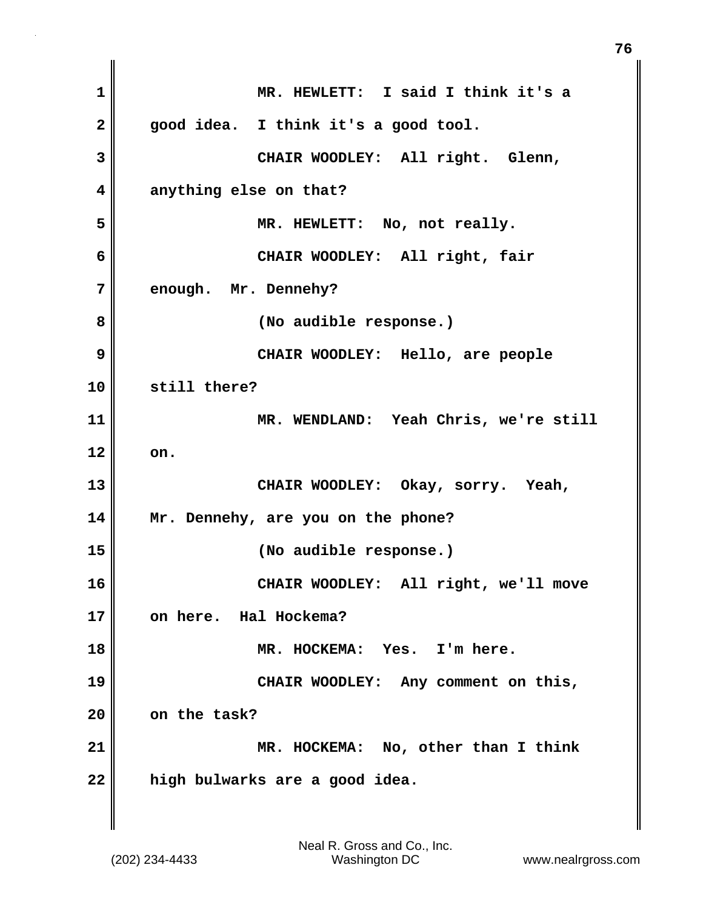**1 MR. HEWLETT: I said I think it's a 2 good idea. I think it's a good tool. 3 CHAIR WOODLEY: All right. Glenn, 4 anything else on that? 5 MR. HEWLETT: No, not really. 6 CHAIR WOODLEY: All right, fair 7 enough. Mr. Dennehy? 8 (No audible response.) 9 CHAIR WOODLEY: Hello, are people 10 still there? 11 MR. WENDLAND: Yeah Chris, we're still 12 on. 13 CHAIR WOODLEY: Okay, sorry. Yeah, 14 Mr. Dennehy, are you on the phone? 15 (No audible response.) 16 CHAIR WOODLEY: All right, we'll move 17 on here. Hal Hockema? 18 MR. HOCKEMA: Yes. I'm here. 19 CHAIR WOODLEY: Any comment on this, 20 on the task? 21 MR. HOCKEMA: No, other than I think 22 high bulwarks are a good idea.**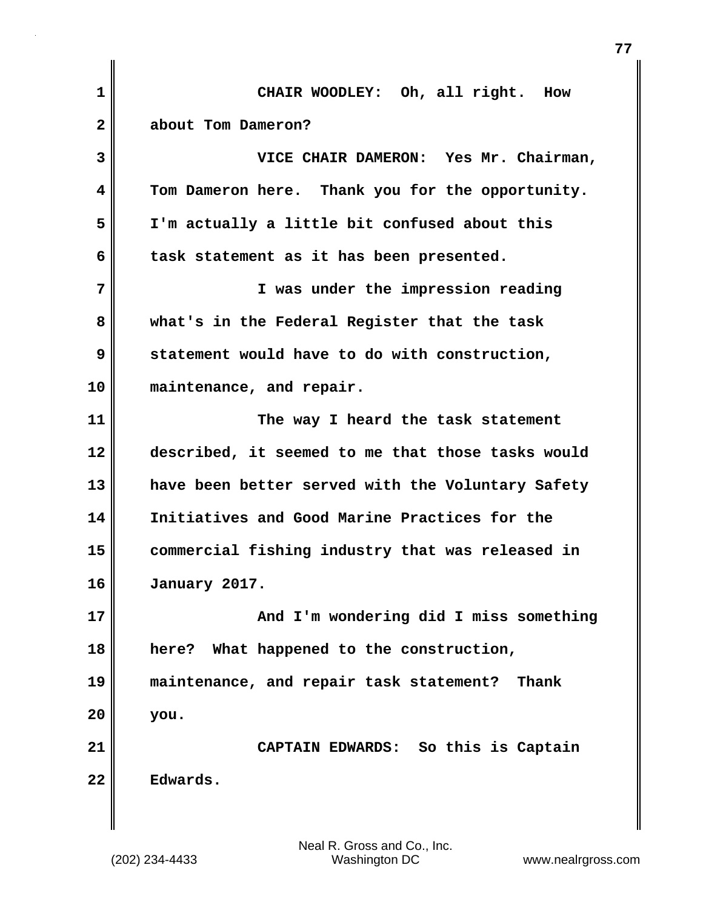| $\mathbf{1}$ | CHAIR WOODLEY: Oh, all right. How                 |
|--------------|---------------------------------------------------|
| $\mathbf{2}$ | about Tom Dameron?                                |
| 3            | VICE CHAIR DAMERON: Yes Mr. Chairman,             |
| 4            | Tom Dameron here. Thank you for the opportunity.  |
| 5            | I'm actually a little bit confused about this     |
| 6            | task statement as it has been presented.          |
| 7            | I was under the impression reading                |
| 8            | what's in the Federal Register that the task      |
| 9            | statement would have to do with construction,     |
| 10           | maintenance, and repair.                          |
| 11           | The way I heard the task statement                |
| 12           | described, it seemed to me that those tasks would |
| 13           | have been better served with the Voluntary Safety |
| 14           | Initiatives and Good Marine Practices for the     |
| 15           | commercial fishing industry that was released in  |
| 16           | January 2017.                                     |
| 17           | And I'm wondering did I miss something            |
| 18           | here? What happened to the construction,          |
| 19           | maintenance, and repair task statement?<br>Thank  |
| 20           | you.                                              |
| 21           | CAPTAIN EDWARDS: So this is Captain               |
| 22           | Edwards.                                          |
|              |                                                   |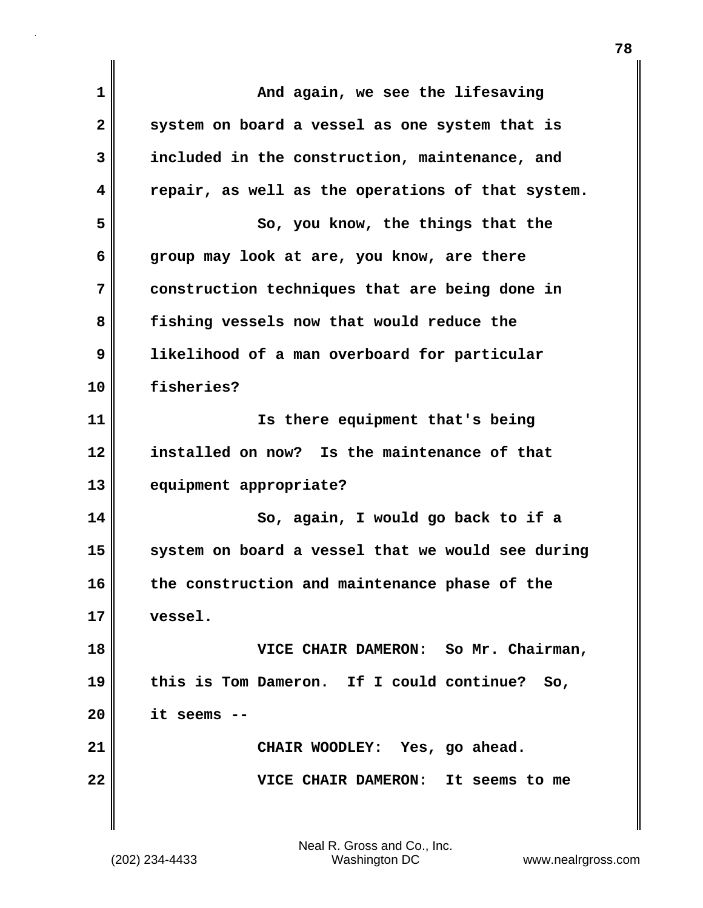| $\mathbf{1}$ | And again, we see the lifesaving                  |
|--------------|---------------------------------------------------|
| $\mathbf{2}$ | system on board a vessel as one system that is    |
| 3            | included in the construction, maintenance, and    |
| 4            | repair, as well as the operations of that system. |
| 5            | So, you know, the things that the                 |
| 6            | group may look at are, you know, are there        |
| 7            | construction techniques that are being done in    |
| 8            | fishing vessels now that would reduce the         |
| 9            | likelihood of a man overboard for particular      |
| 10           | fisheries?                                        |
| 11           | Is there equipment that's being                   |
| 12           | installed on now? Is the maintenance of that      |
| 13           | equipment appropriate?                            |
| 14           | So, again, I would go back to if a                |
| 15           | system on board a vessel that we would see during |
| 16           | the construction and maintenance phase of the     |
| 17           | vessel.                                           |
| 18           | VICE CHAIR DAMERON: So Mr. Chairman,              |
| 19           | this is Tom Dameron. If I could continue?<br>So,  |
| 20           | it seems                                          |
| 21           | CHAIR WOODLEY: Yes, go ahead.                     |
| 22           | VICE CHAIR DAMERON:<br>It seems to me             |
|              |                                                   |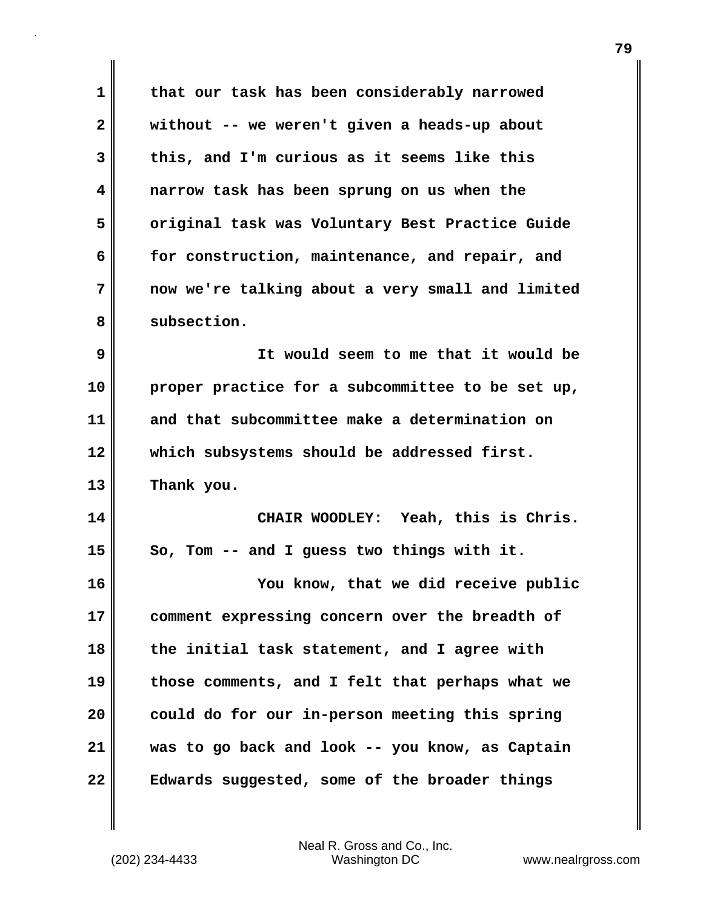**1 that our task has been considerably narrowed 2 without -- we weren't given a heads-up about 3 this, and I'm curious as it seems like this 4 narrow task has been sprung on us when the 5 original task was Voluntary Best Practice Guide 6 for construction, maintenance, and repair, and 7 now we're talking about a very small and limited** 8 subsection. **9 It would seem to me that it would be 10 proper practice for a subcommittee to be set up, 11 and that subcommittee make a determination on 12 which subsystems should be addressed first. 13 Thank you. 14 CHAIR WOODLEY: Yeah, this is Chris. 15 So, Tom -- and I guess two things with it. 16 You know, that we did receive public 17 comment expressing concern over the breadth of 18 the initial task statement, and I agree with 19 those comments, and I felt that perhaps what we 20 could do for our in-person meeting this spring 21 was to go back and look -- you know, as Captain 22 Edwards suggested, some of the broader things**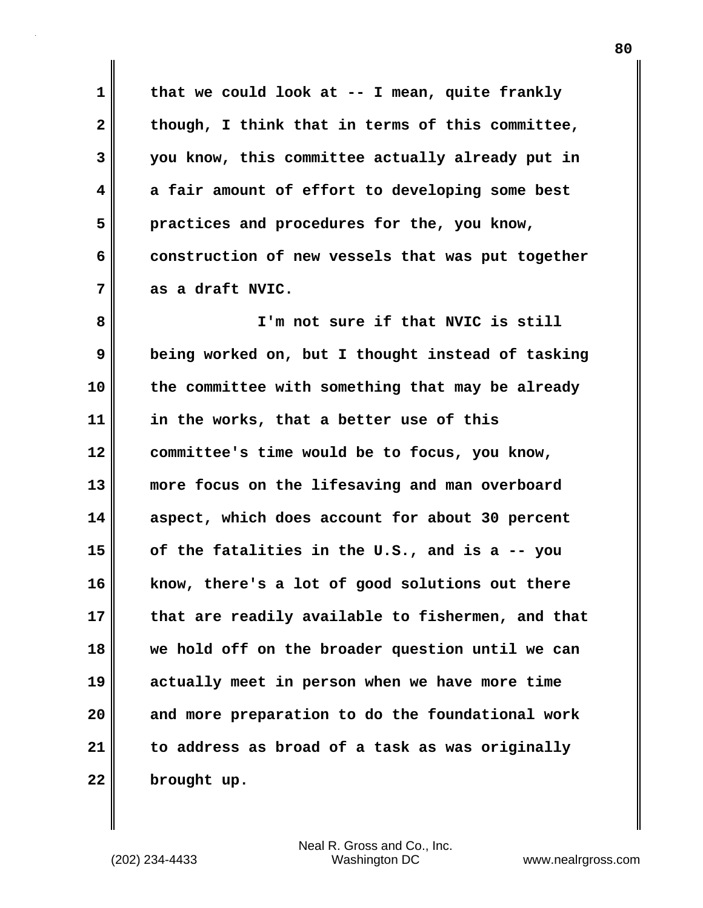**1 that we could look at -- I mean, quite frankly 2 though, I think that in terms of this committee, 3 you know, this committee actually already put in 4 a fair amount of effort to developing some best 5 practices and procedures for the, you know, 6 construction of new vessels that was put together 7 as a draft NVIC.**

**8 I'm not sure if that NVIC is still 9 being worked on, but I thought instead of tasking 10 the committee with something that may be already 11 in the works, that a better use of this 12 committee's time would be to focus, you know, 13 more focus on the lifesaving and man overboard 14 aspect, which does account for about 30 percent 15 of the fatalities in the U.S., and is a -- you 16 know, there's a lot of good solutions out there 17 that are readily available to fishermen, and that 18 we hold off on the broader question until we can 19 actually meet in person when we have more time 20 and more preparation to do the foundational work 21 to address as broad of a task as was originally 22 brought up.**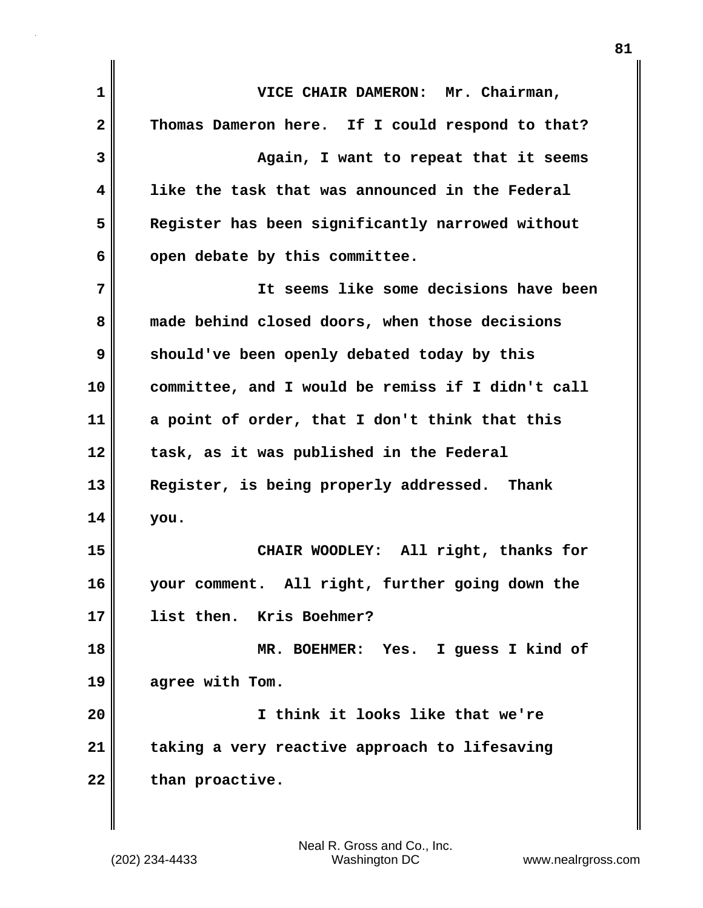| $\mathbf{1}$ | VICE CHAIR DAMERON: Mr. Chairman,                 |
|--------------|---------------------------------------------------|
| $\mathbf{2}$ | Thomas Dameron here. If I could respond to that?  |
| 3            | Again, I want to repeat that it seems             |
| 4            | like the task that was announced in the Federal   |
| 5            | Register has been significantly narrowed without  |
| 6            | open debate by this committee.                    |
| 7            | It seems like some decisions have been            |
| 8            | made behind closed doors, when those decisions    |
| 9            | should've been openly debated today by this       |
| 10           | committee, and I would be remiss if I didn't call |
| 11           | a point of order, that I don't think that this    |
| 12           | task, as it was published in the Federal          |
| 13           | Register, is being properly addressed. Thank      |
| 14           | you.                                              |
| 15           | CHAIR WOODLEY: All right, thanks for              |
| 16           | your comment. All right, further going down the   |
| 17           | Kris Boehmer?<br>list then.                       |
| 18           | MR. BOEHMER: Yes. I guess I kind of               |
| 19           | agree with Tom.                                   |
| 20           | I think it looks like that we're                  |
| 21           | taking a very reactive approach to lifesaving     |
| 22           | than proactive.                                   |
|              |                                                   |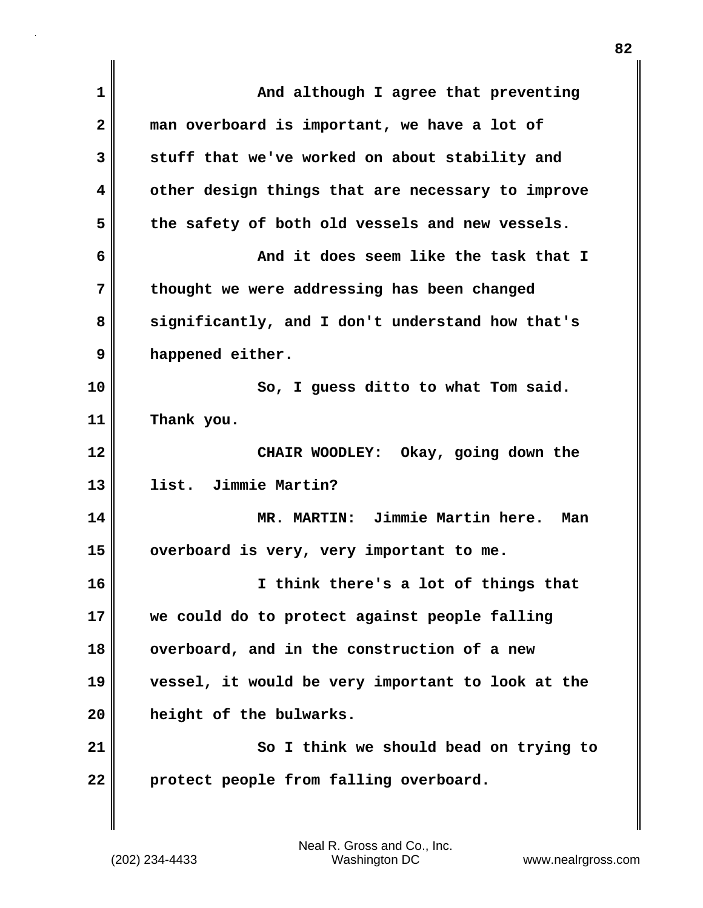| $\mathbf{1}$            | And although I agree that preventing              |
|-------------------------|---------------------------------------------------|
| $\overline{\mathbf{2}}$ | man overboard is important, we have a lot of      |
| 3                       | stuff that we've worked on about stability and    |
| 4                       | other design things that are necessary to improve |
| 5                       | the safety of both old vessels and new vessels.   |
| 6                       | And it does seem like the task that I             |
| 7                       | thought we were addressing has been changed       |
| 8                       | significantly, and I don't understand how that's  |
| 9                       | happened either.                                  |
| 10                      | So, I guess ditto to what Tom said.               |
| 11                      | Thank you.                                        |
| 12                      | CHAIR WOODLEY: Okay, going down the               |
| 13                      | list. Jimmie Martin?                              |
| 14                      | MR. MARTIN: Jimmie Martin here.<br>Man            |
| 15                      | overboard is very, very important to me.          |
| 16                      | I think there's a lot of things that              |
| 17                      | we could do to protect against people falling     |
| 18                      | overboard, and in the construction of a new       |
| 19                      | vessel, it would be very important to look at the |
| 20                      | height of the bulwarks.                           |
| 21                      | So I think we should bead on trying to            |
| 22                      | protect people from falling overboard.            |
|                         |                                                   |

 $\mathsf I$ 

(202) 234-4433 Washington DC www.nealrgross.com Neal R. Gross and Co., Inc.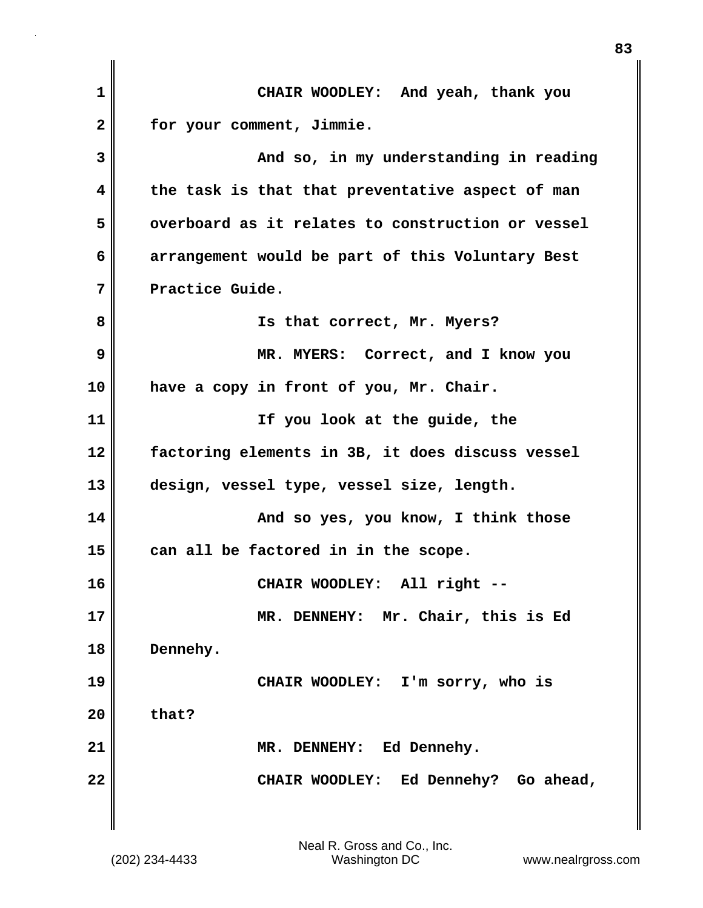| 1            | CHAIR WOODLEY: And yeah, thank you                |
|--------------|---------------------------------------------------|
| $\mathbf{2}$ | for your comment, Jimmie.                         |
| 3            | And so, in my understanding in reading            |
| 4            | the task is that that preventative aspect of man  |
| 5            | overboard as it relates to construction or vessel |
| 6            | arrangement would be part of this Voluntary Best  |
| 7            | Practice Guide.                                   |
| 8            | Is that correct, Mr. Myers?                       |
| 9            | MR. MYERS: Correct, and I know you                |
| 10           | have a copy in front of you, Mr. Chair.           |
| 11           | If you look at the guide, the                     |
| 12           | factoring elements in 3B, it does discuss vessel  |
| 13           | design, vessel type, vessel size, length.         |
| 14           | And so yes, you know, I think those               |
| 15           | can all be factored in in the scope.              |
| 16           | CHAIR WOODLEY: All right --                       |
| 17           | MR. DENNEHY: Mr. Chair, this is Ed                |
| 18           | Dennehy.                                          |
| 19           | CHAIR WOODLEY: I'm sorry, who is                  |
| 20           | that?                                             |
| 21           | MR. DENNEHY: Ed Dennehy.                          |
| 22           | CHAIR WOODLEY: Ed Dennehy? Go ahead,              |
|              |                                                   |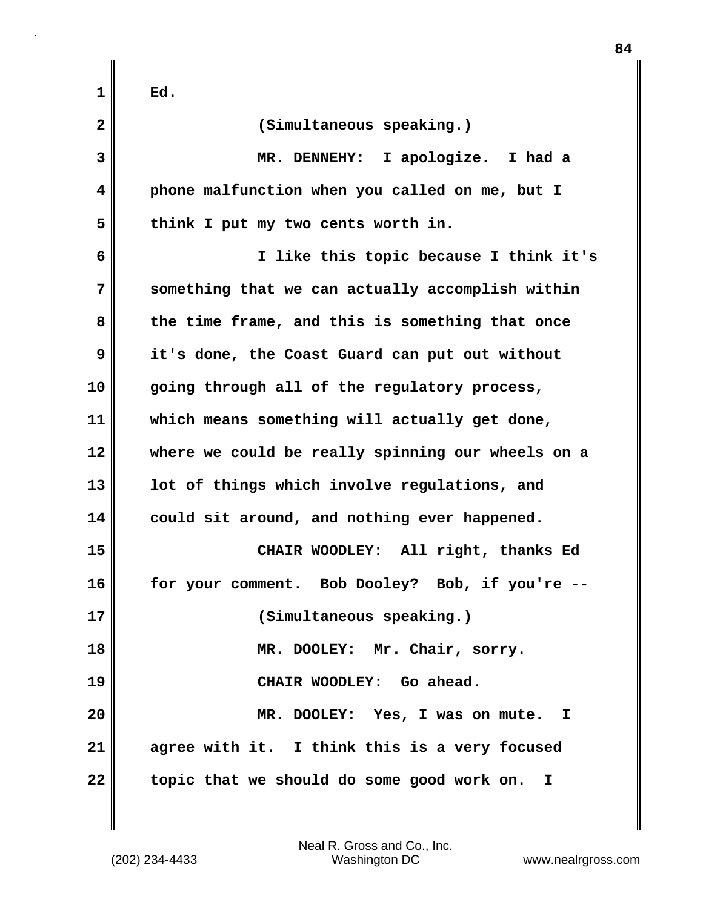| 1            | Ed.                                               |
|--------------|---------------------------------------------------|
| $\mathbf{2}$ | (Simultaneous speaking.)                          |
| 3            | MR. DENNEHY: I apologize. I had a                 |
| 4            | phone malfunction when you called on me, but I    |
| 5            | think I put my two cents worth in.                |
| 6            | I like this topic because I think it's            |
| 7            | something that we can actually accomplish within  |
| 8            | the time frame, and this is something that once   |
| 9            | it's done, the Coast Guard can put out without    |
| 10           | going through all of the regulatory process,      |
| 11           | which means something will actually get done,     |
| 12           | where we could be really spinning our wheels on a |
| 13           | lot of things which involve regulations, and      |
| 14           | could sit around, and nothing ever happened.      |
| 15           | CHAIR WOODLEY: All right, thanks Ed               |
| 16           | Bob Dooley? Bob, if you're<br>for your comment.   |
| 17           | (Simultaneous speaking.)                          |
| 18           | MR. DOOLEY: Mr. Chair, sorry.                     |
| 19           | CHAIR WOODLEY: Go ahead.                          |
| 20           | MR. DOOLEY: Yes, I was on mute. I                 |
| 21           | agree with it. I think this is a very focused     |
| 22           | topic that we should do some good work on. I      |

 $\mathbf{I}$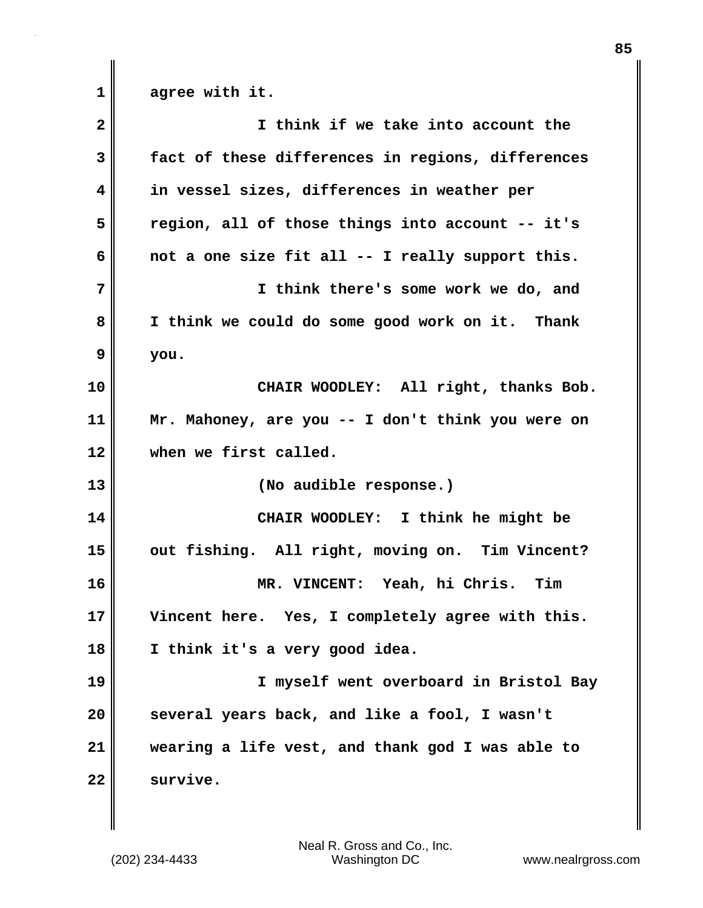1 agree with it.

| $\overline{\mathbf{2}}$ | I think if we take into account the               |
|-------------------------|---------------------------------------------------|
| 3                       | fact of these differences in regions, differences |
| 4                       | in vessel sizes, differences in weather per       |
| 5                       | region, all of those things into account -- it's  |
| 6                       | not a one size fit all -- I really support this.  |
| 7                       | I think there's some work we do, and              |
| 8                       | I think we could do some good work on it. Thank   |
| 9                       | you.                                              |
| 10                      | CHAIR WOODLEY: All right, thanks Bob.             |
| 11                      | Mr. Mahoney, are you -- I don't think you were on |
| 12                      | when we first called.                             |
| 13                      | (No audible response.)                            |
| 14                      | CHAIR WOODLEY: I think he might be                |
| 15                      | out fishing. All right, moving on. Tim Vincent?   |
| 16                      | MR. VINCENT: Yeah, hi Chris. Tim                  |
| 17                      | Vincent here. Yes, I completely agree with this.  |
| 18                      | I think it's a very good idea.                    |
| 19                      | I myself went overboard in Bristol Bay            |
| 20                      | several years back, and like a fool, I wasn't     |
| 21                      | wearing a life vest, and thank god I was able to  |
| 22                      | survive.                                          |

(202) 234-4433 Washington DC www.nealrgross.com Neal R. Gross and Co., Inc.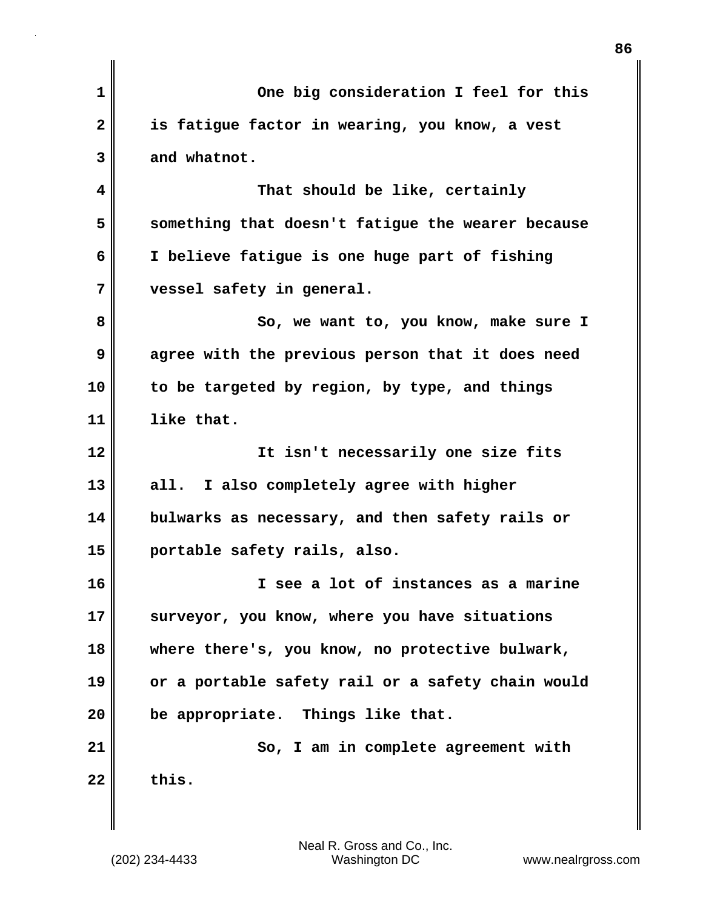| $\mathbf 1$  | One big consideration I feel for this             |
|--------------|---------------------------------------------------|
| $\mathbf{2}$ | is fatigue factor in wearing, you know, a vest    |
| 3            | and whatnot.                                      |
| 4            | That should be like, certainly                    |
| 5            | something that doesn't fatigue the wearer because |
| 6            | I believe fatigue is one huge part of fishing     |
| 7            | vessel safety in general.                         |
| 8            | So, we want to, you know, make sure I             |
| 9            | agree with the previous person that it does need  |
| 10           | to be targeted by region, by type, and things     |
| 11           | like that.                                        |
| 12           | It isn't necessarily one size fits                |
| 13           | all. I also completely agree with higher          |
| 14           | bulwarks as necessary, and then safety rails or   |
| 15           | portable safety rails, also.                      |
| 16           | I see a lot of instances as a marine              |
| 17           | surveyor, you know, where you have situations     |
| 18           | where there's, you know, no protective bulwark,   |
| 19           | or a portable safety rail or a safety chain would |
| 20           | be appropriate. Things like that.                 |
| 21           | So, I am in complete agreement with               |
| 22           | this.                                             |
|              |                                                   |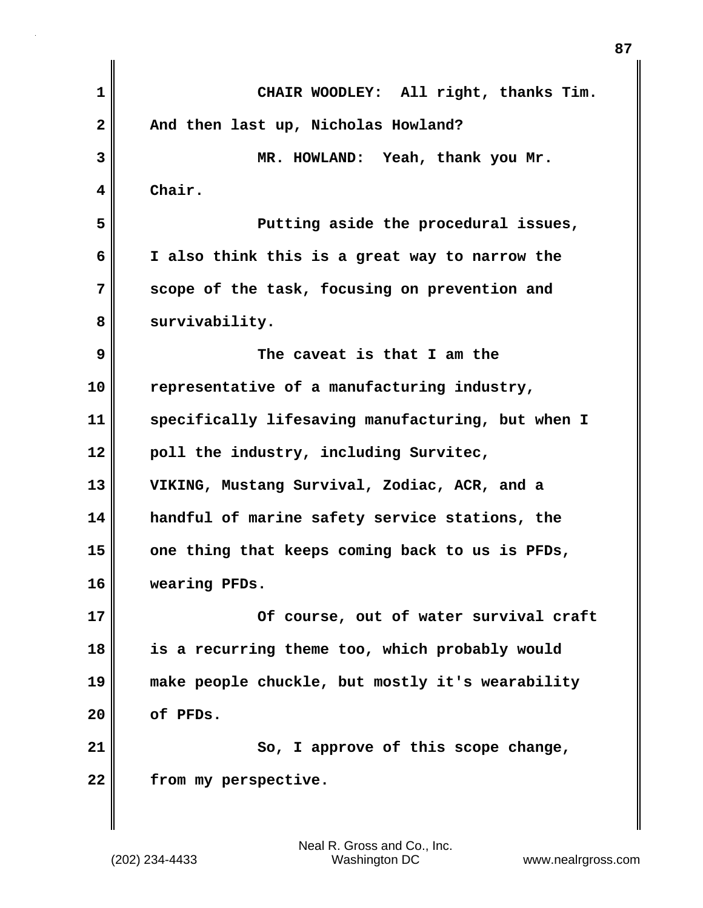| $\mathbf 1$  | CHAIR WOODLEY: All right, thanks Tim.             |
|--------------|---------------------------------------------------|
| $\mathbf{2}$ | And then last up, Nicholas Howland?               |
| 3            | MR. HOWLAND: Yeah, thank you Mr.                  |
| 4            | Chair.                                            |
| 5            | Putting aside the procedural issues,              |
| 6            | I also think this is a great way to narrow the    |
| 7            | scope of the task, focusing on prevention and     |
| 8            | survivability.                                    |
| 9            | The caveat is that I am the                       |
| 10           | representative of a manufacturing industry,       |
| 11           | specifically lifesaving manufacturing, but when I |
| 12           | poll the industry, including Survitec,            |
| 13           | VIKING, Mustang Survival, Zodiac, ACR, and a      |
| 14           | handful of marine safety service stations, the    |
| 15           | one thing that keeps coming back to us is PFDs,   |
| 16           | wearing PFDs.                                     |
| 17           | Of course, out of water survival craft            |
| 18           | is a recurring theme too, which probably would    |
| 19           | make people chuckle, but mostly it's wearability  |
| 20           | of PFDs.                                          |
| 21           | So, I approve of this scope change,               |
| 22           | from my perspective.                              |
|              |                                                   |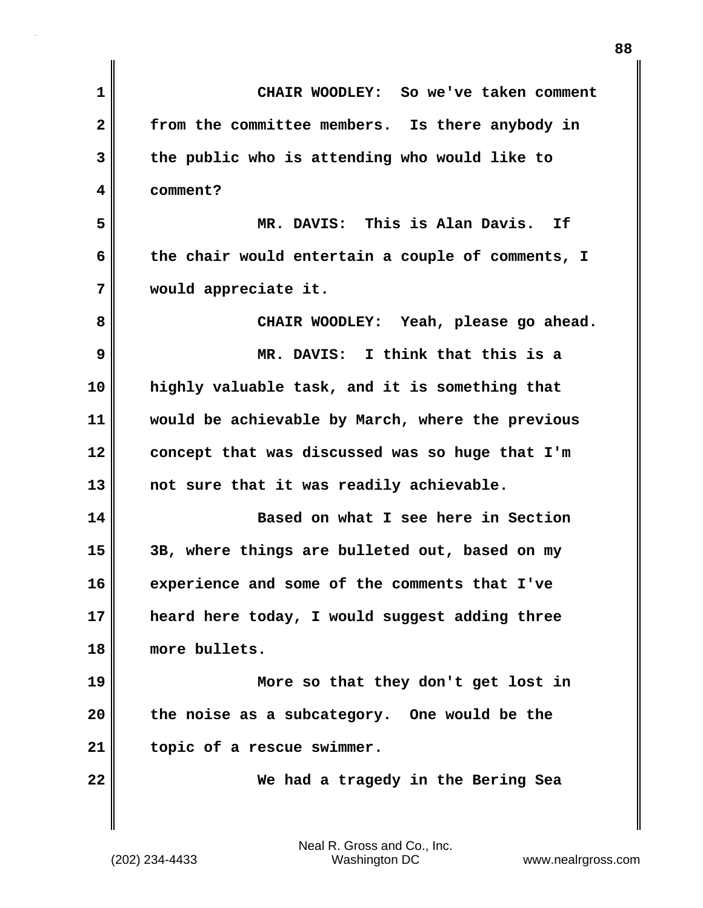| 1            | CHAIR WOODLEY: So we've taken comment             |
|--------------|---------------------------------------------------|
| $\mathbf{2}$ | from the committee members. Is there anybody in   |
| 3            | the public who is attending who would like to     |
| 4            | comment?                                          |
| 5            | MR. DAVIS: This is Alan Davis.<br>Ιf              |
| 6            | the chair would entertain a couple of comments, I |
| 7            | would appreciate it.                              |
| 8            | CHAIR WOODLEY: Yeah, please go ahead.             |
| 9            | MR. DAVIS: I think that this is a                 |
| 10           | highly valuable task, and it is something that    |
| 11           | would be achievable by March, where the previous  |
| 12           | concept that was discussed was so huge that I'm   |
| 13           | not sure that it was readily achievable.          |
| 14           | Based on what I see here in Section               |
| 15           | 3B, where things are bulleted out, based on my    |
| 16           | experience and some of the comments that I've     |
| 17           | heard here today, I would suggest adding three    |
| 18           | more bullets.                                     |
| 19           | More so that they don't get lost in               |
| 20           | the noise as a subcategory. One would be the      |
| 21           | topic of a rescue swimmer.                        |
| 22           | We had a tragedy in the Bering Sea                |
|              |                                                   |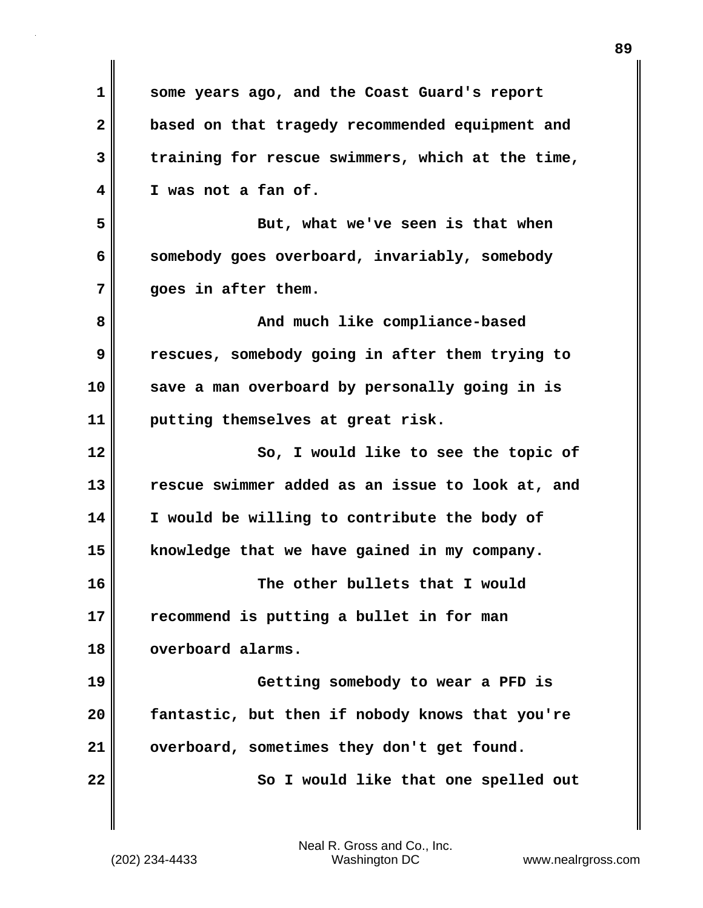| 1  | some years ago, and the Coast Guard's report     |
|----|--------------------------------------------------|
| 2  | based on that tragedy recommended equipment and  |
| 3  | training for rescue swimmers, which at the time, |
| 4  | I was not a fan of.                              |
| 5  | But, what we've seen is that when                |
| 6  | somebody goes overboard, invariably, somebody    |
| 7  | goes in after them.                              |
| 8  | And much like compliance-based                   |
| 9  | rescues, somebody going in after them trying to  |
| 10 | save a man overboard by personally going in is   |
| 11 | putting themselves at great risk.                |
| 12 | So, I would like to see the topic of             |
| 13 | rescue swimmer added as an issue to look at, and |
| 14 | I would be willing to contribute the body of     |
| 15 | knowledge that we have gained in my company.     |
| 16 | The other bullets that I would                   |
| 17 | recommend is putting a bullet in for man         |
| 18 | overboard alarms.                                |
| 19 | Getting somebody to wear a PFD is                |
| 20 | fantastic, but then if nobody knows that you're  |
| 21 | overboard, sometimes they don't get found.       |
| 22 | So I would like that one spelled out             |
|    |                                                  |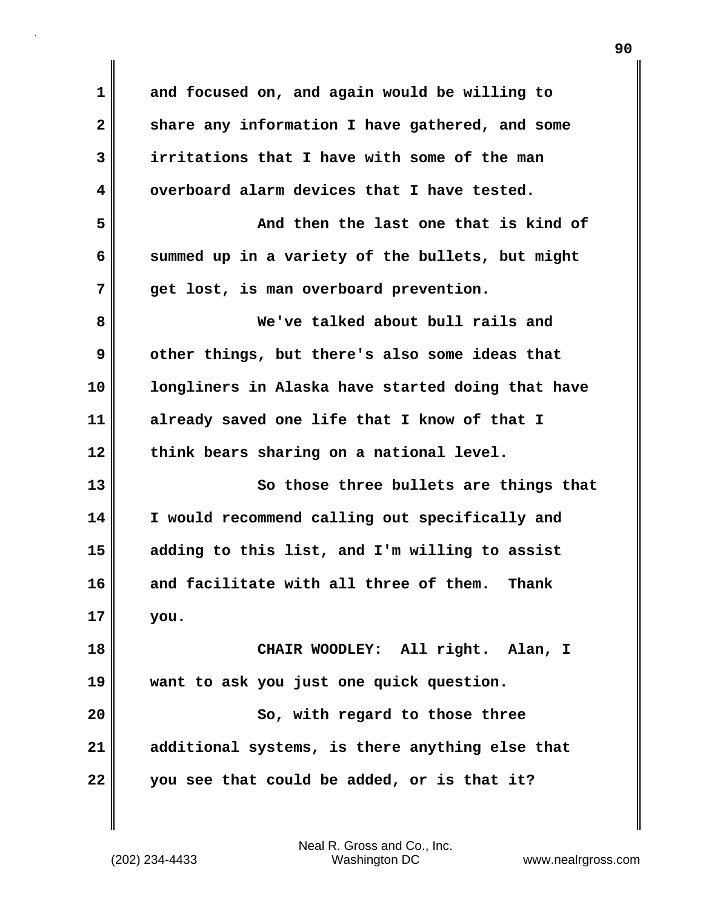**1 and focused on, and again would be willing to 2 share any information I have gathered, and some 3 irritations that I have with some of the man 4 overboard alarm devices that I have tested. 5 And then the last one that is kind of 6 summed up in a variety of the bullets, but might 7 get lost, is man overboard prevention. 8 We've talked about bull rails and 9 other things, but there's also some ideas that 10 longliners in Alaska have started doing that have 11 already saved one life that I know of that I 12 think bears sharing on a national level. 13 So those three bullets are things that 14 I would recommend calling out specifically and 15 adding to this list, and I'm willing to assist 16 and facilitate with all three of them. Thank 17 you. 18 CHAIR WOODLEY: All right. Alan, I 19 want to ask you just one quick question. 20 So, with regard to those three 21 additional systems, is there anything else that 22 you see that could be added, or is that it?**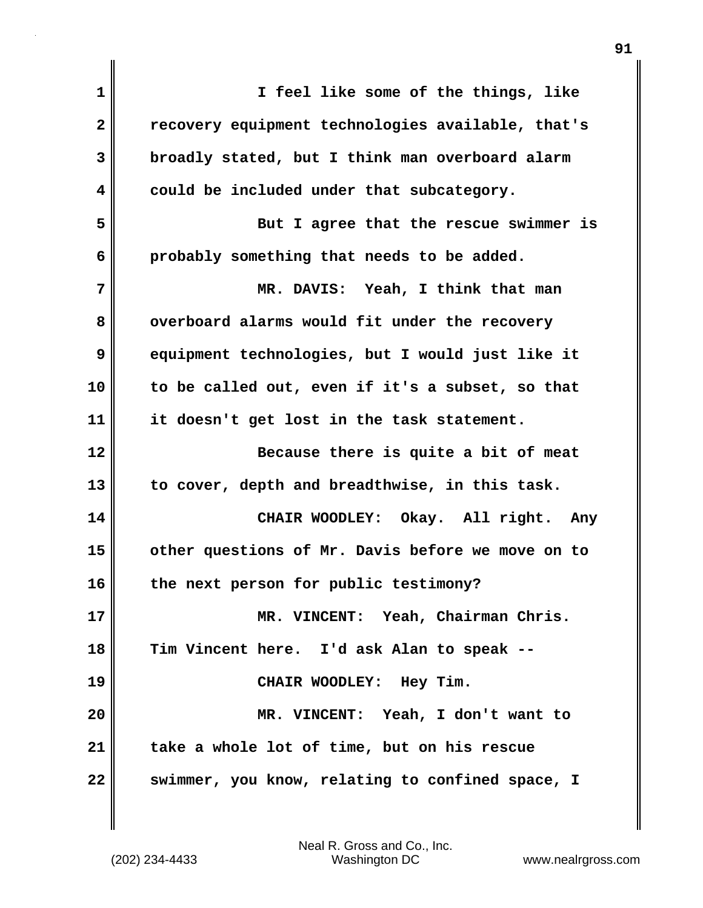| 1            | I feel like some of the things, like              |
|--------------|---------------------------------------------------|
| $\mathbf{2}$ | recovery equipment technologies available, that's |
| 3            | broadly stated, but I think man overboard alarm   |
| 4            | could be included under that subcategory.         |
| 5            | But I agree that the rescue swimmer is            |
| 6            | probably something that needs to be added.        |
| 7            | MR. DAVIS: Yeah, I think that man                 |
| 8            | overboard alarms would fit under the recovery     |
| 9            | equipment technologies, but I would just like it  |
| 10           | to be called out, even if it's a subset, so that  |
| 11           | it doesn't get lost in the task statement.        |
| 12           | Because there is quite a bit of meat              |
| 13           | to cover, depth and breadthwise, in this task.    |
| 14           | CHAIR WOODLEY: Okay. All right. Any               |
| 15           | other questions of Mr. Davis before we move on to |
| 16           | the next person for public testimony?             |
| 17           | MR. VINCENT: Yeah, Chairman Chris.                |
| 18           | Tim Vincent here. I'd ask Alan to speak --        |
| 19           | CHAIR WOODLEY: Hey Tim.                           |
| 20           | MR. VINCENT: Yeah, I don't want to                |
| 21           | take a whole lot of time, but on his rescue       |
| 22           | swimmer, you know, relating to confined space, I  |

 $\mathbf{I}$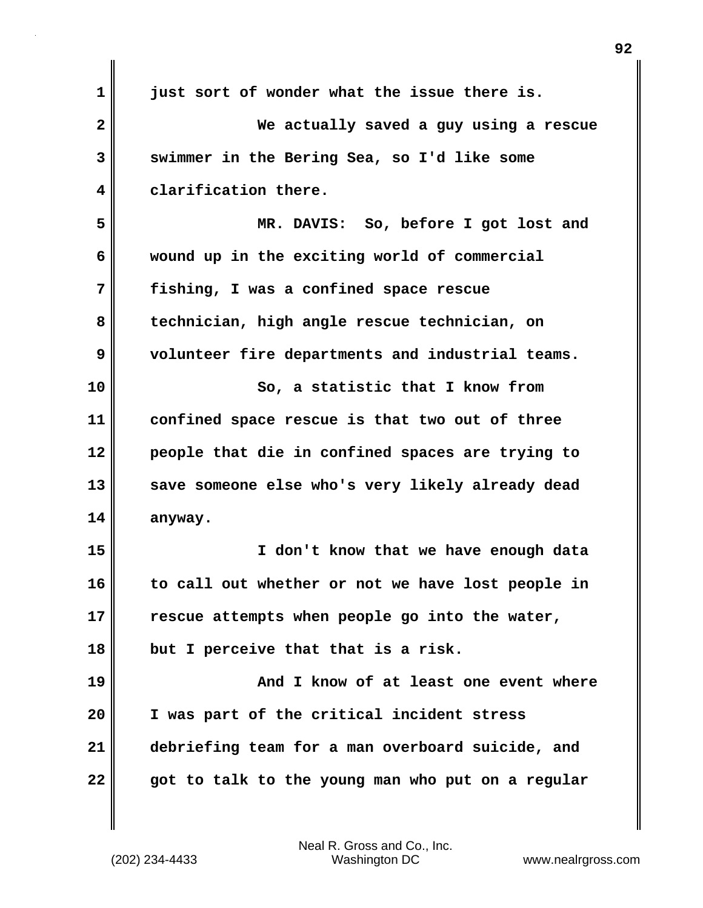| $\mathbf{1}$            | just sort of wonder what the issue there is.      |
|-------------------------|---------------------------------------------------|
| $\overline{\mathbf{2}}$ | We actually saved a guy using a rescue            |
| 3                       | swimmer in the Bering Sea, so I'd like some       |
| 4                       | clarification there.                              |
| 5                       | MR. DAVIS: So, before I got lost and              |
| 6                       | wound up in the exciting world of commercial      |
| 7                       | fishing, I was a confined space rescue            |
| 8                       | technician, high angle rescue technician, on      |
| 9                       | volunteer fire departments and industrial teams.  |
| 10                      | So, a statistic that I know from                  |
| 11                      | confined space rescue is that two out of three    |
| 12                      | people that die in confined spaces are trying to  |
| 13                      | save someone else who's very likely already dead  |
| 14                      | anyway.                                           |
| 15                      | I don't know that we have enough data             |
| 16                      | to call out whether or not we have lost people in |
| 17                      | rescue attempts when people go into the water,    |
| 18                      | but I perceive that that is a risk.               |
| 19                      | And I know of at least one event where            |
| 20                      | I was part of the critical incident stress        |
| 21                      | debriefing team for a man overboard suicide, and  |
| 22                      | got to talk to the young man who put on a regular |

(202) 234-4433 Washington DC www.nealrgross.com Neal R. Gross and Co., Inc.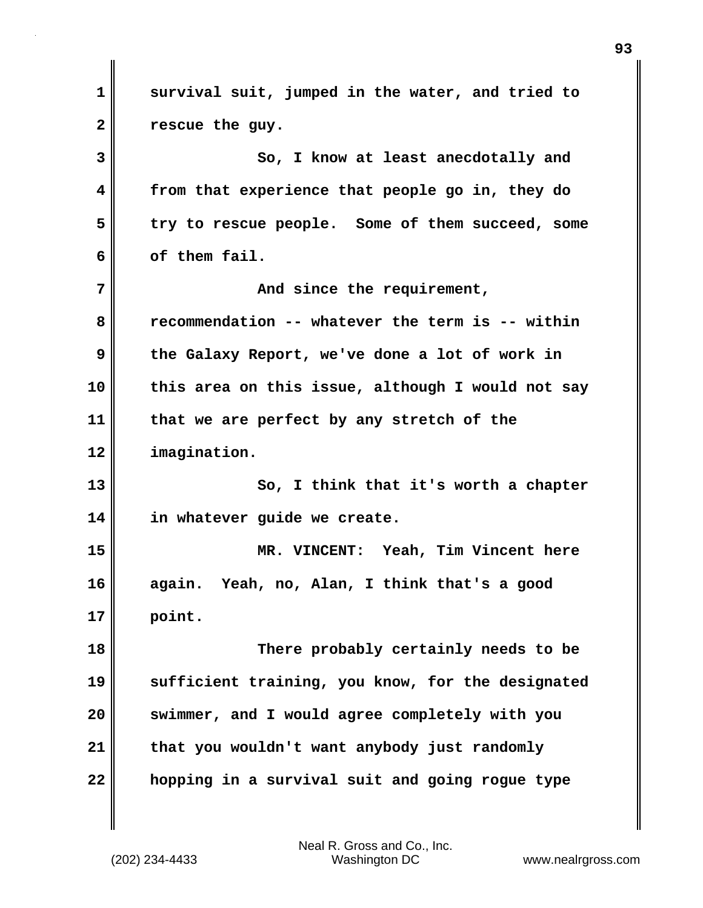**1 survival suit, jumped in the water, and tried to 2 rescue the guy. 3** So, I know at least anecdotally and **4 from that experience that people go in, they do 5 try to rescue people. Some of them succeed, some 6 of them fail. 7 And since the requirement, 8 recommendation -- whatever the term is -- within 9 the Galaxy Report, we've done a lot of work in 10 this area on this issue, although I would not say 11 that we are perfect by any stretch of the 12 imagination. 13 So, I think that it's worth a chapter 14 in whatever guide we create. 15 MR. VINCENT: Yeah, Tim Vincent here 16 again. Yeah, no, Alan, I think that's a good 17 point. 18 There probably certainly needs to be 19 sufficient training, you know, for the designated 20 swimmer, and I would agree completely with you 21 that you wouldn't want anybody just randomly 22 hopping in a survival suit and going rogue type**

(202) 234-4433 Washington DC www.nealrgross.com Neal R. Gross and Co., Inc.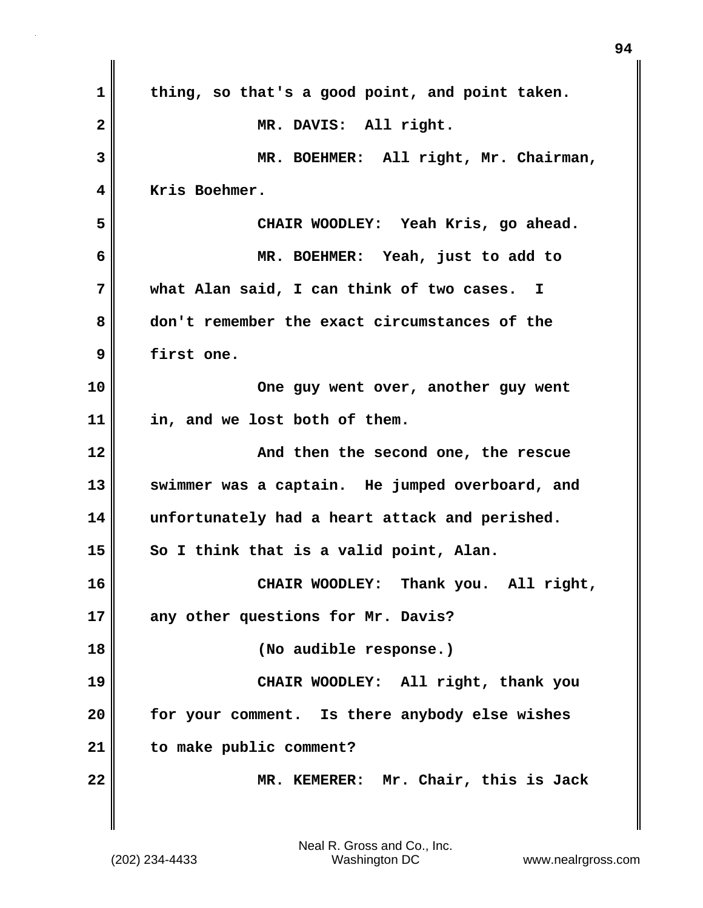| $\mathbf 1$  | thing, so that's a good point, and point taken.          |
|--------------|----------------------------------------------------------|
| $\mathbf{2}$ | MR. DAVIS: All right.                                    |
| 3            | MR. BOEHMER: All right, Mr. Chairman,                    |
| 4            | Kris Boehmer.                                            |
| 5            | CHAIR WOODLEY: Yeah Kris, go ahead.                      |
| 6            | MR. BOEHMER: Yeah, just to add to                        |
| 7            | what Alan said, I can think of two cases.<br>$\mathbf I$ |
| 8            | don't remember the exact circumstances of the            |
| 9            | first one.                                               |
| 10           | One guy went over, another guy went                      |
| 11           | in, and we lost both of them.                            |
| 12           | And then the second one, the rescue                      |
| 13           | swimmer was a captain. He jumped overboard, and          |
| 14           | unfortunately had a heart attack and perished.           |
| 15           | So I think that is a valid point, Alan.                  |
| 16           | Thank you. All right,<br>CHAIR WOODLEY:                  |
| 17           | any other questions for Mr. Davis?                       |
| 18           | (No audible response.)                                   |
| 19           | CHAIR WOODLEY: All right, thank you                      |
| 20           | for your comment. Is there anybody else wishes           |
| 21           | to make public comment?                                  |
| 22           | MR. KEMERER: Mr. Chair, this is Jack                     |
|              |                                                          |

 $\mathbf{I}$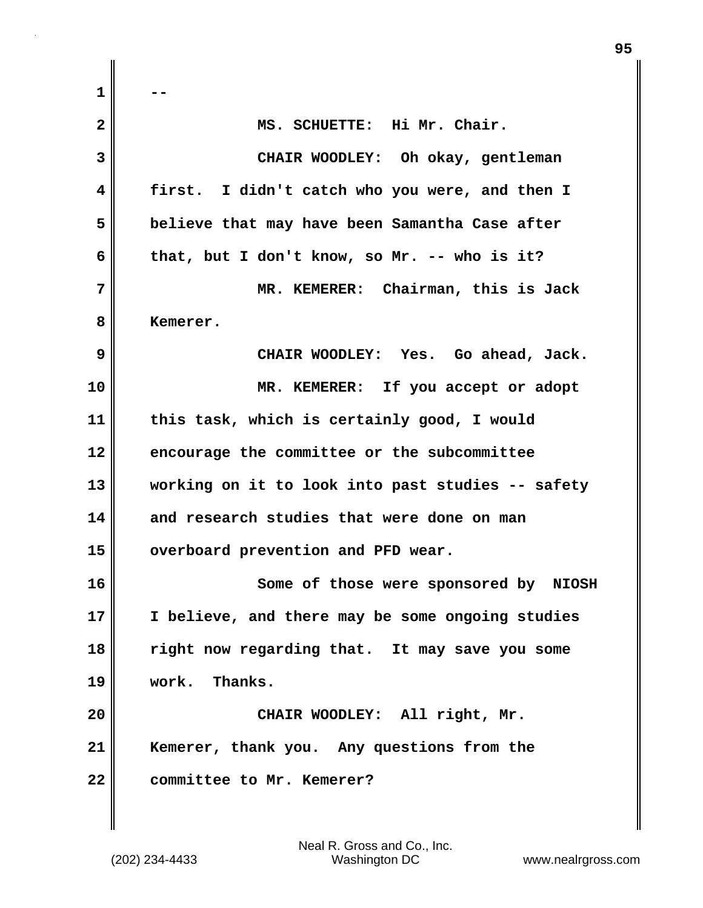**1 -- 2 MS. SCHUETTE: Hi Mr. Chair. 3 CHAIR WOODLEY: Oh okay, gentleman 4 first. I didn't catch who you were, and then I 5 believe that may have been Samantha Case after 6 that, but I don't know, so Mr. -- who is it? 7 MR. KEMERER: Chairman, this is Jack 8 Kemerer. 9 CHAIR WOODLEY: Yes. Go ahead, Jack. 10 MR. KEMERER: If you accept or adopt 11 this task, which is certainly good, I would 12 encourage the committee or the subcommittee 13 working on it to look into past studies -- safety 14 and research studies that were done on man** 15 **overboard prevention and PFD wear. 16 Some of those were sponsored by NIOSH 17 I believe, and there may be some ongoing studies 18 right now regarding that. It may save you some 19 work. Thanks. 20 CHAIR WOODLEY: All right, Mr. 21 Kemerer, thank you. Any questions from the 22 committee to Mr. Kemerer?**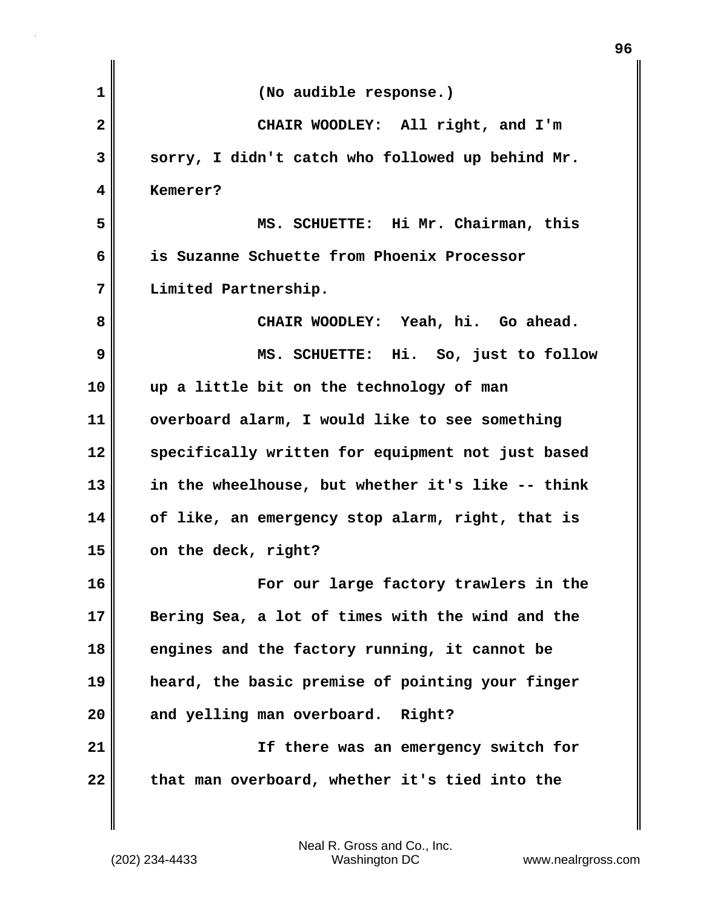| $\mathbf{1}$ | (No audible response.)                            |
|--------------|---------------------------------------------------|
| $\mathbf{2}$ | CHAIR WOODLEY: All right, and I'm                 |
| 3            | sorry, I didn't catch who followed up behind Mr.  |
| 4            | Kemerer?                                          |
| 5            | MS. SCHUETTE: Hi Mr. Chairman, this               |
| 6            | is Suzanne Schuette from Phoenix Processor        |
| 7            | Limited Partnership.                              |
| 8            | CHAIR WOODLEY: Yeah, hi. Go ahead.                |
| 9            | MS. SCHUETTE: Hi. So, just to follow              |
| 10           | up a little bit on the technology of man          |
| 11           | overboard alarm, I would like to see something    |
| 12           | specifically written for equipment not just based |
| 13           | in the wheelhouse, but whether it's like -- think |
| 14           | of like, an emergency stop alarm, right, that is  |
| 15           | on the deck, right?                               |
| 16           | For our large factory trawlers in the             |
| 17           | Bering Sea, a lot of times with the wind and the  |
| 18           | engines and the factory running, it cannot be     |
| 19           | heard, the basic premise of pointing your finger  |
| 20           | and yelling man overboard. Right?                 |
| 21           | If there was an emergency switch for              |
| 22           | that man overboard, whether it's tied into the    |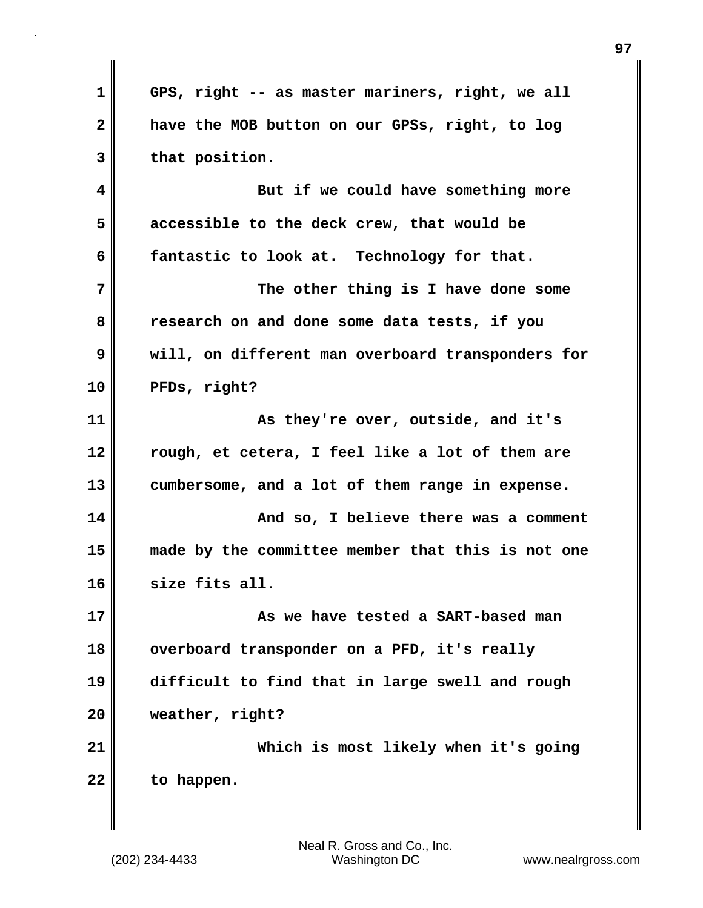**1 GPS, right -- as master mariners, right, we all 2 have the MOB button on our GPSs, right, to log 3 that position. 4 But if we could have something more 5 accessible to the deck crew, that would be 6 fantastic to look at. Technology for that. 7 The other thing is I have done some 8 research on and done some data tests, if you 9 will, on different man overboard transponders for 10 PFDs, right? 11 As they're over, outside, and it's 12 rough, et cetera, I feel like a lot of them are 13 cumbersome, and a lot of them range in expense. 14 And so, I believe there was a comment 15 made by the committee member that this is not one 16 size fits all. 17 As we have tested a SART-based man 18 overboard transponder on a PFD, it's really 19 difficult to find that in large swell and rough 20 weather, right? 21 Which is most likely when it's going 22 to happen.**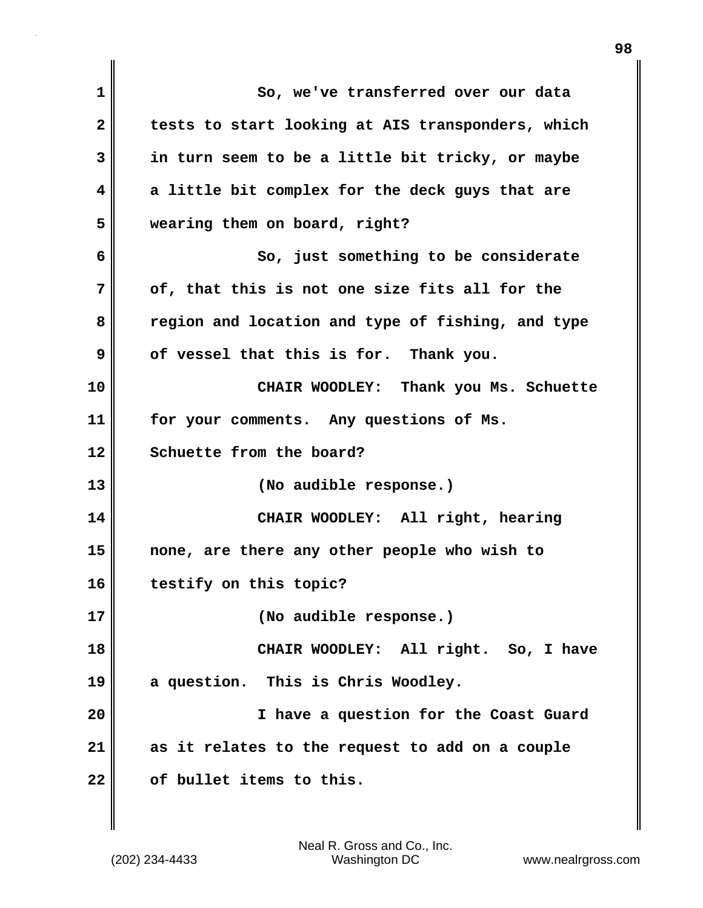| 1  | So, we've transferred over our data               |
|----|---------------------------------------------------|
| 2  | tests to start looking at AIS transponders, which |
| 3  | in turn seem to be a little bit tricky, or maybe  |
| 4  | a little bit complex for the deck guys that are   |
| 5  | wearing them on board, right?                     |
| 6  | So, just something to be considerate              |
| 7  | of, that this is not one size fits all for the    |
| 8  | region and location and type of fishing, and type |
| 9  | of vessel that this is for. Thank you.            |
| 10 | CHAIR WOODLEY: Thank you Ms. Schuette             |
| 11 | for your comments. Any questions of Ms.           |
| 12 | Schuette from the board?                          |
| 13 | (No audible response.)                            |
| 14 | CHAIR WOODLEY: All right, hearing                 |
| 15 | none, are there any other people who wish to      |
| 16 | testify on this topic?                            |
| 17 | (No audible response.)                            |
| 18 | CHAIR WOODLEY: All right. So, I have              |
| 19 | a question. This is Chris Woodley.                |
| 20 | I have a question for the Coast Guard             |
| 21 | as it relates to the request to add on a couple   |
| 22 | of bullet items to this.                          |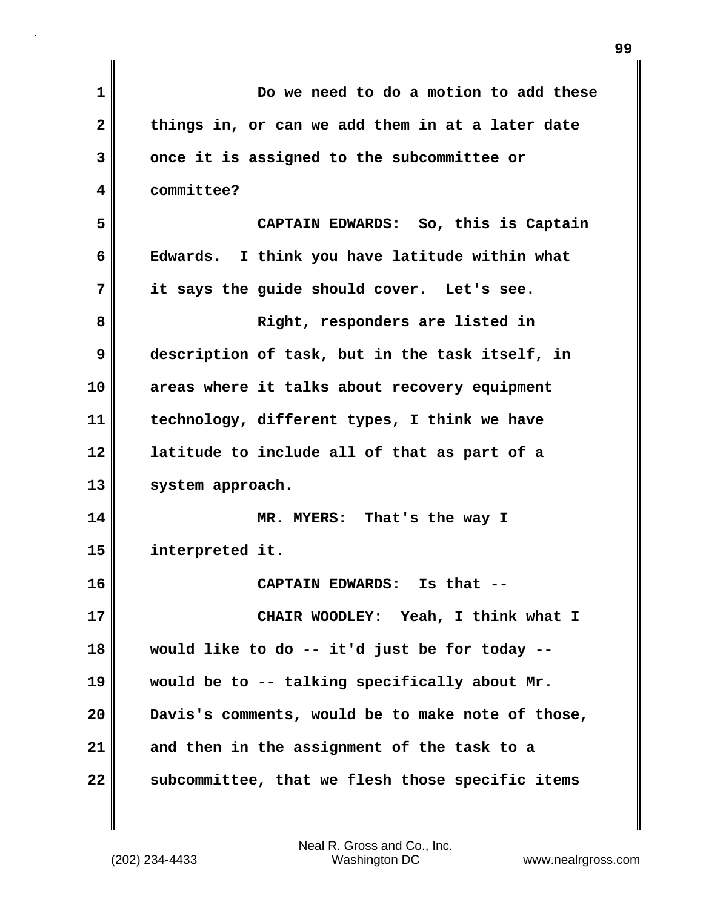| 1  | Do we need to do a motion to add these            |
|----|---------------------------------------------------|
| 2  | things in, or can we add them in at a later date  |
| 3  | once it is assigned to the subcommittee or        |
| 4  | committee?                                        |
| 5  | CAPTAIN EDWARDS: So, this is Captain              |
| 6  | Edwards. I think you have latitude within what    |
| 7  | it says the guide should cover. Let's see.        |
| 8  | Right, responders are listed in                   |
| 9  | description of task, but in the task itself, in   |
| 10 | areas where it talks about recovery equipment     |
| 11 | technology, different types, I think we have      |
| 12 | latitude to include all of that as part of a      |
| 13 | system approach.                                  |
| 14 | MR. MYERS: That's the way I                       |
| 15 | interpreted it.                                   |
| 16 | CAPTAIN EDWARDS: Is that                          |
| 17 | CHAIR WOODLEY: Yeah, I think what I               |
| 18 | would like to do -- it'd just be for today --     |
| 19 | would be to -- talking specifically about Mr.     |
| 20 | Davis's comments, would be to make note of those, |
| 21 | and then in the assignment of the task to a       |
| 22 | subcommittee, that we flesh those specific items  |

 $\mathbf{I}$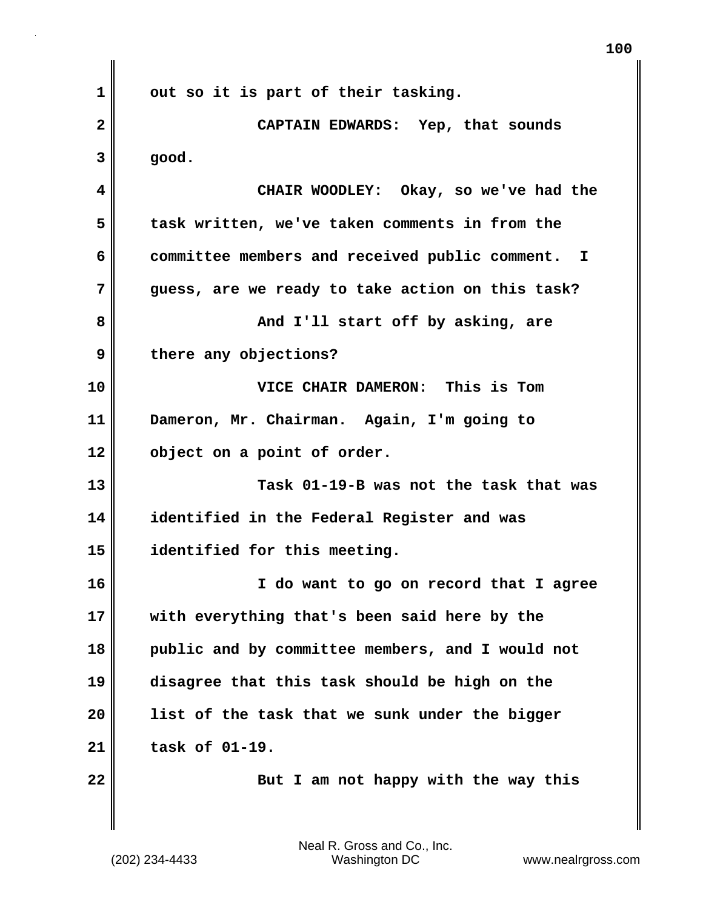**1 out so it is part of their tasking. 2 CAPTAIN EDWARDS: Yep, that sounds**  $3 \parallel$  good. **4 CHAIR WOODLEY: Okay, so we've had the 5 task written, we've taken comments in from the 6 committee members and received public comment. I 7 guess, are we ready to take action on this task? 8 And I'll start off by asking, are 9 there any objections? 10 VICE CHAIR DAMERON: This is Tom 11 Dameron, Mr. Chairman. Again, I'm going to 12 object on a point of order. 13 Task 01-19-B was not the task that was 14 identified in the Federal Register and was 15 identified for this meeting. 16 I do want to go on record that I agree 17 with everything that's been said here by the 18 public and by committee members, and I would not 19 disagree that this task should be high on the 20 list of the task that we sunk under the bigger 21 task of 01-19. 22** But I am not happy with the way this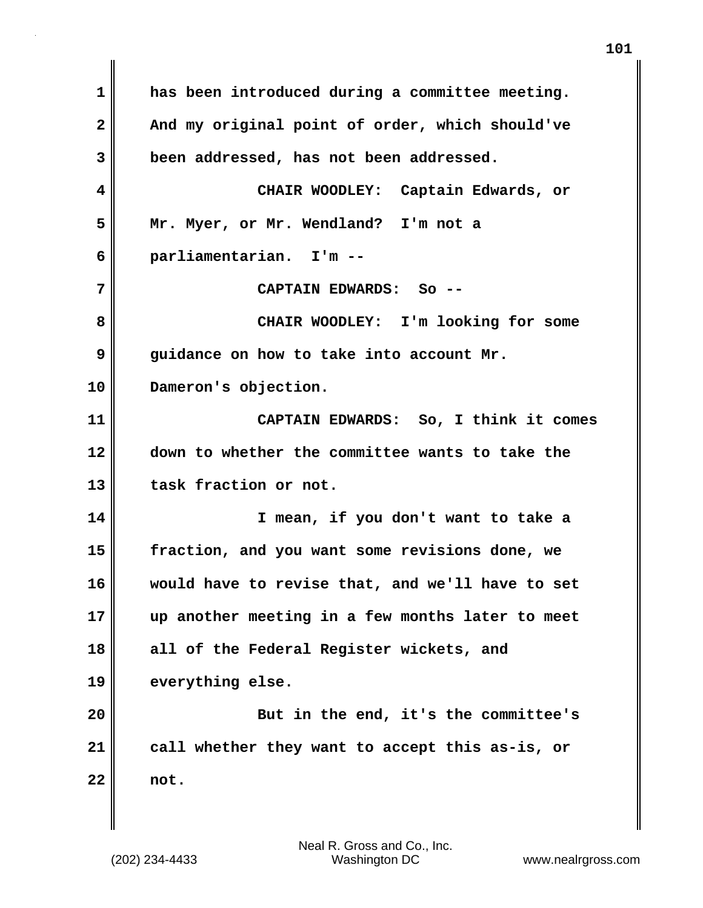**1 has been introduced during a committee meeting.**  2 And my original point of order, which should've **3 been addressed, has not been addressed. 4 CHAIR WOODLEY: Captain Edwards, or 5 Mr. Myer, or Mr. Wendland? I'm not a 6 parliamentarian. I'm -- 7 CAPTAIN EDWARDS: So -- 8 CHAIR WOODLEY: I'm looking for some 9 guidance on how to take into account Mr. 10 Dameron's objection. 11 CAPTAIN EDWARDS: So, I think it comes 12 down to whether the committee wants to take the 13 task fraction or not. 14 I mean, if you don't want to take a 15 fraction, and you want some revisions done, we 16 would have to revise that, and we'll have to set 17 up another meeting in a few months later to meet 18 all of the Federal Register wickets, and 19 everything else. 20 But in the end, it's the committee's 21 call whether they want to accept this as-is, or 22 not.**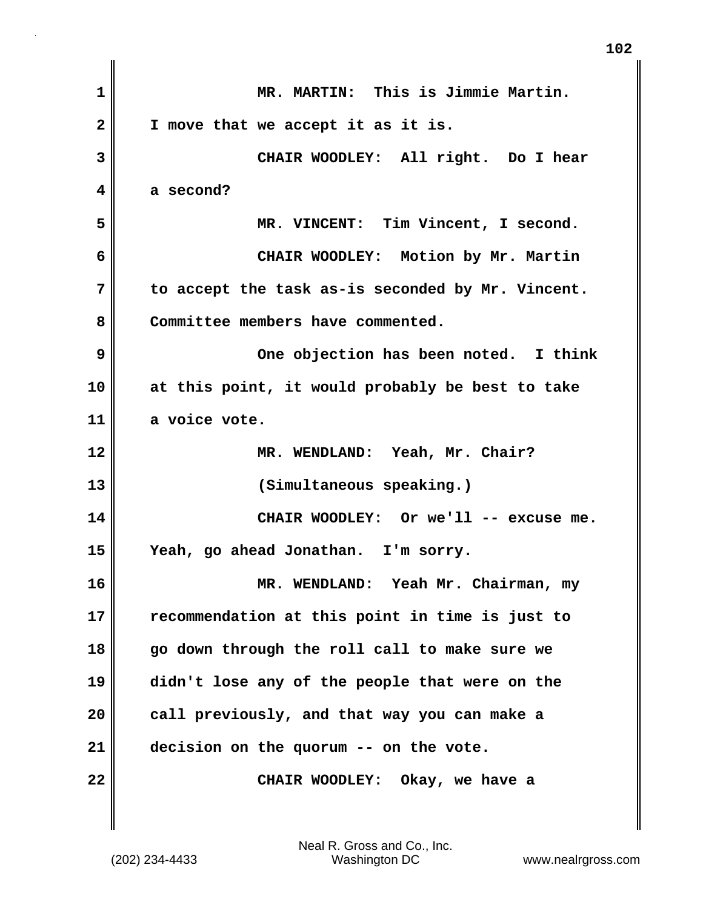| $\mathbf 1$             | MR. MARTIN: This is Jimmie Martin.                |
|-------------------------|---------------------------------------------------|
| $\overline{\mathbf{2}}$ | I move that we accept it as it is.                |
| 3                       | CHAIR WOODLEY: All right. Do I hear               |
| 4                       | a second?                                         |
| 5                       | MR. VINCENT: Tim Vincent, I second.               |
| 6                       | CHAIR WOODLEY: Motion by Mr. Martin               |
| 7                       | to accept the task as-is seconded by Mr. Vincent. |
| 8                       | Committee members have commented.                 |
| 9                       | One objection has been noted. I think             |
| 10                      | at this point, it would probably be best to take  |
| 11                      | a voice vote.                                     |
| 12                      | MR. WENDLAND: Yeah, Mr. Chair?                    |
| 13                      | (Simultaneous speaking.)                          |
| 14                      | CHAIR WOODLEY: Or we'll -- excuse me.             |
| 15                      | Yeah, go ahead Jonathan. I'm sorry.               |
| 16                      | WENDLAND: Yeah Mr. Chairman, my<br><b>MR</b>      |
| 17                      | recommendation at this point in time is just to   |
| 18                      | go down through the roll call to make sure we     |
| 19                      | didn't lose any of the people that were on the    |
| 20                      | call previously, and that way you can make a      |
| 21                      | decision on the quorum -- on the vote.            |
| 22                      | CHAIR WOODLEY: Okay, we have a                    |

 $\mathbf{I}$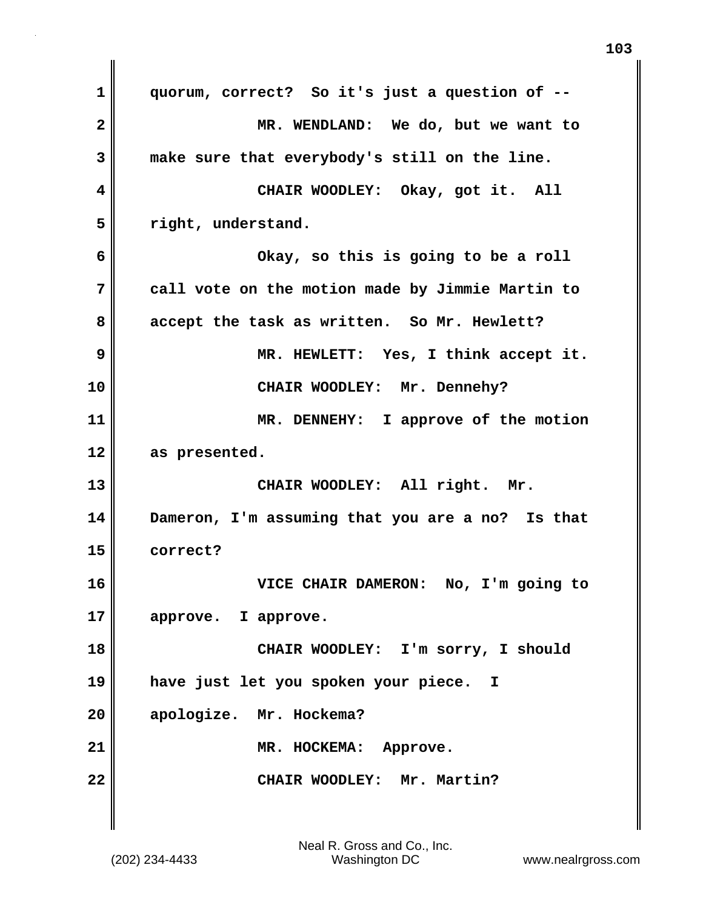**1 quorum, correct? So it's just a question of -- 2 MR. WENDLAND: We do, but we want to 3 make sure that everybody's still on the line. 4 CHAIR WOODLEY: Okay, got it. All 5 right, understand. 6 Okay, so this is going to be a roll 7 call vote on the motion made by Jimmie Martin to 8 accept the task as written. So Mr. Hewlett? 9 MR. HEWLETT: Yes, I think accept it. 10 CHAIR WOODLEY: Mr. Dennehy? 11 MR. DENNEHY: I approve of the motion 12 as presented. 13 CHAIR WOODLEY: All right. Mr. 14 Dameron, I'm assuming that you are a no? Is that 15 correct? 16 VICE CHAIR DAMERON: No, I'm going to 17 approve. I approve. 18 CHAIR WOODLEY: I'm sorry, I should 19 have just let you spoken your piece. I 20 apologize. Mr. Hockema? 21** MR. HOCKEMA: Approve. **22 CHAIR WOODLEY: Mr. Martin?**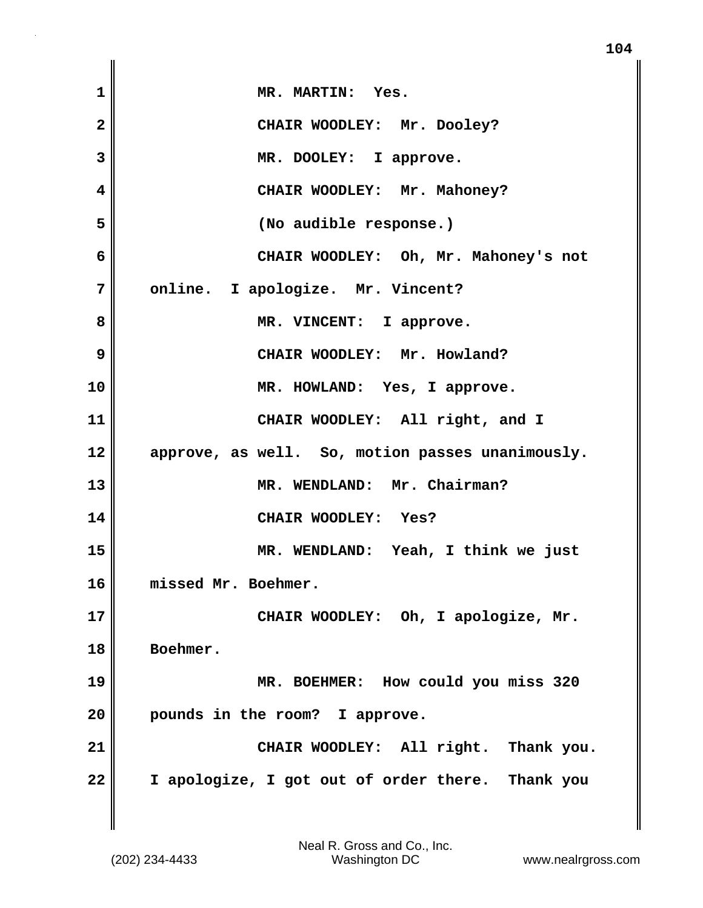| $\mathbf{1}$            | MR. MARTIN: Yes.                                 |
|-------------------------|--------------------------------------------------|
| $\overline{\mathbf{2}}$ | CHAIR WOODLEY: Mr. Dooley?                       |
| 3                       | MR. DOOLEY: I approve.                           |
| 4                       | CHAIR WOODLEY: Mr. Mahoney?                      |
| 5                       | (No audible response.)                           |
| 6                       | CHAIR WOODLEY: Oh, Mr. Mahoney's not             |
| 7                       | online. I apologize. Mr. Vincent?                |
| 8                       | MR. VINCENT: I approve.                          |
| 9                       | CHAIR WOODLEY: Mr. Howland?                      |
| 10                      | MR. HOWLAND: Yes, I approve.                     |
| 11                      | CHAIR WOODLEY: All right, and I                  |
| 12                      | approve, as well. So, motion passes unanimously. |
| 13                      | MR. WENDLAND: Mr. Chairman?                      |
| 14                      | CHAIR WOODLEY: Yes?                              |
| 15                      | MR. WENDLAND: Yeah, I think we just              |
| 16                      | missed Mr. Boehmer.                              |
| 17                      | CHAIR WOODLEY: Oh, I apologize, Mr.              |
| 18                      | Boehmer.                                         |
| 19                      | MR. BOEHMER: How could you miss 320              |
| 20                      | pounds in the room? I approve.                   |
| 21                      | CHAIR WOODLEY: All right. Thank you.             |
| 22                      | I apologize, I got out of order there. Thank you |
|                         |                                                  |

 $\mathbf{I}$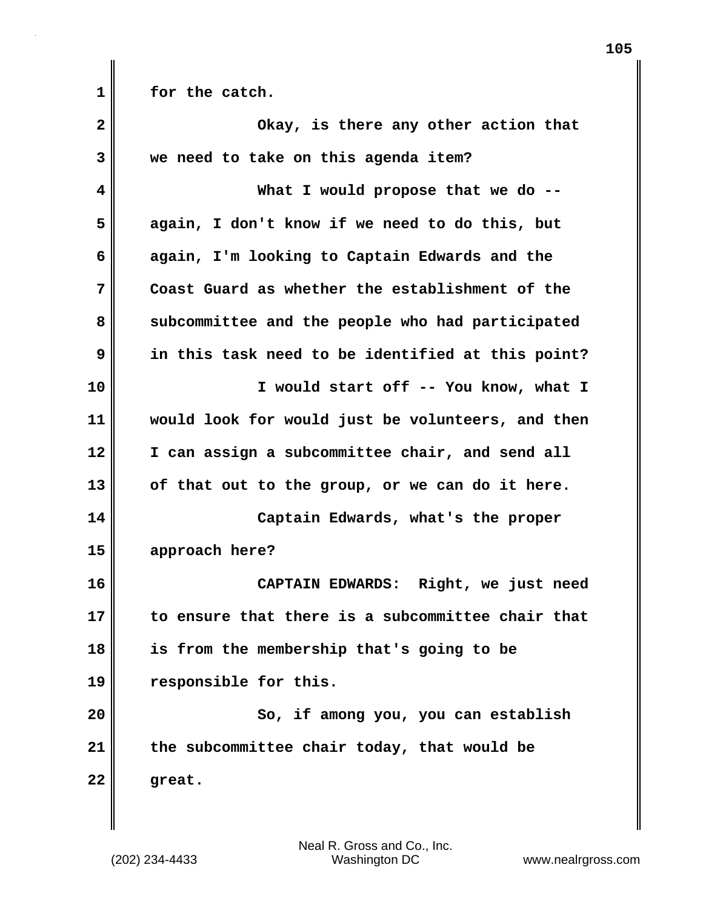1 **for the catch.** 

| $\overline{\mathbf{2}}$ | Okay, is there any other action that              |
|-------------------------|---------------------------------------------------|
| 3                       | we need to take on this agenda item?              |
| 4                       | What I would propose that we do --                |
| 5                       | again, I don't know if we need to do this, but    |
| 6                       | again, I'm looking to Captain Edwards and the     |
| 7                       | Coast Guard as whether the establishment of the   |
| 8                       | subcommittee and the people who had participated  |
| 9                       | in this task need to be identified at this point? |
| 10                      | I would start off -- You know, what I             |
| 11                      | would look for would just be volunteers, and then |
| 12                      | I can assign a subcommittee chair, and send all   |
| 13                      | of that out to the group, or we can do it here.   |
| 14                      | Captain Edwards, what's the proper                |
| 15                      | approach here?                                    |
| 16                      | CAPTAIN EDWARDS: Right, we just need              |
| 17                      | to ensure that there is a subcommittee chair that |
| 18                      | is from the membership that's going to be         |
| 19                      | responsible for this.                             |
| 20                      | So, if among you, you can establish               |
| 21                      | the subcommittee chair today, that would be       |
| 22                      | great.                                            |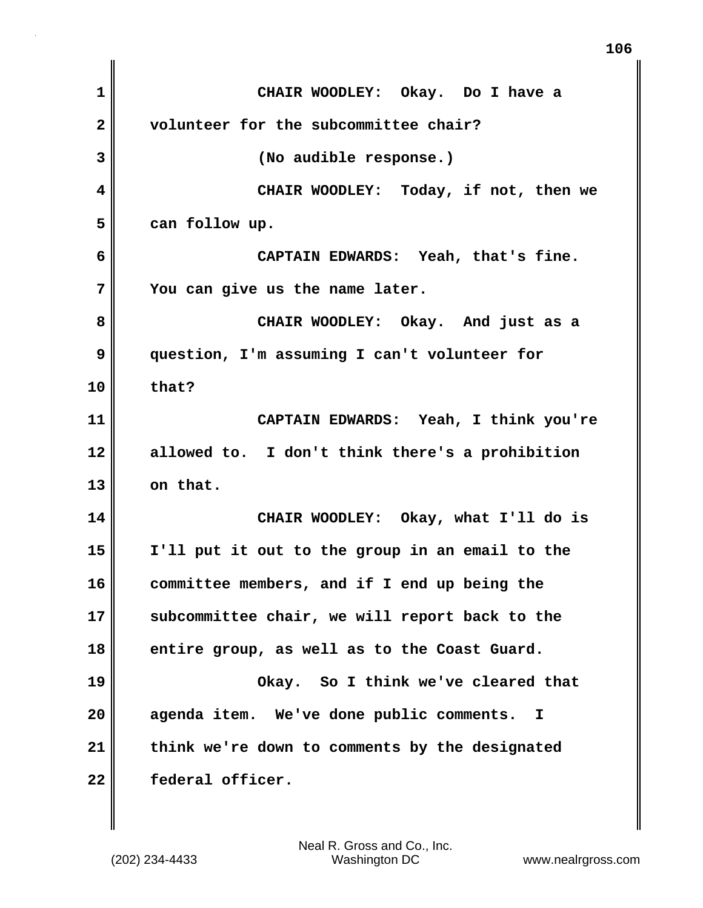**1 CHAIR WOODLEY: Okay. Do I have a 2 volunteer for the subcommittee chair? 3 (No audible response.) 4 CHAIR WOODLEY: Today, if not, then we 5 can follow up. 6 CAPTAIN EDWARDS: Yeah, that's fine. 7 You can give us the name later. 8 CHAIR WOODLEY: Okay. And just as a 9 question, I'm assuming I can't volunteer for 10 that? 11 CAPTAIN EDWARDS: Yeah, I think you're 12 allowed to. I don't think there's a prohibition 13 on that. 14 CHAIR WOODLEY: Okay, what I'll do is 15 I'll put it out to the group in an email to the 16 committee members, and if I end up being the 17 subcommittee chair, we will report back to the 18 entire group, as well as to the Coast Guard. 19 Okay. So I think we've cleared that 20 agenda item. We've done public comments. I 21 think we're down to comments by the designated 22 federal officer.** 

(202) 234-4433 Washington DC www.nealrgross.com Neal R. Gross and Co., Inc.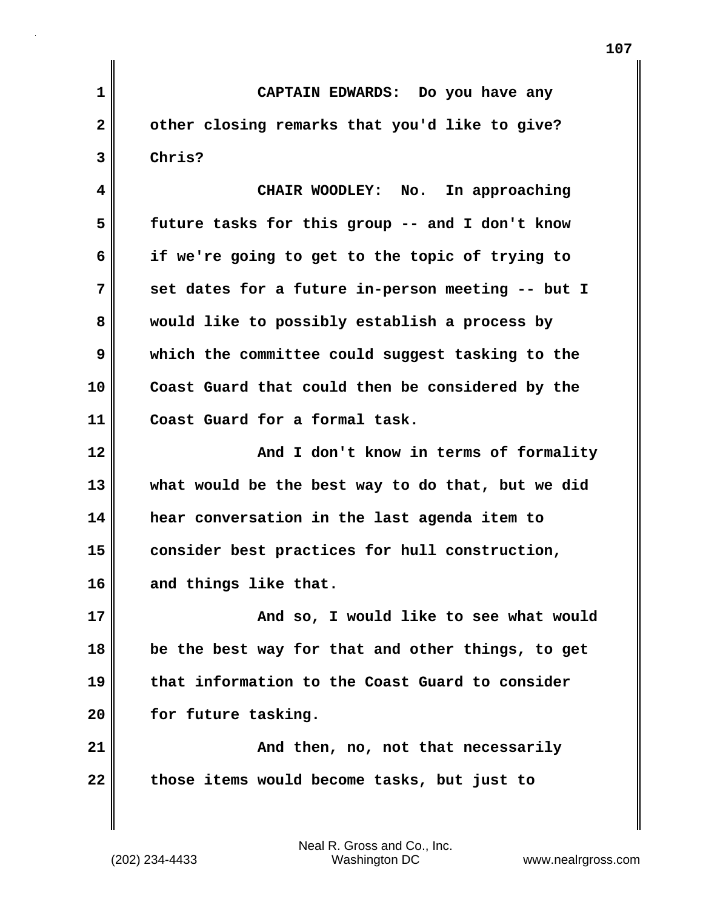**1 CAPTAIN EDWARDS: Do you have any 2 other closing remarks that you'd like to give? 3 Chris? 4 CHAIR WOODLEY: No. In approaching 5 future tasks for this group -- and I don't know 6 if we're going to get to the topic of trying to 7 set dates for a future in-person meeting -- but I 8 would like to possibly establish a process by 9 which the committee could suggest tasking to the 10 Coast Guard that could then be considered by the 11 Coast Guard for a formal task. 12 And I don't know in terms of formality 13 what would be the best way to do that, but we did 14 hear conversation in the last agenda item to 15 consider best practices for hull construction, 16 and things like that. 17 And so, I would like to see what would 18 be the best way for that and other things, to get 19 that information to the Coast Guard to consider** 20 **for future tasking. 21 And then, no, not that necessarily 22 those items would become tasks, but just to**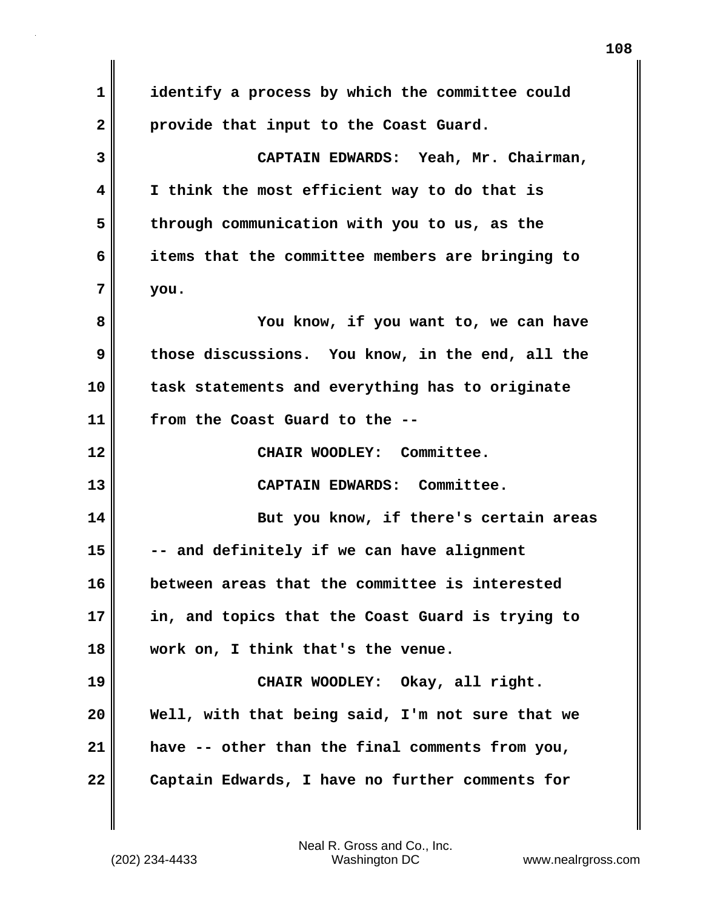**1 identify a process by which the committee could 2 provide that input to the Coast Guard. 3 CAPTAIN EDWARDS: Yeah, Mr. Chairman, 4 I think the most efficient way to do that is 5 through communication with you to us, as the 6 items that the committee members are bringing to 7 you. 8 You know, if you want to, we can have 9 those discussions. You know, in the end, all the 10 task statements and everything has to originate 11 from the Coast Guard to the -- 12 CHAIR WOODLEY: Committee. 13 CAPTAIN EDWARDS: Committee. 14 But you know, if there's certain areas 15 -- and definitely if we can have alignment 16 between areas that the committee is interested 17 in, and topics that the Coast Guard is trying to 18 work on, I think that's the venue. 19 CHAIR WOODLEY: Okay, all right. 20 Well, with that being said, I'm not sure that we 21 have -- other than the final comments from you, 22 Captain Edwards, I have no further comments for**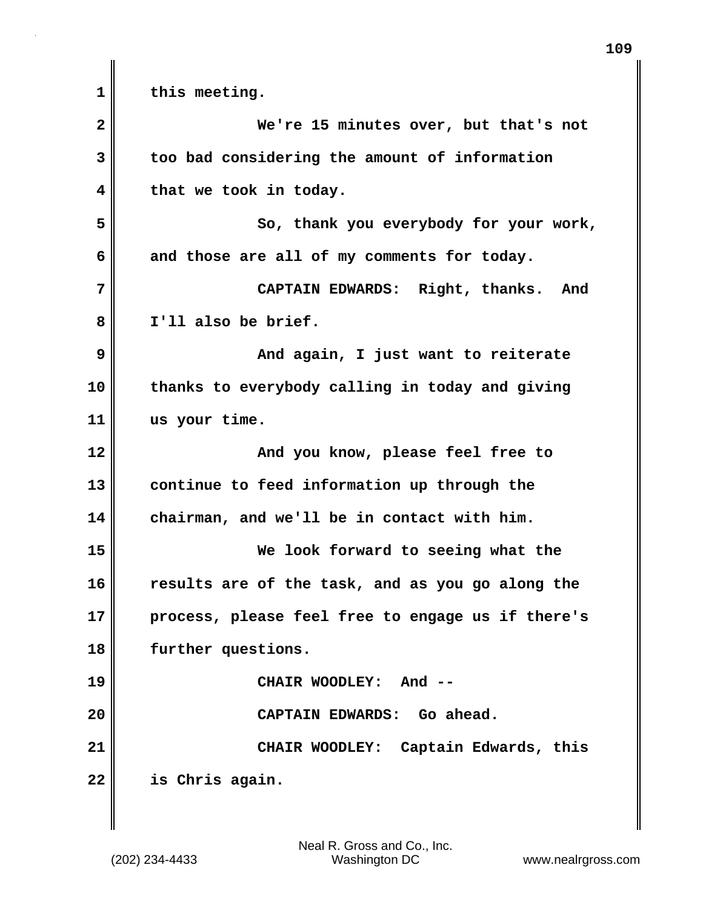**1 this meeting. 2 We're 15 minutes over, but that's not 3 too bad considering the amount of information 4 that we took in today. 5 So, thank you everybody for your work, 6 and those are all of my comments for today. 7 CAPTAIN EDWARDS: Right, thanks. And 8 I'll also be brief. 9 And again, I just want to reiterate 10 thanks to everybody calling in today and giving 11 us your time. 12 And you know, please feel free to 13 continue to feed information up through the 14 chairman, and we'll be in contact with him. 15 We look forward to seeing what the 16 results are of the task, and as you go along the 17 process, please feel free to engage us if there's 18 further questions. 19 CHAIR WOODLEY: And -- 20 CAPTAIN EDWARDS: Go ahead. 21 CHAIR WOODLEY: Captain Edwards, this 22 is Chris again.**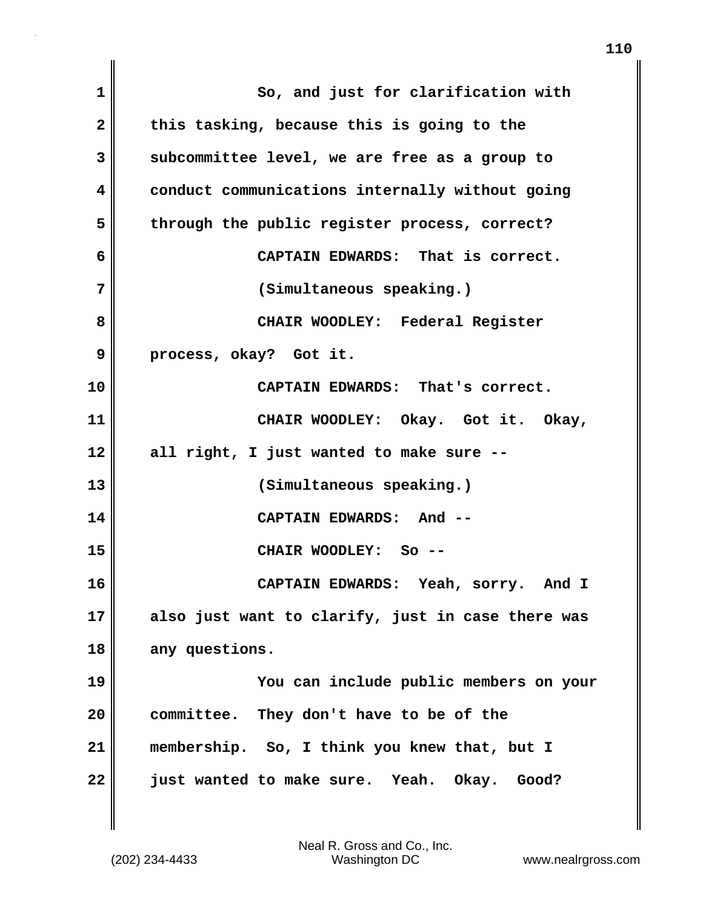| 1            | So, and just for clarification with               |  |  |
|--------------|---------------------------------------------------|--|--|
| $\mathbf{2}$ | this tasking, because this is going to the        |  |  |
| 3            | subcommittee level, we are free as a group to     |  |  |
| 4            | conduct communications internally without going   |  |  |
| 5            | through the public register process, correct?     |  |  |
| 6            | CAPTAIN EDWARDS: That is correct.                 |  |  |
| 7            | (Simultaneous speaking.)                          |  |  |
| 8            | CHAIR WOODLEY: Federal Register                   |  |  |
| 9            | process, okay? Got it.                            |  |  |
| 10           | CAPTAIN EDWARDS: That's correct.                  |  |  |
| 11           | CHAIR WOODLEY: Okay. Got it. Okay,                |  |  |
| 12           | all right, I just wanted to make sure --          |  |  |
| 13           | (Simultaneous speaking.)                          |  |  |
| 14           | CAPTAIN EDWARDS: And --                           |  |  |
| 15           | CHAIR WOODLEY: So --                              |  |  |
| 16           | CAPTAIN EDWARDS: Yeah, sorry. And I               |  |  |
| 17           | also just want to clarify, just in case there was |  |  |
| 18           | any questions.                                    |  |  |
| 19           | You can include public members on your            |  |  |
| 20           | committee. They don't have to be of the           |  |  |
| 21           | membership. So, I think you knew that, but I      |  |  |
| 22           | just wanted to make sure. Yeah. Okay. Good?       |  |  |

(202) 234-4433 Washington DC www.nealrgross.com Neal R. Gross and Co., Inc.

 $\mathbf{I}$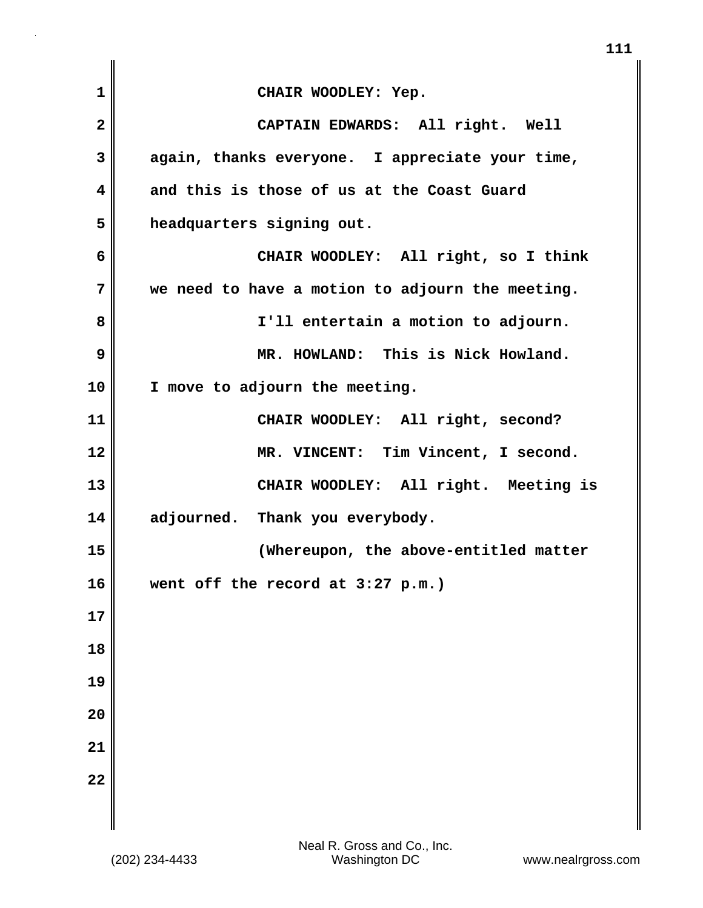| 1            | CHAIR WOODLEY: Yep.                              |  |  |
|--------------|--------------------------------------------------|--|--|
| $\mathbf{2}$ | CAPTAIN EDWARDS: All right. Well                 |  |  |
| 3            | again, thanks everyone. I appreciate your time,  |  |  |
| 4            | and this is those of us at the Coast Guard       |  |  |
| 5            | headquarters signing out.                        |  |  |
| 6            | CHAIR WOODLEY: All right, so I think             |  |  |
| 7            | we need to have a motion to adjourn the meeting. |  |  |
| 8            | I'll entertain a motion to adjourn.              |  |  |
| 9            | MR. HOWLAND: This is Nick Howland.               |  |  |
| 10           | I move to adjourn the meeting.                   |  |  |
| 11           | CHAIR WOODLEY: All right, second?                |  |  |
| 12           | MR. VINCENT: Tim Vincent, I second.              |  |  |
| 13           | CHAIR WOODLEY: All right. Meeting is             |  |  |
| 14           | adjourned. Thank you everybody.                  |  |  |
| 15           | (Whereupon, the above-entitled matter            |  |  |
| 16           | went off the record at 3:27 p.m.)                |  |  |
| 17           |                                                  |  |  |
| 18           |                                                  |  |  |
| 19           |                                                  |  |  |
| 20           |                                                  |  |  |
| 21           |                                                  |  |  |
| 22           |                                                  |  |  |
|              |                                                  |  |  |

**111**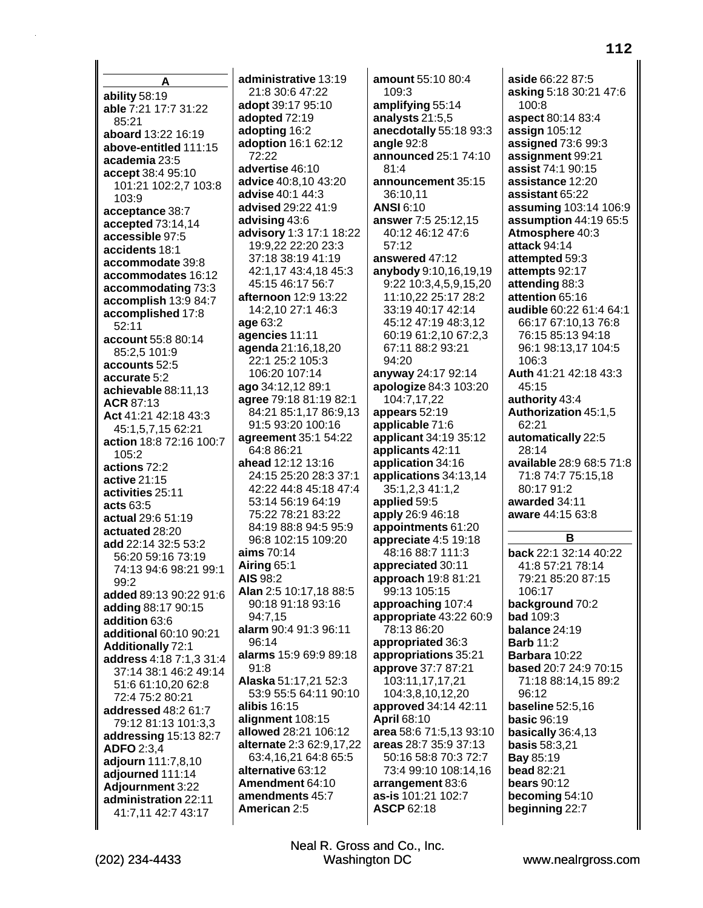**A ability** 58:19 **able** 7:21 17:7 31:22 85:21 **aboard** 13:22 16:19 **above-entitled** 111:15 **academia** 23:5 **accept** 38:4 95:10 101:21 102:2,7 103:8 103:9 **acceptance** 38:7 **accepted** 73:14,14 **accessible** 97:5 **accidents** 18:1 **accommodate** 39:8 **accommodates** 16:12 **accommodating** 73:3 **accomplish** 13:9 84:7 **accomplished** 17:8 52:11 **account** 55:8 80:14 85:2,5 101:9 **accounts** 52:5 **accurate** 5:2 **achievable** 88:11,13 **ACR** 87:13 **Act** 41:21 42:18 43:3 45:1,5,7,15 62:21 **action** 18:8 72:16 100:7 105:2 **actions** 72:2 **active** 21:15 **activities** 25:11 **acts** 63:5 **actual** 29:6 51:19 **actuated** 28:20 **add** 22:14 32:5 53:2 56:20 59:16 73:19 74:13 94:6 98:21 99:1  $99.2$ **added** 89:13 90:22 91:6 **adding** 88:17 90:15 **addition** 63:6 **additional** 60:10 90:21 **Additionally** 72:1 **address** 4:18 7:1,3 31:4 37:14 38:1 46:2 49:14 51:6 61:10,20 62:8 72:4 75:2 80:21 **addressed** 48:2 61:7 79:12 81:13 101:3,3 **addressing** 15:13 82:7 **ADFO** 2:3,4 **adjourn** 111:7,8,10 **adjourned** 111:14 **Adjournment** 3:22 **administration** 22:11 41:7,11 42:7 43:17

**administrative** 13:19 21:8 30:6 47:22 **adopt** 39:17 95:10 **adopted** 72:19 **adopting** 16:2 **adoption** 16:1 62:12 72:22 **advertise** 46:10 **advice** 40:8,10 43:20 **advise** 40:1 44:3 **advised** 29:22 41:9 **advising** 43:6 **advisory** 1:3 17:1 18:22 19:9,22 22:20 23:3 37:18 38:19 41:19 42:1,17 43:4,18 45:3 45:15 46:17 56:7 **afternoon** 12:9 13:22 14:2,10 27:1 46:3 **age** 63:2 **agencies** 11:11 **agenda** 21:16,18,20 22:1 25:2 105:3 106:20 107:14 **ago** 34:12,12 89:1 **agree** 79:18 81:19 82:1 84:21 85:1,17 86:9,13 91:5 93:20 100:16 **agreement** 35:1 54:22 64:8 86:21 **ahead** 12:12 13:16 24:15 25:20 28:3 37:1 42:22 44:8 45:18 47:4 53:14 56:19 64:19 75:22 78:21 83:22 84:19 88:8 94:5 95:9 96:8 102:15 109:20 **aims** 70:14 **Airing** 65:1 **AIS** 98:2 **Alan** 2:5 10:17,18 88:5 90:18 91:18 93:16 94:7,15 **alarm** 90:4 91:3 96:11 96:14 **alarms** 15:9 69:9 89:18  $91.8$ **Alaska** 51:17,21 52:3 53:9 55:5 64:11 90:10 **alibis** 16:15 **alignment** 108:15 **allowed** 28:21 106:12 **alternate** 2:3 62:9,17,22 63:4,16,21 64:8 65:5 **alternative** 63:12 **Amendment** 64:10 **amendments** 45:7 **American** 2:5

**amount** 55:10 80:4 109:3 **amplifying** 55:14 **analysts** 21:5,5 **anecdotally** 55:18 93:3 **angle** 92:8 **announced** 25:1 74:10 81:4 **announcement** 35:15 36:10,11 **ANSI** 6:10 **answer** 7:5 25:12,15 40:12 46:12 47:6 57:12 **answered** 47:12 **anybody** 9:10,16,19,19 9:22 10:3,4,5,9,15,20 11:10,22 25:17 28:2 33:19 40:17 42:14 45:12 47:19 48:3,12 60:19 61:2,10 67:2,3 67:11 88:2 93:21 94:20 **anyway** 24:17 92:14 **apologize** 84:3 103:20 104:7,17,22 **appears** 52:19 **applicable** 71:6 **applicant** 34:19 35:12 **applicants** 42:11 **application** 34:16 **applications** 34:13,14 35:1,2,3 41:1,2 **applied** 59:5 **apply** 26:9 46:18 **appointments** 61:20 **appreciate** 4:5 19:18 48:16 88:7 111:3 **appreciated** 30:11 **approach** 19:8 81:21 99:13 105:15 **approaching** 107:4 **appropriate** 43:22 60:9 78:13 86:20 **appropriated** 36:3 **appropriations** 35:21 **approve** 37:7 87:21 103:11,17,17,21 104:3,8,10,12,20 **approved** 34:14 42:11 **April** 68:10 **area** 58:6 71:5,13 93:10 **areas** 28:7 35:9 37:13 50:16 58:8 70:3 72:7 73:4 99:10 108:14,16 **arrangement** 83:6 **as-is** 101:21 102:7 **ASCP** 62:18

**aside** 66:22 87:5 **asking** 5:18 30:21 47:6 100:8 **aspect** 80:14 83:4 **assign** 105:12 **assigned** 73:6 99:3 **assignment** 99:21 **assist** 74:1 90:15 **assistance** 12:20 **assistant** 65:22 **assuming** 103:14 106:9 **assumption** 44:19 65:5 **Atmosphere** 40:3 **attack** 94:14 **attempted** 59:3 **attempts** 92:17 **attending** 88:3 **attention** 65:16 **audible** 60:22 61:4 64:1 66:17 67:10,13 76:8 76:15 85:13 94:18 96:1 98:13,17 104:5 106:3 **Auth** 41:21 42:18 43:3 45:15 **authority** 43:4 **Authorization** 45:1,5 62:21 **automatically** 22:5 28:14 **available** 28:9 68:5 71:8 71:8 74:7 75:15,18 80:17 91:2 **awarded** 34:11 **aware** 44:15 63:8 **B back** 22:1 32:14 40:22 41:8 57:21 78:14 79:21 85:20 87:15 106:17 **background** 70:2 **bad** 109:3 **balance** 24:19 **Barb** 11:2 **Barbara** 10:22 **based** 20:7 24:9 70:15 71:18 88:14,15 89:2 96:12 **baseline** 52:5,16

**basic** 96:19 **basically** 36:4,13 **basis** 58:3,21 **Bay** 85:19 **bead** 82:21 **bears** 90:12 **becoming** 54:10 **beginning** 22:7

(202) 234-4433 Washington DC www.nealrgross.com Neal R. Gross and Co., Inc.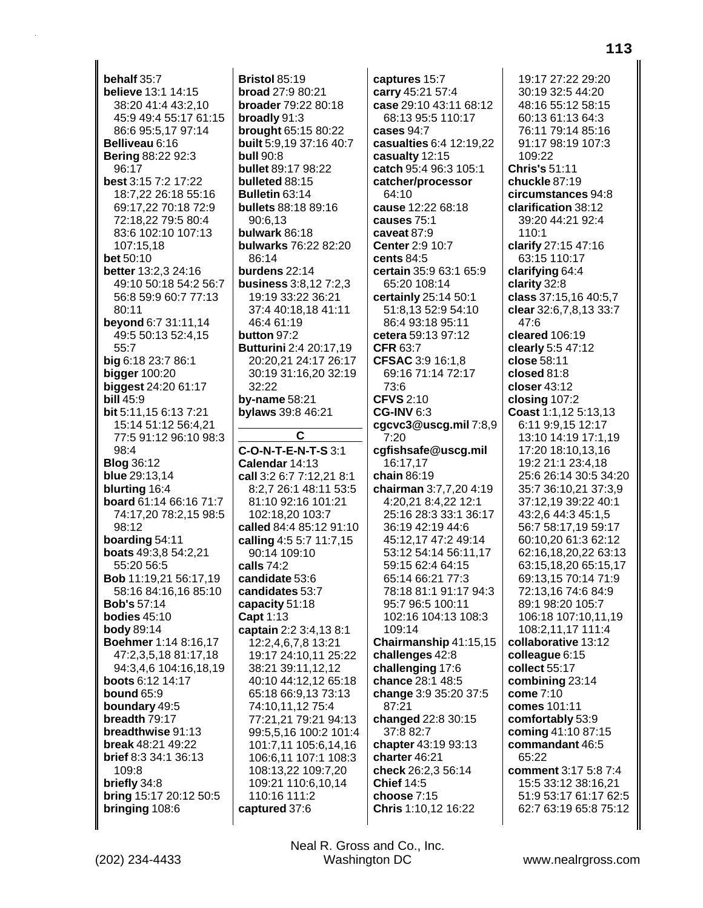behalf 35:7 **believe** 13:1 14:15 38:20 41:4 43:2,10 45:9 49:4 55:17 61:15 86:6 95:5,17 97:14 Belliveau 6:16 **Bering 88:22 92:3** 96:17 best 3:15 7:2 17:22 18:7,22 26:18 55:16 69:17,22 70:18 72:9 72:18,22 79:5 80:4 83:6 102:10 107:13 107:15.18 bet  $50:10$ better 13:2,3 24:16 49:10 50:18 54:2 56:7 56:8 59:9 60:7 77:13 80:11 **beyond** 6:7 31:11,14 49:5 50:13 52:4,15  $55.7$ big 6:18 23:7 86:1 bigger  $100:20$ **biggest**  $24:2061:17$ **bill 45:9** bit 5:11.15 6:13 7:21 15:14 51:12 56:4,21 77:5 91:12 96:10 98:3  $98:4$ **Blog** 36:12 blue 29:13,14 blurting 16:4 board 61:14 66:16 71:7 74:17,20 78:2,15 98:5 98:12 boarding 54:11 **boats** 49:3,8 54:2,21 55:20 56:5 Bob 11:19.21 56:17.19 58:16 84:16,16 85:10 **Bob's 57:14** bodies  $45:10$ **body** 89:14 Boehmer 1:14 8:16,17 47:2,3,5,18 81:17,18 94:3.4.6 104:16.18.19 boots 6:12 14:17 **bound 65:9** boundary 49:5 breadth 79:17 breadthwise 91:13 **break** 48:21 49:22 brief 8:3 34:1 36:13 109:8 briefly 34:8 bring 15:17 20:12 50:5 bringing 108:6

Bristol 85:19 broad 27:9 80:21 **broader** 79:22 80:18 broadly 91:3 brought 65:15 80:22 built 5:9,19 37:16 40:7 hull 90.8 bullet 89:17 98:22 bulleted 88:15 Bulletin 63:14 bullets 88:18 89:16 90:6,13 bulwark 86:18 bulwarks 76:22 82:20  $86.14$ burdens 22:14 business 3:8,12 7:2,3 19:19 33:22 36:21 37:4 40:18,18 41:11 46:4 61:19 button 97:2 **Butturini 2:4 20:17,19** 20:20,21 24:17 26:17 30:19 31:16,20 32:19  $32:22$ by-name  $58:21$ bylaws 39:8 46:21 C **C-O-N-T-E-N-T-S 3:1** Calendar 14:13 call 3:2 6:7 7:12,21 8:1 8:2,7 26:1 48:11 53:5 81:10 92:16 101:21 102:18.20 103:7 called 84:4 85:12 91:10 calling 4:5 5:7 11:7,15 90:14 109:10 calls 74:2 candidate 53:6 candidates 53:7 capacity 51:18 Capt 1:13 captain 2:2 3:4,13 8:1 12:2,4,6,7,8 13:21 19:17 24:10,11 25:22 38:21 39:11,12,12 40:10 44:12,12 65:18 65:18 66:9,13 73:13 74:10,11,12 75:4 77:21.21 79:21 94:13 99:5,5,16 100:2 101:4 101:7,11 105:6,14,16 106:6,11 107:1 108:3 108:13,22 109:7,20 109:21 110:6,10,14 110:16 111:2 captured 37:6

captures 15:7 carry 45:21 57:4 case 29:10 43:11 68:12 68:13 95:5 110:17 cases 94:7 casualties 6:4 12:19,22 casualty 12:15 catch 95:4 96:3 105:1 catcher/processor  $64:10$ cause 12:22 68:18 causes 75:1 caveat 87:9 Center 2:9 10:7 cents  $84.5$ certain 35:9 63:1 65:9 65:20 108:14 certainly 25:14 50:1 51:8,13 52:9 54:10 86:4 93:18 95:11 cetera 59:13 97:12 CFR 63:7 CFSAC 3:9 16:1.8 69:16 71:14 72:17 73:6 **CFVS 2:10 CG-INV 6:3** cgcvc3@uscg.mil7:8,9  $7:20$ cqfishsafe@uscq.mil 16:17.17 chain  $86.19$ chairman 3:7,7,20 4:19 4:20.21 8:4.22 12:1 25:16 28:3 33:1 36:17 36:19 42:19 44:6 45:12,17 47:2 49:14 53:12 54:14 56:11,17 59:15 62:4 64:15 65:14 66:21 77:3 78:18 81:1 91:17 94:3 95:7 96:5 100:11 102:16 104:13 108:3 109:14 Chairmanship 41:15,15 challenges 42:8 challenging 17:6 chance 28:1 48:5 change 3:9 35:20 37:5 87:21 changed 22:8 30:15 37:8 82:7 chapter 43:19 93:13 charter 46:21 check 26:2,3 56:14 **Chief 14:5** choose 7:15 Chris 1:10,12 16:22

19:17 27:22 29:20 30:19 32:5 44:20 48:16 55:12 58:15 60:13 61:13 64:3 76:11 79:14 85:16 91:17 98:19 107:3 109:22 **Chris's 51:11** chuckle 87:19 circumstances 94:8 clarification 38:12 39:20 44:21 92:4 110:1 clarify 27:15 47:16 63:15 110:17 clarifying 64:4 clarity 32:8 class 37:15,16 40:5,7 clear 32:6,7,8,13 33:7 47:6 cleared 106:19 clearly 5:5 47:12 close 58:11 closed 81:8 closer 43:12 closing 107:2 Coast 1:1,12 5:13,13 6:11 9:9,15 12:17 13:10 14:19 17:1.19 17:20 18:10,13,16 19:2 21:1 23:4.18 25:6 26:14 30:5 34:20 35:7 36:10,21 37:3,9 37:12,19 39:22 40:1 43:2.6 44:3 45:1.5 56:7 58:17,19 59:17 60:10,20 61:3 62:12 62:16,18,20,22 63:13 63:15,18,20 65:15,17 69:13.15 70:14 71:9 72:13,16 74:6 84:9 89:1 98:20 105:7 106:18 107:10,11,19 108:2,11,17 111:4 collaborative 13:12 colleague 6:15 collect 55:17 combining 23:14 come 7:10 comes 101:11 comfortably 53:9 coming 41:10 87:15 commandant 46:5  $65.22$ comment 3:17 5:8 7:4 15:5 33:12 38:16,21 51:9 53:17 61:17 62:5 62:7 63:19 65:8 75:12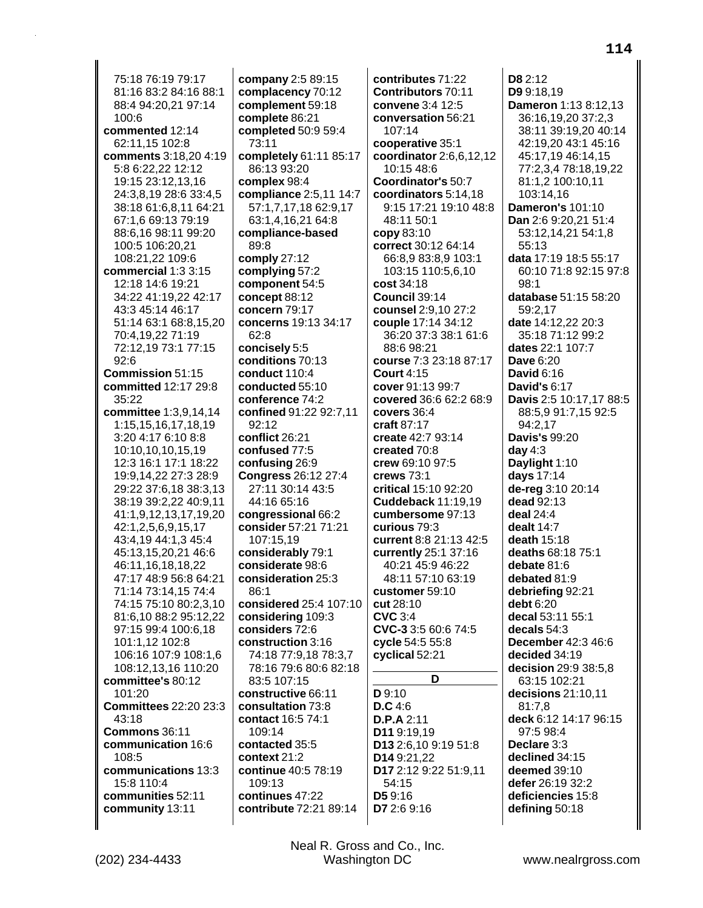75:18 76:19 79:17 81:16 83:2 84:16 88:1 88:4 94:20,21 97:14 100:6 commented 12:14 62:11,15 102:8 comments 3:18,20 4:19 5:8 6:22,22 12:12 19:15 23:12,13,16 24:3,8,19 28:6 33:4,5 38:18 61:6,8,11 64:21 67:1,6 69:13 79:19 88:6.16 98:11 99:20 100:5 106:20,21 108:21,22 109:6 commercial 1:3 3:15 12:18 14:6 19:21 34:22 41:19.22 42:17 43:3 45:14 46:17 51:14 63:1 68:8,15,20 70:4,19,22 71:19 72:12,19 73:1 77:15  $92:6$ Commission 51:15 committed 12:17 29:8 35:22 committee 1:3.9.14.14 1:15,15,16,17,18,19 3:20 4:17 6:10 8:8 10:10,10,10,15,19 12:3 16:1 17:1 18:22 19:9,14,22 27:3 28:9 29:22 37:6,18 38:3,13 38:19 39:2,22 40:9,11 41:1,9,12,13,17,19,20 42:1,2,5,6,9,15,17 43:4,19 44:1,3 45:4 45:13,15,20,21 46:6 46:11,16,18,18,22 47:17 48:9 56:8 64:21 71:14 73:14,15 74:4 74:15 75:10 80:2,3,10 81:6,10 88:2 95:12,22 97:15 99:4 100:6,18 101:1,12 102:8 106:16 107:9 108:1,6 108:12,13,16 110:20 committee's 80:12 101:20 **Committees 22:20 23:3** 43:18 Commons 36:11 communication 16:6 108:5 communications 13:3 15:8 110:4 communities 52:11 community 13:11

(202) 234-4433

company 2:5 89:15 complacency 70:12 complement 59:18 complete 86:21 completed 50:9 59:4 73:11 completely 61:11 85:17 86:13 93:20 complex 98:4 compliance 2:5,11 14:7 57:1,7,17,18 62:9,17 63:1,4,16,21 64:8 compliance-based 89:8 comply 27:12 complying 57:2 component 54:5 concept 88:12 concern 79:17 concerns 19:13 34:17  $62:8$ concisely 5:5 conditions 70:13 conduct 110:4 conducted 55:10 conference 74:2 confined 91:22 92:7.11  $92:12$ conflict 26:21 confused 77:5 confusing 26:9 Congress 26:12 27:4 27:11 30:14 43:5 44:16 65:16 congressional 66:2 consider 57:21 71:21 107:15,19 considerably 79:1 considerate 98:6 consideration 25:3  $86:1$ considered 25:4 107:10 considering 109:3 considers 72:6 construction 3:16 74:18 77:9,18 78:3,7 78:16 79:6 80:6 82:18 83:5 107:15 constructive 66:11 consultation 73:8 contact 16:5 74:1 109:14 contacted 35:5 context 21:2 continue 40:5 78:19 109:13 continues 47:22 contribute 72:21 89:14

contributes 71:22 **Contributors 70:11** convene 3:4 12:5 conversation 56:21 107:14 cooperative 35:1 coordinator 2:6,6,12,12 10:15 48:6 Coordinator's 50:7 coordinators 5:14,18 9:15 17:21 19:10 48:8 48:11 50:1 copy 83:10 correct 30:12 64:14 66:8,9 83:8,9 103:1 103:15 110:5,6,10 cost 34:18 Council 39:14 counsel 2:9,10 27:2 **couple** 17:14 34:12 36:20 37:3 38:1 61:6 88:6 98:21 course 7:3 23:18 87:17 **Court 4:15** cover 91:13 99:7 covered 36:6 62:2 68:9 covers 36:4 craft  $87:17$ create 42:7 93:14 created 70:8 crew 69:10 97:5 crews  $73.1$ critical 15:10 92:20 **Cuddeback 11:19.19** cumbersome 97:13 curious 79:3 current 8:8 21:13 42:5 currently 25:1 37:16 40:21 45:9 46:22 48:11 57:10 63:19 customer 59:10 cut 28:10 **CVC 3:4** CVC-3 3:5 60:6 74:5 cycle 54:5 55:8 cyclical 52:21 D  $D9:10$  $D.C.4:6$  $D.P.A 2:11$ D11 9:19,19 D13 2:6,10 9:19 51:8 D14 9:21,22 D17 2:12 9:22 51:9,11 54:15 **D5** 9:16 D7 2:6 9:16

D8 2:12 D9 9:18.19 Dameron 1:13 8:12,13 36:16,19,20 37:2,3 38:11 39:19.20 40:14 42:19.20 43:1 45:16 45:17,19 46:14,15 77:2,3,4 78:18,19,22 81:1,2 100:10,11 103:14,16 **Dameron's 101:10** Dan 2:6 9:20,21 51:4 53:12,14,21 54:1,8 55:13 data 17:19 18:5 55:17 60:10 71:8 92:15 97:8  $98:1$ database 51:15 58:20 59:2,17 date 14:12,22 20:3 35:18 71:12 99:2 dates 22:1 107:7 **Dave 6:20 David 6:16 David's 6:17** Davis 2:5 10:17.17 88:5 88:5,9 91:7,15 92:5 94:2,17 **Davis's 99:20** day  $4:3$ Daylight 1:10 days 17:14 de-reg 3:10 20:14 dead 92:13 deal 24:4 dealt  $14:7$ death 15:18 deaths 68:18 75:1 debate 81:6 debated 81:9 debriefing 92:21 debt 6:20 decal 53:11 55:1 decals  $54:3$ December 42:3 46:6 decided 34:19 decision 29:9 38:5.8 63:15 102:21 decisions 21:10,11 81:7,8 deck 6:12 14:17 96:15 97:5 98:4 Declare 3:3 declined 34:15 deemed 39:10 defer 26:19 32:2 deficiencies 15:8 defining 50:18

Neal R. Gross and Co., Inc.

Washington DC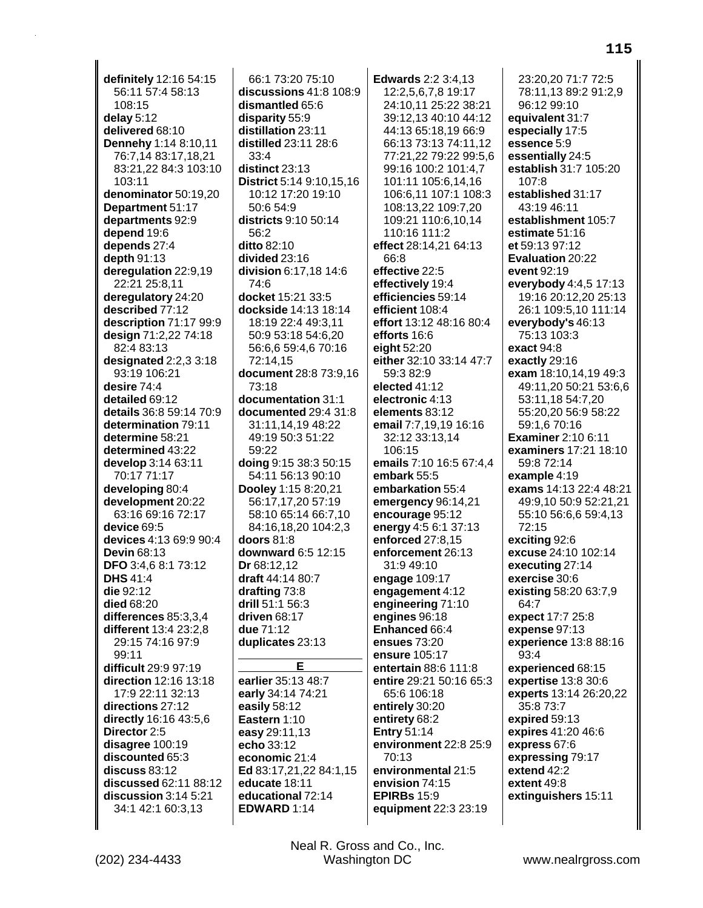deregulation 22:9,19 22:21 25:8,11 deregulatory 24:20 described 77:12 description 71:17 99:9 design 71:2,22 74:18 82:4 83:13 designated 2:2,3 3:18 93:19 106:21 desire 74:4 detailed 69:12 details 36:8 59:14 70:9 determination 79:11 determine 58:21 determined 43:22 develop 3:14 63:11 70:17 71:17 developing 80:4 development 20:22 63:16 69:16 72:17 device 69:5 devices 4:13 69:9 90:4 **Devin 68:13** DFO 3:4.6 8:1 73:12 **DHS** 41:4 die 92:12 died 68:20 differences 85:3,3,4 different 13:4 23:2.8 29:15 74:16 97:9 99:11 difficult 29:9 97:19 direction 12:16 13:18 17:9 22:11 32:13 directions 27:12 directly 16:16 43:5,6 Director 2:5 disagree 100:19 discounted 65:3  $discuss 83:12$ discussed 62:11 88:12 discussion 3:14 5:21 34:1 42:1 60:3,13

definitely 12:16 54:15

Dennehy 1:14 8:10,11

76:7,14 83:17,18,21

denominator 50:19,20

Department 51:17

departments 92:9

83:21,22 84:3 103:10

56:11 57:4 58:13

108:15

delay  $5:12$ 

103:11

depend 19:6

depth 91:13

depends 27:4

delivered 68:10

66:1 73:20 75:10 discussions 41:8 108:9 dismantled 65:6 disparity 55:9 distillation 23:11 distilled 23:11 28:6  $33:4$ distinct 23:13 District 5:14 9:10,15.16 10:12 17:20 19:10 50:6 54:9 districts 9:10 50:14 56:2 ditto 82:10 divided 23:16 division 6:17,18 14:6 74:6 docket 15:21 33:5 dockside 14:13 18:14 18:19 22:4 49:3,11 50:9 53:18 54:6,20 56:6.6 59:4.6 70:16 72:14,15 document 28:8 73:9,16 73:18 documentation 31:1 documented 29:4 31:8 31:11,14,19 48:22 49:19 50:3 51:22 59:22 doing 9:15 38:3 50:15 54:11 56:13 90:10 Dooley 1:15 8:20,21 56:17,17,20 57:19 58:10 65:14 66:7.10 84:16,18,20 104:2,3 doors  $81:8$ downward 6:5 12:15 Dr 68:12.12 draft 44:14 80:7 drafting 73:8 drill 51:1 56:3 driven 68:17 due 71:12 duplicates 23:13 Е earlier 35:13 48:7 early 34:14 74:21 easily 58:12 Eastern 1:10 easy 29:11,13

echo 33:12

economic 21:4

educate 18:11

EDWARD 1:14

educational 72:14

Ed 83:17,21,22 84:1,15

**Edwards** 2:2 3:4.13 12:2,5,6,7,8 19:17 24:10,11 25:22 38:21 39:12,13 40:10 44:12 44:13 65:18.19 66:9 66:13 73:13 74:11,12 77:21,22 79:22 99:5,6 99:16 100:2 101:4,7 101:11 105:6.14.16 106:6,11 107:1 108:3 108:13,22 109:7,20 109:21 110:6,10,14 110:16 111:2 effect 28:14,21 64:13  $R \cdot 33$ effective 22:5 effectively 19:4 efficiencies 59:14 efficient 108:4 effort 13:12 48:16 80:4 efforts 16:6 eight 52:20 either 32:10 33:14 47:7 59:3 82:9 elected 41:12 electronic 4:13 elements 83:12 email 7:7,19,19 16:16 32:12 33:13,14 106:15 emails 7:10 16:5 67:4.4 embark 55:5 embarkation 55:4 emergency 96:14,21 encourage 95:12 energy 4:5 6:1 37:13 enforced 27:8,15 enforcement 26:13 31:9 49:10 engage 109:17 engagement 4:12 engineering 71:10 engines 96:18 Enhanced 66:4 ensues 73:20 ensure 105:17 entertain 88:6 111:8 entire 29:21 50:16 65:3 65:6 106:18 entirely 30:20 entirety 68:2 **Entry 51:14** environment 22:8 25:9  $70.13$ environmental 21:5 envision 74:15 **EPIRBs** 15:9 equipment 22:3 23:19

23:20.20 71:7 72:5 78:11,13 89:2 91:2,9 96:12 99:10 equivalent 31:7 especially 17:5 essence 5:9 essentially 24:5 establish 31:7 105:20  $107.8$ established 31:17 43:19 46:11 establishment 105:7 estimate 51:16 et 59:13 97:12 Evaluation 20:22 event 92:19 everybody 4:4,5 17:13 19:16 20:12,20 25:13 26:1 109:5,10 111:14 everybody's 46:13 75:13 103:3 exact 94:8 exactly 29:16 exam 18:10,14,19 49:3 49:11,20 50:21 53:6,6 53:11.18 54:7.20 55:20.20 56:9 58:22 59:1,6 70:16 **Examiner** 2:10 6:11 examiners 17:21 18:10 59:8 72:14 example 4:19 exams 14:13 22:4 48:21 49:9,10 50:9 52:21,21 55:10 56:6,6 59:4,13 72:15 exciting 92:6 excuse 24:10 102:14 executing 27:14 exercise 30:6 existing 58:20 63:7,9 64:7 expect 17:7 25:8 expense 97:13 experience 13:8 88:16  $93.4$ experienced 68:15 expertise 13:8 30:6 experts 13:14 26:20,22 35:8 73:7 expired 59:13 expires 41:20 46:6 express 67:6 expressing 79:17 extend 42:2 extent 49:8 extinguishers 15:11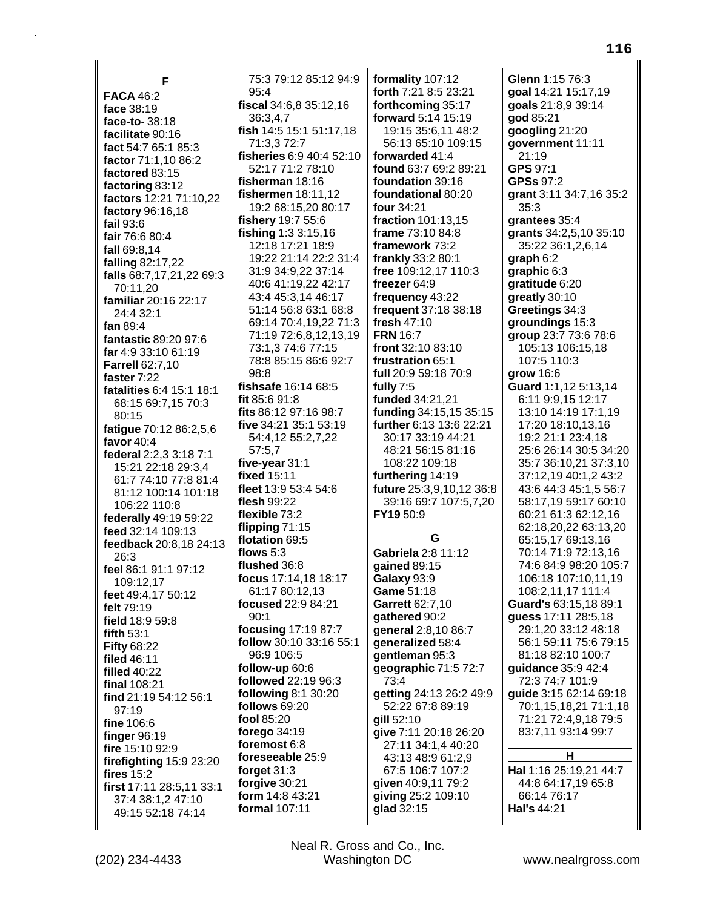F **FACA 46:2** face 38:19 face-to-38:18 facilitate 90:16 fact 54:7 65:1 85:3 factor 71:1.10 86:2 factored 83:15 factoring 83:12 factors 12:21 71:10,22 factory 96:16,18 fail  $93:6$ fair 76:6 80:4 fall 69:8.14 falling 82:17,22 falls 68:7,17,21,22 69:3 70:11,20 familiar 20:16 22:17 24:4 32:1 fan 89:4 fantastic 89:20 97:6 far 4:9 33:10 61:19 **Farrell 62:7,10** faster 7:22 fatalities 6:4 15:1 18:1 68:15 69:7,15 70:3 80:15 fatigue 70:12 86:2,5,6 favor 40:4 federal 2:2,3 3:18 7:1 15:21 22:18 29:3,4 61:7 74:10 77:8 81:4 81:12 100:14 101:18 106:22 110:8 federally 49:19 59:22 feed 32:14 109:13 feedback 20:8,18 24:13 26:3 feel 86:1 91:1 97:12 109:12.17 feet 49:4.17 50:12 felt 79:19 field 18:9 59:8 fifth  $53:1$ **Fifty 68:22** filed 46:11 **filled 40:22** final  $108:21$ find 21:19 54:12 56:1  $97:19$ fine 106:6 finger 96:19 fire 15:10 92:9 firefighting 15:9 23:20 fires 15:2 first 17:11 28:5,11 33:1 37:4 38:1,2 47:10 49:15 52:18 74:14

75:3 79:12 85:12 94:9 95:4 fiscal 34:6,8 35:12,16 36:3,4,7 fish 14:5 15:1 51:17,18 71:3.3 72:7 fisheries 6:9 40:4 52:10 52:17 71:2 78:10 fisherman 18:16 fishermen 18:11,12 19:2 68:15,20 80:17 fishery 19:7 55:6 fishing  $1:33:15,16$ 12:18 17:21 18:9 19:22 21:14 22:2 31:4 31:9 34:9,22 37:14 40:6 41:19,22 42:17 43:4 45:3,14 46:17 51:14 56:8 63:1 68:8 69:14 70:4,19,22 71:3 71:19 72:6,8,12,13,19 73:1.3 74:6 77:15 78:8 85:15 86:6 92:7  $98:8$ fishsafe 16:14 68:5 fit 85:6 91:8 fits 86:12 97:16 98:7 five 34:21 35:1 53:19 54:4,12 55:2,7,22  $57:5.7$ five-vear 31:1 fixed 15:11 fleet 13:9 53:4 54:6 flesh 99:22 flexible 73:2 flipping  $71:15$ flotation 69:5 flows  $5:3$ flushed 36:8 focus 17:14.18 18:17 61:17 80:12.13 focused 22:9 84:21  $90:1$ focusing 17:19 87:7 follow 30:10 33:16 55:1 96:9 106:5 follow-up 60:6 followed 22:19 96:3 **following 8:1 30:20** follows 69:20 fool 85:20 forego 34:19 foremost 6:8 foreseeable 25:9 forget  $31:3$ forgive 30:21 form 14:8 43:21 formal 107:11

formality 107:12 forth 7:21 8:5 23:21 forthcoming 35:17 **forward** 5:14 15:19 19:15 35:6.11 48:2 56:13 65:10 109:15 forwarded 41:4 found 63:7 69:2 89:21 foundation 39:16 foundational 80:20 four 34:21 fraction 101:13,15 frame 73:10 84:8 framework 73:2 frankly 33:2 80:1 free 109:12,17 110:3 freezer 64:9 frequency 43:22 frequent 37:18 38:18 fresh  $47:10$ **FRN** 16:7 front 32:10 83:10 frustration 65:1 full 20:9 59:18 70:9 fully  $7:5$ funded 34:21.21 funding 34:15,15 35:15 further 6:13 13:6 22:21 30:17 33:19 44:21 48:21 56:15 81:16 108:22 109:18 furthering 14:19 future 25:3,9,10,12 36:8 39:16 69:7 107:5,7,20 FY19 50:9 G Gabriela 2:8 11:12 qained 89:15 Galaxy 93:9 Game 51:18 Garrett 62:7,10 gathered 90:2 general 2:8,10 86:7 generalized 58:4 gentleman 95:3 geographic 71:5 72:7 73:4 getting 24:13 26:2 49:9 52:22 67:8 89:19 qill 52:10 give 7:11 20:18 26:20 27:11 34:1,4 40:20 43:13 48:9 61:2,9 67:5 106:7 107:2 qiven 40:9,11 79:2 giving 25:2 109:10 glad 32:15

Glenn 1:15 76:3 goal 14:21 15:17,19 goals 21:8,9 39:14 god 85:21 googling 21:20 qovernment 11:11 21:19 GPS 97:1 **GPSs 97:2** grant 3:11 34:7,16 35:2  $35:3$ grantees 35:4 grants 34:2,5,10 35:10 35:22 36:1,2,6,14 graph  $6:2$ graphic  $6:3$ gratitude 6:20 greatly 30:10 Greetings 34:3 groundings 15:3 group 23:7 73:6 78:6 105:13 106:15,18 107:5 110:3 grow 16:6 Guard 1:1.12 5:13.14 6:11 9:9.15 12:17 13:10 14:19 17:1.19 17:20 18:10,13,16 19:2 21:1 23:4.18 25:6 26:14 30:5 34:20 35:7 36:10.21 37:3.10 37:12.19 40:1.2 43:2 43:6 44:3 45:1,5 56:7 58:17,19 59:17 60:10 60:21 61:3 62:12,16 62:18,20,22 63:13,20 65:15,17 69:13,16 70:14 71:9 72:13,16 74:6 84:9 98:20 105:7 106:18 107:10.11.19 108:2,11,17 111:4 Guard's 63:15,18 89:1 guess 17:11 28:5,18 29:1,20 33:12 48:18 56:1 59:11 75:6 79:15 81:18 82:10 100:7 quidance 35:9 42:4 72:3 74:7 101:9 guide 3:15 62:14 69:18 70:1,15,18,21 71:1,18 71:21 72:4,9,18 79:5 83:7,11 93:14 99:7 H Hal 1:16 25:19,21 44:7 44:8 64:17,19 65:8 66:14 76:17

Hal's 44:21

Neal R. Gross and Co., Inc. Washington DC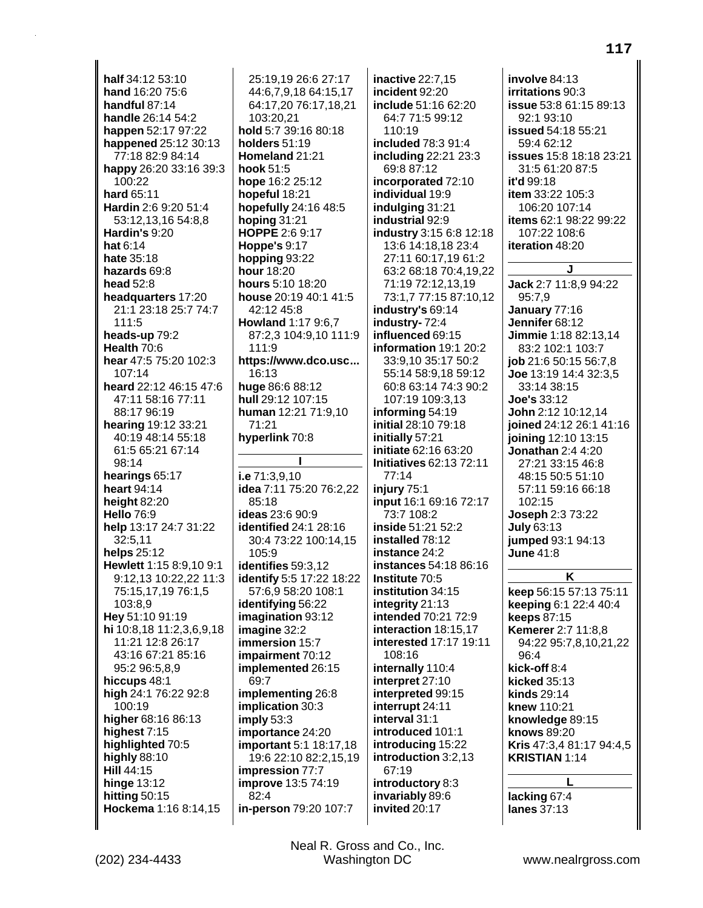half 34:12 53:10 hand 16:20 75:6 handful 87:14 handle 26:14 54:2 happen 52:17 97:22 happened 25:12 30:13 77:18 82:9 84:14 happy 26:20 33:16 39:3 100:22 hard 65:11 Hardin 2:6 9:20 51:4 53:12,13,16 54:8,8 Hardin's 9:20 hat 6:14 hate  $35:18$ hazards 69:8 head 52:8 headquarters 17:20 21:1 23:18 25:7 74:7 111:5 heads-up 79:2 Health 70:6 hear 47:5 75:20 102:3  $107:14$ heard 22:12 46:15 47:6 47:11 58:16 77:11 88:17 96:19 hearing 19:12 33:21 40:19 48:14 55:18 61:5 65:21 67:14  $98.14$ hearings 65:17 heart 94:14 height 82:20 **Hello 76:9** help 13:17 24:7 31:22 32:5,11 helps 25:12 Hewlett 1:15 8:9,10 9:1 9:12.13 10:22.22 11:3 75:15,17,19 76:1,5 103:8,9 Hey 51:10 91:19 hi 10:8,18 11:2,3,6,9,18 11:21 12:8 26:17 43:16 67:21 85:16 95:2 96:5,8,9 hiccups 48:1 high 24:1 76:22 92:8  $100.19$ higher 68:16 86:13 highest 7:15 highlighted 70:5 highly 88:10 Hill 44:15 hinge  $13:12$ hitting 50:15 Hockema 1:16 8:14,15

25:19.19 26:6 27:17 44:6,7,9,18 64:15,17 64:17,20 76:17,18,21 103:20,21 hold 5:7 39:16 80:18 holders 51:19 Homeland 21:21 hook 51:5 hope 16:2 25:12 hopeful 18:21 hopefully 24:16 48:5 hoping  $31:21$ HOPPE 2:6 9:17 **Hoppe's 9:17** hopping 93:22 hour 18:20 hours 5:10 18:20 house 20:19 40:1 41:5 42:12 45:8 **Howland 1:17 9:6,7** 87:2,3 104:9,10 111:9  $111.9$ https://www.dco.usc... 16:13 huge 86:6 88:12 hull 29:12 107:15 human 12:21 71:9.10  $71:21$ hyperlink 70:8 I i.e  $71:3.9.10$ idea 7:11 75:20 76:2,22  $85:18$ **ideas** 23:6 90:9 **identified 24:1 28:16** 30:4 73:22 100:14,15 105:9 identifies 59:3,12 identify 5:5 17:22 18:22 57:6,9 58:20 108:1 identifying 56:22 imagination 93:12 imagine 32:2 immersion 15:7 impairment 70:12 implemented 26:15 69:7 implementing 26:8 implication 30:3  $imply 53:3$ importance 24:20 important 5:1 18:17,18 19:6 22:10 82:2,15,19 impression 77:7 **improve** 13:5 74:19 82:4 in-person 79:20 107:7

inactive 22:7,15 incident 92:20 include 51:16 62:20 64:7 71:5 99:12  $110.19$ included 78:3 91:4 including 22:21 23:3 69:8 87:12 incorporated 72:10 individual 19:9 indulging 31:21 industrial 92:9 industry 3:15 6:8 12:18 13:6 14:18.18 23:4 27:11 60:17,19 61:2 63:2 68:18 70:4,19,22 71:19 72:12,13,19 73:1,7 77:15 87:10,12 industry's 69:14 industry-72:4 influenced 69:15 information 19:1 20:2 33:9.10 35:17 50:2 55:14 58:9,18 59:12 60:8 63:14 74:3 90:2 107:19 109:3.13 informing 54:19 initial 28:10 79:18 initially 57:21 **initiate 62:16 63:20 Initiatives 62:13 72:11**  $77.14$ injury  $75:1$ input 16:1 69:16 72:17 73:7 108:2 inside 51:21 52:2 installed 78:12 instance 24:2 instances 54:18 86:16 Institute 70:5 institution 34:15 integrity 21:13 intended 70:21 72:9 interaction 18:15.17 interested 17:17 19:11 108:16 internally 110:4 interpret 27:10 interpreted 99:15 interrupt 24:11 interval 31:1 introduced 101:1 introducing 15:22 introduction 3:2,13 67:19 introductory 8:3 invariably 89:6 invited 20:17

involve 84:13 irritations 90:3 **issue** 53:8 61:15 89:13 92:1 93:10 **issued** 54:18 55:21 5946212 issues 15:8 18:18 23:21 31:5 61:20 87:5 it'd 99:18 item 33:22 105:3 106:20 107:14 items 62:1 98:22 99:22 107:22 108:6 iteration 48:20  $\mathbf{I}$ . Jack 2:7 11:8.9 94:22 95:7,9 January 77:16 Jennifer 68:12 Jimmie 1:18 82:13,14 83:2 102:1 103:7 job 21:6 50:15 56:7,8 Joe 13:19 14:4 32:3.5 33:14 38:15  $Joe's 33:12$ John 2:12 10:12.14 joined 24:12 26:1 41:16 joining 12:10 13:15 **Jonathan 2:4 4:20** 27:21 33:15 46:8 48:15 50:5 51:10 57:11 59:16 66:18 102:15 **Joseph 2:3 73:22** July 63:13 jumped 93:1 94:13 **June 41:8** K keep 56:15 57:13 75:11 keeping 6:1 22:4 40:4 keeps 87:15 **Kemerer 2:7 11:8.8** 94:22 95:7,8,10,21,22 96:4 kick-off 8:4 kicked 35:13 **kinds 29:14** knew 110:21 knowledge 89:15 knows 89:20 Kris 47:3,4 81:17 94:4,5

117

**KRISTIAN 1:14** 

lacking 67:4 lanes 37:13

Neal R. Gross and Co., Inc. Washington DC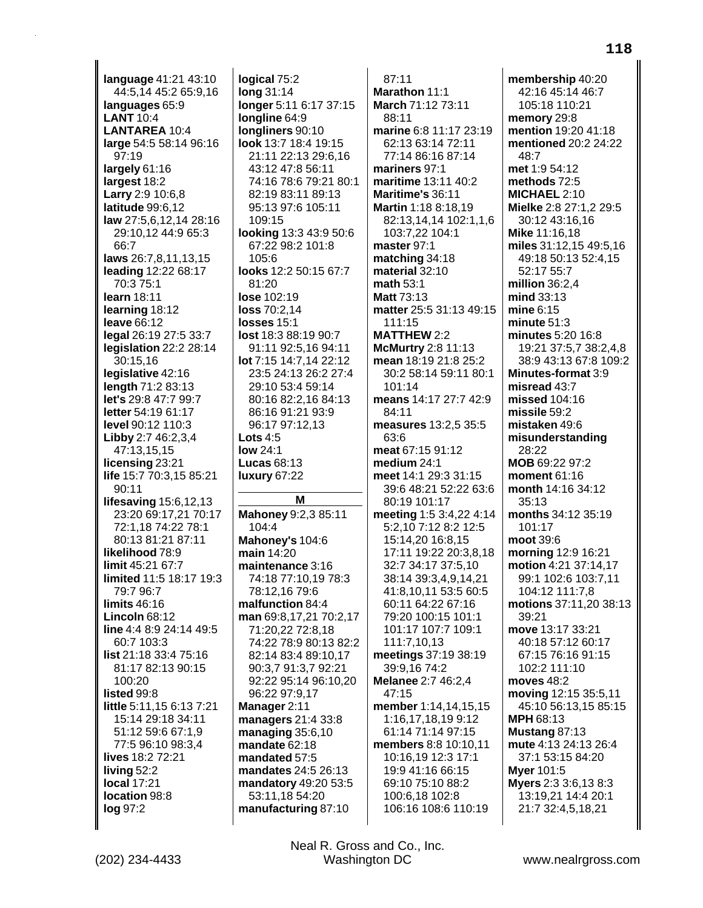**language** 41:21 43:10 44:5,14 45:2 65:9,16 **languages** 65:9 **LANT** 10:4 **LANTAREA** 10:4 **large** 54:5 58:14 96:16 97:19 **largely** 61:16 **largest** 18:2 **Larry** 2:9 10:6,8 **latitude** 99:6,12 **law** 27:5,6,12,14 28:16 29:10,12 44:9 65:3 66:7 **laws** 26:7,8,11,13,15 **leading** 12:22 68:17 70:3 75:1 **learn** 18:11 **learning** 18:12 **leave** 66:12 **legal** 26:19 27:5 33:7 **legislation** 22:2 28:14 30:15,16 **legislative** 42:16 **length** 71:2 83:13 **let's** 29:8 47:7 99:7 **letter** 54:19 61:17 **level** 90:12 110:3 **Libby** 2:7 46:2,3,4 47:13,15,15 **licensing** 23:21 **life** 15:7 70:3,15 85:21 90:11 **lifesaving** 15:6,12,13 23:20 69:17,21 70:17 72:1,18 74:22 78:1 80:13 81:21 87:11 **likelihood** 78:9 **limit** 45:21 67:7 **limited** 11:5 18:17 19:3 79:7 96:7 **limits** 46:16 **Lincoln** 68:12 **line** 4:4 8:9 24:14 49:5 60:7 103:3 **list** 21:18 33:4 75:16 81:17 82:13 90:15 100:20 **listed** 99:8 **little** 5:11,15 6:13 7:21 15:14 29:18 34:11 51:12 59:6 67:1,9 77:5 96:10 98:3,4 **lives** 18:2 72:21 **living** 52:2 **local** 17:21 **location** 98:8 **log** 97:2

**logical** 75:2 **long** 31:14 **longer** 5:11 6:17 37:15 **longline** 64:9 **longliners** 90:10 **look** 13:7 18:4 19:15 21:11 22:13 29:6,16 43:12 47:8 56:11 74:16 78:6 79:21 80:1 82:19 83:11 89:13 95:13 97:6 105:11 109:15 **looking** 13:3 43:9 50:6 67:22 98:2 101:8  $105.6$ **looks** 12:2 50:15 67:7 81:20 **lose** 102:19 **loss** 70:2,14 **losses** 15:1 **lost** 18:3 88:19 90:7 91:11 92:5,16 94:11 **lot** 7:15 14:7,14 22:12 23:5 24:13 26:2 27:4 29:10 53:4 59:14 80:16 82:2,16 84:13 86:16 91:21 93:9 96:17 97:12,13 **Lots** 4:5 **low** 24:1 **Lucas** 68:13 **luxury** 67:22 **M Mahoney** 9:2,3 85:11 104:4 **Mahoney's** 104:6 **main** 14:20 **maintenance** 3:16 74:18 77:10,19 78:3 78:12,16 79:6 **malfunction** 84:4 **man** 69:8,17,21 70:2,17 71:20,22 72:8,18 74:22 78:9 80:13 82:2 82:14 83:4 89:10,17 90:3,7 91:3,7 92:21 92:22 95:14 96:10,20 96:22 97:9,17 **Manager** 2:11 **managers** 21:4 33:8 **managing** 35:6,10 **mandate** 62:18 **mandated** 57:5 **mandates** 24:5 26:13 **mandatory** 49:20 53:5 53:11,18 54:20

87:11 **Marathon** 11:1 **March** 71:12 73:11 88:11 **marine** 6:8 11:17 23:19 62:13 63:14 72:11 77:14 86:16 87:14 **mariners** 97:1 **maritime** 13:11 40:2 **Maritime's** 36:11 **Martin** 1:18 8:18,19 82:13,14,14 102:1,1,6 103:7,22 104:1 **master** 97:1 **matching** 34:18 **material** 32:10 **math** 53:1 **Matt** 73:13 **matter** 25:5 31:13 49:15 111:15 **MATTHEW** 2:2 **McMurtry** 2:8 11:13 **mean** 18:19 21:8 25:2 30:2 58:14 59:11 80:1 101:14 **means** 14:17 27:7 42:9 84:11 **measures** 13:2,5 35:5 63:6 **meat** 67:15 91:12 **medium** 24:1 **meet** 14:1 29:3 31:15 39:6 48:21 52:22 63:6 80:19 101:17 **meeting** 1:5 3:4,22 4:14 5:2,10 7:12 8:2 12:5 15:14,20 16:8,15 17:11 19:22 20:3,8,18 32:7 34:17 37:5,10 38:14 39:3,4,9,14,21 41:8,10,11 53:5 60:5 60:11 64:22 67:16 79:20 100:15 101:1 101:17 107:7 109:1 111:7,10,13 **meetings** 37:19 38:19 39:9,16 74:2 **Melanee** 2:7 46:2,4 47:15 **member** 1:14,14,15,15 1:16,17,18,19 9:12 61:14 71:14 97:15 **members** 8:8 10:10,11 10:16,19 12:3 17:1 19:9 41:16 66:15 69:10 75:10 88:2 100:6,18 102:8 106:16 108:6 110:19

**membership** 40:20 42:16 45:14 46:7 105:18 110:21 **memory** 29:8 **mention** 19:20 41:18 **mentioned** 20:2 24:22  $48.7$ **met** 1:9 54:12 **methods** 72:5 **MICHAEL** 2:10 **Mielke** 2:8 27:1,2 29:5 30:12 43:16,16 **Mike** 11:16,18 **miles** 31:12,15 49:5,16 49:18 50:13 52:4,15 52:17 55:7 **million** 36:2,4 **mind** 33:13 **mine** 6:15 **minute** 51:3 **minutes** 5:20 16:8 19:21 37:5,7 38:2,4,8 38:9 43:13 67:8 109:2 **Minutes-format** 3:9 **misread** 43:7 **missed** 104:16 **missile** 59:2 **mistaken** 49:6 **misunderstanding** 28:22 **MOB** 69:22 97:2 **moment** 61:16 **month** 14:16 34:12 35:13 **months** 34:12 35:19 101:17 **moot** 39:6 **morning** 12:9 16:21 **motion** 4:21 37:14,17 99:1 102:6 103:7,11 104:12 111:7,8 **motions** 37:11,20 38:13 39:21 **move** 13:17 33:21 40:18 57:12 60:17 67:15 76:16 91:15 102:2 111:10 **moves** 48:2 **moving** 12:15 35:5,11 45:10 56:13,15 85:15 **MPH** 68:13 **Mustang** 87:13 **mute** 4:13 24:13 26:4 37:1 53:15 84:20 **Myer** 101:5 **Myers** 2:3 3:6,13 8:3 13:19,21 14:4 20:1 21:7 32:4,5,18,21

(202) 234-4433 Washington DC www.nealrgross.com Neal R. Gross and Co., Inc.

**manufacturing** 87:10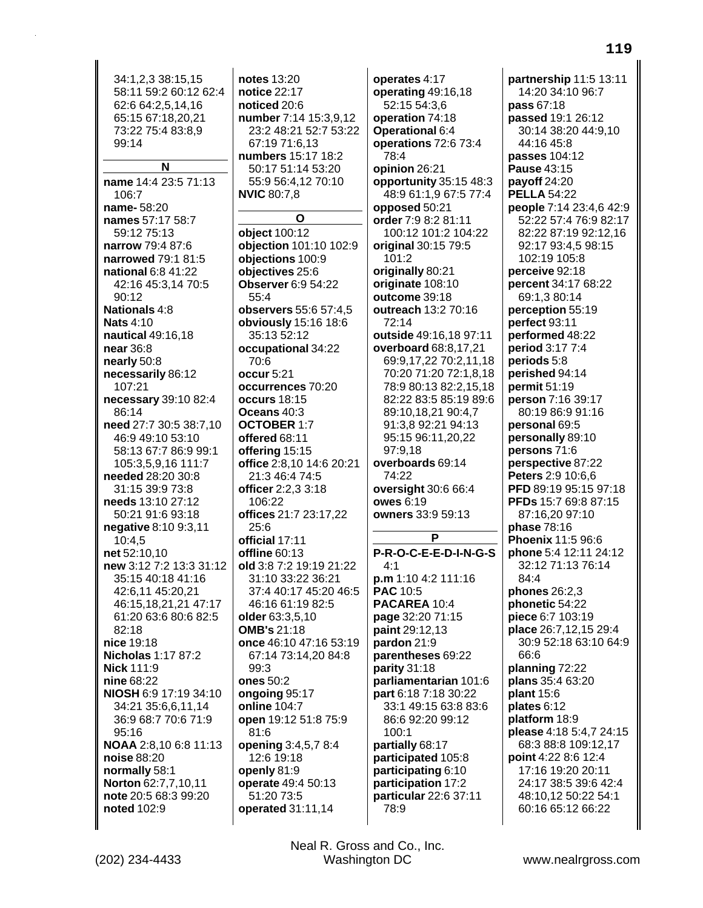34:1,2,3 38:15,15 58:11 59:2 60:12 62:4 62:6 64:2,5,14,16 65:15 67:18,20,21 73:22 75:4 83:8.9  $99.14$ 

# N

name 14:4 23:5 71:13  $106:7$ name-58:20 names 57:17 58:7 59:12 75:13 narrow 79:4 87:6 narrowed 79:1 81:5 national 6:8 41:22 42:16 45:3,14 70:5 90:12 Nationals 4:8 **Nats 4:10** nautical 49:16,18 near 36:8 nearly 50:8 necessarily 86:12 107:21 necessary 39:10 82:4 86:14 need 27:7 30:5 38:7,10 46:9 49:10 53:10 58:13 67:7 86:9 99:1 105:3,5,9,16 111:7 needed 28:20 30:8 31:15 39:9 73:8 needs 13:10 27:12 50:21 91:6 93:18 negative 8:10 9:3,11  $10:4,5$ net 52:10,10 new 3:12 7:2 13:3 31:12 35:15 40:18 41:16 42:6,11 45:20,21 46:15,18,21,21 47:17 61:20 63:6 80:6 82:5 82:18 nice 19:18 **Nicholas 1:17 87:2 Nick 111:9** nine 68:22 NIOSH 6:9 17:19 34:10 34:21 35:6,6,11,14 36:9 68:7 70:6 71:9  $95:16$ NOAA 2:8,10 6:8 11:13 noise 88:20 normally 58:1 Norton 62:7,7,10,11 note 20:5 68:3 99:20 noted 102:9

notes  $13:20$ notice 22:17 noticed 20:6 number 7:14 15:3,9,12 23:2 48:21 52:7 53:22 67:19 71:6.13 numbers 15:17 18:2 50:17 51:14 53:20 55:9 56:4.12 70:10 **NVIC 80:7,8** 

 $\mathbf{o}$ 

object 100:12 objection 101:10 102:9 objections 100:9 objectives 25:6 **Observer 6:9 54:22**  $554$ observers 55:6 57:4,5 obviously 15:16 18:6 35:13 52:12 occupational 34:22 70:6 occur 5:21 occurrences 70:20 occurs 18:15 Oceans 40:3 **OCTOBER 1:7** offered  $68:11$ offering 15:15 office 2:8,10 14:6 20:21 21:3 46:4 74:5 officer 2:2,3 3:18 106:22 offices 21:7 23:17,22  $25:6$ official 17:11 offline 60:13 old 3:8 7:2 19:19 21:22 31:10 33:22 36:21 37:4 40:17 45:20 46:5 46:16 61:19 82:5 older 63:3,5,10 **OMB's 21:18** once 46:10 47:16 53:19 67:14 73:14,20 84:8  $99:3$ ones 50:2 ongoing 95:17 online 104:7 open 19:12 51:8 75:9  $81:6$ opening 3:4,5,7 8:4 12:6 19:18 openly  $81:9$ operate 49:4 50:13 51:20 73:5 operated 31:11,14

operates 4:17 operating 49:16,18 52:15 54:3,6 operation 74:18 Operational 6:4 operations 72:6 73:4  $78.4$ opinion 26:21 opportunity 35:15 48:3 48:9 61:1,9 67:5 77:4 opposed 50:21 order 7:9 8:2 81:11 100:12 101:2 104:22 original 30:15 79:5  $101:2$ originally 80:21 originate 108:10 outcome 39:18 outreach 13:2 70:16 72:14 outside 49:16,18 97:11 overboard 68:8,17,21 69:9,17,22 70:2,11,18 70:20 71:20 72:1,8,18 78:9 80:13 82:2.15.18 82:22 83:5 85:19 89:6 89:10.18.21 90:4.7 91:3,8 92:21 94:13 95:15 96:11,20,22 97:9.18 overboards 69:14  $74:22$ oversight 30:6 66:4 **owes 6:19** owners 33:9 59:13 P P-R-O-C-E-E-D-I-N-G-S  $4.1$ p.m 1:10 4:2 111:16 **PAC 10:5** PACAREA 10:4 page 32:20 71:15 paint 29:12,13 pardon 21:9 parentheses 69:22 parity 31:18 parliamentarian 101:6 part 6:18 7:18 30:22 33:1 49:15 63:8 83:6 86:6 92:20 99:12  $100:1$ partially 68:17 participated 105:8 participating  $6:10$ participation 17:2 particular 22:6 37:11 78:9

partnership 11:5 13:11 14:20 34:10 96:7 pass 67:18 passed 19:1 26:12 30:14 38:20 44:9.10 44:16 45:8 passes 104:12 **Pause 43:15** payoff 24:20 **PELLA 54:22** people 7:14 23:4,6 42:9 52:22 57:4 76:9 82:17 82:22 87:19 92:12.16 92:17 93:4,5 98:15 102:19 105:8 perceive 92:18 percent 34:17 68:22 69:1,3 80:14 perception 55:19 perfect 93:11 performed 48:22 period 3:17 7:4 periods 5:8 perished 94:14 permit  $51:19$ person 7:16 39:17 80:19 86:9 91:16 personal 69:5 **personally** 89:10 persons 71:6 perspective 87:22 Peters 2:9 10:6.6 PFD 89:19 95:15 97:18 **PFDs** 15:7 69:8 87:15 87:16.20 97:10 phase 78:16 Phoenix 11:5 96:6 phone 5:4 12:11 24:12 32:12 71:13 76:14  $84.4$ phones 26:2,3 phonetic 54:22 piece 6:7 103:19 place 26:7,12,15 29:4 30:9 52:18 63:10 64:9 66:6 planning 72:22 plans 35:4 63:20 plant 15:6 plates 6:12 platform 18:9 please 4:18 5:4,7 24:15 68:3 88:8 109:12,17 point 4:22 8:6 12:4 17:16 19:20 20:11 24:17 38:5 39:6 42:4 48:10,12 50:22 54:1 60:16 65:12 66:22

Neal R. Gross and Co., Inc. **Washington DC**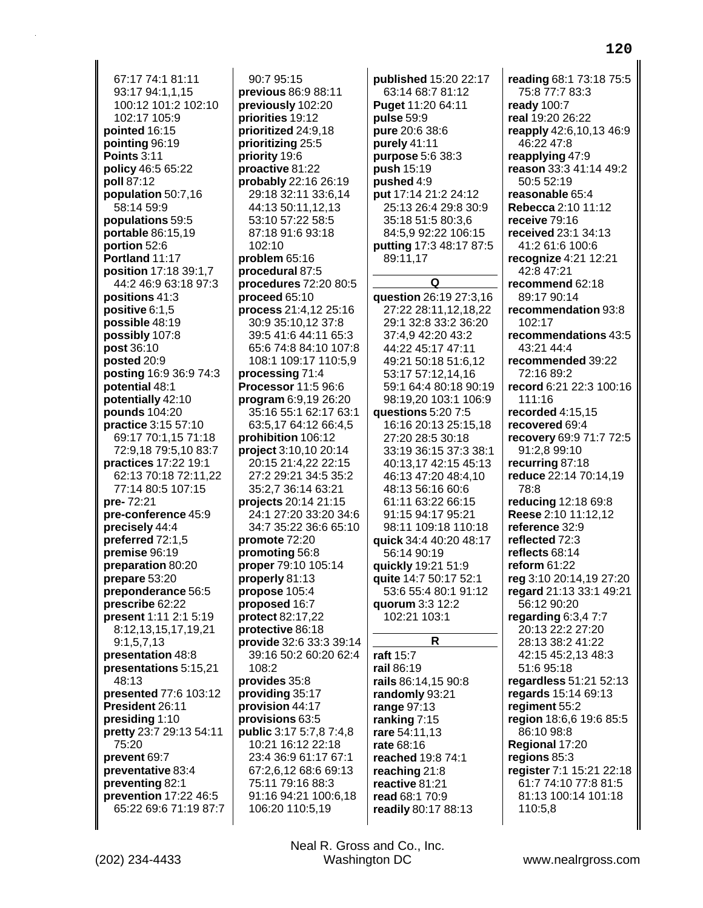67:17 74:1 81:11 93:17 94:1,1,15 100:12 101:2 102:10 102:17 105:9 **pointed** 16:15 **pointing** 96:19 **Points** 3:11 **policy** 46:5 65:22 **poll** 87:12 **population** 50:7,16 58:14 59:9 **populations** 59:5 **portable** 86:15,19 **portion** 52:6 **Portland** 11:17 **position** 17:18 39:1,7 44:2 46:9 63:18 97:3 **positions** 41:3 **positive** 6:1,5 **possible** 48:19 **possibly** 107:8 **post** 36:10 **posted** 20:9 **posting** 16:9 36:9 74:3 **potential** 48:1 **potentially** 42:10 **pounds** 104:20 **practice** 3:15 57:10 69:17 70:1,15 71:18 72:9,18 79:5,10 83:7 **practices** 17:22 19:1 62:13 70:18 72:11,22 77:14 80:5 107:15 **pre-** 72:21 **pre-conference** 45:9 **precisely** 44:4 **preferred** 72:1,5 **premise** 96:19 **preparation** 80:20 **prepare** 53:20 **preponderance** 56:5 **prescribe** 62:22 **present** 1:11 2:1 5:19 8:12,13,15,17,19,21 9:1,5,7,13 **presentation** 48:8 **presentations** 5:15,21 48:13 **presented** 77:6 103:12 **President** 26:11 **presiding** 1:10 **pretty** 23:7 29:13 54:11 75:20 **prevent** 69:7 **preventative** 83:4 **preventing** 82:1 **prevention** 17:22 46:5 65:22 69:6 71:19 87:7

90:7 95:15 **previous** 86:9 88:11 **previously** 102:20 **priorities** 19:12 **prioritized** 24:9,18 **prioritizing** 25:5 **priority** 19:6 **proactive** 81:22 **probably** 22:16 26:19 29:18 32:11 33:6,14 44:13 50:11,12,13 53:10 57:22 58:5 87:18 91:6 93:18 102:10 **problem** 65:16 **procedural** 87:5 **procedures** 72:20 80:5 **proceed** 65:10 **process** 21:4,12 25:16 30:9 35:10,12 37:8 39:5 41:6 44:11 65:3 65:6 74:8 84:10 107:8 108:1 109:17 110:5,9 **processing** 71:4 **Processor** 11:5 96:6 **program** 6:9,19 26:20 35:16 55:1 62:17 63:1 63:5,17 64:12 66:4,5 **prohibition** 106:12 **project** 3:10,10 20:14 20:15 21:4,22 22:15 27:2 29:21 34:5 35:2 35:2,7 36:14 63:21 **projects** 20:14 21:15 24:1 27:20 33:20 34:6 34:7 35:22 36:6 65:10 **promote** 72:20 **promoting** 56:8 **proper** 79:10 105:14 **properly** 81:13 **propose** 105:4 **proposed** 16:7 **protect** 82:17,22 **protective** 86:18 **provide** 32:6 33:3 39:14 39:16 50:2 60:20 62:4 108:2 **provides** 35:8 **providing** 35:17 **provision** 44:17 **provisions** 63:5 **public** 3:17 5:7,8 7:4,8 10:21 16:12 22:18 23:4 36:9 61:17 67:1 67:2,6,12 68:6 69:13 75:11 79:16 88:3 91:16 94:21 100:6,18 106:20 110:5,19

**published** 15:20 22:17 63:14 68:7 81:12 **Puget** 11:20 64:11 **pulse** 59:9 **pure** 20:6 38:6 **purely** 41:11 **purpose** 5:6 38:3 **push** 15:19 **pushed** 4:9 **put** 17:14 21:2 24:12 25:13 26:4 29:8 30:9 35:18 51:5 80:3,6 84:5,9 92:22 106:15 **putting** 17:3 48:17 87:5 89:11,17 **Q question** 26:19 27:3,16 27:22 28:11,12,18,22 29:1 32:8 33:2 36:20 37:4,9 42:20 43:2 44:22 45:17 47:11 49:21 50:18 51:6,12 53:17 57:12,14,16 59:1 64:4 80:18 90:19 98:19,20 103:1 106:9 **questions** 5:20 7:5 16:16 20:13 25:15,18 27:20 28:5 30:18 33:19 36:15 37:3 38:1 40:13,17 42:15 45:13 46:13 47:20 48:4,10 48:13 56:16 60:6 61:11 63:22 66:15 91:15 94:17 95:21 98:11 109:18 110:18 **quick** 34:4 40:20 48:17 56:14 90:19 **quickly** 19:21 51:9 **quite** 14:7 50:17 52:1 53:6 55:4 80:1 91:12 **quorum** 3:3 12:2 102:21 103:1 **R raft** 15:7 **rail** 86:19 **rails** 86:14,15 90:8 **randomly** 93:21 **range** 97:13 **ranking** 7:15 **rare** 54:11,13 **rate** 68:16 **reached** 19:8 74:1 **reaching** 21:8 **reactive** 81:21 **read** 68:1 70:9 **readily** 80:17 88:13

**reading** 68:1 73:18 75:5 75:8 77:7 83:3 **ready** 100:7 **real** 19:20 26:22 **reapply** 42:6,10,13 46:9 46:22 47:8 **reapplying** 47:9 **reason** 33:3 41:14 49:2 50:5 52:19 **reasonable** 65:4 **Rebecca** 2:10 11:12 **receive** 79:16 **received** 23:1 34:13 41:2 61:6 100:6 **recognize** 4:21 12:21 42:8 47:21 **recommend** 62:18 89:17 90:14 **recommendation** 93:8 102:17 **recommendations** 43:5 43:21 44:4 **recommended** 39:22 72:16 89:2 **record** 6:21 22:3 100:16 111:16 **recorded** 4:15,15 **recovered** 69:4 **recovery** 69:9 71:7 72:5 91:2,8 99:10 **recurring** 87:18 **reduce** 22:14 70:14,19 78:8 **reducing** 12:18 69:8 **Reese** 2:10 11:12,12 **reference** 32:9 **reflected** 72:3 **reflects** 68:14 **reform** 61:22 **reg** 3:10 20:14,19 27:20 **regard** 21:13 33:1 49:21 56:12 90:20 **regarding** 6:3,4 7:7 20:13 22:2 27:20 28:13 38:2 41:22 42:15 45:2,13 48:3 51:6 95:18 **regardless** 51:21 52:13 **regards** 15:14 69:13 **regiment** 55:2 **region** 18:6,6 19:6 85:5 86:10 98:8 **Regional** 17:20 **regions** 85:3 **register** 7:1 15:21 22:18 61:7 74:10 77:8 81:5 81:13 100:14 101:18 110:5,8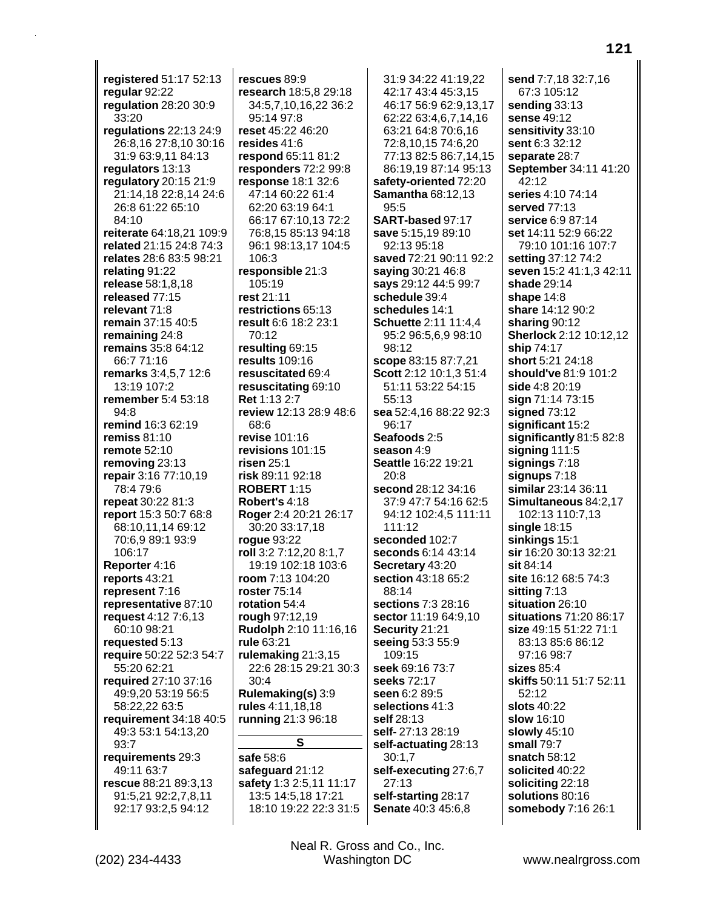**registered** 51:17 52:13 **regular** 92:22 **regulation** 28:20 30:9 33:20 **regulations** 22:13 24:9 26:8,16 27:8,10 30:16 31:9 63:9,11 84:13 **regulators** 13:13 **regulatory** 20:15 21:9 21:14,18 22:8,14 24:6 26:8 61:22 65:10 84:10 **reiterate** 64:18,21 109:9 **related** 21:15 24:8 74:3 **relates** 28:6 83:5 98:21 **relating** 91:22 **release** 58:1,8,18 **released** 77:15 **relevant** 71:8 **remain** 37:15 40:5 **remaining** 24:8 **remains** 35:8 64:12 66:7 71:16 **remarks** 3:4,5,7 12:6 13:19 107:2 **remember** 5:4 53:18 94:8 **remind** 16:3 62:19 **remiss** 81:10 **remote** 52:10 **removing** 23:13 **repair** 3:16 77:10,19 78:4 79:6 **repeat** 30:22 81:3 **report** 15:3 50:7 68:8 68:10,11,14 69:12 70:6,9 89:1 93:9 106:17 **Reporter** 4:16 **reports** 43:21 **represent** 7:16 **representative** 87:10 **request** 4:12 7:6,13 60:10 98:21 **requested** 5:13 **require** 50:22 52:3 54:7 55:20 62:21 **required** 27:10 37:16 49:9,20 53:19 56:5 58:22,22 63:5 **requirement** 34:18 40:5 49:3 53:1 54:13,20 93:7 **requirements** 29:3 49:11 63:7 **rescue** 88:21 89:3,13 91:5,21 92:2,7,8,11 92:17 93:2,5 94:12

**rescues** 89:9 **research** 18:5,8 29:18 34:5,7,10,16,22 36:2 95:14 97:8 **reset** 45:22 46:20 **resides** 41:6 **respond** 65:11 81:2 **responders** 72:2 99:8 **response** 18:1 32:6 47:14 60:22 61:4 62:20 63:19 64:1 66:17 67:10,13 72:2 76:8,15 85:13 94:18 96:1 98:13,17 104:5 106:3 **responsible** 21:3 105:19 **rest** 21:11 **restrictions** 65:13 **result** 6:6 18:2 23:1 70:12 **resulting** 69:15 **results** 109:16 **resuscitated** 69:4 **resuscitating** 69:10 **Ret** 1:13 2:7 **review** 12:13 28:9 48:6 68:6 **revise** 101:16 **revisions** 101:15 **risen** 25:1 **risk** 89:11 92:18 **ROBERT** 1:15 **Robert's** 4:18 **Roger** 2:4 20:21 26:17 30:20 33:17,18 **rogue** 93:22 **roll** 3:2 7:12,20 8:1,7 19:19 102:18 103:6 **room** 7:13 104:20 **roster** 75:14 **rotation** 54:4 **rough** 97:12,19 **Rudolph** 2:10 11:16,16 **rule** 63:21 **rulemaking** 21:3,15 22:6 28:15 29:21 30:3 30:4 **Rulemaking(s)** 3:9 **rules** 4:11,18,18 **running** 21:3 96:18 **S safe** 58:6

**safeguard** 21:12 **safety** 1:3 2:5,11 11:17 13:5 14:5,18 17:21 18:10 19:22 22:3 31:5

31:9 34:22 41:19,22 42:17 43:4 45:3,15 46:17 56:9 62:9,13,17 62:22 63:4,6,7,14,16 63:21 64:8 70:6,16 72:8,10,15 74:6,20 77:13 82:5 86:7,14,15 86:19,19 87:14 95:13 **safety-oriented** 72:20 **Samantha** 68:12,13 95:5 **SART-based** 97:17 **save** 5:15,19 89:10 92:13 95:18 **saved** 72:21 90:11 92:2 **saying** 30:21 46:8 **says** 29:12 44:5 99:7 **schedule** 39:4 **schedules** 14:1 **Schuette** 2:11 11:4,4 95:2 96:5,6,9 98:10 98:12 **scope** 83:15 87:7,21 **Scott** 2:12 10:1,3 51:4 51:11 53:22 54:15 55:13 **sea** 52:4,16 88:22 92:3 96:17 **Seafoods** 2:5 **season** 4:9 **Seattle** 16:22 19:21 20:8 **second** 28:12 34:16 37:9 47:7 54:16 62:5 94:12 102:4,5 111:11 111:12 **seconded** 102:7 **seconds** 6:14 43:14 **Secretary** 43:20 **section** 43:18 65:2 88:14 **sections** 7:3 28:16 **sector** 11:19 64:9,10 **Security** 21:21 **seeing** 53:3 55:9 109:15 **seek** 69:16 73:7 **seeks** 72:17 **seen** 6:2 89:5 **selections** 41:3 **self** 28:13 **self-** 27:13 28:19 **self-actuating** 28:13 30:1,7 **self-executing** 27:6,7 27:13 **self-starting** 28:17 **Senate** 40:3 45:6,8

**send** 7:7,18 32:7,16 67:3 105:12 **sending** 33:13 **sense** 49:12 **sensitivity** 33:10 **sent** 6:3 32:12 **separate** 28:7 **September** 34:11 41:20 42:12 **series** 4:10 74:14 **served** 77:13 **service** 6:9 87:14 **set** 14:11 52:9 66:22 79:10 101:16 107:7 **setting** 37:12 74:2 **seven** 15:2 41:1,3 42:11 **shade** 29:14 **shape** 14:8 **share** 14:12 90:2 **sharing** 90:12 **Sherlock** 2:12 10:12,12 **ship** 74:17 **short** 5:21 24:18 **should've** 81:9 101:2 **side** 4:8 20:19 **sign** 71:14 73:15 **signed** 73:12 **significant** 15:2 **significantly** 81:5 82:8 **signing** 111:5 **signings** 7:18 **signups** 7:18 **similar** 23:14 36:11 **Simultaneous** 84:2,17 102:13 110:7,13 **single** 18:15 **sinkings** 15:1 **sir** 16:20 30:13 32:21 **sit** 84:14 **site** 16:12 68:5 74:3 **sitting** 7:13 **situation** 26:10 **situations** 71:20 86:17 **size** 49:15 51:22 71:1 83:13 85:6 86:12 97:16 98:7 **sizes** 85:4 **skiffs** 50:11 51:7 52:11 52:12 **slots** 40:22 **slow** 16:10 **slowly** 45:10 **small** 79:7 **snatch** 58:12 **solicited** 40:22 **soliciting** 22:18 **solutions** 80:16 **somebody** 7:16 26:1

(202) 234-4433 Washington DC www.nealrgross.com Neal R. Gross and Co., Inc.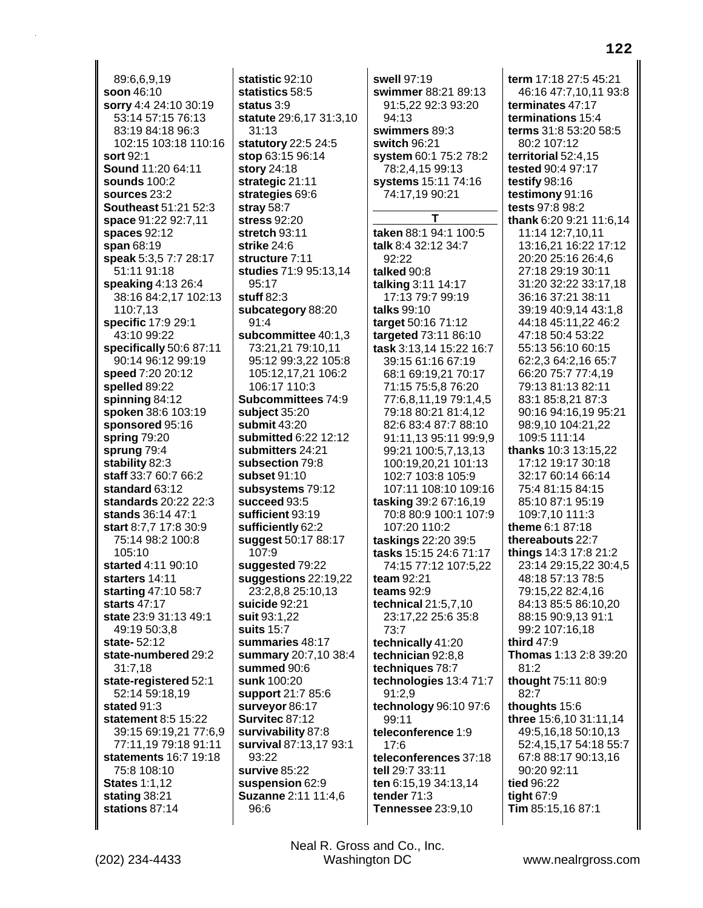89:6,6,9,19 **soon** 46:10 **sorry** 4:4 24:10 30:19 53:14 57:15 76:13 83:19 84:18 96:3 102:15 103:18 110:16 **sort** 92:1 **Sound** 11:20 64:11 **sounds** 100:2 **sources** 23:2 **Southeast** 51:21 52:3 **space** 91:22 92:7,11 **spaces** 92:12 **span** 68:19 **speak** 5:3,5 7:7 28:17 51:11 91:18 **speaking** 4:13 26:4 38:16 84:2,17 102:13 110:7,13 **specific** 17:9 29:1 43:10 99:22 **specifically** 50:6 87:11 90:14 96:12 99:19 **speed** 7:20 20:12 **spelled** 89:22 **spinning** 84:12 **spoken** 38:6 103:19 **sponsored** 95:16 **spring** 79:20 **sprung** 79:4 **stability** 82:3 **staff** 33:7 60:7 66:2 **standard** 63:12 **standards** 20:22 22:3 **stands** 36:14 47:1 **start** 8:7,7 17:8 30:9 75:14 98:2 100:8 105:10 **started** 4:11 90:10 **starters** 14:11 **starting** 47:10 58:7 **starts** 47:17 **state** 23:9 31:13 49:1 49:19 50:3,8 **state-** 52:12 **state-numbered** 29:2 31:7,18 **state-registered** 52:1 52:14 59:18,19 **stated** 91:3 **statement** 8:5 15:22 39:15 69:19,21 77:6,9 77:11,19 79:18 91:11 **statements** 16:7 19:18 75:8 108:10 **States** 1:1,12 **stating** 38:21 **stations** 87:14

**statistic** 92:10 **statistics** 58:5 **status** 3:9 **statute** 29:6,17 31:3,10 31:13 **statutory** 22:5 24:5 **stop** 63:15 96:14 **story** 24:18 **strategic** 21:11 **strategies** 69:6 **stray** 58:7 **stress** 92:20 **stretch** 93:11 **strike** 24:6 **structure** 7:11 **studies** 71:9 95:13,14 95:17 **stuff** 82:3 **subcategory** 88:20 91:4 **subcommittee** 40:1,3 73:21,21 79:10,11 95:12 99:3,22 105:8 105:12,17,21 106:2 106:17 110:3 **Subcommittees** 74:9 **subject** 35:20 **submit** 43:20 **submitted** 6:22 12:12 **submitters** 24:21 **subsection** 79:8 **subset** 91:10 **subsystems** 79:12 **succeed** 93:5 **sufficient** 93:19 **sufficiently** 62:2 **suggest** 50:17 88:17 107:9 **suggested** 79:22 **suggestions** 22:19,22 23:2,8,8 25:10,13 **suicide** 92:21 **suit** 93:1,22 **suits** 15:7 **summaries** 48:17 **summary** 20:7,10 38:4 **summed** 90:6 **sunk** 100:20 **support** 21:7 85:6 **surveyor** 86:17 **Survitec** 87:12 **survivability** 87:8 **survival** 87:13,17 93:1 93:22 **survive** 85:22 **suspension** 62:9 **Suzanne** 2:11 11:4,6 96:6

**swell** 97:19 **swimmer** 88:21 89:13 91:5,22 92:3 93:20 94:13 **swimmers** 89:3 **switch** 96:21 **system** 60:1 75:2 78:2 78:2,4,15 99:13 **systems** 15:11 74:16 74:17,19 90:21 **T taken** 88:1 94:1 100:5 **talk** 8:4 32:12 34:7 92:22 **talked** 90:8 **talking** 3:11 14:17 17:13 79:7 99:19 **talks** 99:10 **target** 50:16 71:12 **targeted** 73:11 86:10 **task** 3:13,14 15:22 16:7 39:15 61:16 67:19 68:1 69:19,21 70:17 71:15 75:5,8 76:20 77:6,8,11,19 79:1,4,5 79:18 80:21 81:4,12 82:6 83:4 87:7 88:10 91:11,13 95:11 99:9,9 99:21 100:5,7,13,13 100:19,20,21 101:13 102:7 103:8 105:9 107:11 108:10 109:16 **tasking** 39:2 67:16,19 70:8 80:9 100:1 107:9 107:20 110:2 **taskings** 22:20 39:5 **tasks** 15:15 24:6 71:17 74:15 77:12 107:5,22 **team** 92:21 **teams** 92:9 **technical** 21:5,7,10 23:17,22 25:6 35:8 73:7 **technically** 41:20 **technician** 92:8,8 **techniques** 78:7 **technologies** 13:4 71:7 91:2,9 **technology** 96:10 97:6 99:11 **teleconference** 1:9 17:6 **teleconferences** 37:18 **tell** 29:7 33:11 **ten** 6:15,19 34:13,14 **tender** 71:3 **Tennessee** 23:9,10

**term** 17:18 27:5 45:21 46:16 47:7,10,11 93:8 **terminates** 47:17 **terminations** 15:4 **terms** 31:8 53:20 58:5 80:2 107:12 **territorial** 52:4,15 **tested** 90:4 97:17 **testify** 98:16 **testimony** 91:16 **tests** 97:8 98:2 **thank** 6:20 9:21 11:6,14 11:14 12:7,10,11 13:16,21 16:22 17:12 20:20 25:16 26:4,6 27:18 29:19 30:11 31:20 32:22 33:17,18 36:16 37:21 38:11 39:19 40:9,14 43:1,8 44:18 45:11,22 46:2 47:18 50:4 53:22 55:13 56:10 60:15 62:2,3 64:2,16 65:7 66:20 75:7 77:4,19 79:13 81:13 82:11 83:1 85:8,21 87:3 90:16 94:16,19 95:21 98:9,10 104:21,22 109:5 111:14 **thanks** 10:3 13:15,22 17:12 19:17 30:18 32:17 60:14 66:14 75:4 81:15 84:15 85:10 87:1 95:19 109:7,10 111:3 **theme** 6:1 87:18 **thereabouts** 22:7 **things** 14:3 17:8 21:2 23:14 29:15,22 30:4,5 48:18 57:13 78:5 79:15,22 82:4,16 84:13 85:5 86:10,20 88:15 90:9,13 91:1 99:2 107:16,18 **third** 47:9 **Thomas** 1:13 2:8 39:20 81:2 **thought** 75:11 80:9 82:7 **thoughts** 15:6 **three** 15:6,10 31:11,14 49:5,16,18 50:10,13 52:4,15,17 54:18 55:7 67:8 88:17 90:13,16 90:20 92:11 **tied** 96:22 **tight** 67:9 **Tim** 85:15,16 87:1

(202) 234-4433 Washington DC www.nealrgross.com Neal R. Gross and Co., Inc.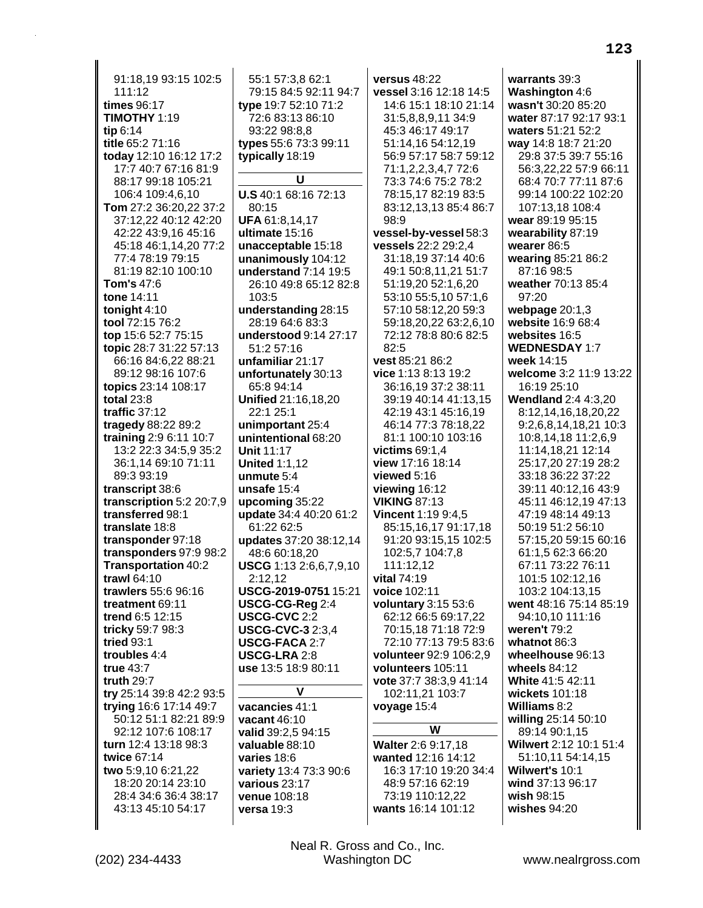91:18.19 93:15 102:5  $111:12$ times 96:17 TIMOTHY 1:19  $\mathbf{t}$ ip 6:14 title 65:2 71:16 today 12:10 16:12 17:2 17:7 40:7 67:16 81:9 88:17 99:18 105:21 106:4 109:4,6,10 Tom 27:2 36:20,22 37:2 37:12,22 40:12 42:20 42:22 43:9,16 45:16 45:18 46:1,14,20 77:2 77:4 78:19 79:15 81:19 82:10 100:10 Tom's 47:6 tone 14:11 tonight 4:10 tool 72:15 76:2 top 15:6 52:7 75:15 topic 28:7 31:22 57:13 66:16 84:6,22 88:21 89:12 98:16 107:6 topics 23:14 108:17 total  $23:8$ traffic  $37:12$ tragedy 88:22 89:2 training  $2:96:1110:7$ 13:2 22:3 34:5,9 35:2 36:1.14 69:10 71:11 89:3 93:19 transcript 38:6 transcription 5:2 20:7,9 transferred 98:1 translate 18:8 transponder 97:18 transponders 97:9 98:2 Transportation 40:2 trawl 64:10 trawlers 55:6 96:16 treatment 69:11 trend 6:5 12:15 tricky 59:7 98:3 tried 93:1 troubles 4:4 true 43:7 truth 29:7 try 25:14 39:8 42:2 93:5 trying 16:6 17:14 49:7 50:12 51:1 82:21 89:9 92:12 107:6 108:17 turn 12:4 13:18 98:3 twice 67:14 two 5:9,10 6:21,22 18:20 20:14 23:10 28:4 34:6 36:4 38:17 43:13 45:10 54:17

55:1 57:3.8 62:1 79:15 84:5 92:11 94:7 type 19:7 52:10 71:2 72:6 83:13 86:10 93:22 98:8.8 types 55:6 73:3 99:11 typically 18:19 U U.S 40:1 68:16 72:13 80:15 UFA 61:8,14,17 ultimate 15:16 unacceptable 15:18 unanimously 104:12 understand 7:14 19:5 26:10 49:8 65:12 82:8 103:5 understanding 28:15 28:19 64:6 83:3 understood 9:14 27:17 51:2 57:16 unfamiliar 21:17 unfortunately 30:13 65:8 94:14 Unified 21:16.18.20 22:1 25:1 unimportant 25:4 unintentional 68:20 Unit 11:17 **United 1:1,12** unmute  $5:4$ unsafe 15:4 upcoming 35:22 update 34:4 40:20 61:2 61:22 62:5 updates 37:20 38:12,14 48:6 60:18,20 **USCG** 1:13 2:6,6,7,9,10  $2:12,12$ USCG-2019-0751 15:21 USCG-CG-Req 2:4 **USCG-CVC 2:2 USCG-CVC-3 2:3.4 USCG-FACA 2:7** USCG-LRA 2:8 use 13:5 18:9 80:11  $\mathbf v$ vacancies 41:1 vacant 46:10 valid 39:2,5 94:15 valuable 88:10 varies 18:6 variety 13:4 73:3 90:6

versus  $48:22$ vessel 3:16 12:18 14:5 14:6 15:1 18:10 21:14 31:5.8.8.9.11 34:9 45:3 46:17 49:17 51:14,16 54:12,19 56:9 57:17 58:7 59:12 71:1,2,2,3,4,7 72:6 73:3 74:6 75:2 78:2 78:15,17 82:19 83:5 83:12,13,13 85:4 86:7 98:9 vessel-by-vessel 58:3 vessels 22:2 29:2.4 31:18,19 37:14 40:6 49:1 50:8,11,21 51:7 51:19,20 52:1,6,20 53:10 55:5,10 57:1,6 57:10 58:12,20 59:3 59:18,20,22 63:2,6,10 72:12 78:8 80:6 82:5  $82:5$ vest 85:21 86:2 vice 1:13 8:13 19:2 36:16,19 37:2 38:11 39:19 40:14 41:13.15 42:19 43:1 45:16.19 46:14 77:3 78:18,22 81:1 100:10 103:16 victims  $69:1.4$ view 17:16 18:14 viewed  $5:16$ viewing 16:12 **VIKING 87:13** Vincent 1:19 9:4.5 85:15,16,17 91:17,18 91:20 93:15,15 102:5 102:5,7 104:7,8 111:12.12 vital 74:19 voice 102:11 voluntary 3:15 53:6 62:12 66:5 69:17,22 70:15,18 71:18 72:9 72:10 77:13 79:5 83:6 volunteer 92:9 106:2,9 volunteers 105:11 vote 37:7 38:3.9 41:14 102:11,21 103:7 voyage 15:4 W

Walter 2:6 9:17.18 wanted 12:16 14:12 16:3 17:10 19:20 34:4 48:9 57:16 62:19 73:19 110:12,22 wants 16:14 101:12

warrants  $39:3$ Washington 4:6 wasn't 30:20 85:20 water 87:17 92:17 93:1 waters 51:21 52:2 way 14:8 18:7 21:20 29:8 37:5 39:7 55:16 56:3,22,22 57:9 66:11 68:4 70:7 77:11 87:6 99:14 100:22 102:20 107:13,18 108:4 wear 89:19 95:15 wearability 87:19 wearer 86:5 wearing 85:21 86:2 87:16 98:5 weather 70:13 85:4 97:20 webpage 20:1,3 website 16:9 68:4 websites 16:5 **WEDNESDAY 1:7** week 14:15 welcome 3:2 11:9 13:22 16:19 25:10 **Wendland 2:4 4:3.20** 8:12,14,16,18,20,22 9:2,6,8,14,18,21 10:3 10:8,14,18 11:2,6,9 11:14,18,21 12:14 25:17.20 27:19 28:2 33:18 36:22 37:22 39:11 40:12,16 43:9 45:11 46:12,19 47:13 47:19 48:14 49:13 50:19 51:2 56:10 57:15,20 59:15 60:16 61:1.5 62:3 66:20 67:11 73:22 76:11 101:5 102:12.16 103:2 104:13,15 went 48:16 75:14 85:19 94:10.10 111:16 weren't 79:2 whatnot 86:3 wheelhouse 96:13 wheels  $84:12$ White 41:5 42:11 wickets 101:18 Williams 8:2 willing 25:14 50:10 89:14 90:1,15 Wilwert 2:12 10:1 51:4 51:10,11 54:14,15 Wilwert's 10:1 wind 37:13 96:17 wish 98:15 wishes 94:20

Neal R. Gross and Co., Inc. Washington DC

various 23:17

venue 108:18

versa 19:3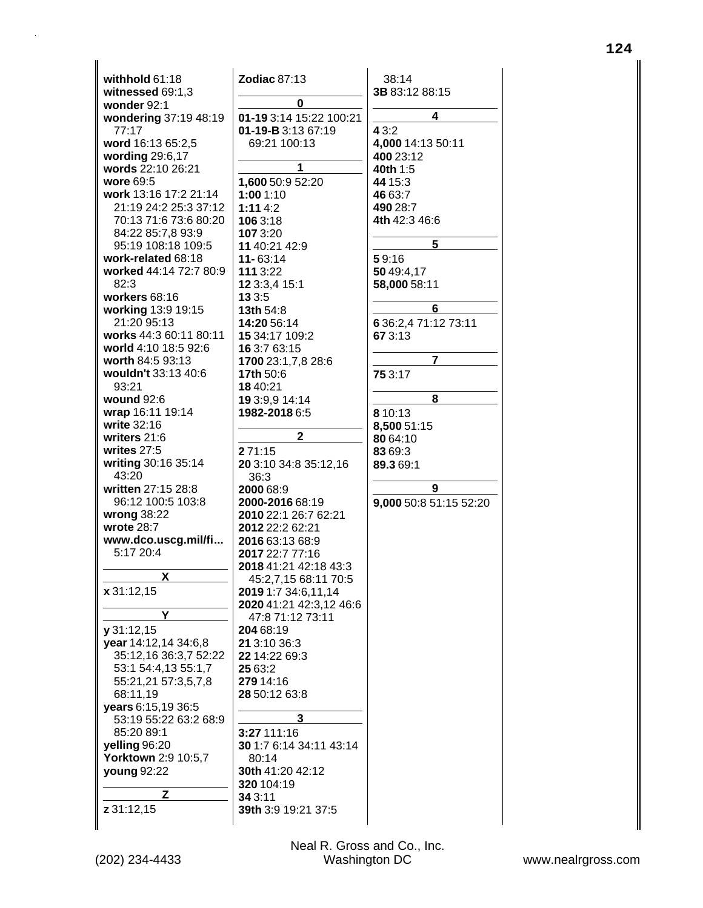| withhold 61:18                 | <b>Zodiac 87:13</b>           | 38:14            |
|--------------------------------|-------------------------------|------------------|
| witnessed 69:1,3               |                               | 3B 83:12 88:15   |
| wonder 92:1                    | 0                             |                  |
| wondering 37:19 48:19          | 01-19 3:14 15:22 100:21       | 4                |
| 77:17                          | 01-19-B 3:13 67:19            | 4 3:2            |
| word 16:13 65:2,5              | 69:21 100:13                  | 4,000 14:13 50:  |
| wording 29:6,17                |                               | 400 23:12        |
| words 22:10 26:21              | 1                             | 40th 1:5         |
| wore 69:5                      | 1,600 50:9 52:20              | 44 15:3          |
| work 13:16 17:2 21:14          | 1:001:10                      | 46 63:7          |
| 21:19 24:2 25:3 37:12          | 1:114:2                       | 490 28:7         |
| 70:13 71:6 73:6 80:20          | 106 3:18                      | 4th 42:3 46:6    |
| 84:22 85:7,8 93:9              | 107 3:20                      |                  |
| 95:19 108:18 109:5             | 11 40:21 42:9                 | 5                |
| work-related 68:18             | $11 - 63:14$                  | 59:16            |
| worked 44:14 72:7 80:9<br>82:3 | 111 3:22                      | 50 49:4,17       |
| workers 68:16                  | 12 3:3,4 15:1<br>13 3:5       | 58,000 58:11     |
| working 13:9 19:15             | 13th 54:8                     | 6                |
| 21:20 95:13                    | 14:20 56:14                   | 6 36:2,4 71:12 7 |
| works 44:3 60:11 80:11         | 15 34:17 109:2                | 67 3:13          |
| world 4:10 18:5 92:6           | 16 3:7 63:15                  |                  |
| worth 84:5 93:13               | 1700 23:1,7,8 28:6            | 7                |
| wouldn't 33:13 40:6            | 17th 50:6                     | 75 3:17          |
| 93:21                          | 18 40:21                      |                  |
| wound $92:6$                   | 19 3:9,9 14:14                | 8                |
| wrap 16:11 19:14               | 1982-2018 6:5                 | 8 10:13          |
| write 32:16                    |                               | 8,500 51:15      |
| writers 21:6                   | $\mathbf{2}$                  | 80 64:10         |
| writes $27:5$                  | 271:15                        | 83 69:3          |
| writing 30:16 35:14            | 20 3:10 34:8 35:12,16         | 89.3 69:1        |
| 43:20                          | 36:3                          |                  |
| written 27:15 28:8             | 2000 68:9                     | 9                |
| 96:12 100:5 103:8              | 2000-2016 68:19               | 9,000 50:8 51:1  |
| wrong 38:22                    | 2010 22:1 26:7 62:21          |                  |
| wrote 28:7                     | 2012 22:2 62:21               |                  |
| www.dco.uscg.mil/fi            | 2016 63:13 68:9               |                  |
| 5:17 20:4                      | 2017 22:7 77:16               |                  |
| х                              | 2018 41:21 42:18 43:3         |                  |
|                                | 45:2,7,15 68:11 70:5          |                  |
| x 31:12,15                     | 2019 1:7 34:6,11,14           |                  |
| Y                              | 2020 41:21 42:3,12 46:6       |                  |
| y31:12,15                      | 47:8 71:12 73:11<br>204 68:19 |                  |
| year 14:12,14 34:6,8           | 21 3:10 36:3                  |                  |
| 35:12,16 36:3,7 52:22          | 22 14:22 69:3                 |                  |
| 53:1 54:4,13 55:1,7            | 25 63:2                       |                  |
| 55:21,21 57:3,5,7,8            | 279 14:16                     |                  |
| 68:11,19                       | 28 50:12 63:8                 |                  |
| years 6:15,19 36:5             |                               |                  |
| 53:19 55:22 63:2 68:9          | 3                             |                  |
| 85:20 89:1                     | 3:27 111:16                   |                  |
| yelling 96:20                  | 30 1:7 6:14 34:11 43:14       |                  |
| Yorktown 2:9 10:5,7            | 80:14                         |                  |
| young 92:22                    | 30th 41:20 42:12              |                  |
|                                | 320 104:19                    |                  |
| z                              | 34 3:11                       |                  |
| z 31:12,15                     | 39th 3:9 19:21 37:5           |                  |
|                                |                               |                  |

3 50:11  $6:6$  $\overline{\phantom{0}}$  $:11$  $6$  $1:1273:11$  $\overline{7}$  $\overline{\mathbf{8}}$  $\overline{5}$  $9$ 51:15 52:20